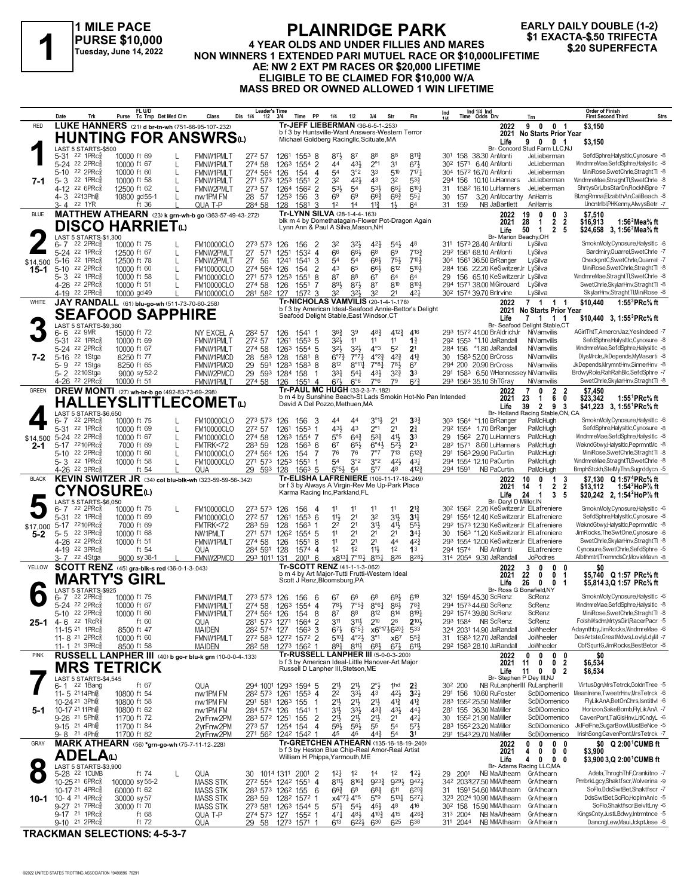**1 MILE PACE PURSE \$10,000 Tuesday, June 14, 2022**

### **PLAINRIDGE PARK 4 YEAR OLDS AND UNDER FILLIES AND MARES NON WINNERS 1 EXACTA-\$.50 TRIFECTA**<br>Tuesday, June 14, 2022 NON WINNERS 1 EXTENDED PARI MUTUEL RACE OR \$10,000LIFETIME<br>A EXAMPLE PART MUTUEL RACE OR \$10,000LIFETIME<br>A EXACTA-\$.50 TRIFFECTA **AE: NW 2 EXT PM RACES OR \$20,000 LIFETIME ELIGIBLE TO BE CLAIMED FOR \$10,000 W/A MASS BRED OR OWNED ALLOWED 1 WIN LIFETIME**

**EARLY DAILY DOUBLE (1-2)**

|              | Date                | Trk                                                    | Purse                        | FL U/D       | Tc Tmp Det Med Clm                                                       | Class                                                     | <b>Leader's Time</b><br>Dis 1/4<br>$1/2$ $3/4$               |                      | Time PP             |                                  | 1/4                                          | 1/2                                    | 3/4                                                                | Str                                                                                       | Fin                                                        | Ind                 |          | Ind 1/4 Ind<br>Time Odds Drv                                                |                                                                 | Trn                                                                               | <b>Order of Finish</b><br><b>First Second Third</b><br>Strs                                   |  |
|--------------|---------------------|--------------------------------------------------------|------------------------------|--------------|--------------------------------------------------------------------------|-----------------------------------------------------------|--------------------------------------------------------------|----------------------|---------------------|----------------------------------|----------------------------------------------|----------------------------------------|--------------------------------------------------------------------|-------------------------------------------------------------------------------------------|------------------------------------------------------------|---------------------|----------|-----------------------------------------------------------------------------|-----------------------------------------------------------------|-----------------------------------------------------------------------------------|-----------------------------------------------------------------------------------------------|--|
| <b>RED</b>   |                     |                                                        |                              |              |                                                                          | LUKE HANNERS (21) d br-tn-wh (751-86-95-107-.232)         |                                                              |                      |                     |                                  | Tr-JEFF LIEBERMAN (36-6-5-1-.253)            |                                        |                                                                    | b f 3 by Huntsville-Want Answers-Western Terror                                           |                                                            |                     |          |                                                                             | 2022<br>2021                                                    | 9<br>$\mathbf{0}$<br>0 <sub>1</sub><br>No Starts Prior Year                       | \$3,150                                                                                       |  |
|              |                     |                                                        |                              |              |                                                                          | <b>HUNTING FOR ANSWRS</b>                                 |                                                              |                      |                     |                                  | Michael Goldberg Racingllc, Scituate, MA     |                                        |                                                                    |                                                                                           |                                                            |                     |          |                                                                             | Life                                                            | 9 0 0 1                                                                           | \$3,150                                                                                       |  |
|              |                     | LAST 5 STARTS-\$500<br>5-31 22 1PRc <sub>8</sub>       |                              |              |                                                                          |                                                           |                                                              |                      |                     |                                  |                                              |                                        |                                                                    | 88                                                                                        |                                                            |                     |          |                                                                             |                                                                 | Br- Concord Stud Farm LLC,NJ<br>JeLieberman                                       | SefdSphre,HalysItIc,Cynosure -8                                                               |  |
|              |                     | 5-24 22 2PRc                                           | 10000 ft 69<br>10000 ft 67   |              | L                                                                        | FMNW1PMLT<br>FMNW1PMLT                                    | 272 57<br>274 58                                             | 1261<br>1263 1554    | $155^3$ 8           | $\overline{2}$                   | 871<br>44                                    | 87<br>431                              | 88<br>$2^{\circ}1$                                                 | 3 <sup>1</sup>                                                                            | $8^{11}\frac{3}{4}$<br>$6^{7}\frac{1}{2}$                  |                     |          | 301 158 38.30 AnMonti<br>30 <sup>2</sup> 1571 6.40 AnMonti                  |                                                                 | JeLieberman                                                                       | WndmreMae,SefdSphre,HalysItlc -8                                                              |  |
|              |                     | 5-10 22 2PRc                                           | 10000 ft 60                  |              | L                                                                        | <b>FMNW1PMLT</b>                                          | 274 564 126                                                  |                      | 154                 | $\overline{4}$                   | 54                                           | 3°2                                    | 33                                                                 | 510                                                                                       | $7^{17}$                                                   |                     |          | 304 1572 16.70 AnMonti                                                      |                                                                 | JeLieberman                                                                       | MiniRose.SwetChrle.StraghtTl -8                                                               |  |
| 7-1          | $5 - 3$<br>$4 - 12$ | 22 1PRc<br>22 6PRc                                     | 10000 ft 58<br>12500 ft 62   |              | $\mathbf{L}$<br>L                                                        | <b>FMNW1PMLT</b><br>FMNW2PMLT                             | 271 573 1253<br>273 57                                       | 1264 1562            | 1551                | $\overline{2}$<br>$\overline{2}$ | 32<br>533                                    | 421<br>54                              | 4 <sup>3</sup><br>53}                                              | 32<br>661                                                                                 | $5^{3}\frac{3}{4}$<br>$6^{10}$                             | 31.                 |          |                                                                             | 294 156 10.10 LuHanners<br>158 <sup>2</sup> 16.10 LuHanners     | JeLieberman<br>JeLieberman                                                        | WndmreMae,StraghtTl,SwetChrle -8<br>ShrtysGrl,JbsStarDn,RockNSpre -7                          |  |
|              |                     | 4-3 2213Phls                                           |                              | 10800 gd55-1 | $\mathsf{I}$                                                             | nw1PM FM                                                  | 28 57                                                        | 1253 156             |                     | 3                                | 6 <sup>9</sup>                               | 6 <sup>9</sup>                         | $66\frac{3}{4}$                                                    | $66\frac{3}{4}$                                                                           | $55\frac{1}{4}$                                            | 30                  | 157      |                                                                             |                                                                 | 3.20 AnMccarthy AnHarris                                                          | BlzngRmna,ElzabthAn,CaliBeach -8                                                              |  |
|              |                     | 3-4 22 1YR                                             |                              | ft 36        |                                                                          | QUA T-P                                                   | 284 58                                                       | 128                  | 1581 3              |                                  | 1 <sup>2</sup>                               | 1 <sup>4</sup>                         | $11\frac{3}{4}$                                                    | $1\frac{1}{2}$                                                                            | 6 <sup>4</sup>                                             |                     | 31 159   |                                                                             | NB JaBartlett                                                   | AnHarris                                                                          | Uncntribl, PHKenny, AlwysBetr -7                                                              |  |
| <b>BLUE</b>  |                     |                                                        |                              |              |                                                                          | MATTHEW ATHEARN (23) k grn-wh-b go (363-57-49-43-.272)    |                                                              |                      |                     |                                  | Tr-LYNN SILVA (28-1-4-4-.163)                |                                        |                                                                    |                                                                                           | blk m 4 by Domethatagain-Flower Pot-Dragon Again           |                     |          |                                                                             | 2022<br>2021                                                    | 0<br>3<br>19<br>0<br>2<br>2<br>28<br>$\mathbf{1}$                                 | \$7,510<br>\$16,913<br>1:56 <sup>2</sup> Mea% ft                                              |  |
|              |                     | <b>DISCO HARRIET</b> <sub>4</sub>                      |                              |              |                                                                          |                                                           |                                                              |                      |                     |                                  | Lynn Ann & Paul A Silva, Mason, NH           |                                        |                                                                    |                                                                                           |                                                            |                     |          |                                                                             | Life                                                            | $\mathbf{2}$<br>5<br>50<br>-1                                                     | \$24,658 3, 1:56 <sup>2</sup> Mea <sup>5</sup> / <sub>8</sub> ft                              |  |
|              | 6- 7                | LAST 5 STARTS-\$1,300<br>22 2PRc3                      | 10000 ft 75                  |              |                                                                          | <b>FM10000CLO</b>                                         | 273 573 126                                                  |                      | 156                 | -2                               | 32                                           | 32}                                    | $42\frac{1}{2}$                                                    | $54\frac{1}{2}$                                                                           | 48                                                         |                     |          | 311 1573 28.40 AnMonti                                                      | Br- Marion Beachy, OH                                           | LySilva                                                                           | SmoknMoly,Cynosure,HalysItIc -6                                                               |  |
|              |                     | 5-24 22 1PRc                                           | 12500 ft 67                  |              | L                                                                        | FMNW2PMLT                                                 | 27<br>571                                                    | 1251                 | $153^2$ 4           |                                  | 66                                           | 66}                                    | 6 <sup>8</sup>                                                     | 69                                                                                        | $7^{13}$                                                   |                     |          | 292 1561 68.10 AnMonti                                                      |                                                                 | LySilva                                                                           | Bardmiry, Quarrel, SwetChrle -7                                                               |  |
| \$14,500     | $5 - 16$            | 22 1PRc3<br>22 2PRc                                    | 12500 ft 78                  |              | L                                                                        | FMNW2PMLT                                                 | 27 56                                                        | 1241                 | 1541                | 3                                | 54                                           | 5 <sup>4</sup>                         | $66\frac{1}{2}$                                                    | 754                                                                                       | $7^{10}$                                                   |                     |          | 304 1561 36.50 BrRanger                                                     | 284 156 22.20 KeSwitzerJr LySilva                               | LySilva                                                                           | CheckpntC,SwetChrle,Quarrel -7<br>MiniRose,SwetChrle,StraghtTl -8                             |  |
| 15-1         | $5 - 10$<br>$5 - 3$ | 22 1PRc3                                               | 10000 ft $60$<br>10000 ft 58 |              | $\mathbf{L}$                                                             | <b>FM10000CLO</b><br><b>FM10000CLO</b>                    | 274 564 126<br>271 573 1253                                  |                      | 154<br>1551         | $\overline{2}$<br>8              | 43<br>87                                     | 65<br>88                               | 66}<br>67                                                          | 612<br>64                                                                                 | 510}<br>64                                                 | 29                  |          |                                                                             | 156 65.10 KeSwitzerJr LySilva                                   |                                                                                   | WndmreMae,StraghtTl,SwetChrle -8                                                              |  |
|              |                     | 4-26 <sup>22</sup> 2PRc                                | 10000 ft 51                  |              | L                                                                        | <b>FM10000CLO</b>                                         | 274 58                                                       | 126                  | 1551                | 7                                | 893                                          | $8^{71}$                               | 87                                                                 | 810                                                                                       | 810}                                                       |                     |          |                                                                             | 294 1571 38.00 MiGirouard                                       | LySilva                                                                           | SwetChrle, SkylarHnv, Straght TI -8                                                           |  |
| WHITE        |                     | 4-19 22 2PRc                                           | 10000 gd 49                  |              |                                                                          | <b>FM10000CLO</b>                                         | 281 582 127                                                  |                      | $157^2$ 3           |                                  | 32                                           | 321,                                   | 32                                                                 | 21<br><b>Tr-NICHOLAS VAMVILIS (20-1-4-1-178)</b>                                          | 421                                                        |                     |          | 30 <sup>2</sup> 1574 39.70 Brlrvine                                         |                                                                 | LySilva<br>7 <sub>1</sub>                                                         | SkylarHnv,StraghtTl,MiniRose -8                                                               |  |
|              |                     |                                                        |                              |              | JAY RANDALL (61) blu-go-wh (511-73-70-60-258)<br><b>SEAFOOD SAPPHIRE</b> |                                                           |                                                              |                      |                     |                                  |                                              |                                        |                                                                    |                                                                                           | b f 3 by American Ideal-Seafood Annie-Bettor's Delight     |                     |          |                                                                             | 2022<br>2021                                                    | $\overline{1}$<br>$\overline{1}$<br>No Starts Prior Year                          | \$10,440<br>1:55 ${}^{3}$ PRc ${}^{5}_{8}$ ft                                                 |  |
|              |                     | LAST 5 STARTS-\$9,360                                  |                              |              |                                                                          |                                                           |                                                              |                      |                     |                                  | Seafood Delight Stable, East Windsor, CT     |                                        |                                                                    |                                                                                           |                                                            |                     |          |                                                                             | Life                                                            | 7 1 1 1<br>Br- Seafood Delight Stable,CT                                          | \$10,440 3, 1:55 PRc % ft                                                                     |  |
|              | 6-6                 | 22 9MR                                                 | 15000 ft 72                  |              |                                                                          | NY EXCEL A                                                | 282 57                                                       | 126                  | 1541 1              |                                  | 36}                                          | 39                                     | $48\frac{3}{4}$                                                    | 412}                                                                                      | 416                                                        |                     |          |                                                                             | 293 1572 41.00 Br AldrichJr                                     | NiVamvilis                                                                        | AGirlThtT,AmercnJaz,YesIndeed -7                                                              |  |
|              | 5-31                | 22 1PRc3                                               | 10000 ft 69                  |              |                                                                          | <b>FMNW1PMLT</b>                                          | 272 57                                                       | 1261                 | $155^3$ 5           |                                  | 32}                                          | 11                                     | 11<br>$4^{\circ}3$                                                 | 11<br>5 <sup>2</sup>                                                                      | $1\frac{3}{4}$<br>2 <sup>1</sup>                           |                     |          |                                                                             | 292 1553 *1.10 JaRandall                                        | NiVamvilis                                                                        | SefdSphre,HalysItlc,Cynosure -8                                                               |  |
| 7-2          | $5 - 16$            | 5-24 22 2PRc<br>22 1Stga                               | 10000 ft 67<br>8250 ft 77    |              |                                                                          | <b>FMNW1PMLT</b><br>FMNW1PMCD                             | 274 58<br>28 583                                             | 1263<br>128          | $155^4$ 5<br>1581 8 |                                  | $3^{2}$<br>$6^{07}\frac{3}{4}$               | 3 <sup>2</sup><br>$7^{\circ}7^{\circ}$ | $4^{\circ}2^{\frac{3}{4}}$                                         | $4^{2}\frac{3}{4}$                                                                        | $4^{13}$                                                   |                     |          | 30 1583 52.00 BrCross                                                       | 284 156 *1.80 JaRandall                                         | NiVamvilis<br>NiVamvilis                                                          | WndmreMae,SefdSphre,HalysItlc -8<br>DlysMrcle,JkDepends,MyMaserti -8                          |  |
|              | 5-9                 | 22 1Stga                                               | 8250 ft 65                   |              |                                                                          | FMNW1PMCD                                                 | 29<br>591                                                    | 1283                 | 1583 8              |                                  | 812                                          | $8^{\circ}11\frac{1}{4}$               | $7^{\circ}8\frac{1}{4}$                                            | 783                                                                                       | 67                                                         |                     |          | 294 200 20.90 BrCross                                                       |                                                                 | NiVamvilis                                                                        | JkDepends, MrymntHnv, SinnerHnv -8                                                            |  |
|              |                     | 5-2 <sup>22</sup> 10Stga<br>4-26 <sup>22</sup> 2PRc    | 10000 ft 51                  | 9000 sy 52-2 |                                                                          | FMNW2PMCD<br>FMNW1PMLT                                    | 29 593 1284 158<br>274 58 126                                |                      | 1551 4              |                                  | 331<br>$6^{71}$                              | $5^{4}$<br>6°6                         | $43\frac{1}{2}$<br>7°6                                             | $3^{2}\frac{3}{4}$<br>79                                                                  | 3 <sup>3</sup><br>$6^{7}$ <sub>4</sub> <sup>3</sup>        |                     |          | 293 1564 35.10 ShTGray                                                      |                                                                 | 291 1583 6.50 WHennessey NiVamvilis<br>NiVamvilis                                 | BrdwyRole,RahRahBlc,SefdSphre -7<br>SwetChrle, SkylarHnv, Straght Ti-8                        |  |
| <b>GREEN</b> |                     |                                                        |                              |              | DREW MONTI (27) wh-br-b go (492-83-73-69-298)                            |                                                           |                                                              |                      |                     |                                  | Tr-PAUL MC HUGH (33-2-3-7-.182)              |                                        |                                                                    |                                                                                           |                                                            |                     |          |                                                                             | 2022                                                            | $\overline{2}$<br>$\overline{2}$<br>7<br>0                                        | \$7.450                                                                                       |  |
|              |                     |                                                        |                              |              |                                                                          | <b>HALLEYSLITTLECOMET</b> ®                               |                                                              |                      |                     |                                  | David A Del Pozzo, Methuen, MA               |                                        |                                                                    |                                                                                           | b m 4 by Sunshine Beach-St Lads Smokin Hot-No Pan Intended |                     |          |                                                                             | 2021                                                            | 6<br>23<br>$\mathbf 1$<br>0                                                       | \$23,342<br>1:55 <sup>1</sup> PRc% ft                                                         |  |
|              |                     | LAST 5 STARTS-\$6,650                                  |                              |              |                                                                          |                                                           |                                                              |                      |                     |                                  |                                              |                                        |                                                                    |                                                                                           |                                                            |                     |          |                                                                             | Life                                                            | $\overline{2}$<br>3<br>39<br>9<br>Br- Holland Racing Stable, ON, CA               | \$41,223 3. 1:55 <sup>1</sup> PRc <sup>5</sup> / <sub>8</sub> ft                              |  |
|              | 6- 7                | 22 2PRc3                                               | 10000 ft 75                  |              |                                                                          | <b>FM10000CLO</b>                                         | 273 573 126                                                  |                      | 156                 | - 3                              | 44                                           | 44                                     | 3°1}                                                               | 2 <sup>1</sup>                                                                            | 3 <sup>3</sup>                                             |                     |          | 303 1564 *1.10 BrRanger                                                     |                                                                 | PaMcHugh                                                                          | SmoknMoly,Cynosure,HalysItlc -6                                                               |  |
| \$14,500     |                     | 5-31 22 1PRc<br>5-24 22 2PRcs                          | 10000 ft 69<br>10000 ft 67   |              | L<br>L                                                                   | <b>FM10000CLO</b><br><b>FM10000CLO</b>                    | 272 57<br>274 58                                             | 1261<br>1263         | $1553$ 1<br>1554 7  |                                  | 43}<br>$5^{\circ}5$                          | 43<br>$6^{4}$                          | $2^{\circ_1}$<br>$5^{3}\frac{3}{4}$                                | 2 <sup>1</sup><br>41}                                                                     | 21<br>3 <sup>3</sup>                                       | 29                  |          | 292 1554 1.70 BrRanger                                                      | 156 <sup>2</sup> 2.70 LuHanners                                 | PaMcHugh<br>PaMcHugh                                                              | SefdSphre,HalysItIc,Cynosure -8<br>WndmreMae,SefdSphre,HalysItIc -8                           |  |
| $2 - 1$      |                     | 5-17 2210PRc                                           |                              | 7000 ft 69   | $\mathbf{L}$                                                             | FMTRK<72                                                  | 283 59                                                       | 128                  | $156^3$ 6           |                                  | 6 <sup>7</sup>                               | $65\frac{1}{2}$                        | $6^{04}$                                                           | $5^{2}$                                                                                   | 2 <sup>3</sup>                                             |                     |          |                                                                             | 28 <sup>2</sup> 1571 8.60 LuHanners                             | PaMcHugh                                                                          | WekndGtwy,HalysItIc,PeprmntMc -8                                                              |  |
|              | 5-10                | 22 2PRc3<br>5-3 22 1PRc                                | 10000 ft 60<br>10000 ft 58   |              |                                                                          | <b>FM10000CLO</b><br><b>FM10000CLO</b>                    | 274 564 126<br>271 573 1253                                  |                      | 154<br>1551         | 7<br>$\overline{1}$              | 76<br>54                                     | 76<br>3°2                              | 7°7<br>3°2                                                         | 713<br>42}                                                                                | $6^{12}$<br>$4^{3}\frac{1}{4}$                             |                     |          | 291 1563 29.90 PaCurtin<br>294 1554 12.10 PaCurtin                          |                                                                 | PaMcHugh<br>PaMcHugh                                                              | MiniRose,SwetChrle,StraghtTl -8<br>WndmreMae,StraghtTl,SwetChrle -8                           |  |
|              |                     | 4-26 <sup>22</sup> 3PRc                                |                              | ft 54        |                                                                          | QUA                                                       | 29 593 128                                                   |                      | $156^3$ 5           |                                  | $5^{\circ}5^{\circ}$                         | 5 <sup>4</sup>                         | $5^{\circ}7$                                                       | 48                                                                                        | 4123                                                       |                     |          | 294 1591 NB PaCurtin                                                        |                                                                 | PaMcHugh                                                                          | BmphStckh,StelMyThn,Sugrddycn -5                                                              |  |
| <b>BLACK</b> |                     |                                                        |                              |              |                                                                          | KEVIN SWITZER JR (34) col blu-blk-wh (323-59-59-56-342)   |                                                              |                      |                     |                                  |                                              |                                        |                                                                    | Tr-ELISHA LAFRENIERE (106-11-17-18-249)<br>br f 3 by Always A Virgin-Rev Me Up-Park Place |                                                            |                     |          |                                                                             | 2022                                                            | 10<br>$\mathbf{1}$<br>3<br>0                                                      | Q 1:57 <sup>4</sup> PRc% ft<br>\$7.130                                                        |  |
|              |                     | CYNOSUREω                                              |                              |              |                                                                          |                                                           |                                                              |                      |                     |                                  | Karma Racing Inc, Parkland, FL               |                                        |                                                                    |                                                                                           |                                                            |                     |          |                                                                             | 2021<br>Life                                                    | $\overline{2}$<br>$\overline{2}$<br>14<br>-1<br>24<br>3<br>5<br>-1                | 1:54 HoP % ft<br>\$13,112<br>\$20,242 2, 1:54 <sup>2</sup> HoP <sup>7</sup> / <sub>8</sub> ft |  |
|              |                     | LAST 5 STARTS-\$6,050<br>22 2PRc3                      | 10000 ft 75                  |              | L                                                                        | <b>FM10000CLO</b>                                         | 273 573 126                                                  |                      | 156                 |                                  | 11                                           | 11                                     | 11                                                                 | 11                                                                                        | $2^{13}$                                                   |                     |          |                                                                             | Br- Daryl D Miller, IN                                          | 30 <sup>2</sup> 156 <sup>2</sup> 2.20 KeSwitzerJr ElLafreniere                    | SmoknMoly,Cynosure,HalysItIc -6                                                               |  |
|              | 6-7<br>5-31         | 22 1PRc                                                | 10000 ft 69                  |              |                                                                          | <b>FM10000CLO</b>                                         | 272 57                                                       | 1261                 | $155^3$ 6           | -4                               | 11号                                          | 2 <sup>1</sup>                         | 32                                                                 | 3 <sup>1</sup>                                                                            | 3 <sup>11</sup>                                            |                     |          |                                                                             |                                                                 | 291 1554 12.40 KeSwitzerJr ElLafreniere                                           | SefdSphre,HalysItlc,Cynosure -8                                                               |  |
| \$17,000     | $5 - 17$            | 2210PRc                                                |                              | 7000 ft 69   |                                                                          | FMTRK<72                                                  | 283 59                                                       | 128                  | 1563                | -1                               | 2 <sup>2</sup>                               | 2 <sup>1</sup>                         | 3 <sup>1</sup>                                                     | $41\frac{1}{2}$                                                                           | $55\frac{1}{2}$                                            |                     |          |                                                                             |                                                                 | 292 1573 12.30 KeSwitzerJr ElLafreniere                                           | WekndGtwy,HalysItIc,PeprmntMc -8                                                              |  |
| $5 - 2$      | $5 - 5$             | 22 3PRc<br>4-26 22 2PRc <sup>5</sup>                   | 10000 ft 68<br>10000 ft 51   |              |                                                                          | NW1PMLT<br><b>FMNW1PMLT</b>                               | 271 571<br>274 58                                            | 1262<br>126          | 1554 5<br>1551 8    |                                  | 11<br>11                                     | 2 <sup>1</sup><br>2 <sup>1</sup>       | 2 <sup>1</sup><br>2 <sup>1</sup>                                   | 2 <sup>1</sup><br>44                                                                      | 34 <sub>1</sub><br>$4^{2}\frac{3}{4}$                      |                     |          |                                                                             |                                                                 | 30 1563 *1.20 KeSwitzerJr ElLafreniere<br>293 1554 12.00 KeSwitzerJr ElLafreniere | JimRocks, TheSwtOne, Cynosure -6<br>SwetChrle, SkylarHnv, Straght TI -8                       |  |
|              |                     | 4-19 22 3PRc                                           |                              | ft 54        |                                                                          | QUA                                                       | 284 591 128                                                  |                      | 1574 4              |                                  | 1 <sup>2</sup>                               | 1 <sup>2</sup>                         | $11\frac{1}{2}$                                                    | 1 <sup>2</sup>                                                                            | 1 <sup>3</sup>                                             |                     |          | 294 1574 NB AnMonti                                                         |                                                                 | ElLafreniere                                                                      | Cynosure,SwetChrle,SefdSphre -5                                                               |  |
| YELLOW       |                     | 3-7 <sup>22</sup> 4Stga                                |                              | 9000 sy 38-1 | SCOTT RENZ (45) gra-blk-s red (36-0-1-3-.043)                            | FMNW2PMCD                                                 | 293 1011 131                                                 |                      | $2001$ 6            |                                  | x8131 7°101<br>Tr-SCOTT RENZ (41-1-1-3-.062) |                                        | $8^{15}$                                                           | 826                                                                                       | 8281                                                       |                     |          | 314 2054 9.30 JaRandall                                                     | 2022                                                            | JoPodres<br>3<br>$\mathbf{0}$<br>0<br>0                                           | Albthmtrl,TremndsCr,MovieMavn -8<br>\$0                                                       |  |
|              |                     | <b>MARTY'S GIRL</b>                                    |                              |              |                                                                          |                                                           |                                                              |                      |                     |                                  |                                              |                                        |                                                                    | b m 4 by Art Major-Tutti Frutti-Western Ideal                                             |                                                            |                     |          |                                                                             | 2021                                                            | 22<br>0<br>0<br>-1                                                                | \$5,740 Q 1:57 PRc% ft                                                                        |  |
|              |                     | LAST 5 STARTS-\$925                                    |                              |              |                                                                          |                                                           |                                                              |                      |                     |                                  | Scott J Renz, Bloomsburg, PA                 |                                        |                                                                    |                                                                                           |                                                            |                     |          |                                                                             | Life                                                            | 26<br>$\mathbf{0}$<br>$\bf{0}$<br>$\mathbf{1}$<br>Br- Ross G Bonafield, NY        | \$5,814 3,Q 1:57 PRc% ft                                                                      |  |
|              |                     | 22 2PRc                                                | 10000 ft 75                  |              |                                                                          | <b>FMNW1PMLT</b>                                          | 273 573 126                                                  |                      | 156                 | - 6                              | 67                                           | 66                                     | 68                                                                 | 693                                                                                       | 619                                                        |                     |          | 321 1594 45.30 ScRenz                                                       |                                                                 | ScRenz                                                                            | SmoknMoly,Cynosure,HalysItIc -6                                                               |  |
|              |                     | 5-24 <sup>22</sup> 2PRc3<br>5-10 22 2PRc $\frac{5}{8}$ | 10000 ft 67<br>10000 ft 60   |              |                                                                          | <b>FMNW1PMLT</b><br>FMNW1PMLT                             | 274 58<br>274 564 126 154                                    | 1263 1554 4          |                     | -8                               | 781<br>87                                    | $7^{\circ}5^{\frac{3}{4}}$<br>88       | 812                                                                | $8^{\circ}6^{\frac{1}{4}}$ $86^{\frac{1}{2}}$<br>814                                      | $78\frac{3}{4}$<br>8191                                    |                     |          | 294 1573 44.60 ScRenz<br>292 1574 39.80 ScRenz                              |                                                                 | ScRenz<br>ScRenz                                                                  | WndmreMae,SefdSphre,HalysItlc -8<br>MiniRose.SwetChrle.StraghtTl -8                           |  |
| 25-1         |                     | $4 - 6$ 22 1 RcR                                       |                              | ft 60        |                                                                          | QUA                                                       | 281 573 1271 1564 2                                          |                      |                     |                                  | 311                                          | $3^{11}\frac{1}{2}$                    | $2^{10}$                                                           | 28                                                                                        | $2^{10\frac{1}{2}}$                                        |                     |          | 293 1584 NB ScRenz                                                          |                                                                 | ScRenz                                                                            | FolshWsdm,MrtysGirl,RacerPacr -5                                                              |  |
|              |                     | 11-15 21 1PRc                                          |                              | 8500 ft 47   |                                                                          | <b>MAIDEN</b>                                             | 282 574 127                                                  |                      | $1563$ 3            |                                  | $67\frac{1}{2}$                              | $6^{\circ 51}$                         |                                                                    | x6°1716201                                                                                | 533                                                        |                     |          |                                                                             | 324 2031 14.90 JaRandall                                        | JoWheeler                                                                         | Adaynthby, JimRocks, WndmreMae -6                                                             |  |
|              |                     | 11-8 <sup>21</sup> 2PRc<br>11-1 <sup>21</sup> 3PRc     | 10000 ft 60                  | 8500 ft 58   |                                                                          | <b>FMNW1PMLT</b><br><b>MAIDEN</b>                         | 272 583 1272 1572 2<br>282 58                                | 1273 1562 1          |                     |                                  | $5^{10}$<br>891                              | $4^{\circ}2\frac{1}{2}$                | $3^{\circ}1$<br>$8^{11}\frac{1}{4}$ 6 <sup>81</sup> / <sub>2</sub> | x67<br>673                                                                                | $55\frac{3}{4}$<br>6111                                    |                     |          | 31 1583 12.70 JaRandall<br>29 <sup>2</sup> 158 <sup>3</sup> 28.10 JaRandall |                                                                 | JoWheeler<br>JoWheeler                                                            | DesArtste,GreatMdws,LovlyLdyM -7<br>CbfSqurtG,JimRocks,BestBetor -8                           |  |
| <b>PINK</b>  |                     |                                                        |                              |              |                                                                          | RUSSELL LANPHER III (40) b go-r blu-k grn (10-0-0-4-.133) |                                                              |                      |                     |                                  |                                              |                                        |                                                                    | Tr-RUSSELL LANPHER III (5-0-0-3-.200)                                                     |                                                            |                     |          |                                                                             | 2022                                                            | 0<br>0<br>0<br>0                                                                  | \$0                                                                                           |  |
|              |                     | <b>MRS TETRICK</b>                                     |                              |              |                                                                          |                                                           |                                                              |                      |                     |                                  | Russell D Lanpher III, Stetson, ME           |                                        |                                                                    | b f 3 by American Ideal-Little Hanover-Art Major                                          |                                                            |                     |          |                                                                             | 2021<br>Life                                                    | 11<br>0<br>0<br>2<br>11<br>$\mathbf{0}$<br>0 <sub>2</sub>                         | \$6,534                                                                                       |  |
|              |                     | LAST 5 STARTS-\$4,545                                  |                              |              |                                                                          |                                                           |                                                              |                      |                     |                                  |                                              |                                        |                                                                    |                                                                                           |                                                            |                     |          |                                                                             |                                                                 | Br- Stephen P Dey III, NJ                                                         | \$6,534                                                                                       |  |
|              |                     | 6-1 <sup>22</sup> 1Bang<br>11-5 2114Phlg               | 10800 ft 54                  | ft 67        |                                                                          | QUA<br>nw1PM FM                                           | 294 1001 1293 1594 5<br>28 <sup>2</sup> 57 <sup>3</sup> 1261 |                      | $155^3$ 4           |                                  | 21}<br>22                                    | $21\frac{1}{2}$<br>$3^{3}\frac{1}{2}$  | $2^{\circ}$<br>43                                                  | 1 <sup>hd</sup><br>$4^{2}\frac{1}{2}$                                                     | $2\frac{3}{4}$<br>$3^{21}$                                 | 30 <sup>2</sup> 200 |          | 291 156 10.60 RuFoster                                                      |                                                                 | NB RuLanpherIII RuLanpherIII<br>ScDiDomenico                                      | VirtusDgn,MrsTetrck,GoldnTree -5<br>MeanIrene, TweetrHnv, Mrs Tetrck -6                       |  |
|              |                     | 10-24 21 3Phls                                         | 10800 ft 58                  |              |                                                                          | nw1PM FM                                                  | 291 581 1263 155                                             |                      |                     | $\overline{1}$                   | 2 <sup>11</sup>                              | $2^{1\frac{1}{2}}$                     | 2 <sup>11</sup>                                                    | $4^{13}$                                                                                  | $4^{13}$                                                   |                     |          | 283 1552 25.50 MaMiller                                                     |                                                                 | ScDiDomenico                                                                      | FlyLikAnA, BetOnChrs, Isntitlvl -6                                                            |  |
| 5-1          |                     | 10-17 21 11Phlg                                        | 10800 ft 62                  |              |                                                                          | nw1PM FM                                                  | 284 574 126                                                  |                      | 1541                | -1                               | 31}                                          | $3^{3}\frac{1}{2}$                     | $4^{3}\frac{3}{4}$                                                 | $43\frac{1}{2}$                                                                           | $44\frac{1}{4}$                                            |                     |          | 281 155 36.30 MaMiller                                                      |                                                                 | ScDiDomenico                                                                      | Horizon,SakeBomb,FlyLikAnA -7                                                                 |  |
|              |                     | 9-26 21 5Phls<br>9-15 21 4Phls                         | 11700 ft 72<br>11700 ft 84   |              |                                                                          | 2yrFnw2PM<br>2yrFnw2PM                                    | 283 572 1251<br>273 57 1254 154                              |                      | 155                 | $\overline{2}$<br>$\overline{4}$ | $21\frac{1}{2}$<br>$56\frac{1}{2}$           | $21\frac{1}{2}$<br>$56\frac{1}{2}$     | $21\frac{1}{2}$<br>55                                              | 2 <sup>1</sup><br>54                                                                      | $4^{2}$<br>$5^{7}$                                         | 30                  |          | 1552 21.90 MaMiller<br>283 1552 23.20 MaMiller                              |                                                                 | ScDiDomenico<br>ScDiDomenico                                                      | CavenPont,TalGIsHnv,LitICndyL -6<br>JkIFelFne,SugarBowl,MustBeNce -5                          |  |
|              |                     | $9 - 8$ 21 4Phls                                       | 11700 ft 82                  |              |                                                                          | 2yrFnw2PM                                                 | 271 562 1242 1542 1                                          |                      |                     |                                  | 45                                           | 46                                     | 443                                                                | 54                                                                                        | 3 <sup>1</sup>                                             |                     |          | 291 1543 29.70 MaMiller                                                     |                                                                 | ScDiDomenico                                                                      | IrishSong,CavenPont,MrsTetrck -7                                                              |  |
| GRAY         |                     |                                                        |                              |              | MARK ATHEARN (56) *grn-go-wh (75-7-11-12-.228)                           |                                                           |                                                              |                      |                     |                                  |                                              |                                        |                                                                    | b f 3 by Heston Blue Chip-Real Amor-Real Artist                                           | Tr-GRETCHEN ATHEARN (135-16-18-19-240)                     |                     |          |                                                                             | 2022                                                            | $0\quad 0$<br>0<br>0                                                              | \$0 $Q 2:00^{\circ}$ CUMB ft                                                                  |  |
|              |                     | <b>ADELA</b> <sub>(1)</sub>                            |                              |              |                                                                          |                                                           |                                                              |                      |                     |                                  | William H Phipps, Yarmouth, ME               |                                        |                                                                    |                                                                                           |                                                            |                     |          |                                                                             | 2021<br>Life                                                    | 0<br>4<br>0<br>0<br>$\mathbf{0}$<br>4<br>$\mathbf{0}$<br>0                        | \$3.900<br>\$3,900 3,Q 2:00 °CUMB ft                                                          |  |
|              |                     | LAST 5 STARTS-\$3,900                                  |                              |              |                                                                          |                                                           |                                                              |                      |                     |                                  |                                              |                                        |                                                                    |                                                                                           |                                                            |                     |          |                                                                             |                                                                 | Br- Adams Racing LLC, MA                                                          |                                                                                               |  |
|              |                     | 5-28 22 1CUMB<br>10-25 21 6PRc <sup>5</sup>            | 100000 sy 55-2               | ft 74        | L                                                                        | QUA<br><b>MASS STK</b>                                    | 30<br>272 554 1242 1551 4                                    | 1014 1311 2001 2     |                     |                                  | $12\frac{1}{4}$<br>$8^{11}\frac{1}{2}$       | 1 <sup>2</sup><br>$8^{16}\frac{3}{4}$  | 1 <sup>4</sup><br>$9^{23}\frac{3}{4}$                              | 1 <sup>2</sup><br>9293                                                                    | $12\frac{1}{2}$<br>942}                                    |                     | 29 2001  |                                                                             | NB MaAthearn<br>342 203327.50 MMAthearn                         | GrAthearn<br>GrAthearn                                                            | Adela, Throgh ThF, Crankitno -7<br>PmbrkLgcy,Shaktfscr,Wolverina -9                           |  |
|              |                     | 10-17 21 4PRc <sup>5</sup>                             | 60000 ft 62                  |              |                                                                          | MASS STK                                                  | 283 573 1262 155                                             |                      |                     | 6                                | $66\frac{3}{4}$                              | 6 <sup>8</sup>                         | $6^{8}\frac{3}{4}$                                                 | 611                                                                                       | $6^{20}\frac{3}{4}$                                        |                     |          |                                                                             | 31 1591 54.60 MMAthearn                                         | GrAthearn                                                                         | SoFlo,DdsSwtBet,Shaktfscr -7                                                                  |  |
| 10-1         |                     | 10-4 21 4PRc<br>9-27 21 7PRc3                          | 30000 sy 57<br>30000 ft 70   |              |                                                                          | MASS STK<br><b>MASS STK</b>                               | 283 59<br>273 581 1263 1544 5                                | 1282 1572 1          |                     |                                  | x4°7144°5<br>$5^{71}$                        | $5^{4}$                                | 5°9<br>$45\frac{1}{2}$                                             | $5^{13}\frac{1}{4}$<br>48                                                                 | $5^{27}\frac{1}{4}$<br>416                                 |                     |          |                                                                             | 323 2024 10.90 MMAthearn<br>30 <sup>2</sup> 158 15.90 MMAthearn | GrAthearn<br>GrAthearn                                                            | DdsSwtBet,SoFlo,HopImAnIc -5<br>SoFlo,Shaktfscr,BelvItLny -6                                  |  |
|              |                     | 9-17 21 1PRc <sup>5</sup>                              |                              | ft 68        |                                                                          | QUA T-P                                                   | 274 573 127 1552 1                                           |                      |                     |                                  | 471                                          | 483                                    | $4^{10\frac{3}{4}}$                                                | 415                                                                                       | $4^{26}\frac{3}{4}$                                        |                     | 313 2004 |                                                                             | NB MaAthearn                                                    | GrAthearn                                                                         | KingsCnty,JustLBdwy,Intrmtnce -5                                                              |  |
|              |                     | 9-10 <sup>21</sup> 2PRc                                |                              | ft 72        |                                                                          | QUA                                                       | 29 58                                                        | $127^3$ 1571 $\cdot$ |                     |                                  | 613                                          | 6223                                   | 630                                                                | 625                                                                                       | 638                                                        |                     | 311 2044 |                                                                             | NB MMAthearn                                                    | GrAthearn                                                                         | DancngLew,Maui,JckptJese -6                                                                   |  |

**TRACKMAN SELECTIONS: 4-5-3-7**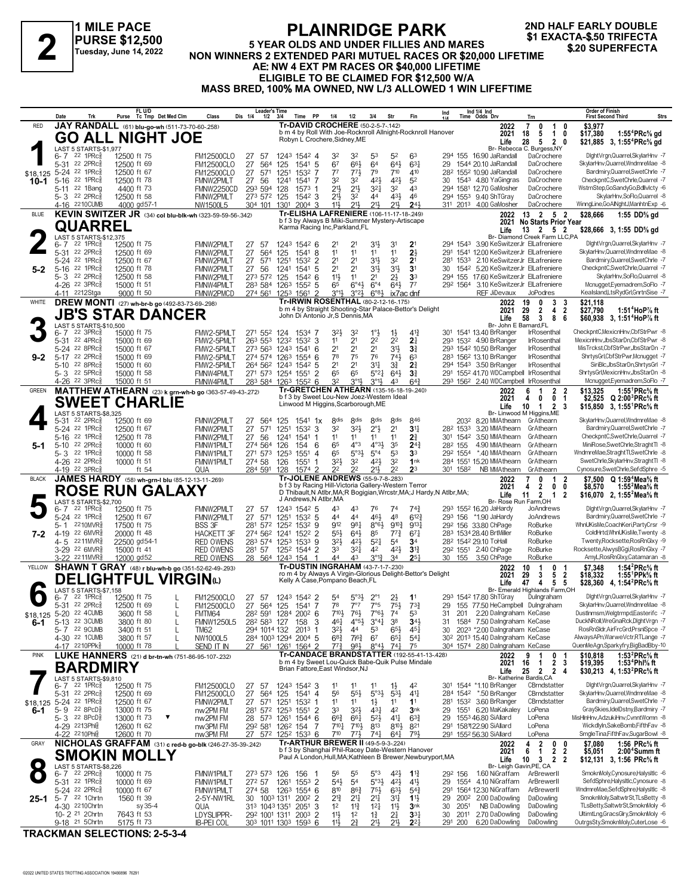**1 MILE PACE PURSE \$12,500 Tuesday, June 14, 2022**

#### **PLAINRIDGE PARK 5 YEAR OLDS AND UNDER FILLIES AND MARES NON WINNERS 2 EXACTA-\$.50 TRIFECTA**<br>
Tuesday, June 14, 2022 NON WINNERS 2 EXTENDED PARI MUTUEL RACES OR \$20,000 LIFETIME<br>
A EL NIM 4 EXT PM BACES OR \$40,000 LIFETIME **AE: NW 4 EXT PM RACES OR \$40,000 LIFETIME ELIGIBLE TO BE CLAIMED FOR \$12,500 W/A MASS BRED, 100% MA OWNED, NW L/3 ALLOWED 1 WIN LIFEFTIME 2ND HALF EARLY DOUBLE**

|                              | Date     | Trk                                                     |                             | FL U/D<br>Purse Tc Tmp Det Med Clm                                                       | Class                                 | <b>Leader's Time</b><br>Dis 1/4<br>$1/2$ $3/4$                   |              | Time PP                                                                                                          | 1/4                                                      | 1/2                                     | 3/4                                                | Str                                | Fin                                    | Ind<br>11A                                                             |                                 | Ind 1/4 Ind<br>Time Odds Drv                                                             | Trn                                                                                      | <b>Order of Finish</b><br><b>Strs</b><br><b>First Second Third</b>                                                                     |
|------------------------------|----------|---------------------------------------------------------|-----------------------------|------------------------------------------------------------------------------------------|---------------------------------------|------------------------------------------------------------------|--------------|------------------------------------------------------------------------------------------------------------------|----------------------------------------------------------|-----------------------------------------|----------------------------------------------------|------------------------------------|----------------------------------------|------------------------------------------------------------------------|---------------------------------|------------------------------------------------------------------------------------------|------------------------------------------------------------------------------------------|----------------------------------------------------------------------------------------------------------------------------------------|
| <b>RED</b>                   |          |                                                         |                             | JAY RANDALL (61) blu-go-wh (511-73-70-60-.258)                                           |                                       |                                                                  |              | <b>Tr-DAVID CROCHERE (50-2-5-7-142)</b><br>b m 4 by Roll With Joe-Rocknroll Allnight-Rocknroll Hanover           |                                                          |                                         |                                                    |                                    |                                        |                                                                        |                                 | 2022                                                                                     | 7<br>$0 \t10$                                                                            | \$3,977                                                                                                                                |
|                              |          |                                                         |                             | <b>GO ALL NIGHT JOE</b>                                                                  |                                       |                                                                  |              | Robyn L Crochere, Sidney, ME                                                                                     |                                                          |                                         |                                                    |                                    |                                        |                                                                        |                                 | 2021<br>Life                                                                             | 5<br>18<br>1 0<br>28<br>5<br>2 0                                                         | 1:55 <sup>4</sup> $PRc$ <sup>5</sup> / <sub>8</sub> gd<br>\$17,380<br>\$21,885 3, 1:55 <sup>4</sup> PRc <sup>5</sup> / <sub>8</sub> gd |
|                              |          | LAST 5 STARTS-\$1,977<br>$6 - 7$ 22 1 PRc $\frac{5}{8}$ | 12500 ft 75                 |                                                                                          | <b>FM12500CLO</b>                     | 27<br>-57                                                        |              | 1243 1542 4                                                                                                      | 32                                                       | 32                                      | 53                                                 | 52                                 | 63                                     |                                                                        |                                 | 294 155 16.90 JaRandall                                                                  | Br- Rebecca C. Burgess, NY<br>DaCrochere                                                 | DightVrgn,Quarrel,SkylarHnv -7                                                                                                         |
|                              |          | 5-31 22 2PRc                                            | 12500 ft 69                 |                                                                                          | <b>FM12500CLO</b>                     | 27<br>564                                                        | 125          | 1541 5                                                                                                           | 6 <sup>7</sup>                                           | 663                                     | 64                                                 | 643                                | $63\frac{1}{4}$                        | 29                                                                     |                                 | 1544 20.10 JaRandall                                                                     | DaCrochere                                                                               | SkylarHnv, Quarrel, WndmreMae -8                                                                                                       |
|                              |          | \$18,125 5-24 22 1PRc<br>5-16 22 1PRcs                  | 12500 ft 67<br>12500 ft 78  |                                                                                          | <b>FM12500CLO</b><br>FMNW2PMLT        | 27<br>571<br>27 56                                               | 1251<br>1241 | 1532 7<br>1541 7                                                                                                 | $7^7$<br>32                                              | $77\frac{1}{2}$<br>32                   | 79<br>42}                                          | 710<br>$42\frac{1}{2}$             | 410<br>5 <sup>2</sup>                  |                                                                        |                                 | 28 <sup>2</sup> 155 <sup>2</sup> 10.90 JaRandall<br>30 1543 4.80 YaGingras               | DaCrochere<br>DaCrochere                                                                 | Bardmiry, Quarrel, SwetChrle -7<br>CheckpntC,SwetChrle,Quarrel -7                                                                      |
| 10-1                         |          | 5-11 22 1Bang                                           | 4400 ft 73                  |                                                                                          | FMNW2250CD                            | 293 594 128                                                      |              | $1573$ 1                                                                                                         | 21}                                                      | $21\frac{1}{2}$                         | 3 <sup>2</sup>                                     | 32                                 | 43                                     |                                                                        |                                 | 294 1581 12.70 GaMosher                                                                  | DaCrochere                                                                               | WstrnStep,GoSandyGo,Bdllvlcty -6                                                                                                       |
|                              |          | 5-3 22 2PRc                                             | 12500 ft 58                 |                                                                                          | FMNW2PMLT                             | 273 572 125                                                      |              | $154^2$ 3                                                                                                        | 213                                                      | 32                                      | 44                                                 | 431                                | 46                                     |                                                                        |                                 | 294 1553 9.40 ShTGray                                                                    | DaCrochere                                                                               | SkylarHnv,SoFlo,Quarrel -8                                                                                                             |
| <b>BLUE</b>                  |          | 4-16 2210 CUMB                                          | 4000 gd57-1                 | KEVIN SWITZER JR (34) col blu-blk-wh (323-59-59-56-342)                                  | NW1500L5                              | 304 101 1301                                                     |              | $2004$ 3<br>Tr-ELISHA LAFRENIERE (106-11-17-18-249)                                                              | 11}                                                      | 211,                                    | 211                                                | 21}                                | 24 <sub>3</sub>                        |                                                                        |                                 | 311 2013 4.00 GaMosher<br>2022                                                           | DaCrochere<br>13 2 5 2                                                                   | WinngLine,GoAlNghtJ,ManhtnExp -6<br>1:55 DD% gd<br>\$28,666                                                                            |
|                              |          | QUARREL                                                 |                             |                                                                                          |                                       |                                                                  |              | b f 3 by Always B Miki-Summer Mystery-Artiscape<br>Karma Racing Inc, Parkland, FL                                |                                                          |                                         |                                                    |                                    |                                        |                                                                        |                                 |                                                                                          | 2021 No Starts Prior Year                                                                |                                                                                                                                        |
|                              |          | LAST 5 STARTS-\$12,375                                  |                             |                                                                                          |                                       |                                                                  |              |                                                                                                                  |                                                          |                                         |                                                    |                                    |                                        |                                                                        |                                 | Life                                                                                     | 13 2 5 2<br>Br- Diamond Creek Farm LLC,PA                                                | \$28,666 3, 1:55 DD% gd                                                                                                                |
|                              |          | $6 - 7$ 22 1PRc $\frac{5}{8}$<br>5-31 22 2PRc           | 12500 ft 75<br>12500 ft 69  |                                                                                          | FMNW2PMLT<br>FMNW2PMLT                | 27<br>57<br>27                                                   |              | 1243 1542 6<br>1541 8                                                                                            | 11                                                       | 11                                      | 3½<br>11                                           | 3 <sup>1</sup><br>11               | 2 <sup>1</sup><br>$2\frac{1}{2}$       |                                                                        |                                 | 294 1543 3.90 KeSwitzerJr ElLafreniere<br>291 1541 12.00 KeSwitzerJr ElLafreniere        |                                                                                          | DightVrgn,Quarrel,SkylarHnv -7<br>SkylarHnv, Quarrel, WndmreMae -8                                                                     |
|                              |          | 5-24 22 1PRc                                            | 12500 ft 67                 |                                                                                          | FMNW2PMLT                             | 564<br>27<br>571                                                 | 125<br>1251  | 1532 2                                                                                                           | 21                                                       | 2 <sup>1</sup>                          | 34                                                 | 32                                 | 2 <sup>1</sup>                         |                                                                        |                                 | 281 1533 2.10 KeSwitzerJr ElLafreniere                                                   |                                                                                          | Bardmiry, Quarrel, SwetChrle -7                                                                                                        |
| $5-2$                        |          | 5-16 22 1PRcs                                           | 12500 ft 78                 |                                                                                          | FMNW2PMLT                             | 27<br>56                                                         | 1241         | 1541<br>-5                                                                                                       | 2 <sup>1</sup>                                           | 2 <sup>1</sup>                          | 34                                                 | $3^{11}$                           | 3 <sup>1</sup>                         | 30                                                                     |                                 | 1542 5.20 KeSwitzerJr ElLafreniere                                                       |                                                                                          | CheckpntC,SwetChrle,Quarrel -7                                                                                                         |
|                              |          | 5-3 22 2PRc<br>4-26 <sup>22</sup> 3PRc <sup>3</sup>     | 12500 ft 58<br>15000 ft 51  |                                                                                          | FMNW2PMLT<br><b>FMNW4PMLT</b>         | 273 572 125<br>283 584                                           |              | 1542 6<br>1263 1552 5                                                                                            | $11\frac{1}{2}$<br>65                                    | 11<br>6°43                              | 2 <sup>1</sup><br>$6^{\circ}4$                     | $2\frac{1}{2}$<br>643              | 3 <sup>3</sup><br>$7^7$                |                                                                        |                                 | 294 155 17.60 KeSwitzerJr ElLafreniere<br>292 1564 3.10 KeSwitzerJr ElLafreniere         |                                                                                          | SkylarHnv,SoFlo,Quarrel -8<br>Mcnugget, Eyemadrem, SoFlo -7                                                                            |
|                              |          | 4-11 <sup>22</sup> 12Stga                               | 9000 ft 50                  |                                                                                          | FMNW2PMCD                             | 274 561 1253 1561 2                                              |              |                                                                                                                  | $3^{\circ}13$                                            | $3^{°2}\frac{1}{2}$                     | $6^{83}$                                           | ix7ac dnf                          |                                        |                                                                        |                                 | <b>REF JiDevaux</b>                                                                      | <b>JoPodres</b>                                                                          | Kealsland,LtsRydGrl,GnrtnSise -7                                                                                                       |
| WHITE                        |          |                                                         |                             | DREW MONTI (27) wh-br-b go (492-83-73-69-298)                                            |                                       |                                                                  |              | <b>Tr-IRWIN ROSENTHAL (80-2-12-16-.175)</b><br>b m 4 by Straight Shooting-Star Palace-Bettor's Delight           |                                                          |                                         |                                                    |                                    |                                        |                                                                        |                                 | 2022<br>2021                                                                             | 3<br>19<br>$\mathbf{0}$<br>3<br>$\overline{4}$<br>$\overline{2}$<br>29<br>$\overline{2}$ | \$21,118<br>\$27,790<br>1:51 <sup>4</sup> HoP% ft                                                                                      |
|                              |          |                                                         |                             | <b>JB'S STAR DANCER</b>                                                                  |                                       |                                                                  |              | John Di Antonio Jr, S Dennis, MA                                                                                 |                                                          |                                         |                                                    |                                    |                                        |                                                                        |                                 | Life                                                                                     | 58 3<br>8<br>6                                                                           | \$60,938 3, 1:51 <sup>4</sup> HoP% ft                                                                                                  |
|                              |          | LAST 5 STARTS-\$10,500<br>6-7 22 3PRc <sup>5</sup>      | 15000 ft 75                 |                                                                                          | FMW2-5PMLT                            | 271 552 124                                                      |              | 1534 7                                                                                                           | 32}                                                      | 32                                      | $1^{\circ}$                                        | $1\frac{1}{2}$                     | $4^{14}$                               |                                                                        |                                 | Br- John E Barnard, FL<br>301 1541 13.40 BrRanger                                        | <b>IrRosenthal</b>                                                                       | CheckpntC, MexicnHnv, CbfStrPwr -8                                                                                                     |
|                              |          | 5-31 22 4PRc<br>5-24 22 8PRc                            | 15000 ft 69<br>15000 ft 67  |                                                                                          | FMW2-5PMLT<br>FMW2-5PMLT              | 263 553 1232 1532 3<br>273 563 1243 1541 6                       |              |                                                                                                                  | 11<br>21                                                 | 2 <sup>1</sup><br>2 <sup>1</sup>        | 2 <sup>2</sup><br>2 <sup>1</sup>                   | 2 <sup>2</sup><br>$3^{11}$         | 2 <sup>1</sup><br>3 <sup>3</sup>       |                                                                        |                                 | 293 1532 4.90 BrRanger<br>293 1542 10.50 BrRanger                                        | <b>IrRosenthal</b><br><b>IrRosenthal</b>                                                 | MexicnHnv,JbsStarDn,CbfStrPwr -8<br>MisTrckst,CbfStrPwr,JbsStarDn -7                                                                   |
| $9 - 2$                      |          | 5-17 22 2PRcs                                           | 15000 ft 69                 |                                                                                          | FMW2-5PMLT                            | 274 574 1263 1554 6                                              |              |                                                                                                                  | 78                                                       | 75                                      | 76                                                 | 743                                | 6 <sup>3</sup>                         |                                                                        |                                 | 283 1562 13.10 BrRanger                                                                  | <b>IrRosenthal</b>                                                                       | ShrtysGrl,CbfStrPwr,Mcnugget -7                                                                                                        |
|                              |          | 5-10 22 8PRc                                            | 15000 ft 60                 |                                                                                          | FMW2-5PMLT                            | 264 562 1243 1542 5                                              |              |                                                                                                                  | 2 <sup>1</sup>                                           | 2 <sup>1</sup>                          | 31                                                 | $3\frac{3}{4}$                     | 2 <sup>3</sup>                         |                                                                        |                                 | 294 1543 3.50 BrRanger                                                                   | <b>IrRosenthal</b>                                                                       | SiriBlc, JbsStarDn, ShrtysGrl -7                                                                                                       |
|                              |          | 5-3 22 5PRc<br>4-26 <sup>22</sup> 3PRc3                 | 15000 ft 58<br>15000 ft 51  |                                                                                          | FMNW4PMLT<br>FMNW4PMLT                | 271 573 1254 1551<br>283 584 1263 1552 6                         |              | $\overline{2}$                                                                                                   | 65<br>32                                                 | 65<br>3°11,                             | $5^{\circ}2\frac{1}{4}$<br>$3^{\circ}1\frac{1}{2}$ | 64}<br>43                          | 3 <sup>3</sup><br>$64\frac{3}{4}$      |                                                                        |                                 | 291 1552 41.70 WDCampbell IrRosenthal<br>293 1562 2.40 WDCampbell IrRosenthal            |                                                                                          | ShrtysGrl, MexicnHnv, JbsStarDn -8<br>Mcnugget,Eyemadrem,SoFlo -7                                                                      |
| <b>GREEN</b>                 |          |                                                         |                             | MATTHEW ATHEARN (23) k grn-wh-b go (363-57-49-43-.272)                                   |                                       |                                                                  |              | Tr-GRETCHEN ATHEARN (135-16-18-19-240)                                                                           |                                                          |                                         |                                                    |                                    |                                        |                                                                        |                                 | 2022                                                                                     | 1<br>$\mathbf{2}$<br>6<br>-2                                                             | \$13,325<br>1:55 ${}^1$ PRc ${}^5\! s$ ft                                                                                              |
|                              |          |                                                         |                             | <b>SWEET CHARLIE</b>                                                                     |                                       |                                                                  |              | b f 3 by Sweet Lou-New Joez-Western Ideal<br>Linwood M Higgins, Scarborough, ME                                  |                                                          |                                         |                                                    |                                    |                                        |                                                                        |                                 | 2021<br>Life                                                                             | $\mathbf 0$<br>4<br>0<br>-1<br>10<br>$\mathbf{1}$<br>2 3                                 | \$2,525 $Q$ 2:00 <sup>3</sup> PRc <sup>5</sup> / <sub>8</sub> ft<br>\$15,850 3, 1:55 <sup>1</sup> PRc <sup>5</sup> / <sub>8</sub> ft   |
|                              |          | LAST 5 STARTS-\$8,325<br>5-31 22 2PRc <sup>5</sup>      | 12500 ft 69                 |                                                                                          | FMNW2PMLT                             | 27<br>564                                                        | 125          | $154^1$ 1x                                                                                                       | 8 <sub>dis</sub>                                         | <b>8dis</b>                             | <b>8dis</b>                                        | 8 <sub>dis</sub>                   | 846                                    |                                                                        | 2032                            | 8.20 MMAthearn GrAthearn                                                                 | Br- Linwood M Higgins, ME                                                                | SkylarHnv, Quarrel, WndmreMae -8                                                                                                       |
|                              |          | 5-24 22 1PRc                                            | 12500 ft 67                 |                                                                                          | FMNW2PMLT                             | 27<br>571                                                        | 1251         | $153^2$ 3                                                                                                        | 32                                                       | 32}                                     | $2^{\circ}$                                        | 2 <sup>1</sup>                     | 3 <sup>11</sup>                        |                                                                        | 282 1533                        | 3.20 MMAthearn                                                                           | GrAthearn                                                                                | Bardmiry, Quarrel, SwetChrle -7                                                                                                        |
|                              | 5-16     | 22 1PRc                                                 | 12500 ft 78                 |                                                                                          | FMNW2PMLT                             | 27<br>56                                                         | 1241         | 1541 1                                                                                                           | 11                                                       | 11                                      | 11                                                 | 11                                 | $2\frac{3}{4}$                         |                                                                        |                                 | 301 1542 3.50 MMAthearn                                                                  | GrAthearn                                                                                | CheckpntC,SwetChrle,Quarrel -7                                                                                                         |
| 5-1                          | $5 - 10$ | 22 2PRc3<br>5-3 22 1PRc                                 | 10000 ft 60<br>10000 ft 58  |                                                                                          | FMNW1PMLT<br>FMNW1PMLT                | 274 564 126<br>271 573 1253                                      |              | 154<br>6<br>1551<br>$\overline{4}$                                                                               | 65<br>65                                                 | $4^{\circ}3$<br>$5^{\circ}3\frac{1}{2}$ | $4^{\circ}3\frac{1}{2}$<br>$5^{\circ}4$            | 35<br>53                           | $2^{4}$<br>3 <sup>3</sup>              |                                                                        | 28 <sup>2</sup> 155<br>292 1554 | 4.90 MMAthearn<br>*.40 MMAthearn                                                         | GrAthearn<br>GrAthearn                                                                   | MiniRose,SwetChrle,StraghtTl -8<br>WndmreMae,StraghtTl,SwetChrle -8                                                                    |
|                              |          | 4-26 <sup>22</sup> 2PRc3                                | 10000 ft 51                 |                                                                                          | FMNW1PMLT                             | 274 58                                                           | 126          | 1551<br>1                                                                                                        | 323                                                      | 32                                      | 421                                                | 32                                 | 1nk                                    |                                                                        |                                 | 284 1551 15.20 MMAthearn                                                                 | GrAthearn                                                                                | SwetChrle, SkylarHnv, Straght TI -8                                                                                                    |
| <b>BLACK</b>                 |          | 4-19 22 3PRc                                            |                             | ft 54<br>JAMES HARDY (58) wh-grn-I blu (85-12-13-11-269)                                 | QUA                                   | 284 591 128                                                      |              | 1574 2<br>Tr-JOLENE ANDREWS (55-9-7-8-.283)                                                                      | 2 <sup>2</sup>                                           | 2 <sup>2</sup>                          | 213                                                | 2 <sup>2</sup>                     | 2 <sup>3</sup>                         |                                                                        | 301 1582                        | NB MMAthearn<br>2022                                                                     | GrAthearn<br>$\mathbf{0}$<br>$\mathbf{1}$<br>2                                           | Cynosure,SwetChrle,SefdSphre -5<br>\$7,500 Q 1:59 <sup>4</sup> Mea <sup>5</sup> / <sub>8</sub> ft                                      |
|                              |          |                                                         |                             | <b>ROSE RUN GALAXY</b>                                                                   |                                       |                                                                  |              | b f 3 by Racing Hill-Victoria Gallery-Western Terror                                                             |                                                          |                                         |                                                    |                                    |                                        | D Thibault, N Atlbr, MA; R Bogigian, Wrcstr, MA; J Hardy, N Atlbr, MA; |                                 | 2021                                                                                     | 2<br>0<br>0<br>4                                                                         | 1:55 <sup>2</sup> Mea% ft<br>\$8,570                                                                                                   |
|                              |          | LAST 5 STARTS-\$2,700                                   |                             |                                                                                          |                                       |                                                                  |              | J Andrews, N Atlbr, MA                                                                                           |                                                          |                                         |                                                    |                                    |                                        |                                                                        |                                 | Life                                                                                     | $11 \t2 \t1$<br>$\overline{2}$<br>Br- Rose Run Farm, OH                                  | \$16,070 2, 1:55 <sup>2</sup> Mea <sup>5</sup> / <sub>8</sub> ft                                                                       |
|                              |          | $6 - 7$ 22 1 PRc $\frac{5}{8}$<br>5-24 22 1PRcs         | 12500 ft 75<br>12500 ft 67  |                                                                                          | FMNW2PMLT<br>FMNW2PMLT                | 27 57<br>27<br>571                                               |              | 1243 1542 5<br>1251 1532 5                                                                                       | 43<br>44                                                 | 43<br>44                                | 76<br>461                                          | 74<br>48                           | $74\frac{3}{4}$<br>$6^{12}\frac{3}{4}$ |                                                                        |                                 | 293 1552 16.20 JaHardy<br>293 156 *1.90 JaHardy                                          | JoAndrews<br>JoAndrews                                                                   | DightVrgn,Quarrel,SkylarHnv -7<br>Bardmiry, Quarrel, SwetChrle -7                                                                      |
|                              | 5-1      | 2210MVR                                                 | 17500 ft 75                 |                                                                                          | <b>BSS 3F</b>                         | 281 572 1252 1532 9                                              |              |                                                                                                                  | 912                                                      | 981                                     | $8^{\circ}6\frac{1}{2}$                            | $9^{10}\frac{3}{4}$                | $9^{13}\frac{1}{4}$                    |                                                                        |                                 | 29 <sup>2</sup> 156 33.80 ChPage                                                         | RoBurke                                                                                  | WhnUKisMe,CoachKeri,PartyCrsr -9                                                                                                       |
| $7-2$                        | 4-5      | 4-19 22 6MVR<br>2211MVR§                                | 20000 ft 48<br>22500 gd54-1 |                                                                                          | <b>HACKETT 3F</b><br><b>RED OWENS</b> | 274 562 1241 1522 2<br>283 574 1253 1533 9                       |              |                                                                                                                  | $55\frac{1}{2}$<br>$3^{2}\frac{1}{2}$                    | $64\frac{1}{2}$<br>$42\frac{1}{2}$      | 85<br>$5^{21}$                                     | $77\frac{3}{4}$<br>54              | $67\frac{1}{4}$<br>3 <sup>4</sup>      |                                                                        |                                 | 283 1534 28.40 BrtMiller<br>28 <sup>2</sup> 154 <sup>2</sup> 29.10 ToHall                | RoBurke<br>RoBurke                                                                       | ColdHrtd,WhnUKisMe,Twenty -8<br>Twenty, Rocksette, Ros RnGlxy -9                                                                       |
|                              |          | 3-29 <sup>22</sup> 6MVR§                                | 15000 ft 41                 |                                                                                          | <b>RED OWENS</b>                      | 281 57                                                           |              | 1252 1544 2                                                                                                      | 33                                                       | $3^{21}$                                | 42                                                 | 421                                | $3^{13}$                               |                                                                        |                                 | 292 1551 2.40 ChPage                                                                     | RoBurke                                                                                  | Rocksette, AlwysBGgi, RosRnGlxy -7                                                                                                     |
|                              |          | 3-22 2211MVR                                            | 12000 gd52                  |                                                                                          | <b>RED OWENS</b>                      | 28 564 1243 154                                                  |              | -1<br><b>Tr-DUSTIN INGRAHAM (43-7-1-7-230)</b>                                                                   | 44                                                       | 43                                      | $3^{012}$                                          | 34                                 | $2^{5}$                                |                                                                        | 30 155                          | 3.50 ChPage                                                                              | RoBurke                                                                                  | AmyL, Ros RnGlxy, Catamaran -8                                                                                                         |
| YELLOW                       |          |                                                         |                             | <b>SHAWN T GRAY</b> (48) r blu-wh-b go (351-52-62-49-.293)<br><b>DELIGHTFUL VIRGIN</b> W |                                       |                                                                  |              | ro m 4 by Always A Virgin-Glorious Delight-Bettor's Delight                                                      |                                                          |                                         |                                                    |                                    |                                        |                                                                        |                                 | 2022<br>2021                                                                             | 10<br>$\overline{1}$<br>$\bf{0}$<br>-1<br>29<br>3<br>5 <sub>2</sub>                      | 1:54 ${}^{2}$ PRc ${}^{5}_{8}$ ft<br>\$7,348<br>\$18,332<br>1:55'PPk% ft                                                               |
|                              |          | LAST 5 STARTS-\$7,158                                   |                             |                                                                                          |                                       |                                                                  |              | Kelly A Case, Pompano Beach, FL                                                                                  |                                                          |                                         |                                                    |                                    |                                        |                                                                        |                                 | Life                                                                                     | 47<br>$\overline{4}$<br>55<br>Br- Emerald Highlands Farm, OH                             | \$28,360 4, 1:54 <sup>2</sup> PRc <sup>5</sup> / <sub>8</sub> ft                                                                       |
|                              |          | $6 - 7$ 22 1 PRc $\frac{5}{8}$                          | 12500 ft 75                 |                                                                                          | <b>FM12500CLO</b>                     | 27 57                                                            |              | 1243 1542 2                                                                                                      | 54                                                       | $5^{\circ}3\frac{1}{2}$                 |                                                    | 23                                 | 1 <sup>1</sup>                         |                                                                        |                                 | 293 1542 17.80 ShTGray                                                                   | Dulngraham                                                                               | DightVrgn,Quarrel,SkylarHnv -7                                                                                                         |
| \$18,125                     |          | 5-31 22 2PRc <sup>5</sup><br>5-20 22 4CUMB              | 12500 ft 69<br>3600 ft 58   | L                                                                                        | <b>FM12500CLO</b><br>FMTM64           | 27 564 125 1541 7<br>28 <sup>2</sup> 591 1284 200 <sup>2</sup> 6 |              |                                                                                                                  | 78<br>$7^{10\frac{1}{2}}$ 76 <sup>1</sup> / <sub>2</sub> | $7^{\circ}7$                            | 7°5<br>$7^{\circ}6\frac{1}{2}$ 74                  | 75}                                | $73\frac{3}{4}$                        | 31                                                                     |                                 | 155 77.50 HeCampbell Dulngraham<br>201 2.20 Dalngraham KeCase                            |                                                                                          | SkylarHnv, Quarrel, WndmreMae -8<br>DustInmsm,Welgtrmpd,Easterifc -7                                                                   |
| 6-1                          |          | 5-13 22 3CUMB                                           | 3800 ft 80                  |                                                                                          | <b>FMNW1250L5</b>                     | 28 <sup>2</sup> 58 <sup>3</sup> 127 158                          |              | 3                                                                                                                | 46}                                                      | $4^{\circ}5^{\frac{1}{2}}$              | $3^{\circ}41$                                      | 38                                 | $34\frac{1}{2}$                        | 31                                                                     |                                 | 1584 7.50 Dalngraham KeCase                                                              |                                                                                          | DuckNRoll, WreGnaRck, DightVrgn -7                                                                                                     |
|                              |          | 5-7 22 9CUMB<br>4-30 22 1 CUMB                          | 3400 ft 51<br>3800 ft 57    | L<br>$\mathbf{I}$                                                                        | TM62<br>NW1000L5                      | 294 1014 132<br>284 1003 1294 2004 5                             |              | $2013$ 1                                                                                                         | 32}<br>$6^{8}\frac{3}{4}$                                | 44<br>7i <sup>63</sup>                  | 53<br>67                                           | $65\frac{1}{2}$<br>$65\frac{1}{4}$ | $45\frac{1}{4}$<br>$5^{41}$            | 30                                                                     |                                 | 2023 *2.00 Dalngraham KeCase<br>30 <sup>2</sup> 201 <sup>3</sup> 15.40 Dalngraham KeCase |                                                                                          | RosRnSldr, AirFrcGrd, PrsnlSpce -7<br>AlwaysAPn,WarweVctr,RTLange -7                                                                   |
|                              |          | 4-17 2210PPk <sup>5</sup>                               | 10000 ft 78                 |                                                                                          | SEND IT IN                            | 27 561 1261 1564 2                                               |              |                                                                                                                  | $77\frac{3}{4}$                                          | 981                                     | $8°4\frac{1}{2}$                                   | $74\frac{1}{4}$                    | 75                                     |                                                                        |                                 | 304 1574 2.80 Dalngraham KeCase                                                          |                                                                                          | QuenMeAgn,Sparkyfry,BigBadBby-10                                                                                                       |
| <b>PINK</b>                  |          |                                                         |                             | LUKE HANNERS (21) d br-tn-wh (751-86-95-107-232)                                         |                                       |                                                                  |              | <b>Tr-CANDACE BRANDSTATTER (192-55-41-13-.428)</b><br>b m 4 by Sweet Lou-Quick Babe-Quik Pulse Mindale           |                                                          |                                         |                                                    |                                    |                                        |                                                                        |                                 | 2022<br>2021                                                                             | 9<br>1<br>0 <sub>1</sub><br>2 <sub>3</sub><br>16<br>$\mathbf{1}$                         | \$10,818<br>1:53 ${}^{2}$ PRc ${}^{5}$ s ft<br>\$19,395<br>1:53 <sup>4</sup> Phl% ft                                                   |
|                              |          | <b>BARDMIRY</b>                                         |                             |                                                                                          |                                       |                                                                  |              | Brian Fattore, East Windsor, NJ                                                                                  |                                                          |                                         |                                                    |                                    |                                        |                                                                        |                                 | Life                                                                                     | 25 2<br>$\mathbf{2}$<br>4                                                                | \$30,213 4, 1:53 <sup>2</sup> PRc <sup>5</sup> / <sub>8</sub> ft                                                                       |
|                              |          | LAST 5 STARTS-\$9,810<br>$6 - 7$ 22 1 PRc $\frac{5}{8}$ | 12500 ft 75                 |                                                                                          | <b>FM12500CLO</b>                     | 27<br>-57                                                        |              | 1243 1542 3                                                                                                      | 11                                                       | 11                                      | 11                                                 | $1\frac{1}{2}$                     | 42                                     |                                                                        |                                 | 301 1544 *1.10 BrRanger                                                                  | Br- Katherine Bardis, CA<br>CBrndstatter                                                 | DightVrgn,Quarrel,SkylarHnv -7                                                                                                         |
|                              |          | 5-31 22 2PRcs                                           | 12500 ft 69                 |                                                                                          | <b>FM12500CLO</b>                     | 27<br>564                                                        | 125          | 1541 4                                                                                                           | 56                                                       | $55\frac{1}{2}$                         | $5°3\frac{1}{2}$                                   | $5^{3}$                            | $41\frac{1}{4}$                        |                                                                        |                                 | 284 1542 *.50 BrRanger                                                                   | CBrndstatter                                                                             | SkylarHnv, Quarrel, WndmreMae -8                                                                                                       |
| \$18,125 5-24 22 1PRc<br>6-1 |          | 5-9 22 8PcD <sup>5</sup>                                | 12500 ft 67<br>13000 ft 75  |                                                                                          | FMNW2PMLT<br>nw2PM FM                 | 27 571<br>281 572 1253 1551 2                                    | 1251         | 1532 1                                                                                                           | 11<br>33                                                 | 11<br>$3^{21}$                          | $1\frac{1}{2}$<br>$43\frac{1}{4}$                  | 11<br>42                           | 1 <sup>1</sup><br>3nk                  | 29                                                                     |                                 | 281 1532 3.60 BrRanger<br>1551 6.20 MaKakaley                                            | CBrndstatter<br>LoPena                                                                   | Bardmiry, Quarrel, SwetChrle -7<br>GravSkies.IdelDstnv.Bardmiry -7                                                                     |
|                              |          | 5-3 $22$ 8PcD <sup>5</sup>                              | 13000 ft 73                 | ▼                                                                                        | nw2PM FM                              | 28 573 1261 1544 6                                               |              |                                                                                                                  | $66\frac{3}{4}$                                          | $66\frac{1}{4}$                         | $5^{21}$                                           | 41                                 | $63\frac{3}{4}$                        | 29                                                                     |                                 | 1553 46.80 SiAllard                                                                      | LoPena                                                                                   | MisHlnHnv,AdzukiHnv,CvnntWomn -8                                                                                                       |
|                              |          | 4-29 2213Phlg<br>4-22 2210Phlg                          | 12600 ft 62<br>12600 ft 70  |                                                                                          | nw3PM FM<br>nw3PM FM                  | 292 581 1262 154<br>27 572 1252 1533 6                           |              | 7                                                                                                                | 7101<br>$7^{10}$                                         | $7^{10}$<br>$77\frac{1}{2}$             | 813<br>$74\frac{1}{4}$                             | 8103<br>641                        | 821<br>791,                            |                                                                        |                                 | 291 158122.90 SiAllard<br>291 1552 56.30 SiAllard                                        | LoPena<br>LoPena                                                                         | WickdlyIn,SakeBomb,FifthFav -8<br>SmgleTina,FifthFav,SugarBowl -8                                                                      |
| GRAY                         |          |                                                         |                             | NICHOLAS GRAFFAM (31) c red-b go-blk (246-27-35-39-.242)                                 |                                       |                                                                  |              | Tr-ARTHUR BREWER II (49-5-9-3-224)                                                                               |                                                          |                                         |                                                    |                                    |                                        |                                                                        |                                 | 2022                                                                                     | 4<br>$\overline{2}$<br>$\mathbf{0}$<br>0                                                 | 1:56 PRc% ft<br>\$7,080                                                                                                                |
|                              |          |                                                         |                             | <b>SMOKIN MOLLY</b>                                                                      |                                       |                                                                  |              | b f 3 by Shanghai Phil-Racey Date-Western Hanover<br>Paul A London, Hull, MA; Kathleen B Brewer, Newburyport, MA |                                                          |                                         |                                                    |                                    |                                        |                                                                        |                                 | 2021<br>Life                                                                             | 2 <sub>2</sub><br>6<br>$\overline{1}$<br>$10 \quad 3$<br>$\overline{2}$<br>2             | \$5,051<br>2:00 <sup>+</sup> Summ ft                                                                                                   |
|                              |          | LAST 5 STARTS-\$8,226                                   |                             |                                                                                          |                                       |                                                                  |              |                                                                                                                  |                                                          |                                         |                                                    |                                    |                                        |                                                                        |                                 |                                                                                          | Br- Leigh Gavin, PE, CA                                                                  | \$12,131 3, 1:56 PRc <sup>5</sup> / <sub>8</sub> ft                                                                                    |
|                              |          | $6 - 7$ 22 2PRc $\frac{5}{8}$<br>5-31 22 1PRcs          | 10000 ft 75<br>10000 ft 69  |                                                                                          | FMNW1PMLT<br>FMNW1PMLT                | 273 573 126 156<br>272 57                                        | 1261         | -1<br>$155^3$ 2                                                                                                  | 56<br>$54\frac{1}{2}$                                    | 55<br>54                                | $5^{\circ}3$<br>$5^{\circ}3\frac{1}{2}$            | $4^{21}$<br>$4^{21}$               | $1^{12}$<br>41}                        | 292 156                                                                | 29 1554                         | 1.60 NiGraffam<br>4.10 NiGraffam                                                         | ArBrewerll<br>ArBrewerll                                                                 | SmoknMoly,Cynosure,HalysItIc -6<br>SefdSphre,HalysItIc,Cynosure -8                                                                     |
|                              |          | 5-24 22 2PRc <sup>5</sup>                               | 10000 ft 67                 |                                                                                          | FMNW1PMLT                             | 274 58                                                           |              | 1263 1554 6                                                                                                      | 810                                                      | $86\frac{3}{4}$                         | $75\frac{1}{2}$                                    | $63\frac{1}{2}$                    | $5^{4}$                                |                                                                        |                                 | 291 1564 12.30 NiGraffam                                                                 | ArBrewerll                                                                               | WndmreMae,SefdSphre,HalysItlc -8                                                                                                       |
| $25 - 1$                     |          | 5-7 22 1 Chrtn<br>4-30 2210Chrtn                        | 1560 ft 39                  | sy 35-4                                                                                  | 2-5Y-NW1RL<br>QUA                     | 30 1003 1311 2002 2<br>313 1043 1351 2051 3                      |              |                                                                                                                  | $2^{13}$<br>1 <sup>2</sup>                               | $2^{11}$<br>$11\frac{3}{4}$             | 2 <sup>11</sup><br>$12\frac{1}{4}$                 | $3^{11}$<br>1传                     | $1\frac{11}{2}$<br>3 <sub>nk</sub>     | 29<br>30                                                               | 2002<br>2051                    | 2.00 DaDowling<br>NB DaDowling                                                           | DaDowling<br>DaDowling                                                                   | SmoknMoly,SaltwtrSt,TLsBetty -8<br>TLsBetty,SaltwtrSt,SmoknMoly -6                                                                     |
|                              |          | 10-2 <sup>21</sup> 2Chrtn                               | 7643 ft 53                  |                                                                                          | LDYSLIPPR-                            | 292 1001 1311 2003 2                                             |              |                                                                                                                  | 11至                                                      | 1 <sup>2</sup>                          | $1\frac{3}{4}$                                     | 2 <sup>1</sup>                     | $33\frac{1}{4}$                        | 30                                                                     | 2011                            | 2.70 DaDowling                                                                           | DaDowling                                                                                | UltimtLng,GracsGlry,SmoknMoly -6                                                                                                       |
|                              |          | 9-18 <sup>21</sup> 5Chrtn                               | 5175 ft 73                  |                                                                                          | <b>IB-PEI COL</b>                     | 303 1011 1303 1593 6                                             |              |                                                                                                                  | 11}                                                      | $2^3$                                   | 213                                                | 2 <sup>11</sup>                    | $2^{2}$                                | 291 200                                                                |                                 | 6.20 DaDowling                                                                           | DaDowling                                                                                | OutrgsSty,SmoknMoly,CuterLose -6                                                                                                       |

**TRACKMAN SELECTIONS: 2-5-3-4**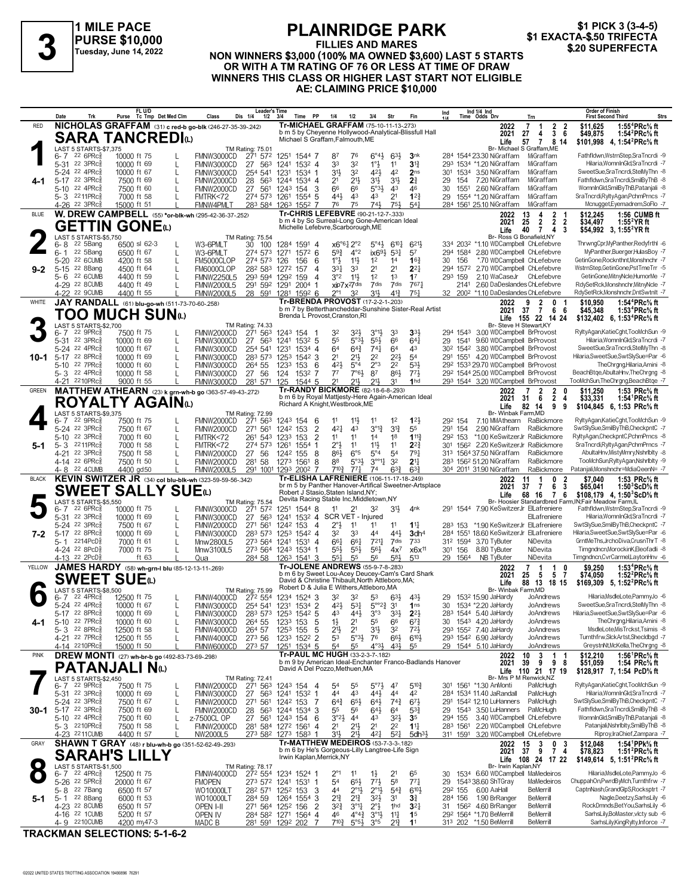

## **PLAINRIDGE PARK FILLIES AND MARES**

\$1 PICK 3 (3-4-5)<br>\$1 EXACTA-\$.50 TRIFECTA

## **NON WINNERS \$1 EXACTA-\$.50 TRIFFECTA**<br>
Tuesday, June 14, 2022 NON WINNERS \$3,000 (100% MA OWNED \$3,600) LAST 5 STARTS \$20 SUPERFECTA **OR WITH A TM RATING OF 76 OR LESS AT TIME OF DRAW WINNERS THIS CLASS OR HIGHER LAST START NOT ELIGIBLE AE: CLAIMING PRICE \$10,000**

|              | Date                                      |                                                   |                            | FL U/D<br>Purse Tc Tmp Det Med Clm            | Class                                                            | <b>Leader's Time</b><br>Dis 1/4<br>1/2 | 3/4<br>Time PP                                              | 1/4                                                                                                 | 1/2<br>3/4                                                      | Str                                                                                    |                                                           | Ind |                     | Ind 1/4 Ind<br>Time Odds Drv                                              | Trn                                       | Order of Finish<br><b>First Second Third</b>                                                                                         | Strs |
|--------------|-------------------------------------------|---------------------------------------------------|----------------------------|-----------------------------------------------|------------------------------------------------------------------|----------------------------------------|-------------------------------------------------------------|-----------------------------------------------------------------------------------------------------|-----------------------------------------------------------------|----------------------------------------------------------------------------------------|-----------------------------------------------------------|-----|---------------------|---------------------------------------------------------------------------|-------------------------------------------|--------------------------------------------------------------------------------------------------------------------------------------|------|
| <b>RED</b>   |                                           |                                                   |                            |                                               | NICHOLAS GRAFFAM (31) c red-b go-blk (246-27-35-39-242)          |                                        |                                                             | Tr-MICHAEL GRAFFAM (75-10-11-13-273)                                                                |                                                                 |                                                                                        | b m 5 by Cheyenne Hollywood-Analytical-Blissfull Hall     |     |                     | 2022                                                                      | $\overline{2}$<br>7<br>-2<br>-1           | \$11,625<br>1:55 <sup>4</sup> PRc% ft                                                                                                |      |
|              |                                           |                                                   |                            | <b>SARA TANCREDI</b> t                        |                                                                  |                                        |                                                             | Michael S Graffam, Falmouth, ME                                                                     |                                                                 |                                                                                        |                                                           |     |                     | 2021<br>Life                                                              | 36<br>27<br>4<br>57 7 8 14                | \$49,875<br>1:54 $^{2}$ PRc $\%$ ft<br>\$101.998 4.1:54 <sup>2</sup> PRc <sup>5</sup> / <sub>8</sub> ft                              |      |
|              |                                           | LAST 5 STARTS-\$7,375                             |                            |                                               |                                                                  | <b>TM Rating: 75.01</b>                |                                                             |                                                                                                     |                                                                 |                                                                                        |                                                           |     |                     |                                                                           | Br- Michael S Graffam, ME                 |                                                                                                                                      |      |
|              | 5-31 22 3PRc3                             | $6 - 7$ 22 6 PR $c_{8}^{5}$                       | 10000 ft 75                |                                               | FMNW3000CD                                                       | 271 572                                | 1251 1544 7                                                 | 87<br>33                                                                                            | 76<br>32                                                        | $6^{\circ}4\frac{1}{2}$<br>$63\frac{1}{2}$<br>1°3<br>11                                | 3 <sub>nk</sub><br>$3^{13}$                               |     |                     | 284 1544 23.30 NiGraffam                                                  | MiGraffam<br>MiGraffam                    | Fathfldwn,WstrnStep,SraTncrdi -9<br>Hilaria, WomnInGld, SraTncrdi -7                                                                 |      |
|              |                                           | 5-24 22 4PRc                                      | 10000 ft 69<br>10000 ft 67 | L                                             | FMNW3000CD<br>FMNW3000CD                                         | 27 563<br>254 541 1231                 | 1241 1532 4<br>1534 1                                       | 31}                                                                                                 | 32                                                              | 42}<br>42                                                                              | 2 <sub>ns</sub>                                           |     |                     | 293 1534 *1.20 NiGraffam<br>301 1534 3.50 NiGraffam                       | MiGraffam                                 | SweetSue,SraTncrdi,StelMyThn -8                                                                                                      |      |
|              | 5-17 22 3PRcs                             |                                                   | 7500 ft 69                 |                                               | FMNW2000CD                                                       | 28 563                                 | 1244 1534 4                                                 | 21                                                                                                  | $21\frac{1}{2}$                                                 | 3 <sup>1</sup><br>3 <sup>1</sup>                                                       | 2 <sup>3</sup>                                            | 29  | 154                 | 7.20 NiGraffam                                                            | MiGraffam                                 | Fathfldwn,SraTncrdi,SmilByThB -8                                                                                                     |      |
|              | 5-10 22 4PRcs                             |                                                   | 7500 ft 60                 |                                               | FMNW2000CD                                                       | 27 561                                 | 1243 154 3                                                  | 66                                                                                                  | 66                                                              | $5°3\frac{1}{2}$<br>43                                                                 | 46                                                        | 30  | 1551                | 2.60 NiGraffam                                                            | MiGraffam                                 | WomnInGld.SmilBvThB.Pataniali -8                                                                                                     |      |
|              | 5-3 2211PRc                               |                                                   | 7000 ft 58                 |                                               | FMTRK<72                                                         |                                        | 274 573 1261 1554 5                                         | 441<br>76                                                                                           | 43<br>75                                                        | 2 <sup>1</sup><br>43<br>741<br>751                                                     | $1^{2}$<br>54 <sup>1</sup>                                | 29  |                     | 1554 *1.20 NiGraffam                                                      | MiGraffam                                 | SraTncrdi,RyltyAgan,PchmPrncs -7                                                                                                     |      |
| <b>BLUE</b>  | 4-26 <sup>22</sup> 3PRc3                  |                                                   | 15000 ft 51                |                                               | FMNW4PMLT<br>W. DREW CAMPBELL (55) *or-blk-wh (295-42-36-37-252) |                                        | 283 584 1263 1552 7                                         | Tr-CHRIS LEFEBVRE (90-21-12-7-.333)                                                                 |                                                                 |                                                                                        |                                                           |     |                     | 284 1561 25.10 NiGraffam<br>2022                                          | MiGraffam<br>13<br>4<br>$\overline{2}$    | Mcnugget, Eyemadrem, SoFlo -7<br>1:56 CUMB ft<br>\$12.245                                                                            |      |
|              |                                           |                                                   |                            |                                               |                                                                  |                                        |                                                             | b m 4 by So Surreal-Long Gone-American Ideal                                                        |                                                                 |                                                                                        |                                                           |     |                     | 2021                                                                      | 2 2 2<br>25                               | \$34,497<br>1:55 YR ft                                                                                                               |      |
|              |                                           |                                                   | <b>GETTIN GONE</b> (L)     |                                               |                                                                  |                                        |                                                             | Michelle Lefebvre, Scarborough, ME                                                                  |                                                                 |                                                                                        |                                                           |     |                     | Life                                                                      | 40<br>$\overline{7}$<br>-4<br>3           | \$54,992 3, 1:55 <sup>2</sup> YR ft                                                                                                  |      |
|              | 6-8                                       | LAST 5 STARTS-\$5,750<br>22 5Bang                 | 6500 sl 62-3               |                                               | W3-6PMLT                                                         | TM Rating: 75.54<br>30 100             | 1284 1591 4                                                 |                                                                                                     | $x6^{\circ}6\frac{1}{4}2^{\circ}2$                              | $6^{10}$ <sup>1</sup><br>$5^{\circ}4\frac{1}{2}$                                       | 6213                                                      |     |                     | Br- Ross G Bonafield, NY<br>334 2032 *1.10 WDCampbell ChLefebvre          |                                           | ThrwngCpr,MyPanther,Redyfrthl -6                                                                                                     |      |
|              | $6 - 1$                                   | 22 5Bang                                          | 6500 ft 67                 | L                                             | W3-6PMLT                                                         | 274 573                                | 1271 1572 6                                                 | $59\frac{3}{4}$                                                                                     | $4^{\circ}2$                                                    | $ix69\frac{1}{2}$<br>$5^{3}$                                                           | 57                                                        |     |                     | 294 1584 2.80 WDCampbell ChLefebvre                                       |                                           | MvPanther.Buerger.HulasBov -7                                                                                                        |      |
|              | $5 - 20$                                  | 22 6CUMB                                          | 4200 ft 58                 | L                                             | FM5000CLOP                                                       | 274 573                                | 126<br>156                                                  | $1^{\circ}$ $\frac{1}{2}$<br>-6                                                                     | 11}                                                             | 1 <sup>2</sup><br>1 <sup>4</sup>                                                       | $16\frac{3}{4}$                                           | 30  | 156                 | *.70 WDCampbell ChLefebvre                                                |                                           | GetinGone,Rocknthnt,Monshnchr -7                                                                                                     |      |
| 9-2          | $5 - 15$                                  | 22 8Bang<br>22 6CUMB                              | 4500 ft 64<br>4400 ft 59   |                                               | FM6000CLOP                                                       | 282 583 1272                           | 157<br>293 594 1292 159                                     | 331<br>4<br>3°2                                                                                     | 33<br>$11\frac{1}{2}$                                           | 2 <sup>1</sup><br>2 <sup>1</sup><br>1 <sup>2</sup><br>1 <sup>3</sup>                   | $2^{2}$<br>17                                             |     | 294 1572<br>293 159 | 2.70 WDCampbell ChLefebvre<br>2.10 WaCaseJr ChLefebvre                    |                                           | WstrnStep.GetinGone.PstTmeTrr -5<br>GetinGone, MitnyNcle, HumorMe -7                                                                 |      |
|              | 5-6                                       | 4-29 22 8CUMB                                     | 4400 ft 49                 |                                               | <b>FMNW2250L5</b><br><b>FMNW2000L5</b>                           |                                        | 291 592 1291 2004 1                                         | 4                                                                                                   | xip7x <sup>2</sup> 7dis                                         | 7dis<br>7dis                                                                           | 7671                                                      |     | 2141                | 2.60 DaDeslandes ChLefebvre                                               |                                           | RdySetRck, Monshnchr, MitnyNcle -7                                                                                                   |      |
|              |                                           | 4-22 22 9CUMB                                     | 4400 ft 55                 |                                               | <b>FMNW2000L5</b>                                                |                                        | 28 591 1281 1592 6                                          | 2°1                                                                                                 | 32                                                              | 31}<br>$4^{13}$                                                                        | $75\frac{1}{4}$                                           |     |                     | 32 200 <sup>2</sup> *1.10 DaDeslandes ChLefebvre                          |                                           | RdySetRck,Monshnchr,DntSwtnlt -7                                                                                                     |      |
| WHITE        |                                           |                                                   |                            |                                               | JAY RANDALL (61) blu-go-wh (511-73-70-60-258)                    |                                        |                                                             | Tr-BRENDA PROVOST (17-2-2-1-203)                                                                    |                                                                 |                                                                                        |                                                           |     |                     | 2022                                                                      | 9<br>2<br>$\bf{0}$                        | 1:54 <sup>4</sup> PRc <sup>5</sup> / <sub>8</sub> ft<br>\$10,950                                                                     |      |
|              |                                           |                                                   |                            | TOO MUCH SUNധ                                 |                                                                  |                                        |                                                             | Brenda L Provost, Cranston, RI                                                                      |                                                                 |                                                                                        | b m 7 by Betterthancheddar-Sunshine Sister-Real Artist    |     |                     | 2021                                                                      | 37 7 6 6<br>Life 155 22 14 24             | \$45,348<br>1:53 <sup>4</sup> PRc% ft<br>\$132,402 6, 1:53 <sup>4</sup> PRc <sup>5</sup> / <sub>8</sub> ft                           |      |
|              |                                           | LAST 5 STARTS-\$2,700                             |                            |                                               |                                                                  | TM Rating: 74.33                       |                                                             |                                                                                                     |                                                                 |                                                                                        |                                                           |     |                     | Br- Steve H Stewart, KY                                                   |                                           |                                                                                                                                      |      |
|              | 6- 7                                      | 22 9PRc3<br>22.3PRc <sub>8</sub>                  | 7500 ft 75<br>10000 ft 69  |                                               | FMNW2000CD                                                       | 271 563                                | 1243 154 1                                                  | 32                                                                                                  | 32}                                                             | $3^{\circ}1\frac{1}{2}$<br>33                                                          | 331                                                       |     | 294 1543            | 3.00 WDCampbell BrProvost<br>9.60 WDCampbell BrProvost                    |                                           | RyltyAgan,KatieCght,TooMchSun -9<br>Hilaria.WomnInGld.SraTncrdi -7                                                                   |      |
|              | $5 - 31$                                  | 5-24 22 4PRc                                      | 10000 ft 67                | L                                             | FMNW3000CD<br>FMNW3000CD                                         | 254 541 1231                           | 27 563 1241 1532 5<br>$1534$ 4                              | 55<br>64                                                                                            | $5°3\frac{1}{2}$<br>$64\frac{3}{4}$                             | $55\frac{1}{2}$<br>66<br>$74\frac{1}{4}$<br>64                                         | $64\frac{1}{4}$<br>43                                     | 29  | 1541                | 30 <sup>2</sup> 154 <sup>2</sup> 3.80 WDCampbell BrProvost                |                                           | SweetSue,SraTncrdi,StelMyThn -8                                                                                                      |      |
| 10-1         | 5-17 22 8PRcs                             |                                                   | 10000 ft 69                |                                               | FMNW3000CD                                                       | 283 573 1253                           | $154^2$ 3                                                   | 2 <sup>1</sup>                                                                                      | $21\frac{1}{2}$                                                 | 2 <sup>2</sup><br>$2^{2}$                                                              | 54                                                        |     |                     | 291 1551 4.20 WDCampbell BrProvost                                        |                                           | Hilaria, Sweet Sue, Swt Sly Sue=Par -6                                                                                               |      |
|              | 5-10 22 7PRcs                             |                                                   | 10000 ft 60                |                                               | FMNW3000CD                                                       | 264 55                                 | 1233<br>153                                                 | 421<br>- 6                                                                                          | $5^{\circ}4$                                                    | $2^{\circ}3$<br>2 <sup>2</sup>                                                         | $5^{3}$                                                   |     |                     | 292 1533 29.70 WDCampbell BrProvost                                       |                                           | TheChrgng,Hilaria,Amini -8                                                                                                           |      |
|              | 5-3 22 4PRc                               | 4-21 2210PRc                                      | 10000 ft 58<br>9000 ft 55  |                                               | FMNW3000CD<br>FMNW3000CD                                         | 27 56<br>281 571 125                   | 124<br>1532 7<br>1544 5                                     | 77<br>21                                                                                            | $7°6\frac{1}{2}$<br>211                                         | 87<br>861<br>211,<br>31                                                                | $77\frac{1}{2}$<br>1 <sub>hd</sub>                        |     |                     | 292 1544 25.00 WDCampbell BrProvost<br>293 1544 3.20 WDCampbell BrProvost |                                           | BeachBtge, AbultaHnv, The Chrgng -8<br>TooMchSun,TheChrgng,BeachBtge -7                                                              |      |
| GREEN        |                                           |                                                   |                            |                                               | MATTHEW ATHEARN (23) k grn-wh-b go (363-57-49-43-272)            |                                        |                                                             | Tr-RANDY BICKMORE (82-18-6-8-293)                                                                   |                                                                 |                                                                                        |                                                           |     |                     | 2022                                                                      | $\overline{2}$<br>2<br>$\mathbf{0}$<br>-7 | 1:53 PRc% ft<br>\$11,250                                                                                                             |      |
|              |                                           |                                                   |                            | ROYALTY AGAINധ                                |                                                                  |                                        |                                                             | b m 6 by Royal Mattjesty-Here Again-American Ideal<br>Richard A Knight, Westbrook, ME               |                                                                 |                                                                                        |                                                           |     |                     | 2021                                                                      | $2\overline{4}$<br>6<br>31                | 1:54 PRc% ft<br>\$33,331                                                                                                             |      |
|              |                                           | LAST 5 STARTS-\$9,375                             |                            |                                               |                                                                  | TM Rating: 72.99                       |                                                             |                                                                                                     |                                                                 |                                                                                        |                                                           |     |                     | Life<br>Br- Winbak Farm, MD                                               | 82 14<br>9<br>9                           | \$104,845 6, 1:53 PRc <sup>5</sup> / <sub>8</sub> ft                                                                                 |      |
|              | 6-7                                       | 22 9PRc3                                          | 7500 ft 75                 |                                               | FMNW2000CD                                                       | 271 563                                | 1243 154                                                    | 11<br>- 6                                                                                           | 11}<br>11                                                       | 1 <sup>2</sup>                                                                         | $1^{2}$                                                   |     | 292 154             | 7.10 MMAthearn RaBickmore                                                 |                                           | RyltyAgan,KatieCght,TooMchSun -9                                                                                                     |      |
|              | 5-24 22 3PRc                              |                                                   | 7500 ft 67                 |                                               | FMNW2000CD                                                       | 271 561                                | 1242 153                                                    | $\overline{2}$<br>421                                                                               | 43                                                              | $3^{013}$<br>$3^{13}$                                                                  | 55                                                        |     | 291 154             | 2.90 NiGraffam                                                            | RaBickmore                                | SwtSlySue,SmilByThB,CheckpntC -7                                                                                                     |      |
| 5-1          | 5-10<br>5-3 2211PRcs                      | 22 3PRc3                                          | 7000 ft 60<br>7000 ft 58   | L                                             | FMTRK<72<br>FMTRK<72                                             | 261 543 1233<br>274 573                | 153<br>1261<br>1554 1                                       | $\overline{2}$<br>11<br>2°3                                                                         | 11<br>11                                                        | 1 <sup>4</sup><br>1 <sup>8</sup><br>$11\frac{1}{2}$<br>11                              | 1113<br>$2^{2}$                                           |     | 292 153             | *1.00 KeSwitzerJr RaBickmore<br>301 1562 2.20 KeSwitzerJr RaBickmore      |                                           | RyltyAgan,CheckpntC,PchmPrncs -8<br>SraTncrdi,RyltyAgan,PchmPrncs -7                                                                 |      |
|              | 4-21 22 3PRcs                             |                                                   | 7500 ft 58                 |                                               | FMNW2000CD                                                       | 27 56                                  | 1242 155                                                    | 86}<br>8                                                                                            | 6°5                                                             | $5^{\circ}4$<br>5 <sup>4</sup>                                                         | $79\frac{1}{4}$                                           |     |                     | 313 1564 37.50 NiGraffam                                                  | RaBickmore                                | AbultaHnv, MistyMmry, NshrIblty -8                                                                                                   |      |
|              | 4-14 22 6PRc                              |                                                   | 7500 ft 50                 |                                               | FMNW2000CD                                                       | 281 58                                 | 1273 1561                                                   | 88<br>8                                                                                             | $5°3\frac{1}{2}$                                                | $3^{\circ 1}$<br>3 <sup>2</sup>                                                        | 2 <sup>11</sup>                                           |     |                     | 283 1562 51.20 NiGraffam                                                  | RaBickmore                                | TooMchSun,RyltyAgan,Nshrlblty -9                                                                                                     |      |
|              |                                           |                                                   |                            |                                               |                                                                  |                                        |                                                             |                                                                                                     |                                                                 |                                                                                        |                                                           |     |                     |                                                                           |                                           |                                                                                                                                      |      |
|              |                                           | 4-8 22 4 CUMB                                     | 4400 gd50                  |                                               | <b>FMNW2000L5</b>                                                |                                        | 291 1001 1293 2002 7                                        | $7^{10}$                                                                                            | $77\frac{1}{4}$                                                 | $63\frac{3}{4}$<br>74                                                                  | $63\frac{3}{4}$                                           |     |                     | 304 2011 31.90 NiGraffam                                                  | RaBickmore                                | Patanjali,Monshnchr=MdiaQeenN= -7                                                                                                    |      |
| <b>BLACK</b> |                                           |                                                   |                            |                                               | KEVIN SWITZER JR (34) col blu-blk-wh (323-59-59-56-342)          |                                        |                                                             | Tr-ELISHA LAFRENIERE (106-11-17-18-249)                                                             |                                                                 |                                                                                        | br m 5 by Panther Hanover-Artifical Sweetner-Artsplace    |     |                     | 2022<br>2021                                                              | -1<br>0<br>2<br>11<br>6<br>-3<br>37<br>7  | 1:53 PRc% ft<br>\$7,040<br>\$65,041<br>1:50 ScD% ft                                                                                  |      |
|              |                                           |                                                   |                            | <b>SWEET SALLY SUE</b> W                      |                                                                  |                                        |                                                             | Robert J Stasio, Staten Island, NY;                                                                 |                                                                 |                                                                                        |                                                           |     |                     | Life                                                                      | 68 16 7 6                                 | \$108,179 4, 1:50 ${}^{3}$ ScD ${}^{5}$ s ft                                                                                         |      |
|              |                                           | LAST 5 STARTS-\$5,550                             |                            |                                               |                                                                  | <b>TM Rating: 75.54</b>                |                                                             | Devita Racing Stable Inc, Middletown, NY<br>11                                                      |                                                                 |                                                                                        |                                                           |     |                     |                                                                           |                                           | Br- Hoosier Standardbred Farm, IN; Fair Meadow Farm, IL                                                                              |      |
|              | 6- 7<br>5-31 22 3PRc                      | $22.6$ PRc $\frac{5}{8}$                          | 10000 ft 75<br>10000 ft 69 | L                                             | FMNW3000CD<br>FMNW3000CD                                         | 271 572<br>27 563                      | 1251 1544 8<br>1241 1532 4 SCR VET - Injured                |                                                                                                     | 2 <sup>1</sup>                                                  | 32<br>3 <sup>1</sup>                                                                   | 4 <sup>nk</sup>                                           |     |                     | 291 1544 7.90 KeSwitzerJr ElLafreniere                                    | ElLafreniere                              | Fathfldwn, WstrnStep, SraTncrdi -9<br>Hilaria, WomnInGld, SraTncrdi -7                                                               |      |
|              |                                           | 5-24 22 3PRc3                                     | 7500 ft 67                 | L                                             | FMNW2000CD                                                       | 271 561                                | 1242 153                                                    | 2°3<br>$\overline{4}$                                                                               | 11                                                              | 11<br>11                                                                               | $11\frac{1}{4}$                                           |     | 283 153             | *1.90 KeSwitzerJr ElLafreniere                                            |                                           | SwtSlySue,SmilByThB,CheckpntC -7                                                                                                     |      |
| 7-2          | 5-17 22 8PRcs                             |                                                   | 10000 ft 69                |                                               | FMNW3000CD                                                       |                                        | 283 573 1253 1542 4                                         | 32                                                                                                  | 33                                                              | 44<br>443                                                                              | 3dh <sup>4</sup>                                          |     |                     | 284 1551 18.60 KeSwitzerJr ElLafreniere                                   |                                           | Hilaria, Sweet Sue, Swt Sly Sue=Par -6                                                                                               |      |
|              | 5-1<br>4-24 22 8PcD                       | 2214PcD៖                                          | 7000 ft 61                 |                                               | Mnw2800L5                                                        |                                        | 273 564 1241 1531 4                                         | 661<br>55}                                                                                          | 661<br>$55\frac{1}{2}$                                          | $7^{21}$<br>7dis<br>56}                                                                | 733                                                       |     | 312 1594<br>301 156 | 3.70 TyButer<br>8.80 TyButer                                              | NiDevita<br>NiDevita                      | GrntMeThs,JrchoDiva,CrusnThrT -8<br>Timgndncn,MorockinK,Eleofadli -8                                                                 |      |
|              | 4-13 22 2PcD                              |                                                   | 7000 ft 75                 | ft 63                                         | Mnw3100L5<br>Qua                                                 |                                        | 273 564 1243 1534 1<br>284 58 1263 1541 3                   | 554                                                                                                 | 55                                                              | $4x^7$<br>56<br>583                                                                    | x6x <sup>11</sup><br>$5^{13}$                             |     | 29 1564             | NB TyButer                                                                | NiDevita                                  | Timgndncn, CvrCarmel, Layton Hnv -6                                                                                                  |      |
| YELLOW       |                                           |                                                   |                            |                                               | JAMES HARDY (58) wh-grn-I blu (85-12-13-11-269)                  |                                        |                                                             | Tr-JOLENE ANDREWS (55-9-7-8-283)                                                                    |                                                                 |                                                                                        |                                                           |     |                     | 2022                                                                      | 7<br>$\overline{1}$<br>0<br>1             | 1:53 <sup>4</sup> PRc <sup>5</sup> / <sub>8</sub> ft<br>\$9,250                                                                      |      |
|              |                                           |                                                   | <b>SWEET SUE</b> W         |                                               |                                                                  |                                        |                                                             | b m 6 by Sweet Lou-Acey Deucey-Cam's Card Shark<br>David & Christine Thibault, North Attleboro, MA; |                                                                 |                                                                                        |                                                           |     |                     | 2021                                                                      | 57<br>25<br>- 5                           | 1:52 $^{2}$ PRc $\%$ ft<br>\$74.050                                                                                                  |      |
|              |                                           | LAST 5 STARTS-\$8,500                             |                            |                                               |                                                                  | TM Rating: 75.99                       |                                                             | Robert D & Julia E Withers, Attleboro, MA                                                           |                                                                 |                                                                                        |                                                           |     |                     | Life<br>Br- Winbak                                                        | 88 13 18 15<br>Farm,MD                    | \$169,309 5, 1:52 <sup>2</sup> PRc <sup>5</sup> / <sub>8</sub> ft                                                                    |      |
|              | հ- 7                                      | 22 4PRc                                           | 12500 ft 75                |                                               | FMNW4000CD                                                       | 272 554                                | 1234 1524 3                                                 | 32                                                                                                  | 32                                                              | 53<br>$63\frac{1}{2}$                                                                  | 431                                                       | 29  |                     | 1532 15,90 JaHardy                                                        | JoAndrews                                 | Hilaria, MsdleLote, PammyJo -6                                                                                                       |      |
|              |                                           | 5-24 22 4PRc <sup>5</sup><br>5-17 22 8PRc         | 10000 ft 67<br>10000 ft 69 |                                               | FMNW3000CD<br>FMNW3000CD                                         |                                        | 254 541 1231 1534 2                                         | 421<br>43                                                                                           | $5^{31}$<br>443                                                 | $5^{\circ}2^3$ 31<br>$3^{\circ}3$<br>$3^{3}\frac{1}{2}$                                | 1 <sub>ns</sub><br>$2^{2}$                                | 30  |                     | 1534 *2.20 JaHardy<br>283 1544 5.40 JaHardy                               | <b>JoAndrews</b><br>JoAndrews             | SweetSue,SraTncrdi,StelMyThn -8<br>Hilaria.SweetSue.SwtSlvSue=Par -6                                                                 |      |
| 4-1          | $5 - 10$                                  | 22 7PRc                                           | 10000 ft 60                |                                               | FMNW3000CD                                                       | 264 55                                 | 283 573 1253 1542 5<br>1233 153                             | 5<br>$1\frac{1}{2}$                                                                                 | 2 <sup>1</sup>                                                  | 55<br>66                                                                               | $6^{7}\frac{3}{4}$                                        |     |                     | 30 1543 4.20 JaHardy                                                      | JoAndrews                                 | TheChrgng,Hilaria,Amini -8                                                                                                           |      |
|              |                                           | $5 - 3$ 22 8PRc $\frac{5}{8}$                     | 12500 ft 58                |                                               | FMNW4000CD                                                       | 264 57                                 | 1253 155                                                    | 5<br>2 <sup>1</sup>                                                                                 | 2 <sup>1</sup>                                                  | 31}<br>3 <sup>2</sup>                                                                  | $72\frac{1}{2}$                                           |     |                     | 293 1552 7.40 JaHardy                                                     | JoAndrews                                 | MsdleLote, MisTrckst, Tsimis -8                                                                                                      |      |
|              | 4-21 22 7PRc <sup>5</sup><br>4-14 2210PRc |                                                   | 12500 ft 55<br>15000 ft 50 |                                               | FMNW4000CD<br>FMNW6000CD                                         | 273 56<br>273 57                       | 1233 1522 2<br>1251 1534 5                                  | 53<br>54                                                                                            | $5°3\frac{1}{2}$<br>55                                          | 76<br>$66\frac{1}{2}$<br>$4^{\circ}3\frac{1}{2}$<br>43}                                | $6^{10}$<br>55                                            |     |                     | 293 1542 6.90 JaHardy<br>29 1544 5.10 JaHardy                             | JoAndrews<br>JoAndrews                    | Turnthfrw,SlckArtst,Shecldbgd -7<br>GreystnNt,McKella,TheChrgng -8                                                                   |      |
| <b>PINK</b>  |                                           |                                                   |                            | DREW MONTI (27) wh-br-b go (492-83-73-69-298) |                                                                  |                                        |                                                             | Tr-PAUL MC HUGH (33-2-3-7-.182)                                                                     |                                                                 |                                                                                        |                                                           |     |                     | 2022                                                                      | 3<br>10<br>$\overline{1}$<br>-1           | 1:56 ${}^1$ PRc ${}^5\!$ ft<br>\$12,210                                                                                              |      |
|              |                                           |                                                   |                            |                                               |                                                                  |                                        |                                                             | David A Del Pozzo, Methuen, MA                                                                      |                                                                 |                                                                                        | b m 9 by American Ideal-Enchanter Franco-Badlands Hanover |     |                     | 2021                                                                      | 98<br>9<br>39                             | \$51,059<br>1:54 $PRc\%$ ft                                                                                                          |      |
|              |                                           | LAST 5 STARTS-\$2.450                             | <b>PATANJALI N</b> w       |                                               |                                                                  | <b>TM Rating: 72.41</b>                |                                                             |                                                                                                     |                                                                 |                                                                                        |                                                           |     |                     | Life<br>Br- Mrs P M Renwick, NZ                                           | 110 21 17 19                              | \$128,917 7, 1:54 PcD% ft                                                                                                            |      |
|              | 6-7 22 9PRc                               |                                                   | 7500 ft 75                 | L                                             | FMNW2000CD                                                       |                                        | 271 563 1243 154 4                                          | 5 <sup>4</sup>                                                                                      | 55                                                              | $5^{\circ}7\frac{1}{2}$<br>47                                                          | $5^{10.3}$                                                |     |                     | 301 1561 *1.30 AnMonti                                                    | PaMcHugh                                  | RyltyAgan,KatieCght,TooMchSun -9                                                                                                     |      |
|              | 5-31 22 3PRc3                             |                                                   | 10000 ft 69                | L                                             | FMNW3000CD                                                       |                                        | 27 563 1241 1532 1                                          | 44                                                                                                  | 43                                                              | 44}<br>44                                                                              | 42                                                        |     |                     | 284 1534 11.40 JaRandall                                                  | PaMcHugh                                  | Hilaria, WomnInGld, SraTncrdi -7                                                                                                     |      |
| 30-1         | 5-24 <sup>22</sup> 3PRc<br>5-17 22 3PRc   |                                                   | 7500 ft 67<br>7500 ft 69   | L                                             | <b>FMNW2000CD</b><br>FMNW2000CD                                  | 271 561<br>28                          | 1242 153<br>563 1244 1534 3                                 | $64\frac{3}{4}$<br>-7<br>55                                                                         | $65\frac{1}{2}$<br>56                                           | $64\frac{1}{2}$<br>$74\frac{3}{4}$<br>64<br>$64\frac{1}{2}$                            | $6^{71}$<br>$5^{3}$                                       |     |                     | 291 1542 12.10 LuHanners<br>29 1543 3.50 LuHanners                        | PaMcHugh<br>PaMcHugh                      | SwtSlySue,SmilByThB,CheckpntC -7<br>Fathfldwn.SraTncrdi.SmilByThB -8                                                                 |      |
|              | 5-10 22 4PRcs                             |                                                   | 7500 ft 60                 |                                               | z-7500CL OP                                                      | 27                                     | 561 1243 154                                                | $3^{o_2}\frac{1}{2}$<br>- 6                                                                         | 4 <sup>4</sup>                                                  | 43<br>$3^{2}\frac{1}{2}$                                                               | 3 <sup>5</sup>                                            |     | 294 155             | 3.40 WDCampbell ChLefebvre                                                |                                           | WomnInGld.SmilBvThB.Pataniali -8                                                                                                     |      |
|              |                                           | 5-3 2210PRcs                                      | 7500 ft 58                 |                                               | FMNW2000CD                                                       |                                        | 281 584 1272 1561                                           | 2 <sup>1</sup><br>4                                                                                 | $21\frac{1}{2}$                                                 | 2 <sup>1</sup><br>2 <sup>2</sup>                                                       | $1\frac{11}{4}$                                           |     | 283 1561            | 2.20 WDCampbell ChLefebvre                                                |                                           | Patanjali, Nshrlblty, SmilBy ThB -8                                                                                                  |      |
|              |                                           | 4-23 2211 CUMB                                    | 4400 ft 57                 |                                               | NW2000L5                                                         |                                        | 273 582 1273 1583 1                                         | 31}                                                                                                 | $21\frac{1}{2}$                                                 | $5^{21}$<br>421                                                                        | 5dh <sup>31</sup>                                         |     |                     | 311 1591 3.20 WDCampbell ChLefebvre                                       |                                           | Riproy, IraChief, Zampara - 7                                                                                                        |      |
| GRAY         |                                           |                                                   |                            |                                               | <b>SHAWN T GRAY</b> (48) r blu-wh-b go (351-52-62-49-293)        |                                        |                                                             | Tr-MATTHEW MEDEIROS (53-7-3-3-182)<br>b m 6 by He's Gorgeous-Lilly Langtree-Life Sign               |                                                                 |                                                                                        |                                                           |     |                     | 2022 15<br>2021 37                                                        | 3<br>$\frac{0}{7}$<br>$\frac{3}{4}$<br>-9 | 1:54 <sup>1</sup> PPk <sup>5</sup> / <sub>8</sub> ft<br>\$12,048<br>1:51 <sup>2</sup> PRc <sup>5</sup> / <sub>8</sub> ft<br>\$78,823 |      |
|              |                                           | <b>SARAH'S</b>                                    |                            |                                               |                                                                  |                                        |                                                             | Irwin Kaplan, Merrick, NY                                                                           |                                                                 |                                                                                        |                                                           |     |                     |                                                                           | Life 108 24 17 22                         | \$149,614 5, 1:51 <sup>2</sup> PRc <sup>5</sup> / <sub>8</sub> ft                                                                    |      |
|              |                                           | LAST 5 STARTS-\$1,500<br>6-7 22 4PRc <sup>5</sup> | 12500 ft 75                |                                               | FMNW4000CD                                                       | TM Rating: 78.17                       | 272 554 1234 1524 1                                         | 2°1                                                                                                 | 11                                                              | $1\frac{1}{2}$<br>2 <sup>1</sup>                                                       | 65                                                        | 30  |                     | Br- Irwin Kaplan, NY<br>1534 6.60 WDCampbell MaMedeiros                   |                                           | Hilaria, MsdleLote, PammyJo -6                                                                                                       |      |
|              | 5-26 <sup>22</sup> 5PRc <sup>3</sup>      |                                                   | 20000 ft 67                |                                               | <b>FMOPEN</b>                                                    |                                        | 273 572 1241 1531                                           | 54<br>-1                                                                                            | 65}                                                             | $77\frac{1}{2}$<br>58                                                                  | $77\frac{1}{4}$                                           | 29  |                     | 1543 38.60 ShTGray                                                        | MaMedeiros                                | ChuppahOn,PwrdByMch,Turnthfrw -7                                                                                                     |      |
|              | 5-8                                       | 22 7Bang                                          | 6500 ft 57                 |                                               | WO10000LT                                                        |                                        | 28 <sup>2</sup> 571 125 <sup>2</sup> 153                    | -3<br>44                                                                                            | $2^{\circ}1\frac{1}{2}$                                         | $2^{01}\frac{1}{2}$<br>$5^{4}$                                                         | $6^{10}$                                                  |     | 292 155             | 6.00 AaHall                                                               | BeMerrill                                 | CaptnNash,GrandGlpS,Rocksptrt -7                                                                                                     |      |
| 5-1          | 5-1                                       | 22 8Bang<br>4-23 22 8CUMB                         | 6000 ft 53<br>6500 ft 57   |                                               | WO10000LT                                                        | 284 59                                 | 1264 1554 3                                                 | $2^{13}$<br>$3^{2}\frac{3}{4}$                                                                      | $2^{13}$                                                        | 3 <sup>2</sup><br>3 <sup>1</sup><br>1hd                                                | 31<br>$3^{2}$                                             |     | 284 156             | 1.90 BrRanger<br>31 156 <sup>2</sup> 4.60 BrRanger                        | <b>BeMerrill</b><br><b>BeMerrill</b>      | Nagle,Deetzy,SarhsLily -6<br>RockDmnds,BetYou,SarhsLily -6                                                                           |      |
|              |                                           | 4-16 22 1 CUMB<br>4-9 2210 CUMB                   | 5200 ft 57<br>4200 my47-3  |                                               | OPEN I-II<br>OPEN IV<br>MADC B                                   |                                        | 271 564 1252 156<br>284 582 1271 1564 4<br>281 591 1292 202 | $\overline{2}$<br>46<br>7103                                                                        | $3^{011}$<br>$4^{\circ}4^{\frac{3}{4}}$<br>$5^{\circ}5^{\circ}$ | $2^{\circ}1/2$<br>$3^{\circ}1\frac{1}{2}$<br>$11\frac{1}{4}$<br>3°5<br>$21\frac{3}{4}$ | 1 <sup>5</sup><br>1 <sup>1</sup>                          |     |                     | 292 1564 *1.70 BeMerrill<br>313 202 *1.50 BeMerrill                       | BeMerrill<br>BeMerrill                    | SarhsLily,BoMaster,vlcty sub -6<br>SarhsLily,KingRylty,Inforce -7                                                                    |      |

**TRACKMAN SELECTIONS: 5-1-6-2**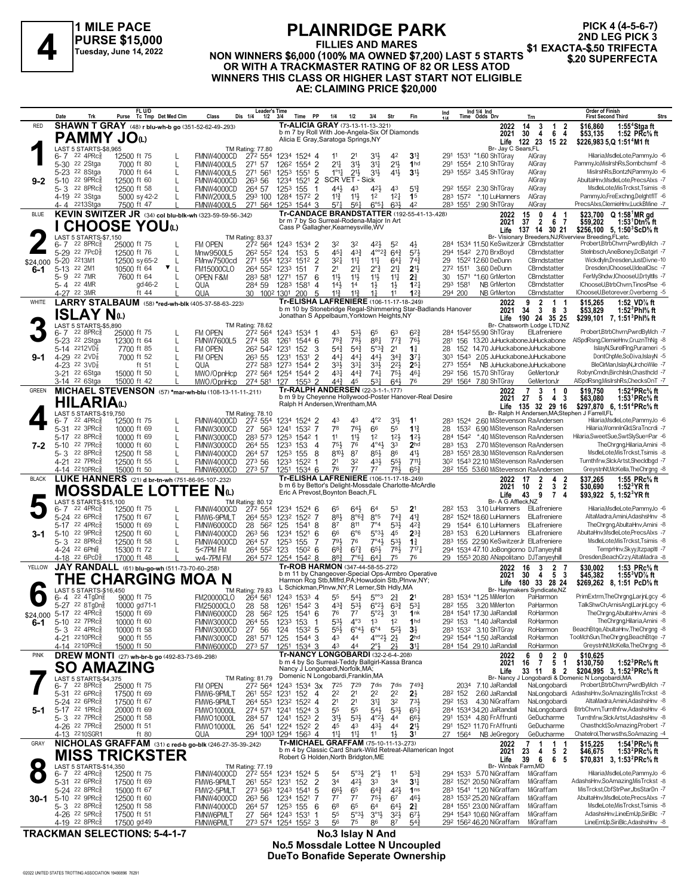

## **PLAINRIDGE PARK**

**FILLIES AND MARES NON WINNERS \$6,000 (100% MA OWNED \$7,200) LAST 5 STARTS** PURSE \$15,000<br>
PURSE \$15,000<br>
Tuesday, June 14, 2022 MON WINNERS \$6,000 (100% MA OWNED \$7,200) LAST 5 STARTS **\$1 EXACTA-\$.50 TRIFECTA**<br>OR WITH A TRACKMASTER RATING OF 82 OR LESS ATOD

**PICK 4 (4-5-6-7) 2ND LEG PICK 3**

**WINNERS THIS CLASS OR HIGHER LAST START NOT ELIGIBLE**

## **AE: CLAIMING PRICE \$20,000**

| Tr-ALICIA GRAY (73-13-11-13-321)<br>SHAWN T GRAY (48) r blu-wh-b go (351-52-62-49-.293)<br><b>RED</b><br>2022<br>3<br>\$16,860<br>1:55 $4$ Stgaft<br>14<br>$\overline{1}$<br>2<br>b m 7 by Roll With Joe-Angela-Six Of Diamonds<br>$\overline{4}$<br>6<br>4<br>\$53,135<br>1:52 PRc $%$ ft<br>2021<br>30<br><b>PAMMY JO</b> W<br>Alicia E Gray, Saratoga Springs, NY<br>122 23<br>\$226,983 5, Q 1:51 <sup>4</sup> M1 ft<br>Life<br>15 22<br>LAST 5 STARTS-\$8,965<br>Br- Jay C Sears, FL<br>TM Rating: 77.80<br>22 4PRc <sup>5</sup><br>Hilaria, MsdleLote, PammyJo -6<br>3 <sup>13</sup><br>6-7<br>12500 ft 75<br>FMNW4000CD<br>272 554<br>1234 1524 4<br>21<br>31}<br>42<br>291 1531 *1.60 ShTGray<br>11<br>AlGray<br>$21\frac{1}{4}$<br>$21\frac{1}{2}$<br>5-30 <sup>22</sup> 2Stga<br>1262 1554 2<br>31}<br>3 <sup>11</sup><br>1 <sub>hd</sub><br>AlGray<br>PammyJo,MisIrshRs,Sombchsmf -8<br>7000 ft 80<br><b>FMNW4000L5</b><br>271 57<br>291 1554 2.10 ShTGray<br>L<br>5-23 <sup>22</sup> 8Stga<br>7000 ft 64<br>1253 1551<br>$1^{\circ}1\frac{1}{4}$<br>$2^{11}$<br>3 <sup>1</sup><br>41}<br>3 <sup>1</sup><br>293 1552 3.45 ShTGray<br>MislrshRs,BontzN,PammyJo -6<br><b>FMNW4000L5</b><br>271 561<br>5<br>AlGray<br>L<br>5-10 22 9PRc $\frac{5}{8}$<br>SCR VET - Sick<br>AlGray<br>AbultaHnv.MsdleLote.PrecsAlxs -7<br>12500 ft 60<br>263 56<br>1234 1521<br>2<br>L<br>FMNW4000CD<br>$9 - 2$<br>MsdleLote, MisTrckst, Tsimis -8<br>$228$ PRc $\frac{5}{8}$<br>12500 ft 58<br>44}<br>$5^{13}$<br>292 1552 2.30 ShTGray<br>AlGray<br>5-3<br>FMNW4000CD<br>264 57<br>1253 155<br>4 <sup>3</sup><br>43<br>-1<br>423<br>$11\frac{1}{2}$<br>1 <sup>2</sup><br>$12\frac{1}{4}$<br>PammyJo,FreExchng,DelghtflT -6<br>4-19 22 3Stga<br>293 100<br>1284 1572 2<br>$11\frac{3}{4}$<br>1 <sup>5</sup><br>283 1572 *.10 LuHanners<br>AlGray<br>5000 sy 42-2<br><b>FMNW2000L5</b><br>PrecsAlxs,ClemieHnv,LuckBMine -7<br>4-4 2213Stga<br>7500 ft 47<br>271 564<br>$57\frac{1}{4}$<br>$6^{\circ 51}$<br>63}<br>42<br>283 1551 2.90 ShTGray<br>AlGray<br><b>FMNW4000L5</b><br>1253 1544 3<br>$56\frac{1}{4}$<br><b>Tr-CANDACE BRANDSTATTER (192-55-41-13-428)</b><br>KEVIN SWITZER JR (34) col blu-blk-wh (323-59-59-56-342)<br><b>BLUE</b><br>0<br>4<br>\$23,700<br>$Q$ 1:58 $^{\circ}$ MR gd<br>2022<br>15<br>-1<br>br m 7 by So Surreal-Rodena-Major In Art<br>6<br>$\overline{2}$<br>2021<br>37<br>- 7<br>\$59,202<br>1:531Dtn% ft<br><b>CHOOSE YOU</b> <sup>1</sup><br>Cass P Gallagher, Kearneysville, WV<br>137 14 30 21<br>\$256,100 5, 1:50 ${}^{3}$ ScD ${}^{5}$ s ft<br>Life<br>LAST 5 STARTS-\$7.150<br>Br- Visionary Breeders, NJ; Riverview Breeding, FL; etc.<br>TM Rating: 83.37<br>Probert,BtrbChvrn,PwrdByMch -7<br>$22$ 8PR $c_{8}$<br>FM OPEN<br>272 564<br>$4^{21}$<br>6-7<br>25000 ft 75<br>1243 1534 2<br>32<br>32<br>5 <sup>2</sup><br>4}<br>284 1534 11.50 KeSwitzerJr CBrndstatter<br>5-29 22 7PcD <sup>5</sup><br>$4^{3}\frac{3}{4}$<br>$64\frac{3}{4}$<br>Stelnbsch, AneBoney, DcBatgirl -7<br>5<br>$45\frac{1}{4}$<br>$4^{\circ}2^3$<br>573<br>294 1542 2.70 BrxBoyd<br>CBrndstatter<br>12500 ft 76<br>26 <sup>2</sup> 55 <sup>2</sup><br>124<br>153<br>L<br>Mnw9500L5<br>$3^{2}$<br>$5 - 20$<br>2213M1<br>271 554<br>1232<br>1512<br>$\overline{2}$<br>$11\frac{1}{4}$<br>$11\frac{1}{4}$<br>$64\frac{1}{4}$<br>$74\frac{3}{4}$<br>1522 12.60 DeDunn<br>CBrndstatter<br>WickdlyIn,Dresden,JustDivne-10<br>12500 sy 65-2<br>L<br>FMnw7500cd<br>29<br>\$24,000<br>5-13 22 2M1<br>3.60 DeDunn<br>CBrndstatter<br>Dresden,IChooseU,IdealClsc -7<br>10500 ft 64<br>▼∟<br>264 552<br>2 <sup>1</sup><br>$21\frac{1}{4}$<br>$2^{\circ}$ <sub>4</sub><br>2 <sup>11</sup><br>2 <sup>11</sup><br>272 1511<br><b>FM15000CLO</b><br>1233<br>151<br>7<br>6-1<br>FerMyShdw,IChooseU,DrtyItlls -7<br>5-9 22 7MR<br>7600 ft 64<br>11}<br>$11\frac{1}{2}$<br>$11\frac{1}{4}$<br>$2\frac{3}{4}$<br>30 1571 *1.60 GrMerton<br>CBrndstatter<br>OPEN F&M<br>283 581<br>1271 157<br>6<br>$11\frac{1}{2}$<br>IChooseU,BtrbChvrn,TinosPlse -6<br>22 4MR<br>1283 1581<br>$14\frac{1}{2}$<br>1 <sup>4</sup><br>$1\frac{1}{2}$<br>$12\frac{1}{4}$<br>NB GrMerton<br>CBrndstatter<br>5-4<br>gd 46-2<br>QUA<br>284 59<br>4<br>$1\frac{1}{2}$<br>293 1581<br>$11\frac{3}{4}$<br>IChooseU,Betorever,Overberng -5<br>4-27 22 3MR<br>ft 44<br>QUA<br>30 1002 1301<br>5<br>$11\frac{3}{4}$<br>11<br>12 <sup>3</sup><br>294 200<br>CBrndstatter<br>NB GrMerton<br>200<br>$1\frac{1}{4}$<br>Tr-ELISHA LAFRENIERE (106-11-17-18-249)<br>LARRY STALBAUM (58) *red-wh-blk (405-37-58-63-.223)<br><b>WHITE</b><br>$\overline{2}$<br>$\mathbf{1}$<br>1:52 VD% ft<br>2022<br>9<br>\$15,265<br>-1<br>b m 10 by Stonebridge Regal-Shimmering Star-Badlands Hanover<br>83<br>2021<br>34<br>\$53,829<br>1:52 $^3$ Phl $\%$ ft<br>3<br>ISLAY Nധ<br>Jonathan S Appelbaum, Yorktown Heights, NY<br>190 24 35 25<br>\$299,101 7, 1:51 <sup>3</sup> Phl <sup>5</sup> / <sub>8</sub> ft<br>Life<br>LAST 5 STARTS-\$5,890<br>Br- Chatsworth Lodge LTD,NZ<br>TM Rating: 78.62<br>Probert,BtrbChvrn,PwrdByMch -7<br>$22$ 8PR $c_{8}^5$<br>$6^{2}3$<br>284 1542 55.90 ShTGray<br>$6 - 7$<br>25000 ft 75<br>FM OPEN<br>272 564<br>1243 1534 1<br>43<br>$5^{3}\frac{1}{2}$<br>65<br>63<br>ElLafreniere<br>L<br>5-23 <sup>22</sup> 2Stga<br>783<br>881<br>77 <sup>3</sup><br>274 58<br>783<br>761<br>281 156 13.20 JuHuckaboneJuHuckabone<br>AlSpdRsng,ClemieHnv,CruznThNg -8<br>12300 ft 64<br>1261<br>1544 6<br>L<br><b>FMNW7600L5</b><br>5-14 $^{2212}VD_8^7$<br>262 542 1231<br>152<br>$5^{4}$<br>$5^{4}3$<br>$5^{\circ}3^{\frac{3}{4}}$<br>2 <sup>1</sup><br>$1\frac{1}{4}$<br>152 14.70 JuHuckaboneJuHuckabone<br>IslayN,SurelFIng,Purameri -5<br>7700 ft 85<br>FM OPEN<br>3<br>L<br>28<br>4-29 22 2VD3<br>7000 ft 52<br>2.05 JuHuckaboneJuHuckabone<br>DontChpMe,SoDiva,IslayN -5<br>FM OPEN<br>263 55<br>$\overline{2}$<br>$44\frac{1}{4}$<br>$44\frac{1}{4}$<br>443<br>$3^{4}3$<br>$3^{7}$<br>303 1543<br>L<br>1231<br>1531<br>$9 - 1$<br>NB JuHuckaboneJuHuckabone<br>BleClrMan,IslayN,JrchoWile -7<br>4-23 22 $3VD_8^7$<br>ft $51$<br>272 583<br>$3^{3}\frac{1}{2}$<br>3 <sup>31</sup><br>3 <sup>3</sup><br>$2^{21}$<br>$2^{5}$<br>273 1554<br>QUA<br>1273 1544 2<br>RobynCmdn,BirchIsln,Chasthcld -7<br>431<br>$44\frac{3}{4}$<br>74 <sub>7</sub><br>3-21 <sup>22</sup> 6Stga<br>272 564<br>1254 1544 2<br>754<br>$46\frac{1}{4}$<br>29 <sup>2</sup> 156 15.70 ShTGray<br>15000 ft 50<br>MWO/OpnHcp<br>GeMertonJr<br>$\mathbf{L}$<br>531<br>$64\frac{1}{2}$<br>76<br>AlSpdRsng, MisIrshRs, ChecksOnT -7<br>$44\frac{3}{4}$<br>45<br>291 1564 7.80 ShTGray<br>GeMertonJr<br>3-14 <sup>22</sup> 6Stga<br>15000 ft 42<br>MWO/OpnHcp<br>274 581<br>1553<br>-2<br>127<br>Tr-RALPH ANDERSEN (22-3-1-1-177)<br>MICHAEL STEVENSON (57) *mar-wh-blu (108-13-11-11-211)<br><b>GREEN</b><br>$\overline{7}$<br>3<br>$\overline{1}$<br>1:52 ${}^4$ PRc ${}^5\!$ ft<br>2022<br>0<br>\$19,750<br>b m 9 by Chevenne Hollywood-Poster Hanover-Real Desire<br>$\overline{4}$<br>5<br>-3<br>27<br>\$63,080<br>1:53 $\text{PRc\%}$ ft<br>2021<br><b>HILARIA</b> W<br>Ralph H Andersen, Wrentham, MA<br>Life 135 32 29 16<br>\$297.870 6.1:51 <sup>4</sup> PRc <sup>5</sup> / <sub>8</sub> ft<br>LAST 5 STARTS-\$19.750<br>Br- Ralph H Andersen, MA; Stephen J Farrell, FL<br>TM Rating: 78.10<br>Hilaria, MsdleLote, PammyJo -6<br>$4^{\circ}2$<br>$3^{11}$<br>22 4PRc <sup>3</sup><br>12500 ft 75<br>FMNW4000CD<br>272 554<br>1234 1524 2<br>43<br>43<br>1 <sup>1</sup><br>283 1524<br>2.60 MiStevenson RaAndersen<br>6- 7<br>L<br>5-31 22 3PRc<br>78<br>761<br>66<br>Hilaria, WomnInGld, SraTncrdi -7<br>55<br>$1^{13}$<br>6.90 MiStevenson RaAndersen<br>10000 ft 69<br>FMNW3000CD<br>27 563<br>1241 1532 7<br>28<br>1532<br>L<br>12 <sup>1</sup><br>5-17 22 8PRc<br>283 573<br>1253 1542 1<br>11<br>$11\frac{1}{2}$<br>1 <sup>2</sup><br>123<br>*.40 MiStevenson RaAndersen<br>Hilaria, Sweet Sue, Swt Sly Sue=Par -6<br>10000 ft 69<br>FMNW3000CD<br>284 1542<br>L<br>5-10 22 7PRcs<br>283 153 2.70 MiStevenson RaAndersen<br>TheChrgng,Hilaria,Amini -8<br>10000 ft 60<br>264 55<br>$75\frac{1}{2}$<br>76<br>$4^{\circ}4^{\frac{1}{2}}$<br>33<br>2 <sub>hd</sub><br>L<br>FMNW3000CD<br>1233 153<br>4<br>7-2<br>87<br>$41\frac{1}{2}$<br>MsdleLote, MisTrckst, Tsimis -8<br>22 8PRc<br>12500 ft 58<br>$8^{10}\frac{1}{2}$<br>$85\frac{1}{2}$<br>86<br>283 1551 28.30 MiStevenson RaAndersen<br>5-3<br>FMNW4000CD<br>264 57<br>1253 155<br>8<br>L<br>431<br>$55\frac{1}{2}$<br>30 <sup>2</sup> 1543 22.10 MiStevenson RaAndersen<br>Turnthfrw,SlckArtst,Shecldbgd -7<br>4-21 22 7PRc<br>12500 ft 55<br>273 56<br>2 <sup>1</sup><br>32<br>$711\frac{1}{4}$<br>L<br>FMNW4000CD<br>1233 1522 1<br>781<br>65 <sup>3</sup><br>4-14 2210PRc<br>15000 ft 50<br>FMNW6000CD<br>273 57<br>76<br>77<br>77<br>28 <sup>2</sup> 155 53.60 MiStevenson RaAndersen<br>GreystnNt, McKella, The Chrgng -8<br>1251 1534 6<br>Tr-ELISHA LAFRENIERE (106-11-17-18-249)<br>LUKE HANNERS (21) d br-tn-wh (751-86-95-107-232)<br><b>BLACK</b><br>\$37,265<br>2022<br>2<br>4<br>2<br>1:55 $PRc\%$ ft<br>17<br>b m 6 by Bettor's Delight-Mossdale Charlotte-McArdle<br>3<br>$\overline{\mathbf{2}}$<br>$\overline{2}$<br>2021<br>\$30,690<br>10<br>1:52 $\cdot$ YRft<br><b>MOSSDALE LOTTEE Nap</b><br>Eric A Prevost, Boynton Beach, FL<br>Life<br>43<br>9<br>7 <sub>4</sub><br>\$93,922 5, 1:52 <sup>3</sup> YR ft<br>LAST 5 STARTS-\$15,100<br>Br- A G Affleck, NZ<br><b>TM Rating: 80.12</b><br>Hilaria, MsdleLote, PammyJo -6<br>$22$ 4PR $c_{8}^{5}$<br>272 554<br>53<br>2 <sup>1</sup><br>$6 - 7$<br>12500 ft 75<br>FMNW4000CD<br>1234 1524 6<br>65<br>$64\frac{1}{2}$<br>64<br>282 153<br>3.10 LuHanners ElLafreniere<br>5-24 22 6PRc<br>8°5<br>74 <sup>3</sup><br>AltaMadra,Amini,AdashsHnv -8<br>883<br>$8^{\circ}6^{\frac{3}{4}}$<br>$4^{13}$<br>28 <sup>2</sup> 1524 18.60 LuHanners ElLafreniere<br>17500 ft 67<br>L<br>FMW6-9PMLT<br>264 553<br>1232 1522 7<br>53}<br>$5-17$<br>22 4PRc<br>125<br>1541 8<br>87<br>811<br>$7^{\circ}4$<br>$4^{2}\frac{3}{4}$<br>29 1544 6.10 LuHanners<br>ElLafreniere<br>TheChrgng,AbultaHnv,Amini -8<br>15000 ft 69<br>L<br>FMNW6000CD<br>28<br>562<br>5-10 22 9PRc $\frac{5}{8}$<br>$6^{\circ}6$<br>5°3 <sup>1</sup><br>6.20 LuHanners ElLafreniere<br>AbultaHnv,MsdleLote,PrecsAlxs -7<br>12500 ft 60<br>263 56<br>1234<br>1521<br>66<br>45<br>$2^{3}$<br>283 153<br>L<br>6<br>FMNW4000CD<br>3-1<br>MsdleLote, MisTrckst, Tsimis -8<br>5-3 22 8PRc\$<br>12500 ft 58<br>791<br>76<br>$7^\circ 4\frac{1}{2}$<br>$5^{3}\frac{1}{2}$<br>$1\frac{3}{4}$<br>283 155 22.90 KeSwitzerJr ElLafreniere<br>FMNW4000CD<br>264 57<br>1253 155<br>7<br>65}<br>$68\frac{3}{4}$<br>$6^{7\frac{3}{4}}$<br>781<br>TemprHnv,Skyy,ItzpapItl -7<br>4-24 22 6Ph<br>15300 ft 72<br>123<br>$7^{17}\frac{1}{4}$<br>294 1534 47.10 JoBongiorno DJTanvevhill<br>L<br>5<7PM FM<br>264 552<br>$150^2$ 6<br>883<br>76<br>4-18 <sup>22</sup> 6PcD<br>17000 ft 48<br>w4-7PM FM<br>264 572 1254 1542 8<br>$7°6\frac{1}{7}$<br>64 <sup>1</sup><br>75<br>29 1553 20.80 ANapolitano DJTanyeyhill<br>Dresden, Beach Crzy, Alta Madra - 8<br>Tr-ROB HARMON (347-44-58-55-.272)<br>JAY RANDALL (61) blu-go-wh (511-73-70-60-.258)<br>YELLOW<br>$\overline{2}$<br>1:53 PRc% ft<br>2022<br>16<br>3<br>\$30,002<br>b m 11 by Changeover-Special Ops-Armbro Operative<br>5<br>- 3<br>30<br>4<br>\$45,382<br>2021<br>1:55 VD % ft<br>THE CHARGING MOA N<br>Harmon Rcg Stb, Mlfrd, PA; Howudoin Stb, Plnvw, NY;<br>180 33 28 24<br>Life<br>\$269.262 8.1:51 PcD% ft<br>L Schickman, Plnvw, NY; R Lerner, Sth Hdly, MA<br>LAST 5 STARTS-\$16,450<br>TM Rating: 79.83<br>Br- Haymakers Syndicate, NZ<br>PrimExtrm,TheChrgng,LarinLgcy -6<br>$5^{\circ\circ}3$<br>22 4TgDng<br>9000 ft 75<br><b>FM20000CLO</b><br>264 561<br>1243 1533 4<br>55<br>$54\frac{1}{2}$<br>$2\frac{3}{4}$<br>2 <sup>1</sup><br>283 1534 *1.25 MiMerton<br>PaHarmon<br>6-4<br>5-27 22 8TgDng<br>$4^{3}\frac{3}{4}$<br>28<br>-58<br>1261 1542 3<br>$5^{31}$<br>$6^{\circ}2\frac{1}{2}$ $6^{3}\frac{3}{4}$<br>$5^{3}$<br>28 <sup>2</sup> 155 3.20 MiMerton<br>TalkShwCh,ArnisAngl,LarinLgcy -6<br>10000 gd71-1<br><b>FM25000CLO</b><br>PaHarmon<br>\$24,000 5-17 22 4PRcs<br>28<br>1541 6<br>76<br>$5^{\circ}2\frac{1}{2}$<br>3 <sup>1</sup><br>284 1541 17.30 JaRandall<br>TheChrgng,AbultaHnv,Amini -8<br>15000 ft 69<br>FMNW6000CD<br>562 125<br>$7^7$<br>1nk<br>RoHarmon<br>TheChrgng,Hilaria,Amini -8<br>5-10 22 7PRc <sup>3</sup><br>$4^{\circ}3$<br>1 <sup>2</sup><br>1 <sub>hd</sub><br>292 153 *1.40 JaRandall<br>RoHarmon<br>10000 ft 60<br>264 55<br>1233 153<br>$5^{3}\frac{1}{2}$<br>1 <sup>3</sup><br>6-1<br>FMNW3000CD<br>-1<br>BeachBtge, AbultaHnv, The Chrgng -8<br>$5 - 3$ 22 4PRc <sup>5</sup><br>10000 ft 58<br>27 56<br>1532 5<br>$55\frac{1}{2}$<br>$6^{\circ}4\frac{1}{2}$<br>$6^{\circ 4}$<br>$5^{21}$<br>$3\frac{1}{2}$<br>283 1532 3.10 ShTGray<br>RoHarmon<br>FMNW3000CD<br>124<br>$4^{\circ}2\frac{1}{2}$<br>TooMchSun, TheChrgng, BeachBtge -7<br>4-21 2210PRcs<br>281 571<br>125<br>1544 3<br>43<br>$2\frac{1}{2}$<br>292 1544 *1.50 JaRandall<br>9000 ft 55<br>FMNW3000CD<br>44<br>2 <sub>hd</sub><br>RoHarmon<br>GreystnNt, McKella, The Chrgng -8<br>4-14 2210PRc<br>43<br>3 <sup>11</sup><br>15000 ft 50<br>FMNW6000CD<br>273 57<br>1251 1534 3<br>44<br>$2^{\circ}3$<br>2 <sup>1</sup><br>284 154 29.10 JaRandall<br>RoHarmon<br>Tr-NANCY LONGOBARDI (32-2-6-4-.208)<br>DREW MONTI (27) wh-br-b go (492-83-73-69-.298)<br><b>PINK</b><br>$\frac{2}{5}$<br>6<br>0<br>0<br>\$10,625<br>2022<br>b m 4 by So Surreal-Teddy Ballgirl-Kassa Branca<br>$\overline{7}$<br>\$130,750<br>$\overline{1}$<br>1:52 ${}^{3}$ PRc ${}^{5}_{8}$ ft<br>2021<br>16<br>SO AMAZING<br>Nancy J Longobardi, Norfolk, MA;<br>82<br>\$204,995 3, 1:52 <sup>3</sup> PRc <sup>5</sup> / <sub>8</sub> ft<br>33 11<br>Life<br>Domenic N Longobardi, Franklin, MA<br>LAST 5 STARTS-\$4,375<br>Br- Nancy J Longobardi & Domenic N Longobardi, MA<br>TM Rating: 81.79<br>6-7 22 8PRc <sup>5</sup><br>Probert,BtrbChvrn,PwrdByMch -7<br>25000 ft 75<br>FM OPEN<br>272 564<br>1243 1534 3x<br>725<br>729<br>7dis<br>7dis<br>$7^{49\frac{3}{4}}$<br>2034 7.10 JaRandall<br>NaLongobardi<br>2 <sup>1</sup><br>2 <sup>2</sup><br>2 <sup>2</sup><br>2 <sup>2</sup><br>2 <sup>1</sup><br>NaLongobardi<br>AdashsHnv,SoAmazing,MisTrckst -8<br>5-31 22 6PRc3<br>17500 ft 69<br>FMW6-9PMLT<br>261 552 1231<br>152<br>2.60 JaRandall<br>4<br>282 152<br>32<br>5-24 22 6PRc <sup>5</sup><br>FMW6-9PMLT<br>264 553 1232 1522 4<br>2 <sup>1</sup><br>2 <sup>1</sup><br>34<br>$73\frac{1}{2}$<br>4.30 NiGraffam<br>NaLongobardi<br>AltaMadra,Amini,AdashsHnv -8<br>17500 ft 67<br>292 153<br>5-17 22 1PRc $\frac{5}{8}$<br>284 1534 34.20 JaRandall<br>NaLongobardi<br>BtrbChvrn,Turnthfrw,AdashsHnv -6<br>20000 ft 69<br>274 571 1241 1524 3<br>55<br>55<br>$5^{4}$<br>$5^{3}\frac{1}{2}$<br>$65\frac{1}{4}$<br><b>FMWO10000L</b><br>5-1<br>GeDucharme<br>Turnthfrw,SlckArtst,AdashsHnv -8<br>5-3 22 7PRc <sup>5</sup><br>1241 1523 2<br>3 <sup>1</sup><br>$4^{\circ}2\frac{1}{2}$<br>291 1534 4.80 FrAffrunti<br>25000 ft 58<br><b>FMWO10000L</b><br>284 57<br>$5^{3}\frac{1}{2}$<br>44<br>$66\frac{1}{2}$<br>$43\frac{1}{2}$<br>Chasthcld,SoAmazing,Probert -7<br>4-26 <sup>22</sup> 7PRc <sup>5</sup><br>26 541<br>1224 1522 2<br>2 <sup>1</sup><br>291 1523 11.70 FrAffrunti<br>GeDucharme<br>25000 ft 51<br><b>FMWO10000L</b><br>45<br>43<br>4 <sup>4</sup><br>$11\frac{1}{2}$<br>4-13 2210SGR1<br>294 1003 1294 1563 4<br>$11\frac{1}{2}$<br>GeDucharme<br>Chatelrol, Therwsths, SoAmazing -4<br>ft $80$<br>QUA<br>11<br>11<br>27<br>1564<br>NB JeGregory<br>3 <sup>1</sup><br>Tr-MICHAEL GRAFFAM (75-10-11-13-.273)<br>NICHOLAS GRAFFAM (31) c red-b go-blk (246-27-35-39-242)<br>GRAY<br>1:54 ${}^1$ PRc ${}^5\!$ ft<br>2022<br>1<br>\$15,225<br>7<br>-1<br>-1<br>b m 4 by Classic Card Shark-Wild Retreat-Allamerican Ingot<br>5<br>$\overline{2}$<br>2021<br>1:53 ${}^{2}$ PRc ${}^{5}_{8}$ ft<br>23<br>\$46,675<br>4<br><b>MISS TRICKSTER</b><br>Robert G Holden, North Bridgton, ME<br>39<br>6<br>6<br>Life<br>-5<br>\$70,831 3, 1:53 <sup>2</sup> PRc <sup>5</sup> / <sub>8</sub> ft<br>LAST 5 STARTS-\$14,350<br>Br- Winbak Farm, MD<br>TM Rating: 77.19<br>$22$ 4PR $c_{8}^5$<br>Hilaria, MsdleLote, PammyJo -6<br>$5^{3}\frac{3}{4}$<br>$6 - 7$<br>12500 ft 75<br>FMNW4000CD<br>272 554<br>1234 1524 5<br>5 <sup>4</sup><br>$5^{\circ}3\frac{1}{2}$<br>$2^{\circ}$ <sub>2</sub><br>11<br>294 1533 5.70 NiGraffam<br>MiGraffam<br>$\overline{2}$<br>5-31 22 6PRc3<br>423<br>33<br>34<br>3 <sup>11</sup><br>MiGraffam<br>AdashsHnv,SoAmazing,MisTrckst -8<br>17500 ft 69<br>FMW6-9PMLT<br>261 552 1231 152<br>34<br>28 <sup>2</sup> 1521 20.50 NiGraffam<br>5-24 22 8PRc<br>FMW2-5PMLT<br>273 563 1243 1541<br>$66\frac{1}{2}$<br>65<br>$64\frac{3}{4}$<br>421<br>283 1541 *1.20 NiGraffam<br>MiGraffam<br>MisTrckst,CbfStrPwr,JbsStarDn -7<br>15000 ft 67<br>5<br>1 <sub>ns</sub><br>5-10 22 9PRc $\frac{5}{8}$<br>283 1532 25.20 NiGraffam<br>MiGraffam<br>AbultaHnv,MsdleLote,PrecsAlxs -7<br>12500 ft 60<br>263 56<br>1234 1521<br>$7^7$<br>$7^7$<br>$75\frac{1}{2}$<br>67<br>46}<br>FMNW4000CD<br>$30-1$<br>7<br>MsdleLote, MisTrckst, Tsimis -8<br>5-3 22 8PRc <sup>5</sup><br>12500 ft 58<br>6 <sup>8</sup><br>65<br>64<br>$2\frac{3}{4}$<br>284 1551 23.00 NiGraffam<br>MiGraffam<br>FMNW4000CD<br>264 57<br>1253 155<br>6<br>$64\frac{1}{2}$<br>AdashsHnv,LineEmUp,SiriBlc -7<br>55<br>$5^{\circ}3\frac{1}{2}$<br>$3^{2}\frac{1}{2}$<br>294 1543 10.60 NiGraffam<br>4-26 <sup>22</sup> 5PRc <sup>3</sup><br>17500 ft 51<br>FMNW6PMLT<br>27 564 1243 1531<br>$3^{01}\frac{1}{2}$<br>$6^{7}\frac{1}{2}$<br>MiGraffam<br>1<br>LineEmUp,SiriBlc,AdashsHnv -8<br>4-19 22 8PRc<br>273 574 1254 1552 3<br>56<br>87<br>292 1562 46.20 NiGraffam<br>MiGraffam<br>17500 gd 49<br>FMNW6PMLT<br>75<br>86<br>$5^{4}$<br><b>TRACKMAN SELECTIONS: 5-4-1-7</b><br>No.3 Islay N And | Date | Trk | FL U/D<br>Purse Tc Tmp Det Med Clm | Class | Leader's Time<br>Dis 1/4<br>$1/2$ $3/4$ | Time PP | 1/4 | 1/2 | 3/4<br>Str | Fin | Ind | Ind 1/4 Ind<br>Time Odds Drv | Trn | <b>Order of Finish</b> | <b>Strs</b><br><b>First Second Third</b> |
|---------------------------------------------------------------------------------------------------------------------------------------------------------------------------------------------------------------------------------------------------------------------------------------------------------------------------------------------------------------------------------------------------------------------------------------------------------------------------------------------------------------------------------------------------------------------------------------------------------------------------------------------------------------------------------------------------------------------------------------------------------------------------------------------------------------------------------------------------------------------------------------------------------------------------------------------------------------------------------------------------------------------------------------------------------------------------------------------------------------------------------------------------------------------------------------------------------------------------------------------------------------------------------------------------------------------------------------------------------------------------------------------------------------------------------------------------------------------------------------------------------------------------------------------------------------------------------------------------------------------------------------------------------------------------------------------------------------------------------------------------------------------------------------------------------------------------------------------------------------------------------------------------------------------------------------------------------------------------------------------------------------------------------------------------------------------------------------------------------------------------------------------------------------------------------------------------------------------------------------------------------------------------------------------------------------------------------------------------------------------------------------------------------------------------------------------------------------------------------------------------------------------------------------------------------------------------------------------------------------------------------------------------------------------------------------------------------------------------------------------------------------------------------------------------------------------------------------------------------------------------------------------------------------------------------------------------------------------------------------------------------------------------------------------------------------------------------------------------------------------------------------------------------------------------------------------------------------------------------------------------------------------------------------------------------------------------------------------------------------------------------------------------------------------------------------------------------------------------------------------------------------------------------------------------------------------------------------------------------------------------------------------------------------------------------------------------------------------------------------------------------------------------------------------------------------------------------------------------------------------------------------------------------------------------------------------------------------------------------------------------------------------------------------------------------------------------------------------------------------------------------------------------------------------------------------------------------------------------------------------------------------------------------------------------------------------------------------------------------------------------------------------------------------------------------------------------------------------------------------------------------------------------------------------------------------------------------------------------------------------------------------------------------------------------------------------------------------------------------------------------------------------------------------------------------------------------------------------------------------------------------------------------------------------------------------------------------------------------------------------------------------------------------------------------------------------------------------------------------------------------------------------------------------------------------------------------------------------------------------------------------------------------------------------------------------------------------------------------------------------------------------------------------------------------------------------------------------------------------------------------------------------------------------------------------------------------------------------------------------------------------------------------------------------------------------------------------------------------------------------------------------------------------------------------------------------------------------------------------------------------------------------------------------------------------------------------------------------------------------------------------------------------------------------------------------------------------------------------------------------------------------------------------------------------------------------------------------------------------------------------------------------------------------------------------------------------------------------------------------------------------------------------------------------------------------------------------------------------------------------------------------------------------------------------------------------------------------------------------------------------------------------------------------------------------------------------------------------------------------------------------------------------------------------------------------------------------------------------------------------------------------------------------------------------------------------------------------------------------------------------------------------------------------------------------------------------------------------------------------------------------------------------------------------------------------------------------------------------------------------------------------------------------------------------------------------------------------------------------------------------------------------------------------------------------------------------------------------------------------------------------------------------------------------------------------------------------------------------------------------------------------------------------------------------------------------------------------------------------------------------------------------------------------------------------------------------------------------------------------------------------------------------------------------------------------------------------------------------------------------------------------------------------------------------------------------------------------------------------------------------------------------------------------------------------------------------------------------------------------------------------------------------------------------------------------------------------------------------------------------------------------------------------------------------------------------------------------------------------------------------------------------------------------------------------------------------------------------------------------------------------------------------------------------------------------------------------------------------------------------------------------------------------------------------------------------------------------------------------------------------------------------------------------------------------------------------------------------------------------------------------------------------------------------------------------------------------------------------------------------------------------------------------------------------------------------------------------------------------------------------------------------------------------------------------------------------------------------------------------------------------------------------------------------------------------------------------------------------------------------------------------------------------------------------------------------------------------------------------------------------------------------------------------------------------------------------------------------------------------------------------------------------------------------------------------------------------------------------------------------------------------------------------------------------------------------------------------------------------------------------------------------------------------------------------------------------------------------------------------------------------------------------------------------------------------------------------------------------------------------------------------------------------------------------------------------------------------------------------------------------------------------------------------------------------------------------------------------------------------------------------------------------------------------------------------------------------------------------------------------------------------------------------------------------------------------------------------------------------------------------------------------------------------------------------------------------------------------------------------------------------------------------------------------------------------------------------------------------------------------------------------------------------------------------------------------------------------------------------------------------------------------------------------------------------------------------------------------------------------------------------------------------------------------------------------------------------------------------------------------------------------------------------------------------------------------------------------------------------------------------------------------------------------------------------------------------------------------------------------------------------------------------------------------------------------------------------------------------------------------------------------------------------------------------------------------------------------------------------------------------------------------------------------------------------------------------------------------------------------------------------------------------------------------------------------------------------------------------------------------------------------------------------------------------------------------------------------------------------------------------------------------------------------------------------------------------------------------------------------------------------------------------------------------------------------------------------------------------------------------------------------------------------------------------------------------------------------------------------------------------------------------------------------------------------------------------------------------------------------------------------------------------------------------------------------------------------------------------------------------------------------------------------------------------------------------------------------------------------------------------------------------------------------------------------------------------------------------------------------------------------------------------------------------------------------------------------------------------------------------------------------------------------------------------------------------------------------------------------------------------------------------------------------------------------------------------------------------------------------------------------------------------------------------------------------------------------------------------------------------------------------------------------------------------------------------------------------------------------------------------------------------------------------------------------------------------------------------------------------------------------------------------------------------------------------------------------------------------------------------------------------------------------------------------------------------------------------------------------------------------------------------------------------------------------------------------------------------------------------------------------------------------------------------------------------------------------------------------------------------------------------------------------------------------------------------------------------------------------------------------------------------------------------------------------------------------------------------------------------------------------------------------------------------------------------------------------------------------------------------------------------------------------------------------------------------------------------------------------------------------------------------------------------------------------------------------------------------------------------------------------------------------------------------------------------------------------------------------------------------------------------------------------------------------------------------------------------------------------------------------------------------------------------------------------------------------------------------------------------------------------------------------------------------------------------------------------------------------------------------------------------------------------------------------------------------------------------------------------------------------------------------------------------------------------------------------------------------------------------------------------------------------------------------------------------------------------------------------------------------------------------------------------------------------------------------------------------------------------------------------------------------------------------------------------------------------------------------------------------------------------------------------------------------------------------------------------------------------------------------------------------------------------------------------------------------------------------------------------------------------------------------------------------------------------------------------------------------------------------------------------------------------------------------------------------------------------------------------------------------------------------------------------------------------------------------------------------------------------------------------------------------------------------------------------------------------------------------------------------------------------------------------------------------------------------------------------------------------------------------------------------------------------------------------------------------------------------------------------------------------------------------------------------------------------------------------------------------------------------------------------------------------------------------------------------------------------------------------------------------------------------------------------------------------------------------------------------------------------------------------------------------------------------------------------------------------------------------------------------------------------------------------------------------------------------------------------------------------------------------------------------------------------------------------------------------------------------------------------------------------------------------------------------------------------------------------------------------------------------------------------------------------------------------------------------------------------------|------|-----|------------------------------------|-------|-----------------------------------------|---------|-----|-----|------------|-----|-----|------------------------------|-----|------------------------|------------------------------------------|
|                                                                                                                                                                                                                                                                                                                                                                                                                                                                                                                                                                                                                                                                                                                                                                                                                                                                                                                                                                                                                                                                                                                                                                                                                                                                                                                                                                                                                                                                                                                                                                                                                                                                                                                                                                                                                                                                                                                                                                                                                                                                                                                                                                                                                                                                                                                                                                                                                                                                                                                                                                                                                                                                                                                                                                                                                                                                                                                                                                                                                                                                                                                                                                                                                                                                                                                                                                                                                                                                                                                                                                                                                                                                                                                                                                                                                                                                                                                                                                                                                                                                                                                                                                                                                                                                                                                                                                                                                                                                                                                                                                                                                                                                                                                                                                                                                                                                                                                                                                                                                                                                                                                                                                                                                                                                                                                                                                                                                                                                                                                                                                                                                                                                                                                                                                                                                                                                                                                                                                                                                                                                                                                                                                                                                                                                                                                                                                                                                                                                                                                                                                                                                                                                                                                                                                                                                                                                                                                                                                                                                                                                                                                                                                                                                                                                                                                                                                                                                                                                                                                                                                                                                                                                                                                                                                                                                                                                                                                                                                                                                                                                                                                                                                                                                                                                                                                                                                                                                                                                                                                                                                                                                                                                                                                                                                                                                                                                                                                                                                                                                                                                                                                                                                                                                                                                                                                                                                                                                                                                                                                                                                                                                                                                                                                                                                                                                                                                                                                                                                                                                                                                                                                                                                                                                                                                                                                                                                                                                                                                                                                                                                                                                                                                                                                                                                                                                                                                                                                                                                                                                                                                                                                                                                                                                                                                                                                                                                                                                                                                                                                                                                                                                                                                                                                                                                                                                                                                                                                                                                                                                                                                                                                                                                                                                                                                                                                                                                                                                                                                                                                                                                                                                                                                                                                                                                                                                                                                                                                                                                                                                                                                                                                                                                                                                                                                                                                                                                                                                                                                                                                                                                                                                                                                                                                                                                                                                                                                                                                                                                                                                                                                                                                                                                                                                                                                                                                                                                                                                                                                                                                                                                                                                                                                                                                                                                                                                                                                                                                                                                                                                                                                                                                                                                                                                                                                                                                                                                                                                                                                                                                                                                                                                                                                                                                                                                                                                                                                                                                                                                                                                                                                                                                                                                                                                                                                                                                                                                                                                                                                                                                                                                                                                                                                                                                                                                                                                                                                                                                                                                                                                                                                                                                                                                                                                                                                                                                                                                                                                                                                                                                                                                                                                                                                                                                                                                                                                                                                                                                                                                                                                                                                                       |      |     |                                    |       |                                         |         |     |     |            |     |     |                              |     |                        |                                          |
|                                                                                                                                                                                                                                                                                                                                                                                                                                                                                                                                                                                                                                                                                                                                                                                                                                                                                                                                                                                                                                                                                                                                                                                                                                                                                                                                                                                                                                                                                                                                                                                                                                                                                                                                                                                                                                                                                                                                                                                                                                                                                                                                                                                                                                                                                                                                                                                                                                                                                                                                                                                                                                                                                                                                                                                                                                                                                                                                                                                                                                                                                                                                                                                                                                                                                                                                                                                                                                                                                                                                                                                                                                                                                                                                                                                                                                                                                                                                                                                                                                                                                                                                                                                                                                                                                                                                                                                                                                                                                                                                                                                                                                                                                                                                                                                                                                                                                                                                                                                                                                                                                                                                                                                                                                                                                                                                                                                                                                                                                                                                                                                                                                                                                                                                                                                                                                                                                                                                                                                                                                                                                                                                                                                                                                                                                                                                                                                                                                                                                                                                                                                                                                                                                                                                                                                                                                                                                                                                                                                                                                                                                                                                                                                                                                                                                                                                                                                                                                                                                                                                                                                                                                                                                                                                                                                                                                                                                                                                                                                                                                                                                                                                                                                                                                                                                                                                                                                                                                                                                                                                                                                                                                                                                                                                                                                                                                                                                                                                                                                                                                                                                                                                                                                                                                                                                                                                                                                                                                                                                                                                                                                                                                                                                                                                                                                                                                                                                                                                                                                                                                                                                                                                                                                                                                                                                                                                                                                                                                                                                                                                                                                                                                                                                                                                                                                                                                                                                                                                                                                                                                                                                                                                                                                                                                                                                                                                                                                                                                                                                                                                                                                                                                                                                                                                                                                                                                                                                                                                                                                                                                                                                                                                                                                                                                                                                                                                                                                                                                                                                                                                                                                                                                                                                                                                                                                                                                                                                                                                                                                                                                                                                                                                                                                                                                                                                                                                                                                                                                                                                                                                                                                                                                                                                                                                                                                                                                                                                                                                                                                                                                                                                                                                                                                                                                                                                                                                                                                                                                                                                                                                                                                                                                                                                                                                                                                                                                                                                                                                                                                                                                                                                                                                                                                                                                                                                                                                                                                                                                                                                                                                                                                                                                                                                                                                                                                                                                                                                                                                                                                                                                                                                                                                                                                                                                                                                                                                                                                                                                                                                                                                                                                                                                                                                                                                                                                                                                                                                                                                                                                                                                                                                                                                                                                                                                                                                                                                                                                                                                                                                                                                                                                                                                                                                                                                                                                                                                                                                                                                                                                                                                                                                       |      |     |                                    |       |                                         |         |     |     |            |     |     |                              |     |                        |                                          |
|                                                                                                                                                                                                                                                                                                                                                                                                                                                                                                                                                                                                                                                                                                                                                                                                                                                                                                                                                                                                                                                                                                                                                                                                                                                                                                                                                                                                                                                                                                                                                                                                                                                                                                                                                                                                                                                                                                                                                                                                                                                                                                                                                                                                                                                                                                                                                                                                                                                                                                                                                                                                                                                                                                                                                                                                                                                                                                                                                                                                                                                                                                                                                                                                                                                                                                                                                                                                                                                                                                                                                                                                                                                                                                                                                                                                                                                                                                                                                                                                                                                                                                                                                                                                                                                                                                                                                                                                                                                                                                                                                                                                                                                                                                                                                                                                                                                                                                                                                                                                                                                                                                                                                                                                                                                                                                                                                                                                                                                                                                                                                                                                                                                                                                                                                                                                                                                                                                                                                                                                                                                                                                                                                                                                                                                                                                                                                                                                                                                                                                                                                                                                                                                                                                                                                                                                                                                                                                                                                                                                                                                                                                                                                                                                                                                                                                                                                                                                                                                                                                                                                                                                                                                                                                                                                                                                                                                                                                                                                                                                                                                                                                                                                                                                                                                                                                                                                                                                                                                                                                                                                                                                                                                                                                                                                                                                                                                                                                                                                                                                                                                                                                                                                                                                                                                                                                                                                                                                                                                                                                                                                                                                                                                                                                                                                                                                                                                                                                                                                                                                                                                                                                                                                                                                                                                                                                                                                                                                                                                                                                                                                                                                                                                                                                                                                                                                                                                                                                                                                                                                                                                                                                                                                                                                                                                                                                                                                                                                                                                                                                                                                                                                                                                                                                                                                                                                                                                                                                                                                                                                                                                                                                                                                                                                                                                                                                                                                                                                                                                                                                                                                                                                                                                                                                                                                                                                                                                                                                                                                                                                                                                                                                                                                                                                                                                                                                                                                                                                                                                                                                                                                                                                                                                                                                                                                                                                                                                                                                                                                                                                                                                                                                                                                                                                                                                                                                                                                                                                                                                                                                                                                                                                                                                                                                                                                                                                                                                                                                                                                                                                                                                                                                                                                                                                                                                                                                                                                                                                                                                                                                                                                                                                                                                                                                                                                                                                                                                                                                                                                                                                                                                                                                                                                                                                                                                                                                                                                                                                                                                                                                                                                                                                                                                                                                                                                                                                                                                                                                                                                                                                                                                                                                                                                                                                                                                                                                                                                                                                                                                                                                                                                                                                                                                                                                                                                                                                                                                                                                                                                                                                                                                                                       |      |     |                                    |       |                                         |         |     |     |            |     |     |                              |     |                        |                                          |
|                                                                                                                                                                                                                                                                                                                                                                                                                                                                                                                                                                                                                                                                                                                                                                                                                                                                                                                                                                                                                                                                                                                                                                                                                                                                                                                                                                                                                                                                                                                                                                                                                                                                                                                                                                                                                                                                                                                                                                                                                                                                                                                                                                                                                                                                                                                                                                                                                                                                                                                                                                                                                                                                                                                                                                                                                                                                                                                                                                                                                                                                                                                                                                                                                                                                                                                                                                                                                                                                                                                                                                                                                                                                                                                                                                                                                                                                                                                                                                                                                                                                                                                                                                                                                                                                                                                                                                                                                                                                                                                                                                                                                                                                                                                                                                                                                                                                                                                                                                                                                                                                                                                                                                                                                                                                                                                                                                                                                                                                                                                                                                                                                                                                                                                                                                                                                                                                                                                                                                                                                                                                                                                                                                                                                                                                                                                                                                                                                                                                                                                                                                                                                                                                                                                                                                                                                                                                                                                                                                                                                                                                                                                                                                                                                                                                                                                                                                                                                                                                                                                                                                                                                                                                                                                                                                                                                                                                                                                                                                                                                                                                                                                                                                                                                                                                                                                                                                                                                                                                                                                                                                                                                                                                                                                                                                                                                                                                                                                                                                                                                                                                                                                                                                                                                                                                                                                                                                                                                                                                                                                                                                                                                                                                                                                                                                                                                                                                                                                                                                                                                                                                                                                                                                                                                                                                                                                                                                                                                                                                                                                                                                                                                                                                                                                                                                                                                                                                                                                                                                                                                                                                                                                                                                                                                                                                                                                                                                                                                                                                                                                                                                                                                                                                                                                                                                                                                                                                                                                                                                                                                                                                                                                                                                                                                                                                                                                                                                                                                                                                                                                                                                                                                                                                                                                                                                                                                                                                                                                                                                                                                                                                                                                                                                                                                                                                                                                                                                                                                                                                                                                                                                                                                                                                                                                                                                                                                                                                                                                                                                                                                                                                                                                                                                                                                                                                                                                                                                                                                                                                                                                                                                                                                                                                                                                                                                                                                                                                                                                                                                                                                                                                                                                                                                                                                                                                                                                                                                                                                                                                                                                                                                                                                                                                                                                                                                                                                                                                                                                                                                                                                                                                                                                                                                                                                                                                                                                                                                                                                                                                                                                                                                                                                                                                                                                                                                                                                                                                                                                                                                                                                                                                                                                                                                                                                                                                                                                                                                                                                                                                                                                                                                                                                                                                                                                                                                                                                                                                                                                                                                                                                                                                                       |      |     |                                    |       |                                         |         |     |     |            |     |     |                              |     |                        |                                          |
|                                                                                                                                                                                                                                                                                                                                                                                                                                                                                                                                                                                                                                                                                                                                                                                                                                                                                                                                                                                                                                                                                                                                                                                                                                                                                                                                                                                                                                                                                                                                                                                                                                                                                                                                                                                                                                                                                                                                                                                                                                                                                                                                                                                                                                                                                                                                                                                                                                                                                                                                                                                                                                                                                                                                                                                                                                                                                                                                                                                                                                                                                                                                                                                                                                                                                                                                                                                                                                                                                                                                                                                                                                                                                                                                                                                                                                                                                                                                                                                                                                                                                                                                                                                                                                                                                                                                                                                                                                                                                                                                                                                                                                                                                                                                                                                                                                                                                                                                                                                                                                                                                                                                                                                                                                                                                                                                                                                                                                                                                                                                                                                                                                                                                                                                                                                                                                                                                                                                                                                                                                                                                                                                                                                                                                                                                                                                                                                                                                                                                                                                                                                                                                                                                                                                                                                                                                                                                                                                                                                                                                                                                                                                                                                                                                                                                                                                                                                                                                                                                                                                                                                                                                                                                                                                                                                                                                                                                                                                                                                                                                                                                                                                                                                                                                                                                                                                                                                                                                                                                                                                                                                                                                                                                                                                                                                                                                                                                                                                                                                                                                                                                                                                                                                                                                                                                                                                                                                                                                                                                                                                                                                                                                                                                                                                                                                                                                                                                                                                                                                                                                                                                                                                                                                                                                                                                                                                                                                                                                                                                                                                                                                                                                                                                                                                                                                                                                                                                                                                                                                                                                                                                                                                                                                                                                                                                                                                                                                                                                                                                                                                                                                                                                                                                                                                                                                                                                                                                                                                                                                                                                                                                                                                                                                                                                                                                                                                                                                                                                                                                                                                                                                                                                                                                                                                                                                                                                                                                                                                                                                                                                                                                                                                                                                                                                                                                                                                                                                                                                                                                                                                                                                                                                                                                                                                                                                                                                                                                                                                                                                                                                                                                                                                                                                                                                                                                                                                                                                                                                                                                                                                                                                                                                                                                                                                                                                                                                                                                                                                                                                                                                                                                                                                                                                                                                                                                                                                                                                                                                                                                                                                                                                                                                                                                                                                                                                                                                                                                                                                                                                                                                                                                                                                                                                                                                                                                                                                                                                                                                                                                                                                                                                                                                                                                                                                                                                                                                                                                                                                                                                                                                                                                                                                                                                                                                                                                                                                                                                                                                                                                                                                                                                                                                                                                                                                                                                                                                                                                                                                                                                                                                                                                       |      |     |                                    |       |                                         |         |     |     |            |     |     |                              |     |                        |                                          |
|                                                                                                                                                                                                                                                                                                                                                                                                                                                                                                                                                                                                                                                                                                                                                                                                                                                                                                                                                                                                                                                                                                                                                                                                                                                                                                                                                                                                                                                                                                                                                                                                                                                                                                                                                                                                                                                                                                                                                                                                                                                                                                                                                                                                                                                                                                                                                                                                                                                                                                                                                                                                                                                                                                                                                                                                                                                                                                                                                                                                                                                                                                                                                                                                                                                                                                                                                                                                                                                                                                                                                                                                                                                                                                                                                                                                                                                                                                                                                                                                                                                                                                                                                                                                                                                                                                                                                                                                                                                                                                                                                                                                                                                                                                                                                                                                                                                                                                                                                                                                                                                                                                                                                                                                                                                                                                                                                                                                                                                                                                                                                                                                                                                                                                                                                                                                                                                                                                                                                                                                                                                                                                                                                                                                                                                                                                                                                                                                                                                                                                                                                                                                                                                                                                                                                                                                                                                                                                                                                                                                                                                                                                                                                                                                                                                                                                                                                                                                                                                                                                                                                                                                                                                                                                                                                                                                                                                                                                                                                                                                                                                                                                                                                                                                                                                                                                                                                                                                                                                                                                                                                                                                                                                                                                                                                                                                                                                                                                                                                                                                                                                                                                                                                                                                                                                                                                                                                                                                                                                                                                                                                                                                                                                                                                                                                                                                                                                                                                                                                                                                                                                                                                                                                                                                                                                                                                                                                                                                                                                                                                                                                                                                                                                                                                                                                                                                                                                                                                                                                                                                                                                                                                                                                                                                                                                                                                                                                                                                                                                                                                                                                                                                                                                                                                                                                                                                                                                                                                                                                                                                                                                                                                                                                                                                                                                                                                                                                                                                                                                                                                                                                                                                                                                                                                                                                                                                                                                                                                                                                                                                                                                                                                                                                                                                                                                                                                                                                                                                                                                                                                                                                                                                                                                                                                                                                                                                                                                                                                                                                                                                                                                                                                                                                                                                                                                                                                                                                                                                                                                                                                                                                                                                                                                                                                                                                                                                                                                                                                                                                                                                                                                                                                                                                                                                                                                                                                                                                                                                                                                                                                                                                                                                                                                                                                                                                                                                                                                                                                                                                                                                                                                                                                                                                                                                                                                                                                                                                                                                                                                                                                                                                                                                                                                                                                                                                                                                                                                                                                                                                                                                                                                                                                                                                                                                                                                                                                                                                                                                                                                                                                                                                                                                                                                                                                                                                                                                                                                                                                                                                                                                                                                                                       |      |     |                                    |       |                                         |         |     |     |            |     |     |                              |     |                        |                                          |
|                                                                                                                                                                                                                                                                                                                                                                                                                                                                                                                                                                                                                                                                                                                                                                                                                                                                                                                                                                                                                                                                                                                                                                                                                                                                                                                                                                                                                                                                                                                                                                                                                                                                                                                                                                                                                                                                                                                                                                                                                                                                                                                                                                                                                                                                                                                                                                                                                                                                                                                                                                                                                                                                                                                                                                                                                                                                                                                                                                                                                                                                                                                                                                                                                                                                                                                                                                                                                                                                                                                                                                                                                                                                                                                                                                                                                                                                                                                                                                                                                                                                                                                                                                                                                                                                                                                                                                                                                                                                                                                                                                                                                                                                                                                                                                                                                                                                                                                                                                                                                                                                                                                                                                                                                                                                                                                                                                                                                                                                                                                                                                                                                                                                                                                                                                                                                                                                                                                                                                                                                                                                                                                                                                                                                                                                                                                                                                                                                                                                                                                                                                                                                                                                                                                                                                                                                                                                                                                                                                                                                                                                                                                                                                                                                                                                                                                                                                                                                                                                                                                                                                                                                                                                                                                                                                                                                                                                                                                                                                                                                                                                                                                                                                                                                                                                                                                                                                                                                                                                                                                                                                                                                                                                                                                                                                                                                                                                                                                                                                                                                                                                                                                                                                                                                                                                                                                                                                                                                                                                                                                                                                                                                                                                                                                                                                                                                                                                                                                                                                                                                                                                                                                                                                                                                                                                                                                                                                                                                                                                                                                                                                                                                                                                                                                                                                                                                                                                                                                                                                                                                                                                                                                                                                                                                                                                                                                                                                                                                                                                                                                                                                                                                                                                                                                                                                                                                                                                                                                                                                                                                                                                                                                                                                                                                                                                                                                                                                                                                                                                                                                                                                                                                                                                                                                                                                                                                                                                                                                                                                                                                                                                                                                                                                                                                                                                                                                                                                                                                                                                                                                                                                                                                                                                                                                                                                                                                                                                                                                                                                                                                                                                                                                                                                                                                                                                                                                                                                                                                                                                                                                                                                                                                                                                                                                                                                                                                                                                                                                                                                                                                                                                                                                                                                                                                                                                                                                                                                                                                                                                                                                                                                                                                                                                                                                                                                                                                                                                                                                                                                                                                                                                                                                                                                                                                                                                                                                                                                                                                                                                                                                                                                                                                                                                                                                                                                                                                                                                                                                                                                                                                                                                                                                                                                                                                                                                                                                                                                                                                                                                                                                                                                                                                                                                                                                                                                                                                                                                                                                                                                                                                                                                                       |      |     |                                    |       |                                         |         |     |     |            |     |     |                              |     |                        |                                          |
|                                                                                                                                                                                                                                                                                                                                                                                                                                                                                                                                                                                                                                                                                                                                                                                                                                                                                                                                                                                                                                                                                                                                                                                                                                                                                                                                                                                                                                                                                                                                                                                                                                                                                                                                                                                                                                                                                                                                                                                                                                                                                                                                                                                                                                                                                                                                                                                                                                                                                                                                                                                                                                                                                                                                                                                                                                                                                                                                                                                                                                                                                                                                                                                                                                                                                                                                                                                                                                                                                                                                                                                                                                                                                                                                                                                                                                                                                                                                                                                                                                                                                                                                                                                                                                                                                                                                                                                                                                                                                                                                                                                                                                                                                                                                                                                                                                                                                                                                                                                                                                                                                                                                                                                                                                                                                                                                                                                                                                                                                                                                                                                                                                                                                                                                                                                                                                                                                                                                                                                                                                                                                                                                                                                                                                                                                                                                                                                                                                                                                                                                                                                                                                                                                                                                                                                                                                                                                                                                                                                                                                                                                                                                                                                                                                                                                                                                                                                                                                                                                                                                                                                                                                                                                                                                                                                                                                                                                                                                                                                                                                                                                                                                                                                                                                                                                                                                                                                                                                                                                                                                                                                                                                                                                                                                                                                                                                                                                                                                                                                                                                                                                                                                                                                                                                                                                                                                                                                                                                                                                                                                                                                                                                                                                                                                                                                                                                                                                                                                                                                                                                                                                                                                                                                                                                                                                                                                                                                                                                                                                                                                                                                                                                                                                                                                                                                                                                                                                                                                                                                                                                                                                                                                                                                                                                                                                                                                                                                                                                                                                                                                                                                                                                                                                                                                                                                                                                                                                                                                                                                                                                                                                                                                                                                                                                                                                                                                                                                                                                                                                                                                                                                                                                                                                                                                                                                                                                                                                                                                                                                                                                                                                                                                                                                                                                                                                                                                                                                                                                                                                                                                                                                                                                                                                                                                                                                                                                                                                                                                                                                                                                                                                                                                                                                                                                                                                                                                                                                                                                                                                                                                                                                                                                                                                                                                                                                                                                                                                                                                                                                                                                                                                                                                                                                                                                                                                                                                                                                                                                                                                                                                                                                                                                                                                                                                                                                                                                                                                                                                                                                                                                                                                                                                                                                                                                                                                                                                                                                                                                                                                                                                                                                                                                                                                                                                                                                                                                                                                                                                                                                                                                                                                                                                                                                                                                                                                                                                                                                                                                                                                                                                                                                                                                                                                                                                                                                                                                                                                                                                                                                                                                                                                       |      |     |                                    |       |                                         |         |     |     |            |     |     |                              |     |                        |                                          |
|                                                                                                                                                                                                                                                                                                                                                                                                                                                                                                                                                                                                                                                                                                                                                                                                                                                                                                                                                                                                                                                                                                                                                                                                                                                                                                                                                                                                                                                                                                                                                                                                                                                                                                                                                                                                                                                                                                                                                                                                                                                                                                                                                                                                                                                                                                                                                                                                                                                                                                                                                                                                                                                                                                                                                                                                                                                                                                                                                                                                                                                                                                                                                                                                                                                                                                                                                                                                                                                                                                                                                                                                                                                                                                                                                                                                                                                                                                                                                                                                                                                                                                                                                                                                                                                                                                                                                                                                                                                                                                                                                                                                                                                                                                                                                                                                                                                                                                                                                                                                                                                                                                                                                                                                                                                                                                                                                                                                                                                                                                                                                                                                                                                                                                                                                                                                                                                                                                                                                                                                                                                                                                                                                                                                                                                                                                                                                                                                                                                                                                                                                                                                                                                                                                                                                                                                                                                                                                                                                                                                                                                                                                                                                                                                                                                                                                                                                                                                                                                                                                                                                                                                                                                                                                                                                                                                                                                                                                                                                                                                                                                                                                                                                                                                                                                                                                                                                                                                                                                                                                                                                                                                                                                                                                                                                                                                                                                                                                                                                                                                                                                                                                                                                                                                                                                                                                                                                                                                                                                                                                                                                                                                                                                                                                                                                                                                                                                                                                                                                                                                                                                                                                                                                                                                                                                                                                                                                                                                                                                                                                                                                                                                                                                                                                                                                                                                                                                                                                                                                                                                                                                                                                                                                                                                                                                                                                                                                                                                                                                                                                                                                                                                                                                                                                                                                                                                                                                                                                                                                                                                                                                                                                                                                                                                                                                                                                                                                                                                                                                                                                                                                                                                                                                                                                                                                                                                                                                                                                                                                                                                                                                                                                                                                                                                                                                                                                                                                                                                                                                                                                                                                                                                                                                                                                                                                                                                                                                                                                                                                                                                                                                                                                                                                                                                                                                                                                                                                                                                                                                                                                                                                                                                                                                                                                                                                                                                                                                                                                                                                                                                                                                                                                                                                                                                                                                                                                                                                                                                                                                                                                                                                                                                                                                                                                                                                                                                                                                                                                                                                                                                                                                                                                                                                                                                                                                                                                                                                                                                                                                                                                                                                                                                                                                                                                                                                                                                                                                                                                                                                                                                                                                                                                                                                                                                                                                                                                                                                                                                                                                                                                                                                                                                                                                                                                                                                                                                                                                                                                                                                                                                                                                                                       |      |     |                                    |       |                                         |         |     |     |            |     |     |                              |     |                        |                                          |
|                                                                                                                                                                                                                                                                                                                                                                                                                                                                                                                                                                                                                                                                                                                                                                                                                                                                                                                                                                                                                                                                                                                                                                                                                                                                                                                                                                                                                                                                                                                                                                                                                                                                                                                                                                                                                                                                                                                                                                                                                                                                                                                                                                                                                                                                                                                                                                                                                                                                                                                                                                                                                                                                                                                                                                                                                                                                                                                                                                                                                                                                                                                                                                                                                                                                                                                                                                                                                                                                                                                                                                                                                                                                                                                                                                                                                                                                                                                                                                                                                                                                                                                                                                                                                                                                                                                                                                                                                                                                                                                                                                                                                                                                                                                                                                                                                                                                                                                                                                                                                                                                                                                                                                                                                                                                                                                                                                                                                                                                                                                                                                                                                                                                                                                                                                                                                                                                                                                                                                                                                                                                                                                                                                                                                                                                                                                                                                                                                                                                                                                                                                                                                                                                                                                                                                                                                                                                                                                                                                                                                                                                                                                                                                                                                                                                                                                                                                                                                                                                                                                                                                                                                                                                                                                                                                                                                                                                                                                                                                                                                                                                                                                                                                                                                                                                                                                                                                                                                                                                                                                                                                                                                                                                                                                                                                                                                                                                                                                                                                                                                                                                                                                                                                                                                                                                                                                                                                                                                                                                                                                                                                                                                                                                                                                                                                                                                                                                                                                                                                                                                                                                                                                                                                                                                                                                                                                                                                                                                                                                                                                                                                                                                                                                                                                                                                                                                                                                                                                                                                                                                                                                                                                                                                                                                                                                                                                                                                                                                                                                                                                                                                                                                                                                                                                                                                                                                                                                                                                                                                                                                                                                                                                                                                                                                                                                                                                                                                                                                                                                                                                                                                                                                                                                                                                                                                                                                                                                                                                                                                                                                                                                                                                                                                                                                                                                                                                                                                                                                                                                                                                                                                                                                                                                                                                                                                                                                                                                                                                                                                                                                                                                                                                                                                                                                                                                                                                                                                                                                                                                                                                                                                                                                                                                                                                                                                                                                                                                                                                                                                                                                                                                                                                                                                                                                                                                                                                                                                                                                                                                                                                                                                                                                                                                                                                                                                                                                                                                                                                                                                                                                                                                                                                                                                                                                                                                                                                                                                                                                                                                                                                                                                                                                                                                                                                                                                                                                                                                                                                                                                                                                                                                                                                                                                                                                                                                                                                                                                                                                                                                                                                                                                                                                                                                                                                                                                                                                                                                                                                                                                                                                                                                                       |      |     |                                    |       |                                         |         |     |     |            |     |     |                              |     |                        |                                          |
|                                                                                                                                                                                                                                                                                                                                                                                                                                                                                                                                                                                                                                                                                                                                                                                                                                                                                                                                                                                                                                                                                                                                                                                                                                                                                                                                                                                                                                                                                                                                                                                                                                                                                                                                                                                                                                                                                                                                                                                                                                                                                                                                                                                                                                                                                                                                                                                                                                                                                                                                                                                                                                                                                                                                                                                                                                                                                                                                                                                                                                                                                                                                                                                                                                                                                                                                                                                                                                                                                                                                                                                                                                                                                                                                                                                                                                                                                                                                                                                                                                                                                                                                                                                                                                                                                                                                                                                                                                                                                                                                                                                                                                                                                                                                                                                                                                                                                                                                                                                                                                                                                                                                                                                                                                                                                                                                                                                                                                                                                                                                                                                                                                                                                                                                                                                                                                                                                                                                                                                                                                                                                                                                                                                                                                                                                                                                                                                                                                                                                                                                                                                                                                                                                                                                                                                                                                                                                                                                                                                                                                                                                                                                                                                                                                                                                                                                                                                                                                                                                                                                                                                                                                                                                                                                                                                                                                                                                                                                                                                                                                                                                                                                                                                                                                                                                                                                                                                                                                                                                                                                                                                                                                                                                                                                                                                                                                                                                                                                                                                                                                                                                                                                                                                                                                                                                                                                                                                                                                                                                                                                                                                                                                                                                                                                                                                                                                                                                                                                                                                                                                                                                                                                                                                                                                                                                                                                                                                                                                                                                                                                                                                                                                                                                                                                                                                                                                                                                                                                                                                                                                                                                                                                                                                                                                                                                                                                                                                                                                                                                                                                                                                                                                                                                                                                                                                                                                                                                                                                                                                                                                                                                                                                                                                                                                                                                                                                                                                                                                                                                                                                                                                                                                                                                                                                                                                                                                                                                                                                                                                                                                                                                                                                                                                                                                                                                                                                                                                                                                                                                                                                                                                                                                                                                                                                                                                                                                                                                                                                                                                                                                                                                                                                                                                                                                                                                                                                                                                                                                                                                                                                                                                                                                                                                                                                                                                                                                                                                                                                                                                                                                                                                                                                                                                                                                                                                                                                                                                                                                                                                                                                                                                                                                                                                                                                                                                                                                                                                                                                                                                                                                                                                                                                                                                                                                                                                                                                                                                                                                                                                                                                                                                                                                                                                                                                                                                                                                                                                                                                                                                                                                                                                                                                                                                                                                                                                                                                                                                                                                                                                                                                                                                                                                                                                                                                                                                                                                                                                                                                                                                                                                                                                       |      |     |                                    |       |                                         |         |     |     |            |     |     |                              |     |                        |                                          |
|                                                                                                                                                                                                                                                                                                                                                                                                                                                                                                                                                                                                                                                                                                                                                                                                                                                                                                                                                                                                                                                                                                                                                                                                                                                                                                                                                                                                                                                                                                                                                                                                                                                                                                                                                                                                                                                                                                                                                                                                                                                                                                                                                                                                                                                                                                                                                                                                                                                                                                                                                                                                                                                                                                                                                                                                                                                                                                                                                                                                                                                                                                                                                                                                                                                                                                                                                                                                                                                                                                                                                                                                                                                                                                                                                                                                                                                                                                                                                                                                                                                                                                                                                                                                                                                                                                                                                                                                                                                                                                                                                                                                                                                                                                                                                                                                                                                                                                                                                                                                                                                                                                                                                                                                                                                                                                                                                                                                                                                                                                                                                                                                                                                                                                                                                                                                                                                                                                                                                                                                                                                                                                                                                                                                                                                                                                                                                                                                                                                                                                                                                                                                                                                                                                                                                                                                                                                                                                                                                                                                                                                                                                                                                                                                                                                                                                                                                                                                                                                                                                                                                                                                                                                                                                                                                                                                                                                                                                                                                                                                                                                                                                                                                                                                                                                                                                                                                                                                                                                                                                                                                                                                                                                                                                                                                                                                                                                                                                                                                                                                                                                                                                                                                                                                                                                                                                                                                                                                                                                                                                                                                                                                                                                                                                                                                                                                                                                                                                                                                                                                                                                                                                                                                                                                                                                                                                                                                                                                                                                                                                                                                                                                                                                                                                                                                                                                                                                                                                                                                                                                                                                                                                                                                                                                                                                                                                                                                                                                                                                                                                                                                                                                                                                                                                                                                                                                                                                                                                                                                                                                                                                                                                                                                                                                                                                                                                                                                                                                                                                                                                                                                                                                                                                                                                                                                                                                                                                                                                                                                                                                                                                                                                                                                                                                                                                                                                                                                                                                                                                                                                                                                                                                                                                                                                                                                                                                                                                                                                                                                                                                                                                                                                                                                                                                                                                                                                                                                                                                                                                                                                                                                                                                                                                                                                                                                                                                                                                                                                                                                                                                                                                                                                                                                                                                                                                                                                                                                                                                                                                                                                                                                                                                                                                                                                                                                                                                                                                                                                                                                                                                                                                                                                                                                                                                                                                                                                                                                                                                                                                                                                                                                                                                                                                                                                                                                                                                                                                                                                                                                                                                                                                                                                                                                                                                                                                                                                                                                                                                                                                                                                                                                                                                                                                                                                                                                                                                                                                                                                                                                                                                                                                                                       |      |     |                                    |       |                                         |         |     |     |            |     |     |                              |     |                        |                                          |
|                                                                                                                                                                                                                                                                                                                                                                                                                                                                                                                                                                                                                                                                                                                                                                                                                                                                                                                                                                                                                                                                                                                                                                                                                                                                                                                                                                                                                                                                                                                                                                                                                                                                                                                                                                                                                                                                                                                                                                                                                                                                                                                                                                                                                                                                                                                                                                                                                                                                                                                                                                                                                                                                                                                                                                                                                                                                                                                                                                                                                                                                                                                                                                                                                                                                                                                                                                                                                                                                                                                                                                                                                                                                                                                                                                                                                                                                                                                                                                                                                                                                                                                                                                                                                                                                                                                                                                                                                                                                                                                                                                                                                                                                                                                                                                                                                                                                                                                                                                                                                                                                                                                                                                                                                                                                                                                                                                                                                                                                                                                                                                                                                                                                                                                                                                                                                                                                                                                                                                                                                                                                                                                                                                                                                                                                                                                                                                                                                                                                                                                                                                                                                                                                                                                                                                                                                                                                                                                                                                                                                                                                                                                                                                                                                                                                                                                                                                                                                                                                                                                                                                                                                                                                                                                                                                                                                                                                                                                                                                                                                                                                                                                                                                                                                                                                                                                                                                                                                                                                                                                                                                                                                                                                                                                                                                                                                                                                                                                                                                                                                                                                                                                                                                                                                                                                                                                                                                                                                                                                                                                                                                                                                                                                                                                                                                                                                                                                                                                                                                                                                                                                                                                                                                                                                                                                                                                                                                                                                                                                                                                                                                                                                                                                                                                                                                                                                                                                                                                                                                                                                                                                                                                                                                                                                                                                                                                                                                                                                                                                                                                                                                                                                                                                                                                                                                                                                                                                                                                                                                                                                                                                                                                                                                                                                                                                                                                                                                                                                                                                                                                                                                                                                                                                                                                                                                                                                                                                                                                                                                                                                                                                                                                                                                                                                                                                                                                                                                                                                                                                                                                                                                                                                                                                                                                                                                                                                                                                                                                                                                                                                                                                                                                                                                                                                                                                                                                                                                                                                                                                                                                                                                                                                                                                                                                                                                                                                                                                                                                                                                                                                                                                                                                                                                                                                                                                                                                                                                                                                                                                                                                                                                                                                                                                                                                                                                                                                                                                                                                                                                                                                                                                                                                                                                                                                                                                                                                                                                                                                                                                                                                                                                                                                                                                                                                                                                                                                                                                                                                                                                                                                                                                                                                                                                                                                                                                                                                                                                                                                                                                                                                                                                                                                                                                                                                                                                                                                                                                                                                                                                                                                                                                                       |      |     |                                    |       |                                         |         |     |     |            |     |     |                              |     |                        |                                          |
|                                                                                                                                                                                                                                                                                                                                                                                                                                                                                                                                                                                                                                                                                                                                                                                                                                                                                                                                                                                                                                                                                                                                                                                                                                                                                                                                                                                                                                                                                                                                                                                                                                                                                                                                                                                                                                                                                                                                                                                                                                                                                                                                                                                                                                                                                                                                                                                                                                                                                                                                                                                                                                                                                                                                                                                                                                                                                                                                                                                                                                                                                                                                                                                                                                                                                                                                                                                                                                                                                                                                                                                                                                                                                                                                                                                                                                                                                                                                                                                                                                                                                                                                                                                                                                                                                                                                                                                                                                                                                                                                                                                                                                                                                                                                                                                                                                                                                                                                                                                                                                                                                                                                                                                                                                                                                                                                                                                                                                                                                                                                                                                                                                                                                                                                                                                                                                                                                                                                                                                                                                                                                                                                                                                                                                                                                                                                                                                                                                                                                                                                                                                                                                                                                                                                                                                                                                                                                                                                                                                                                                                                                                                                                                                                                                                                                                                                                                                                                                                                                                                                                                                                                                                                                                                                                                                                                                                                                                                                                                                                                                                                                                                                                                                                                                                                                                                                                                                                                                                                                                                                                                                                                                                                                                                                                                                                                                                                                                                                                                                                                                                                                                                                                                                                                                                                                                                                                                                                                                                                                                                                                                                                                                                                                                                                                                                                                                                                                                                                                                                                                                                                                                                                                                                                                                                                                                                                                                                                                                                                                                                                                                                                                                                                                                                                                                                                                                                                                                                                                                                                                                                                                                                                                                                                                                                                                                                                                                                                                                                                                                                                                                                                                                                                                                                                                                                                                                                                                                                                                                                                                                                                                                                                                                                                                                                                                                                                                                                                                                                                                                                                                                                                                                                                                                                                                                                                                                                                                                                                                                                                                                                                                                                                                                                                                                                                                                                                                                                                                                                                                                                                                                                                                                                                                                                                                                                                                                                                                                                                                                                                                                                                                                                                                                                                                                                                                                                                                                                                                                                                                                                                                                                                                                                                                                                                                                                                                                                                                                                                                                                                                                                                                                                                                                                                                                                                                                                                                                                                                                                                                                                                                                                                                                                                                                                                                                                                                                                                                                                                                                                                                                                                                                                                                                                                                                                                                                                                                                                                                                                                                                                                                                                                                                                                                                                                                                                                                                                                                                                                                                                                                                                                                                                                                                                                                                                                                                                                                                                                                                                                                                                                                                                                                                                                                                                                                                                                                                                                                                                                                                                                                                                                                       |      |     |                                    |       |                                         |         |     |     |            |     |     |                              |     |                        |                                          |
|                                                                                                                                                                                                                                                                                                                                                                                                                                                                                                                                                                                                                                                                                                                                                                                                                                                                                                                                                                                                                                                                                                                                                                                                                                                                                                                                                                                                                                                                                                                                                                                                                                                                                                                                                                                                                                                                                                                                                                                                                                                                                                                                                                                                                                                                                                                                                                                                                                                                                                                                                                                                                                                                                                                                                                                                                                                                                                                                                                                                                                                                                                                                                                                                                                                                                                                                                                                                                                                                                                                                                                                                                                                                                                                                                                                                                                                                                                                                                                                                                                                                                                                                                                                                                                                                                                                                                                                                                                                                                                                                                                                                                                                                                                                                                                                                                                                                                                                                                                                                                                                                                                                                                                                                                                                                                                                                                                                                                                                                                                                                                                                                                                                                                                                                                                                                                                                                                                                                                                                                                                                                                                                                                                                                                                                                                                                                                                                                                                                                                                                                                                                                                                                                                                                                                                                                                                                                                                                                                                                                                                                                                                                                                                                                                                                                                                                                                                                                                                                                                                                                                                                                                                                                                                                                                                                                                                                                                                                                                                                                                                                                                                                                                                                                                                                                                                                                                                                                                                                                                                                                                                                                                                                                                                                                                                                                                                                                                                                                                                                                                                                                                                                                                                                                                                                                                                                                                                                                                                                                                                                                                                                                                                                                                                                                                                                                                                                                                                                                                                                                                                                                                                                                                                                                                                                                                                                                                                                                                                                                                                                                                                                                                                                                                                                                                                                                                                                                                                                                                                                                                                                                                                                                                                                                                                                                                                                                                                                                                                                                                                                                                                                                                                                                                                                                                                                                                                                                                                                                                                                                                                                                                                                                                                                                                                                                                                                                                                                                                                                                                                                                                                                                                                                                                                                                                                                                                                                                                                                                                                                                                                                                                                                                                                                                                                                                                                                                                                                                                                                                                                                                                                                                                                                                                                                                                                                                                                                                                                                                                                                                                                                                                                                                                                                                                                                                                                                                                                                                                                                                                                                                                                                                                                                                                                                                                                                                                                                                                                                                                                                                                                                                                                                                                                                                                                                                                                                                                                                                                                                                                                                                                                                                                                                                                                                                                                                                                                                                                                                                                                                                                                                                                                                                                                                                                                                                                                                                                                                                                                                                                                                                                                                                                                                                                                                                                                                                                                                                                                                                                                                                                                                                                                                                                                                                                                                                                                                                                                                                                                                                                                                                                                                                                                                                                                                                                                                                                                                                                                                                                                                                                                                                                       |      |     |                                    |       |                                         |         |     |     |            |     |     |                              |     |                        |                                          |
|                                                                                                                                                                                                                                                                                                                                                                                                                                                                                                                                                                                                                                                                                                                                                                                                                                                                                                                                                                                                                                                                                                                                                                                                                                                                                                                                                                                                                                                                                                                                                                                                                                                                                                                                                                                                                                                                                                                                                                                                                                                                                                                                                                                                                                                                                                                                                                                                                                                                                                                                                                                                                                                                                                                                                                                                                                                                                                                                                                                                                                                                                                                                                                                                                                                                                                                                                                                                                                                                                                                                                                                                                                                                                                                                                                                                                                                                                                                                                                                                                                                                                                                                                                                                                                                                                                                                                                                                                                                                                                                                                                                                                                                                                                                                                                                                                                                                                                                                                                                                                                                                                                                                                                                                                                                                                                                                                                                                                                                                                                                                                                                                                                                                                                                                                                                                                                                                                                                                                                                                                                                                                                                                                                                                                                                                                                                                                                                                                                                                                                                                                                                                                                                                                                                                                                                                                                                                                                                                                                                                                                                                                                                                                                                                                                                                                                                                                                                                                                                                                                                                                                                                                                                                                                                                                                                                                                                                                                                                                                                                                                                                                                                                                                                                                                                                                                                                                                                                                                                                                                                                                                                                                                                                                                                                                                                                                                                                                                                                                                                                                                                                                                                                                                                                                                                                                                                                                                                                                                                                                                                                                                                                                                                                                                                                                                                                                                                                                                                                                                                                                                                                                                                                                                                                                                                                                                                                                                                                                                                                                                                                                                                                                                                                                                                                                                                                                                                                                                                                                                                                                                                                                                                                                                                                                                                                                                                                                                                                                                                                                                                                                                                                                                                                                                                                                                                                                                                                                                                                                                                                                                                                                                                                                                                                                                                                                                                                                                                                                                                                                                                                                                                                                                                                                                                                                                                                                                                                                                                                                                                                                                                                                                                                                                                                                                                                                                                                                                                                                                                                                                                                                                                                                                                                                                                                                                                                                                                                                                                                                                                                                                                                                                                                                                                                                                                                                                                                                                                                                                                                                                                                                                                                                                                                                                                                                                                                                                                                                                                                                                                                                                                                                                                                                                                                                                                                                                                                                                                                                                                                                                                                                                                                                                                                                                                                                                                                                                                                                                                                                                                                                                                                                                                                                                                                                                                                                                                                                                                                                                                                                                                                                                                                                                                                                                                                                                                                                                                                                                                                                                                                                                                                                                                                                                                                                                                                                                                                                                                                                                                                                                                                                                                                                                                                                                                                                                                                                                                                                                                                                                                                                                                                                       |      |     |                                    |       |                                         |         |     |     |            |     |     |                              |     |                        |                                          |
|                                                                                                                                                                                                                                                                                                                                                                                                                                                                                                                                                                                                                                                                                                                                                                                                                                                                                                                                                                                                                                                                                                                                                                                                                                                                                                                                                                                                                                                                                                                                                                                                                                                                                                                                                                                                                                                                                                                                                                                                                                                                                                                                                                                                                                                                                                                                                                                                                                                                                                                                                                                                                                                                                                                                                                                                                                                                                                                                                                                                                                                                                                                                                                                                                                                                                                                                                                                                                                                                                                                                                                                                                                                                                                                                                                                                                                                                                                                                                                                                                                                                                                                                                                                                                                                                                                                                                                                                                                                                                                                                                                                                                                                                                                                                                                                                                                                                                                                                                                                                                                                                                                                                                                                                                                                                                                                                                                                                                                                                                                                                                                                                                                                                                                                                                                                                                                                                                                                                                                                                                                                                                                                                                                                                                                                                                                                                                                                                                                                                                                                                                                                                                                                                                                                                                                                                                                                                                                                                                                                                                                                                                                                                                                                                                                                                                                                                                                                                                                                                                                                                                                                                                                                                                                                                                                                                                                                                                                                                                                                                                                                                                                                                                                                                                                                                                                                                                                                                                                                                                                                                                                                                                                                                                                                                                                                                                                                                                                                                                                                                                                                                                                                                                                                                                                                                                                                                                                                                                                                                                                                                                                                                                                                                                                                                                                                                                                                                                                                                                                                                                                                                                                                                                                                                                                                                                                                                                                                                                                                                                                                                                                                                                                                                                                                                                                                                                                                                                                                                                                                                                                                                                                                                                                                                                                                                                                                                                                                                                                                                                                                                                                                                                                                                                                                                                                                                                                                                                                                                                                                                                                                                                                                                                                                                                                                                                                                                                                                                                                                                                                                                                                                                                                                                                                                                                                                                                                                                                                                                                                                                                                                                                                                                                                                                                                                                                                                                                                                                                                                                                                                                                                                                                                                                                                                                                                                                                                                                                                                                                                                                                                                                                                                                                                                                                                                                                                                                                                                                                                                                                                                                                                                                                                                                                                                                                                                                                                                                                                                                                                                                                                                                                                                                                                                                                                                                                                                                                                                                                                                                                                                                                                                                                                                                                                                                                                                                                                                                                                                                                                                                                                                                                                                                                                                                                                                                                                                                                                                                                                                                                                                                                                                                                                                                                                                                                                                                                                                                                                                                                                                                                                                                                                                                                                                                                                                                                                                                                                                                                                                                                                                                                                                                                                                                                                                                                                                                                                                                                                                                                                                                                                                                                       |      |     |                                    |       |                                         |         |     |     |            |     |     |                              |     |                        |                                          |
|                                                                                                                                                                                                                                                                                                                                                                                                                                                                                                                                                                                                                                                                                                                                                                                                                                                                                                                                                                                                                                                                                                                                                                                                                                                                                                                                                                                                                                                                                                                                                                                                                                                                                                                                                                                                                                                                                                                                                                                                                                                                                                                                                                                                                                                                                                                                                                                                                                                                                                                                                                                                                                                                                                                                                                                                                                                                                                                                                                                                                                                                                                                                                                                                                                                                                                                                                                                                                                                                                                                                                                                                                                                                                                                                                                                                                                                                                                                                                                                                                                                                                                                                                                                                                                                                                                                                                                                                                                                                                                                                                                                                                                                                                                                                                                                                                                                                                                                                                                                                                                                                                                                                                                                                                                                                                                                                                                                                                                                                                                                                                                                                                                                                                                                                                                                                                                                                                                                                                                                                                                                                                                                                                                                                                                                                                                                                                                                                                                                                                                                                                                                                                                                                                                                                                                                                                                                                                                                                                                                                                                                                                                                                                                                                                                                                                                                                                                                                                                                                                                                                                                                                                                                                                                                                                                                                                                                                                                                                                                                                                                                                                                                                                                                                                                                                                                                                                                                                                                                                                                                                                                                                                                                                                                                                                                                                                                                                                                                                                                                                                                                                                                                                                                                                                                                                                                                                                                                                                                                                                                                                                                                                                                                                                                                                                                                                                                                                                                                                                                                                                                                                                                                                                                                                                                                                                                                                                                                                                                                                                                                                                                                                                                                                                                                                                                                                                                                                                                                                                                                                                                                                                                                                                                                                                                                                                                                                                                                                                                                                                                                                                                                                                                                                                                                                                                                                                                                                                                                                                                                                                                                                                                                                                                                                                                                                                                                                                                                                                                                                                                                                                                                                                                                                                                                                                                                                                                                                                                                                                                                                                                                                                                                                                                                                                                                                                                                                                                                                                                                                                                                                                                                                                                                                                                                                                                                                                                                                                                                                                                                                                                                                                                                                                                                                                                                                                                                                                                                                                                                                                                                                                                                                                                                                                                                                                                                                                                                                                                                                                                                                                                                                                                                                                                                                                                                                                                                                                                                                                                                                                                                                                                                                                                                                                                                                                                                                                                                                                                                                                                                                                                                                                                                                                                                                                                                                                                                                                                                                                                                                                                                                                                                                                                                                                                                                                                                                                                                                                                                                                                                                                                                                                                                                                                                                                                                                                                                                                                                                                                                                                                                                                                                                                                                                                                                                                                                                                                                                                                                                                                                                                                                                                       |      |     |                                    |       |                                         |         |     |     |            |     |     |                              |     |                        |                                          |
|                                                                                                                                                                                                                                                                                                                                                                                                                                                                                                                                                                                                                                                                                                                                                                                                                                                                                                                                                                                                                                                                                                                                                                                                                                                                                                                                                                                                                                                                                                                                                                                                                                                                                                                                                                                                                                                                                                                                                                                                                                                                                                                                                                                                                                                                                                                                                                                                                                                                                                                                                                                                                                                                                                                                                                                                                                                                                                                                                                                                                                                                                                                                                                                                                                                                                                                                                                                                                                                                                                                                                                                                                                                                                                                                                                                                                                                                                                                                                                                                                                                                                                                                                                                                                                                                                                                                                                                                                                                                                                                                                                                                                                                                                                                                                                                                                                                                                                                                                                                                                                                                                                                                                                                                                                                                                                                                                                                                                                                                                                                                                                                                                                                                                                                                                                                                                                                                                                                                                                                                                                                                                                                                                                                                                                                                                                                                                                                                                                                                                                                                                                                                                                                                                                                                                                                                                                                                                                                                                                                                                                                                                                                                                                                                                                                                                                                                                                                                                                                                                                                                                                                                                                                                                                                                                                                                                                                                                                                                                                                                                                                                                                                                                                                                                                                                                                                                                                                                                                                                                                                                                                                                                                                                                                                                                                                                                                                                                                                                                                                                                                                                                                                                                                                                                                                                                                                                                                                                                                                                                                                                                                                                                                                                                                                                                                                                                                                                                                                                                                                                                                                                                                                                                                                                                                                                                                                                                                                                                                                                                                                                                                                                                                                                                                                                                                                                                                                                                                                                                                                                                                                                                                                                                                                                                                                                                                                                                                                                                                                                                                                                                                                                                                                                                                                                                                                                                                                                                                                                                                                                                                                                                                                                                                                                                                                                                                                                                                                                                                                                                                                                                                                                                                                                                                                                                                                                                                                                                                                                                                                                                                                                                                                                                                                                                                                                                                                                                                                                                                                                                                                                                                                                                                                                                                                                                                                                                                                                                                                                                                                                                                                                                                                                                                                                                                                                                                                                                                                                                                                                                                                                                                                                                                                                                                                                                                                                                                                                                                                                                                                                                                                                                                                                                                                                                                                                                                                                                                                                                                                                                                                                                                                                                                                                                                                                                                                                                                                                                                                                                                                                                                                                                                                                                                                                                                                                                                                                                                                                                                                                                                                                                                                                                                                                                                                                                                                                                                                                                                                                                                                                                                                                                                                                                                                                                                                                                                                                                                                                                                                                                                                                                                                                                                                                                                                                                                                                                                                                                                                                                                                                                                                                                       |      |     |                                    |       |                                         |         |     |     |            |     |     |                              |     |                        |                                          |
|                                                                                                                                                                                                                                                                                                                                                                                                                                                                                                                                                                                                                                                                                                                                                                                                                                                                                                                                                                                                                                                                                                                                                                                                                                                                                                                                                                                                                                                                                                                                                                                                                                                                                                                                                                                                                                                                                                                                                                                                                                                                                                                                                                                                                                                                                                                                                                                                                                                                                                                                                                                                                                                                                                                                                                                                                                                                                                                                                                                                                                                                                                                                                                                                                                                                                                                                                                                                                                                                                                                                                                                                                                                                                                                                                                                                                                                                                                                                                                                                                                                                                                                                                                                                                                                                                                                                                                                                                                                                                                                                                                                                                                                                                                                                                                                                                                                                                                                                                                                                                                                                                                                                                                                                                                                                                                                                                                                                                                                                                                                                                                                                                                                                                                                                                                                                                                                                                                                                                                                                                                                                                                                                                                                                                                                                                                                                                                                                                                                                                                                                                                                                                                                                                                                                                                                                                                                                                                                                                                                                                                                                                                                                                                                                                                                                                                                                                                                                                                                                                                                                                                                                                                                                                                                                                                                                                                                                                                                                                                                                                                                                                                                                                                                                                                                                                                                                                                                                                                                                                                                                                                                                                                                                                                                                                                                                                                                                                                                                                                                                                                                                                                                                                                                                                                                                                                                                                                                                                                                                                                                                                                                                                                                                                                                                                                                                                                                                                                                                                                                                                                                                                                                                                                                                                                                                                                                                                                                                                                                                                                                                                                                                                                                                                                                                                                                                                                                                                                                                                                                                                                                                                                                                                                                                                                                                                                                                                                                                                                                                                                                                                                                                                                                                                                                                                                                                                                                                                                                                                                                                                                                                                                                                                                                                                                                                                                                                                                                                                                                                                                                                                                                                                                                                                                                                                                                                                                                                                                                                                                                                                                                                                                                                                                                                                                                                                                                                                                                                                                                                                                                                                                                                                                                                                                                                                                                                                                                                                                                                                                                                                                                                                                                                                                                                                                                                                                                                                                                                                                                                                                                                                                                                                                                                                                                                                                                                                                                                                                                                                                                                                                                                                                                                                                                                                                                                                                                                                                                                                                                                                                                                                                                                                                                                                                                                                                                                                                                                                                                                                                                                                                                                                                                                                                                                                                                                                                                                                                                                                                                                                                                                                                                                                                                                                                                                                                                                                                                                                                                                                                                                                                                                                                                                                                                                                                                                                                                                                                                                                                                                                                                                                                                                                                                                                                                                                                                                                                                                                                                                                                                                                                                                                       |      |     |                                    |       |                                         |         |     |     |            |     |     |                              |     |                        |                                          |
|                                                                                                                                                                                                                                                                                                                                                                                                                                                                                                                                                                                                                                                                                                                                                                                                                                                                                                                                                                                                                                                                                                                                                                                                                                                                                                                                                                                                                                                                                                                                                                                                                                                                                                                                                                                                                                                                                                                                                                                                                                                                                                                                                                                                                                                                                                                                                                                                                                                                                                                                                                                                                                                                                                                                                                                                                                                                                                                                                                                                                                                                                                                                                                                                                                                                                                                                                                                                                                                                                                                                                                                                                                                                                                                                                                                                                                                                                                                                                                                                                                                                                                                                                                                                                                                                                                                                                                                                                                                                                                                                                                                                                                                                                                                                                                                                                                                                                                                                                                                                                                                                                                                                                                                                                                                                                                                                                                                                                                                                                                                                                                                                                                                                                                                                                                                                                                                                                                                                                                                                                                                                                                                                                                                                                                                                                                                                                                                                                                                                                                                                                                                                                                                                                                                                                                                                                                                                                                                                                                                                                                                                                                                                                                                                                                                                                                                                                                                                                                                                                                                                                                                                                                                                                                                                                                                                                                                                                                                                                                                                                                                                                                                                                                                                                                                                                                                                                                                                                                                                                                                                                                                                                                                                                                                                                                                                                                                                                                                                                                                                                                                                                                                                                                                                                                                                                                                                                                                                                                                                                                                                                                                                                                                                                                                                                                                                                                                                                                                                                                                                                                                                                                                                                                                                                                                                                                                                                                                                                                                                                                                                                                                                                                                                                                                                                                                                                                                                                                                                                                                                                                                                                                                                                                                                                                                                                                                                                                                                                                                                                                                                                                                                                                                                                                                                                                                                                                                                                                                                                                                                                                                                                                                                                                                                                                                                                                                                                                                                                                                                                                                                                                                                                                                                                                                                                                                                                                                                                                                                                                                                                                                                                                                                                                                                                                                                                                                                                                                                                                                                                                                                                                                                                                                                                                                                                                                                                                                                                                                                                                                                                                                                                                                                                                                                                                                                                                                                                                                                                                                                                                                                                                                                                                                                                                                                                                                                                                                                                                                                                                                                                                                                                                                                                                                                                                                                                                                                                                                                                                                                                                                                                                                                                                                                                                                                                                                                                                                                                                                                                                                                                                                                                                                                                                                                                                                                                                                                                                                                                                                                                                                                                                                                                                                                                                                                                                                                                                                                                                                                                                                                                                                                                                                                                                                                                                                                                                                                                                                                                                                                                                                                                                                                                                                                                                                                                                                                                                                                                                                                                                                                                                                                                       |      |     |                                    |       |                                         |         |     |     |            |     |     |                              |     |                        |                                          |
|                                                                                                                                                                                                                                                                                                                                                                                                                                                                                                                                                                                                                                                                                                                                                                                                                                                                                                                                                                                                                                                                                                                                                                                                                                                                                                                                                                                                                                                                                                                                                                                                                                                                                                                                                                                                                                                                                                                                                                                                                                                                                                                                                                                                                                                                                                                                                                                                                                                                                                                                                                                                                                                                                                                                                                                                                                                                                                                                                                                                                                                                                                                                                                                                                                                                                                                                                                                                                                                                                                                                                                                                                                                                                                                                                                                                                                                                                                                                                                                                                                                                                                                                                                                                                                                                                                                                                                                                                                                                                                                                                                                                                                                                                                                                                                                                                                                                                                                                                                                                                                                                                                                                                                                                                                                                                                                                                                                                                                                                                                                                                                                                                                                                                                                                                                                                                                                                                                                                                                                                                                                                                                                                                                                                                                                                                                                                                                                                                                                                                                                                                                                                                                                                                                                                                                                                                                                                                                                                                                                                                                                                                                                                                                                                                                                                                                                                                                                                                                                                                                                                                                                                                                                                                                                                                                                                                                                                                                                                                                                                                                                                                                                                                                                                                                                                                                                                                                                                                                                                                                                                                                                                                                                                                                                                                                                                                                                                                                                                                                                                                                                                                                                                                                                                                                                                                                                                                                                                                                                                                                                                                                                                                                                                                                                                                                                                                                                                                                                                                                                                                                                                                                                                                                                                                                                                                                                                                                                                                                                                                                                                                                                                                                                                                                                                                                                                                                                                                                                                                                                                                                                                                                                                                                                                                                                                                                                                                                                                                                                                                                                                                                                                                                                                                                                                                                                                                                                                                                                                                                                                                                                                                                                                                                                                                                                                                                                                                                                                                                                                                                                                                                                                                                                                                                                                                                                                                                                                                                                                                                                                                                                                                                                                                                                                                                                                                                                                                                                                                                                                                                                                                                                                                                                                                                                                                                                                                                                                                                                                                                                                                                                                                                                                                                                                                                                                                                                                                                                                                                                                                                                                                                                                                                                                                                                                                                                                                                                                                                                                                                                                                                                                                                                                                                                                                                                                                                                                                                                                                                                                                                                                                                                                                                                                                                                                                                                                                                                                                                                                                                                                                                                                                                                                                                                                                                                                                                                                                                                                                                                                                                                                                                                                                                                                                                                                                                                                                                                                                                                                                                                                                                                                                                                                                                                                                                                                                                                                                                                                                                                                                                                                                                                                                                                                                                                                                                                                                                                                                                                                                                                                                                                                                       |      |     |                                    |       |                                         |         |     |     |            |     |     |                              |     |                        |                                          |
|                                                                                                                                                                                                                                                                                                                                                                                                                                                                                                                                                                                                                                                                                                                                                                                                                                                                                                                                                                                                                                                                                                                                                                                                                                                                                                                                                                                                                                                                                                                                                                                                                                                                                                                                                                                                                                                                                                                                                                                                                                                                                                                                                                                                                                                                                                                                                                                                                                                                                                                                                                                                                                                                                                                                                                                                                                                                                                                                                                                                                                                                                                                                                                                                                                                                                                                                                                                                                                                                                                                                                                                                                                                                                                                                                                                                                                                                                                                                                                                                                                                                                                                                                                                                                                                                                                                                                                                                                                                                                                                                                                                                                                                                                                                                                                                                                                                                                                                                                                                                                                                                                                                                                                                                                                                                                                                                                                                                                                                                                                                                                                                                                                                                                                                                                                                                                                                                                                                                                                                                                                                                                                                                                                                                                                                                                                                                                                                                                                                                                                                                                                                                                                                                                                                                                                                                                                                                                                                                                                                                                                                                                                                                                                                                                                                                                                                                                                                                                                                                                                                                                                                                                                                                                                                                                                                                                                                                                                                                                                                                                                                                                                                                                                                                                                                                                                                                                                                                                                                                                                                                                                                                                                                                                                                                                                                                                                                                                                                                                                                                                                                                                                                                                                                                                                                                                                                                                                                                                                                                                                                                                                                                                                                                                                                                                                                                                                                                                                                                                                                                                                                                                                                                                                                                                                                                                                                                                                                                                                                                                                                                                                                                                                                                                                                                                                                                                                                                                                                                                                                                                                                                                                                                                                                                                                                                                                                                                                                                                                                                                                                                                                                                                                                                                                                                                                                                                                                                                                                                                                                                                                                                                                                                                                                                                                                                                                                                                                                                                                                                                                                                                                                                                                                                                                                                                                                                                                                                                                                                                                                                                                                                                                                                                                                                                                                                                                                                                                                                                                                                                                                                                                                                                                                                                                                                                                                                                                                                                                                                                                                                                                                                                                                                                                                                                                                                                                                                                                                                                                                                                                                                                                                                                                                                                                                                                                                                                                                                                                                                                                                                                                                                                                                                                                                                                                                                                                                                                                                                                                                                                                                                                                                                                                                                                                                                                                                                                                                                                                                                                                                                                                                                                                                                                                                                                                                                                                                                                                                                                                                                                                                                                                                                                                                                                                                                                                                                                                                                                                                                                                                                                                                                                                                                                                                                                                                                                                                                                                                                                                                                                                                                                                                                                                                                                                                                                                                                                                                                                                                                                                                                                                                                                       |      |     |                                    |       |                                         |         |     |     |            |     |     |                              |     |                        |                                          |
|                                                                                                                                                                                                                                                                                                                                                                                                                                                                                                                                                                                                                                                                                                                                                                                                                                                                                                                                                                                                                                                                                                                                                                                                                                                                                                                                                                                                                                                                                                                                                                                                                                                                                                                                                                                                                                                                                                                                                                                                                                                                                                                                                                                                                                                                                                                                                                                                                                                                                                                                                                                                                                                                                                                                                                                                                                                                                                                                                                                                                                                                                                                                                                                                                                                                                                                                                                                                                                                                                                                                                                                                                                                                                                                                                                                                                                                                                                                                                                                                                                                                                                                                                                                                                                                                                                                                                                                                                                                                                                                                                                                                                                                                                                                                                                                                                                                                                                                                                                                                                                                                                                                                                                                                                                                                                                                                                                                                                                                                                                                                                                                                                                                                                                                                                                                                                                                                                                                                                                                                                                                                                                                                                                                                                                                                                                                                                                                                                                                                                                                                                                                                                                                                                                                                                                                                                                                                                                                                                                                                                                                                                                                                                                                                                                                                                                                                                                                                                                                                                                                                                                                                                                                                                                                                                                                                                                                                                                                                                                                                                                                                                                                                                                                                                                                                                                                                                                                                                                                                                                                                                                                                                                                                                                                                                                                                                                                                                                                                                                                                                                                                                                                                                                                                                                                                                                                                                                                                                                                                                                                                                                                                                                                                                                                                                                                                                                                                                                                                                                                                                                                                                                                                                                                                                                                                                                                                                                                                                                                                                                                                                                                                                                                                                                                                                                                                                                                                                                                                                                                                                                                                                                                                                                                                                                                                                                                                                                                                                                                                                                                                                                                                                                                                                                                                                                                                                                                                                                                                                                                                                                                                                                                                                                                                                                                                                                                                                                                                                                                                                                                                                                                                                                                                                                                                                                                                                                                                                                                                                                                                                                                                                                                                                                                                                                                                                                                                                                                                                                                                                                                                                                                                                                                                                                                                                                                                                                                                                                                                                                                                                                                                                                                                                                                                                                                                                                                                                                                                                                                                                                                                                                                                                                                                                                                                                                                                                                                                                                                                                                                                                                                                                                                                                                                                                                                                                                                                                                                                                                                                                                                                                                                                                                                                                                                                                                                                                                                                                                                                                                                                                                                                                                                                                                                                                                                                                                                                                                                                                                                                                                                                                                                                                                                                                                                                                                                                                                                                                                                                                                                                                                                                                                                                                                                                                                                                                                                                                                                                                                                                                                                                                                                                                                                                                                                                                                                                                                                                                                                                                                                                                                                                                       |      |     |                                    |       |                                         |         |     |     |            |     |     |                              |     |                        |                                          |
|                                                                                                                                                                                                                                                                                                                                                                                                                                                                                                                                                                                                                                                                                                                                                                                                                                                                                                                                                                                                                                                                                                                                                                                                                                                                                                                                                                                                                                                                                                                                                                                                                                                                                                                                                                                                                                                                                                                                                                                                                                                                                                                                                                                                                                                                                                                                                                                                                                                                                                                                                                                                                                                                                                                                                                                                                                                                                                                                                                                                                                                                                                                                                                                                                                                                                                                                                                                                                                                                                                                                                                                                                                                                                                                                                                                                                                                                                                                                                                                                                                                                                                                                                                                                                                                                                                                                                                                                                                                                                                                                                                                                                                                                                                                                                                                                                                                                                                                                                                                                                                                                                                                                                                                                                                                                                                                                                                                                                                                                                                                                                                                                                                                                                                                                                                                                                                                                                                                                                                                                                                                                                                                                                                                                                                                                                                                                                                                                                                                                                                                                                                                                                                                                                                                                                                                                                                                                                                                                                                                                                                                                                                                                                                                                                                                                                                                                                                                                                                                                                                                                                                                                                                                                                                                                                                                                                                                                                                                                                                                                                                                                                                                                                                                                                                                                                                                                                                                                                                                                                                                                                                                                                                                                                                                                                                                                                                                                                                                                                                                                                                                                                                                                                                                                                                                                                                                                                                                                                                                                                                                                                                                                                                                                                                                                                                                                                                                                                                                                                                                                                                                                                                                                                                                                                                                                                                                                                                                                                                                                                                                                                                                                                                                                                                                                                                                                                                                                                                                                                                                                                                                                                                                                                                                                                                                                                                                                                                                                                                                                                                                                                                                                                                                                                                                                                                                                                                                                                                                                                                                                                                                                                                                                                                                                                                                                                                                                                                                                                                                                                                                                                                                                                                                                                                                                                                                                                                                                                                                                                                                                                                                                                                                                                                                                                                                                                                                                                                                                                                                                                                                                                                                                                                                                                                                                                                                                                                                                                                                                                                                                                                                                                                                                                                                                                                                                                                                                                                                                                                                                                                                                                                                                                                                                                                                                                                                                                                                                                                                                                                                                                                                                                                                                                                                                                                                                                                                                                                                                                                                                                                                                                                                                                                                                                                                                                                                                                                                                                                                                                                                                                                                                                                                                                                                                                                                                                                                                                                                                                                                                                                                                                                                                                                                                                                                                                                                                                                                                                                                                                                                                                                                                                                                                                                                                                                                                                                                                                                                                                                                                                                                                                                                                                                                                                                                                                                                                                                                                                                                                                                                                                                                                                       |      |     |                                    |       |                                         |         |     |     |            |     |     |                              |     |                        |                                          |
|                                                                                                                                                                                                                                                                                                                                                                                                                                                                                                                                                                                                                                                                                                                                                                                                                                                                                                                                                                                                                                                                                                                                                                                                                                                                                                                                                                                                                                                                                                                                                                                                                                                                                                                                                                                                                                                                                                                                                                                                                                                                                                                                                                                                                                                                                                                                                                                                                                                                                                                                                                                                                                                                                                                                                                                                                                                                                                                                                                                                                                                                                                                                                                                                                                                                                                                                                                                                                                                                                                                                                                                                                                                                                                                                                                                                                                                                                                                                                                                                                                                                                                                                                                                                                                                                                                                                                                                                                                                                                                                                                                                                                                                                                                                                                                                                                                                                                                                                                                                                                                                                                                                                                                                                                                                                                                                                                                                                                                                                                                                                                                                                                                                                                                                                                                                                                                                                                                                                                                                                                                                                                                                                                                                                                                                                                                                                                                                                                                                                                                                                                                                                                                                                                                                                                                                                                                                                                                                                                                                                                                                                                                                                                                                                                                                                                                                                                                                                                                                                                                                                                                                                                                                                                                                                                                                                                                                                                                                                                                                                                                                                                                                                                                                                                                                                                                                                                                                                                                                                                                                                                                                                                                                                                                                                                                                                                                                                                                                                                                                                                                                                                                                                                                                                                                                                                                                                                                                                                                                                                                                                                                                                                                                                                                                                                                                                                                                                                                                                                                                                                                                                                                                                                                                                                                                                                                                                                                                                                                                                                                                                                                                                                                                                                                                                                                                                                                                                                                                                                                                                                                                                                                                                                                                                                                                                                                                                                                                                                                                                                                                                                                                                                                                                                                                                                                                                                                                                                                                                                                                                                                                                                                                                                                                                                                                                                                                                                                                                                                                                                                                                                                                                                                                                                                                                                                                                                                                                                                                                                                                                                                                                                                                                                                                                                                                                                                                                                                                                                                                                                                                                                                                                                                                                                                                                                                                                                                                                                                                                                                                                                                                                                                                                                                                                                                                                                                                                                                                                                                                                                                                                                                                                                                                                                                                                                                                                                                                                                                                                                                                                                                                                                                                                                                                                                                                                                                                                                                                                                                                                                                                                                                                                                                                                                                                                                                                                                                                                                                                                                                                                                                                                                                                                                                                                                                                                                                                                                                                                                                                                                                                                                                                                                                                                                                                                                                                                                                                                                                                                                                                                                                                                                                                                                                                                                                                                                                                                                                                                                                                                                                                                                                                                                                                                                                                                                                                                                                                                                                                                                                                                                                                                                       |      |     |                                    |       |                                         |         |     |     |            |     |     |                              |     |                        |                                          |
|                                                                                                                                                                                                                                                                                                                                                                                                                                                                                                                                                                                                                                                                                                                                                                                                                                                                                                                                                                                                                                                                                                                                                                                                                                                                                                                                                                                                                                                                                                                                                                                                                                                                                                                                                                                                                                                                                                                                                                                                                                                                                                                                                                                                                                                                                                                                                                                                                                                                                                                                                                                                                                                                                                                                                                                                                                                                                                                                                                                                                                                                                                                                                                                                                                                                                                                                                                                                                                                                                                                                                                                                                                                                                                                                                                                                                                                                                                                                                                                                                                                                                                                                                                                                                                                                                                                                                                                                                                                                                                                                                                                                                                                                                                                                                                                                                                                                                                                                                                                                                                                                                                                                                                                                                                                                                                                                                                                                                                                                                                                                                                                                                                                                                                                                                                                                                                                                                                                                                                                                                                                                                                                                                                                                                                                                                                                                                                                                                                                                                                                                                                                                                                                                                                                                                                                                                                                                                                                                                                                                                                                                                                                                                                                                                                                                                                                                                                                                                                                                                                                                                                                                                                                                                                                                                                                                                                                                                                                                                                                                                                                                                                                                                                                                                                                                                                                                                                                                                                                                                                                                                                                                                                                                                                                                                                                                                                                                                                                                                                                                                                                                                                                                                                                                                                                                                                                                                                                                                                                                                                                                                                                                                                                                                                                                                                                                                                                                                                                                                                                                                                                                                                                                                                                                                                                                                                                                                                                                                                                                                                                                                                                                                                                                                                                                                                                                                                                                                                                                                                                                                                                                                                                                                                                                                                                                                                                                                                                                                                                                                                                                                                                                                                                                                                                                                                                                                                                                                                                                                                                                                                                                                                                                                                                                                                                                                                                                                                                                                                                                                                                                                                                                                                                                                                                                                                                                                                                                                                                                                                                                                                                                                                                                                                                                                                                                                                                                                                                                                                                                                                                                                                                                                                                                                                                                                                                                                                                                                                                                                                                                                                                                                                                                                                                                                                                                                                                                                                                                                                                                                                                                                                                                                                                                                                                                                                                                                                                                                                                                                                                                                                                                                                                                                                                                                                                                                                                                                                                                                                                                                                                                                                                                                                                                                                                                                                                                                                                                                                                                                                                                                                                                                                                                                                                                                                                                                                                                                                                                                                                                                                                                                                                                                                                                                                                                                                                                                                                                                                                                                                                                                                                                                                                                                                                                                                                                                                                                                                                                                                                                                                                                                                                                                                                                                                                                                                                                                                                                                                                                                                                                                                                                                       |      |     |                                    |       |                                         |         |     |     |            |     |     |                              |     |                        |                                          |
|                                                                                                                                                                                                                                                                                                                                                                                                                                                                                                                                                                                                                                                                                                                                                                                                                                                                                                                                                                                                                                                                                                                                                                                                                                                                                                                                                                                                                                                                                                                                                                                                                                                                                                                                                                                                                                                                                                                                                                                                                                                                                                                                                                                                                                                                                                                                                                                                                                                                                                                                                                                                                                                                                                                                                                                                                                                                                                                                                                                                                                                                                                                                                                                                                                                                                                                                                                                                                                                                                                                                                                                                                                                                                                                                                                                                                                                                                                                                                                                                                                                                                                                                                                                                                                                                                                                                                                                                                                                                                                                                                                                                                                                                                                                                                                                                                                                                                                                                                                                                                                                                                                                                                                                                                                                                                                                                                                                                                                                                                                                                                                                                                                                                                                                                                                                                                                                                                                                                                                                                                                                                                                                                                                                                                                                                                                                                                                                                                                                                                                                                                                                                                                                                                                                                                                                                                                                                                                                                                                                                                                                                                                                                                                                                                                                                                                                                                                                                                                                                                                                                                                                                                                                                                                                                                                                                                                                                                                                                                                                                                                                                                                                                                                                                                                                                                                                                                                                                                                                                                                                                                                                                                                                                                                                                                                                                                                                                                                                                                                                                                                                                                                                                                                                                                                                                                                                                                                                                                                                                                                                                                                                                                                                                                                                                                                                                                                                                                                                                                                                                                                                                                                                                                                                                                                                                                                                                                                                                                                                                                                                                                                                                                                                                                                                                                                                                                                                                                                                                                                                                                                                                                                                                                                                                                                                                                                                                                                                                                                                                                                                                                                                                                                                                                                                                                                                                                                                                                                                                                                                                                                                                                                                                                                                                                                                                                                                                                                                                                                                                                                                                                                                                                                                                                                                                                                                                                                                                                                                                                                                                                                                                                                                                                                                                                                                                                                                                                                                                                                                                                                                                                                                                                                                                                                                                                                                                                                                                                                                                                                                                                                                                                                                                                                                                                                                                                                                                                                                                                                                                                                                                                                                                                                                                                                                                                                                                                                                                                                                                                                                                                                                                                                                                                                                                                                                                                                                                                                                                                                                                                                                                                                                                                                                                                                                                                                                                                                                                                                                                                                                                                                                                                                                                                                                                                                                                                                                                                                                                                                                                                                                                                                                                                                                                                                                                                                                                                                                                                                                                                                                                                                                                                                                                                                                                                                                                                                                                                                                                                                                                                                                                                                                                                                                                                                                                                                                                                                                                                                                                                                                                                                                                                       |      |     |                                    |       |                                         |         |     |     |            |     |     |                              |     |                        |                                          |
|                                                                                                                                                                                                                                                                                                                                                                                                                                                                                                                                                                                                                                                                                                                                                                                                                                                                                                                                                                                                                                                                                                                                                                                                                                                                                                                                                                                                                                                                                                                                                                                                                                                                                                                                                                                                                                                                                                                                                                                                                                                                                                                                                                                                                                                                                                                                                                                                                                                                                                                                                                                                                                                                                                                                                                                                                                                                                                                                                                                                                                                                                                                                                                                                                                                                                                                                                                                                                                                                                                                                                                                                                                                                                                                                                                                                                                                                                                                                                                                                                                                                                                                                                                                                                                                                                                                                                                                                                                                                                                                                                                                                                                                                                                                                                                                                                                                                                                                                                                                                                                                                                                                                                                                                                                                                                                                                                                                                                                                                                                                                                                                                                                                                                                                                                                                                                                                                                                                                                                                                                                                                                                                                                                                                                                                                                                                                                                                                                                                                                                                                                                                                                                                                                                                                                                                                                                                                                                                                                                                                                                                                                                                                                                                                                                                                                                                                                                                                                                                                                                                                                                                                                                                                                                                                                                                                                                                                                                                                                                                                                                                                                                                                                                                                                                                                                                                                                                                                                                                                                                                                                                                                                                                                                                                                                                                                                                                                                                                                                                                                                                                                                                                                                                                                                                                                                                                                                                                                                                                                                                                                                                                                                                                                                                                                                                                                                                                                                                                                                                                                                                                                                                                                                                                                                                                                                                                                                                                                                                                                                                                                                                                                                                                                                                                                                                                                                                                                                                                                                                                                                                                                                                                                                                                                                                                                                                                                                                                                                                                                                                                                                                                                                                                                                                                                                                                                                                                                                                                                                                                                                                                                                                                                                                                                                                                                                                                                                                                                                                                                                                                                                                                                                                                                                                                                                                                                                                                                                                                                                                                                                                                                                                                                                                                                                                                                                                                                                                                                                                                                                                                                                                                                                                                                                                                                                                                                                                                                                                                                                                                                                                                                                                                                                                                                                                                                                                                                                                                                                                                                                                                                                                                                                                                                                                                                                                                                                                                                                                                                                                                                                                                                                                                                                                                                                                                                                                                                                                                                                                                                                                                                                                                                                                                                                                                                                                                                                                                                                                                                                                                                                                                                                                                                                                                                                                                                                                                                                                                                                                                                                                                                                                                                                                                                                                                                                                                                                                                                                                                                                                                                                                                                                                                                                                                                                                                                                                                                                                                                                                                                                                                                                                                                                                                                                                                                                                                                                                                                                                                                                                                                                                                                                       |      |     |                                    |       |                                         |         |     |     |            |     |     |                              |     |                        |                                          |
|                                                                                                                                                                                                                                                                                                                                                                                                                                                                                                                                                                                                                                                                                                                                                                                                                                                                                                                                                                                                                                                                                                                                                                                                                                                                                                                                                                                                                                                                                                                                                                                                                                                                                                                                                                                                                                                                                                                                                                                                                                                                                                                                                                                                                                                                                                                                                                                                                                                                                                                                                                                                                                                                                                                                                                                                                                                                                                                                                                                                                                                                                                                                                                                                                                                                                                                                                                                                                                                                                                                                                                                                                                                                                                                                                                                                                                                                                                                                                                                                                                                                                                                                                                                                                                                                                                                                                                                                                                                                                                                                                                                                                                                                                                                                                                                                                                                                                                                                                                                                                                                                                                                                                                                                                                                                                                                                                                                                                                                                                                                                                                                                                                                                                                                                                                                                                                                                                                                                                                                                                                                                                                                                                                                                                                                                                                                                                                                                                                                                                                                                                                                                                                                                                                                                                                                                                                                                                                                                                                                                                                                                                                                                                                                                                                                                                                                                                                                                                                                                                                                                                                                                                                                                                                                                                                                                                                                                                                                                                                                                                                                                                                                                                                                                                                                                                                                                                                                                                                                                                                                                                                                                                                                                                                                                                                                                                                                                                                                                                                                                                                                                                                                                                                                                                                                                                                                                                                                                                                                                                                                                                                                                                                                                                                                                                                                                                                                                                                                                                                                                                                                                                                                                                                                                                                                                                                                                                                                                                                                                                                                                                                                                                                                                                                                                                                                                                                                                                                                                                                                                                                                                                                                                                                                                                                                                                                                                                                                                                                                                                                                                                                                                                                                                                                                                                                                                                                                                                                                                                                                                                                                                                                                                                                                                                                                                                                                                                                                                                                                                                                                                                                                                                                                                                                                                                                                                                                                                                                                                                                                                                                                                                                                                                                                                                                                                                                                                                                                                                                                                                                                                                                                                                                                                                                                                                                                                                                                                                                                                                                                                                                                                                                                                                                                                                                                                                                                                                                                                                                                                                                                                                                                                                                                                                                                                                                                                                                                                                                                                                                                                                                                                                                                                                                                                                                                                                                                                                                                                                                                                                                                                                                                                                                                                                                                                                                                                                                                                                                                                                                                                                                                                                                                                                                                                                                                                                                                                                                                                                                                                                                                                                                                                                                                                                                                                                                                                                                                                                                                                                                                                                                                                                                                                                                                                                                                                                                                                                                                                                                                                                                                                                                                                                                                                                                                                                                                                                                                                                                                                                                                                                                                                                       |      |     |                                    |       |                                         |         |     |     |            |     |     |                              |     |                        |                                          |
|                                                                                                                                                                                                                                                                                                                                                                                                                                                                                                                                                                                                                                                                                                                                                                                                                                                                                                                                                                                                                                                                                                                                                                                                                                                                                                                                                                                                                                                                                                                                                                                                                                                                                                                                                                                                                                                                                                                                                                                                                                                                                                                                                                                                                                                                                                                                                                                                                                                                                                                                                                                                                                                                                                                                                                                                                                                                                                                                                                                                                                                                                                                                                                                                                                                                                                                                                                                                                                                                                                                                                                                                                                                                                                                                                                                                                                                                                                                                                                                                                                                                                                                                                                                                                                                                                                                                                                                                                                                                                                                                                                                                                                                                                                                                                                                                                                                                                                                                                                                                                                                                                                                                                                                                                                                                                                                                                                                                                                                                                                                                                                                                                                                                                                                                                                                                                                                                                                                                                                                                                                                                                                                                                                                                                                                                                                                                                                                                                                                                                                                                                                                                                                                                                                                                                                                                                                                                                                                                                                                                                                                                                                                                                                                                                                                                                                                                                                                                                                                                                                                                                                                                                                                                                                                                                                                                                                                                                                                                                                                                                                                                                                                                                                                                                                                                                                                                                                                                                                                                                                                                                                                                                                                                                                                                                                                                                                                                                                                                                                                                                                                                                                                                                                                                                                                                                                                                                                                                                                                                                                                                                                                                                                                                                                                                                                                                                                                                                                                                                                                                                                                                                                                                                                                                                                                                                                                                                                                                                                                                                                                                                                                                                                                                                                                                                                                                                                                                                                                                                                                                                                                                                                                                                                                                                                                                                                                                                                                                                                                                                                                                                                                                                                                                                                                                                                                                                                                                                                                                                                                                                                                                                                                                                                                                                                                                                                                                                                                                                                                                                                                                                                                                                                                                                                                                                                                                                                                                                                                                                                                                                                                                                                                                                                                                                                                                                                                                                                                                                                                                                                                                                                                                                                                                                                                                                                                                                                                                                                                                                                                                                                                                                                                                                                                                                                                                                                                                                                                                                                                                                                                                                                                                                                                                                                                                                                                                                                                                                                                                                                                                                                                                                                                                                                                                                                                                                                                                                                                                                                                                                                                                                                                                                                                                                                                                                                                                                                                                                                                                                                                                                                                                                                                                                                                                                                                                                                                                                                                                                                                                                                                                                                                                                                                                                                                                                                                                                                                                                                                                                                                                                                                                                                                                                                                                                                                                                                                                                                                                                                                                                                                                                                                                                                                                                                                                                                                                                                                                                                                                                                                                                                                                                       |      |     |                                    |       |                                         |         |     |     |            |     |     |                              |     |                        |                                          |
|                                                                                                                                                                                                                                                                                                                                                                                                                                                                                                                                                                                                                                                                                                                                                                                                                                                                                                                                                                                                                                                                                                                                                                                                                                                                                                                                                                                                                                                                                                                                                                                                                                                                                                                                                                                                                                                                                                                                                                                                                                                                                                                                                                                                                                                                                                                                                                                                                                                                                                                                                                                                                                                                                                                                                                                                                                                                                                                                                                                                                                                                                                                                                                                                                                                                                                                                                                                                                                                                                                                                                                                                                                                                                                                                                                                                                                                                                                                                                                                                                                                                                                                                                                                                                                                                                                                                                                                                                                                                                                                                                                                                                                                                                                                                                                                                                                                                                                                                                                                                                                                                                                                                                                                                                                                                                                                                                                                                                                                                                                                                                                                                                                                                                                                                                                                                                                                                                                                                                                                                                                                                                                                                                                                                                                                                                                                                                                                                                                                                                                                                                                                                                                                                                                                                                                                                                                                                                                                                                                                                                                                                                                                                                                                                                                                                                                                                                                                                                                                                                                                                                                                                                                                                                                                                                                                                                                                                                                                                                                                                                                                                                                                                                                                                                                                                                                                                                                                                                                                                                                                                                                                                                                                                                                                                                                                                                                                                                                                                                                                                                                                                                                                                                                                                                                                                                                                                                                                                                                                                                                                                                                                                                                                                                                                                                                                                                                                                                                                                                                                                                                                                                                                                                                                                                                                                                                                                                                                                                                                                                                                                                                                                                                                                                                                                                                                                                                                                                                                                                                                                                                                                                                                                                                                                                                                                                                                                                                                                                                                                                                                                                                                                                                                                                                                                                                                                                                                                                                                                                                                                                                                                                                                                                                                                                                                                                                                                                                                                                                                                                                                                                                                                                                                                                                                                                                                                                                                                                                                                                                                                                                                                                                                                                                                                                                                                                                                                                                                                                                                                                                                                                                                                                                                                                                                                                                                                                                                                                                                                                                                                                                                                                                                                                                                                                                                                                                                                                                                                                                                                                                                                                                                                                                                                                                                                                                                                                                                                                                                                                                                                                                                                                                                                                                                                                                                                                                                                                                                                                                                                                                                                                                                                                                                                                                                                                                                                                                                                                                                                                                                                                                                                                                                                                                                                                                                                                                                                                                                                                                                                                                                                                                                                                                                                                                                                                                                                                                                                                                                                                                                                                                                                                                                                                                                                                                                                                                                                                                                                                                                                                                                                                                                                                                                                                                                                                                                                                                                                                                                                                                                                                                                                                       |      |     |                                    |       |                                         |         |     |     |            |     |     |                              |     |                        |                                          |
|                                                                                                                                                                                                                                                                                                                                                                                                                                                                                                                                                                                                                                                                                                                                                                                                                                                                                                                                                                                                                                                                                                                                                                                                                                                                                                                                                                                                                                                                                                                                                                                                                                                                                                                                                                                                                                                                                                                                                                                                                                                                                                                                                                                                                                                                                                                                                                                                                                                                                                                                                                                                                                                                                                                                                                                                                                                                                                                                                                                                                                                                                                                                                                                                                                                                                                                                                                                                                                                                                                                                                                                                                                                                                                                                                                                                                                                                                                                                                                                                                                                                                                                                                                                                                                                                                                                                                                                                                                                                                                                                                                                                                                                                                                                                                                                                                                                                                                                                                                                                                                                                                                                                                                                                                                                                                                                                                                                                                                                                                                                                                                                                                                                                                                                                                                                                                                                                                                                                                                                                                                                                                                                                                                                                                                                                                                                                                                                                                                                                                                                                                                                                                                                                                                                                                                                                                                                                                                                                                                                                                                                                                                                                                                                                                                                                                                                                                                                                                                                                                                                                                                                                                                                                                                                                                                                                                                                                                                                                                                                                                                                                                                                                                                                                                                                                                                                                                                                                                                                                                                                                                                                                                                                                                                                                                                                                                                                                                                                                                                                                                                                                                                                                                                                                                                                                                                                                                                                                                                                                                                                                                                                                                                                                                                                                                                                                                                                                                                                                                                                                                                                                                                                                                                                                                                                                                                                                                                                                                                                                                                                                                                                                                                                                                                                                                                                                                                                                                                                                                                                                                                                                                                                                                                                                                                                                                                                                                                                                                                                                                                                                                                                                                                                                                                                                                                                                                                                                                                                                                                                                                                                                                                                                                                                                                                                                                                                                                                                                                                                                                                                                                                                                                                                                                                                                                                                                                                                                                                                                                                                                                                                                                                                                                                                                                                                                                                                                                                                                                                                                                                                                                                                                                                                                                                                                                                                                                                                                                                                                                                                                                                                                                                                                                                                                                                                                                                                                                                                                                                                                                                                                                                                                                                                                                                                                                                                                                                                                                                                                                                                                                                                                                                                                                                                                                                                                                                                                                                                                                                                                                                                                                                                                                                                                                                                                                                                                                                                                                                                                                                                                                                                                                                                                                                                                                                                                                                                                                                                                                                                                                                                                                                                                                                                                                                                                                                                                                                                                                                                                                                                                                                                                                                                                                                                                                                                                                                                                                                                                                                                                                                                                                                                                                                                                                                                                                                                                                                                                                                                                                                                                                                                                                       |      |     |                                    |       |                                         |         |     |     |            |     |     |                              |     |                        |                                          |
|                                                                                                                                                                                                                                                                                                                                                                                                                                                                                                                                                                                                                                                                                                                                                                                                                                                                                                                                                                                                                                                                                                                                                                                                                                                                                                                                                                                                                                                                                                                                                                                                                                                                                                                                                                                                                                                                                                                                                                                                                                                                                                                                                                                                                                                                                                                                                                                                                                                                                                                                                                                                                                                                                                                                                                                                                                                                                                                                                                                                                                                                                                                                                                                                                                                                                                                                                                                                                                                                                                                                                                                                                                                                                                                                                                                                                                                                                                                                                                                                                                                                                                                                                                                                                                                                                                                                                                                                                                                                                                                                                                                                                                                                                                                                                                                                                                                                                                                                                                                                                                                                                                                                                                                                                                                                                                                                                                                                                                                                                                                                                                                                                                                                                                                                                                                                                                                                                                                                                                                                                                                                                                                                                                                                                                                                                                                                                                                                                                                                                                                                                                                                                                                                                                                                                                                                                                                                                                                                                                                                                                                                                                                                                                                                                                                                                                                                                                                                                                                                                                                                                                                                                                                                                                                                                                                                                                                                                                                                                                                                                                                                                                                                                                                                                                                                                                                                                                                                                                                                                                                                                                                                                                                                                                                                                                                                                                                                                                                                                                                                                                                                                                                                                                                                                                                                                                                                                                                                                                                                                                                                                                                                                                                                                                                                                                                                                                                                                                                                                                                                                                                                                                                                                                                                                                                                                                                                                                                                                                                                                                                                                                                                                                                                                                                                                                                                                                                                                                                                                                                                                                                                                                                                                                                                                                                                                                                                                                                                                                                                                                                                                                                                                                                                                                                                                                                                                                                                                                                                                                                                                                                                                                                                                                                                                                                                                                                                                                                                                                                                                                                                                                                                                                                                                                                                                                                                                                                                                                                                                                                                                                                                                                                                                                                                                                                                                                                                                                                                                                                                                                                                                                                                                                                                                                                                                                                                                                                                                                                                                                                                                                                                                                                                                                                                                                                                                                                                                                                                                                                                                                                                                                                                                                                                                                                                                                                                                                                                                                                                                                                                                                                                                                                                                                                                                                                                                                                                                                                                                                                                                                                                                                                                                                                                                                                                                                                                                                                                                                                                                                                                                                                                                                                                                                                                                                                                                                                                                                                                                                                                                                                                                                                                                                                                                                                                                                                                                                                                                                                                                                                                                                                                                                                                                                                                                                                                                                                                                                                                                                                                                                                                                                                                                                                                                                                                                                                                                                                                                                                                                                                                                                                                                       |      |     |                                    |       |                                         |         |     |     |            |     |     |                              |     |                        |                                          |
|                                                                                                                                                                                                                                                                                                                                                                                                                                                                                                                                                                                                                                                                                                                                                                                                                                                                                                                                                                                                                                                                                                                                                                                                                                                                                                                                                                                                                                                                                                                                                                                                                                                                                                                                                                                                                                                                                                                                                                                                                                                                                                                                                                                                                                                                                                                                                                                                                                                                                                                                                                                                                                                                                                                                                                                                                                                                                                                                                                                                                                                                                                                                                                                                                                                                                                                                                                                                                                                                                                                                                                                                                                                                                                                                                                                                                                                                                                                                                                                                                                                                                                                                                                                                                                                                                                                                                                                                                                                                                                                                                                                                                                                                                                                                                                                                                                                                                                                                                                                                                                                                                                                                                                                                                                                                                                                                                                                                                                                                                                                                                                                                                                                                                                                                                                                                                                                                                                                                                                                                                                                                                                                                                                                                                                                                                                                                                                                                                                                                                                                                                                                                                                                                                                                                                                                                                                                                                                                                                                                                                                                                                                                                                                                                                                                                                                                                                                                                                                                                                                                                                                                                                                                                                                                                                                                                                                                                                                                                                                                                                                                                                                                                                                                                                                                                                                                                                                                                                                                                                                                                                                                                                                                                                                                                                                                                                                                                                                                                                                                                                                                                                                                                                                                                                                                                                                                                                                                                                                                                                                                                                                                                                                                                                                                                                                                                                                                                                                                                                                                                                                                                                                                                                                                                                                                                                                                                                                                                                                                                                                                                                                                                                                                                                                                                                                                                                                                                                                                                                                                                                                                                                                                                                                                                                                                                                                                                                                                                                                                                                                                                                                                                                                                                                                                                                                                                                                                                                                                                                                                                                                                                                                                                                                                                                                                                                                                                                                                                                                                                                                                                                                                                                                                                                                                                                                                                                                                                                                                                                                                                                                                                                                                                                                                                                                                                                                                                                                                                                                                                                                                                                                                                                                                                                                                                                                                                                                                                                                                                                                                                                                                                                                                                                                                                                                                                                                                                                                                                                                                                                                                                                                                                                                                                                                                                                                                                                                                                                                                                                                                                                                                                                                                                                                                                                                                                                                                                                                                                                                                                                                                                                                                                                                                                                                                                                                                                                                                                                                                                                                                                                                                                                                                                                                                                                                                                                                                                                                                                                                                                                                                                                                                                                                                                                                                                                                                                                                                                                                                                                                                                                                                                                                                                                                                                                                                                                                                                                                                                                                                                                                                                                                                                                                                                                                                                                                                                                                                                                                                                                                                                                                                                                       |      |     |                                    |       |                                         |         |     |     |            |     |     |                              |     |                        |                                          |
|                                                                                                                                                                                                                                                                                                                                                                                                                                                                                                                                                                                                                                                                                                                                                                                                                                                                                                                                                                                                                                                                                                                                                                                                                                                                                                                                                                                                                                                                                                                                                                                                                                                                                                                                                                                                                                                                                                                                                                                                                                                                                                                                                                                                                                                                                                                                                                                                                                                                                                                                                                                                                                                                                                                                                                                                                                                                                                                                                                                                                                                                                                                                                                                                                                                                                                                                                                                                                                                                                                                                                                                                                                                                                                                                                                                                                                                                                                                                                                                                                                                                                                                                                                                                                                                                                                                                                                                                                                                                                                                                                                                                                                                                                                                                                                                                                                                                                                                                                                                                                                                                                                                                                                                                                                                                                                                                                                                                                                                                                                                                                                                                                                                                                                                                                                                                                                                                                                                                                                                                                                                                                                                                                                                                                                                                                                                                                                                                                                                                                                                                                                                                                                                                                                                                                                                                                                                                                                                                                                                                                                                                                                                                                                                                                                                                                                                                                                                                                                                                                                                                                                                                                                                                                                                                                                                                                                                                                                                                                                                                                                                                                                                                                                                                                                                                                                                                                                                                                                                                                                                                                                                                                                                                                                                                                                                                                                                                                                                                                                                                                                                                                                                                                                                                                                                                                                                                                                                                                                                                                                                                                                                                                                                                                                                                                                                                                                                                                                                                                                                                                                                                                                                                                                                                                                                                                                                                                                                                                                                                                                                                                                                                                                                                                                                                                                                                                                                                                                                                                                                                                                                                                                                                                                                                                                                                                                                                                                                                                                                                                                                                                                                                                                                                                                                                                                                                                                                                                                                                                                                                                                                                                                                                                                                                                                                                                                                                                                                                                                                                                                                                                                                                                                                                                                                                                                                                                                                                                                                                                                                                                                                                                                                                                                                                                                                                                                                                                                                                                                                                                                                                                                                                                                                                                                                                                                                                                                                                                                                                                                                                                                                                                                                                                                                                                                                                                                                                                                                                                                                                                                                                                                                                                                                                                                                                                                                                                                                                                                                                                                                                                                                                                                                                                                                                                                                                                                                                                                                                                                                                                                                                                                                                                                                                                                                                                                                                                                                                                                                                                                                                                                                                                                                                                                                                                                                                                                                                                                                                                                                                                                                                                                                                                                                                                                                                                                                                                                                                                                                                                                                                                                                                                                                                                                                                                                                                                                                                                                                                                                                                                                                                                                                                                                                                                                                                                                                                                                                                                                                                                                                                                                                                                       |      |     |                                    |       |                                         |         |     |     |            |     |     |                              |     |                        |                                          |
|                                                                                                                                                                                                                                                                                                                                                                                                                                                                                                                                                                                                                                                                                                                                                                                                                                                                                                                                                                                                                                                                                                                                                                                                                                                                                                                                                                                                                                                                                                                                                                                                                                                                                                                                                                                                                                                                                                                                                                                                                                                                                                                                                                                                                                                                                                                                                                                                                                                                                                                                                                                                                                                                                                                                                                                                                                                                                                                                                                                                                                                                                                                                                                                                                                                                                                                                                                                                                                                                                                                                                                                                                                                                                                                                                                                                                                                                                                                                                                                                                                                                                                                                                                                                                                                                                                                                                                                                                                                                                                                                                                                                                                                                                                                                                                                                                                                                                                                                                                                                                                                                                                                                                                                                                                                                                                                                                                                                                                                                                                                                                                                                                                                                                                                                                                                                                                                                                                                                                                                                                                                                                                                                                                                                                                                                                                                                                                                                                                                                                                                                                                                                                                                                                                                                                                                                                                                                                                                                                                                                                                                                                                                                                                                                                                                                                                                                                                                                                                                                                                                                                                                                                                                                                                                                                                                                                                                                                                                                                                                                                                                                                                                                                                                                                                                                                                                                                                                                                                                                                                                                                                                                                                                                                                                                                                                                                                                                                                                                                                                                                                                                                                                                                                                                                                                                                                                                                                                                                                                                                                                                                                                                                                                                                                                                                                                                                                                                                                                                                                                                                                                                                                                                                                                                                                                                                                                                                                                                                                                                                                                                                                                                                                                                                                                                                                                                                                                                                                                                                                                                                                                                                                                                                                                                                                                                                                                                                                                                                                                                                                                                                                                                                                                                                                                                                                                                                                                                                                                                                                                                                                                                                                                                                                                                                                                                                                                                                                                                                                                                                                                                                                                                                                                                                                                                                                                                                                                                                                                                                                                                                                                                                                                                                                                                                                                                                                                                                                                                                                                                                                                                                                                                                                                                                                                                                                                                                                                                                                                                                                                                                                                                                                                                                                                                                                                                                                                                                                                                                                                                                                                                                                                                                                                                                                                                                                                                                                                                                                                                                                                                                                                                                                                                                                                                                                                                                                                                                                                                                                                                                                                                                                                                                                                                                                                                                                                                                                                                                                                                                                                                                                                                                                                                                                                                                                                                                                                                                                                                                                                                                                                                                                                                                                                                                                                                                                                                                                                                                                                                                                                                                                                                                                                                                                                                                                                                                                                                                                                                                                                                                                                                                                                                                                                                                                                                                                                                                                                                                                                                                                                                                                                                                       |      |     |                                    |       |                                         |         |     |     |            |     |     |                              |     |                        |                                          |
|                                                                                                                                                                                                                                                                                                                                                                                                                                                                                                                                                                                                                                                                                                                                                                                                                                                                                                                                                                                                                                                                                                                                                                                                                                                                                                                                                                                                                                                                                                                                                                                                                                                                                                                                                                                                                                                                                                                                                                                                                                                                                                                                                                                                                                                                                                                                                                                                                                                                                                                                                                                                                                                                                                                                                                                                                                                                                                                                                                                                                                                                                                                                                                                                                                                                                                                                                                                                                                                                                                                                                                                                                                                                                                                                                                                                                                                                                                                                                                                                                                                                                                                                                                                                                                                                                                                                                                                                                                                                                                                                                                                                                                                                                                                                                                                                                                                                                                                                                                                                                                                                                                                                                                                                                                                                                                                                                                                                                                                                                                                                                                                                                                                                                                                                                                                                                                                                                                                                                                                                                                                                                                                                                                                                                                                                                                                                                                                                                                                                                                                                                                                                                                                                                                                                                                                                                                                                                                                                                                                                                                                                                                                                                                                                                                                                                                                                                                                                                                                                                                                                                                                                                                                                                                                                                                                                                                                                                                                                                                                                                                                                                                                                                                                                                                                                                                                                                                                                                                                                                                                                                                                                                                                                                                                                                                                                                                                                                                                                                                                                                                                                                                                                                                                                                                                                                                                                                                                                                                                                                                                                                                                                                                                                                                                                                                                                                                                                                                                                                                                                                                                                                                                                                                                                                                                                                                                                                                                                                                                                                                                                                                                                                                                                                                                                                                                                                                                                                                                                                                                                                                                                                                                                                                                                                                                                                                                                                                                                                                                                                                                                                                                                                                                                                                                                                                                                                                                                                                                                                                                                                                                                                                                                                                                                                                                                                                                                                                                                                                                                                                                                                                                                                                                                                                                                                                                                                                                                                                                                                                                                                                                                                                                                                                                                                                                                                                                                                                                                                                                                                                                                                                                                                                                                                                                                                                                                                                                                                                                                                                                                                                                                                                                                                                                                                                                                                                                                                                                                                                                                                                                                                                                                                                                                                                                                                                                                                                                                                                                                                                                                                                                                                                                                                                                                                                                                                                                                                                                                                                                                                                                                                                                                                                                                                                                                                                                                                                                                                                                                                                                                                                                                                                                                                                                                                                                                                                                                                                                                                                                                                                                                                                                                                                                                                                                                                                                                                                                                                                                                                                                                                                                                                                                                                                                                                                                                                                                                                                                                                                                                                                                                                                                                                                                                                                                                                                                                                                                                                                                                                                                                                                                                                       |      |     |                                    |       |                                         |         |     |     |            |     |     |                              |     |                        |                                          |
|                                                                                                                                                                                                                                                                                                                                                                                                                                                                                                                                                                                                                                                                                                                                                                                                                                                                                                                                                                                                                                                                                                                                                                                                                                                                                                                                                                                                                                                                                                                                                                                                                                                                                                                                                                                                                                                                                                                                                                                                                                                                                                                                                                                                                                                                                                                                                                                                                                                                                                                                                                                                                                                                                                                                                                                                                                                                                                                                                                                                                                                                                                                                                                                                                                                                                                                                                                                                                                                                                                                                                                                                                                                                                                                                                                                                                                                                                                                                                                                                                                                                                                                                                                                                                                                                                                                                                                                                                                                                                                                                                                                                                                                                                                                                                                                                                                                                                                                                                                                                                                                                                                                                                                                                                                                                                                                                                                                                                                                                                                                                                                                                                                                                                                                                                                                                                                                                                                                                                                                                                                                                                                                                                                                                                                                                                                                                                                                                                                                                                                                                                                                                                                                                                                                                                                                                                                                                                                                                                                                                                                                                                                                                                                                                                                                                                                                                                                                                                                                                                                                                                                                                                                                                                                                                                                                                                                                                                                                                                                                                                                                                                                                                                                                                                                                                                                                                                                                                                                                                                                                                                                                                                                                                                                                                                                                                                                                                                                                                                                                                                                                                                                                                                                                                                                                                                                                                                                                                                                                                                                                                                                                                                                                                                                                                                                                                                                                                                                                                                                                                                                                                                                                                                                                                                                                                                                                                                                                                                                                                                                                                                                                                                                                                                                                                                                                                                                                                                                                                                                                                                                                                                                                                                                                                                                                                                                                                                                                                                                                                                                                                                                                                                                                                                                                                                                                                                                                                                                                                                                                                                                                                                                                                                                                                                                                                                                                                                                                                                                                                                                                                                                                                                                                                                                                                                                                                                                                                                                                                                                                                                                                                                                                                                                                                                                                                                                                                                                                                                                                                                                                                                                                                                                                                                                                                                                                                                                                                                                                                                                                                                                                                                                                                                                                                                                                                                                                                                                                                                                                                                                                                                                                                                                                                                                                                                                                                                                                                                                                                                                                                                                                                                                                                                                                                                                                                                                                                                                                                                                                                                                                                                                                                                                                                                                                                                                                                                                                                                                                                                                                                                                                                                                                                                                                                                                                                                                                                                                                                                                                                                                                                                                                                                                                                                                                                                                                                                                                                                                                                                                                                                                                                                                                                                                                                                                                                                                                                                                                                                                                                                                                                                                                                                                                                                                                                                                                                                                                                                                                                                                                                                                                                                       |      |     |                                    |       |                                         |         |     |     |            |     |     |                              |     |                        |                                          |
|                                                                                                                                                                                                                                                                                                                                                                                                                                                                                                                                                                                                                                                                                                                                                                                                                                                                                                                                                                                                                                                                                                                                                                                                                                                                                                                                                                                                                                                                                                                                                                                                                                                                                                                                                                                                                                                                                                                                                                                                                                                                                                                                                                                                                                                                                                                                                                                                                                                                                                                                                                                                                                                                                                                                                                                                                                                                                                                                                                                                                                                                                                                                                                                                                                                                                                                                                                                                                                                                                                                                                                                                                                                                                                                                                                                                                                                                                                                                                                                                                                                                                                                                                                                                                                                                                                                                                                                                                                                                                                                                                                                                                                                                                                                                                                                                                                                                                                                                                                                                                                                                                                                                                                                                                                                                                                                                                                                                                                                                                                                                                                                                                                                                                                                                                                                                                                                                                                                                                                                                                                                                                                                                                                                                                                                                                                                                                                                                                                                                                                                                                                                                                                                                                                                                                                                                                                                                                                                                                                                                                                                                                                                                                                                                                                                                                                                                                                                                                                                                                                                                                                                                                                                                                                                                                                                                                                                                                                                                                                                                                                                                                                                                                                                                                                                                                                                                                                                                                                                                                                                                                                                                                                                                                                                                                                                                                                                                                                                                                                                                                                                                                                                                                                                                                                                                                                                                                                                                                                                                                                                                                                                                                                                                                                                                                                                                                                                                                                                                                                                                                                                                                                                                                                                                                                                                                                                                                                                                                                                                                                                                                                                                                                                                                                                                                                                                                                                                                                                                                                                                                                                                                                                                                                                                                                                                                                                                                                                                                                                                                                                                                                                                                                                                                                                                                                                                                                                                                                                                                                                                                                                                                                                                                                                                                                                                                                                                                                                                                                                                                                                                                                                                                                                                                                                                                                                                                                                                                                                                                                                                                                                                                                                                                                                                                                                                                                                                                                                                                                                                                                                                                                                                                                                                                                                                                                                                                                                                                                                                                                                                                                                                                                                                                                                                                                                                                                                                                                                                                                                                                                                                                                                                                                                                                                                                                                                                                                                                                                                                                                                                                                                                                                                                                                                                                                                                                                                                                                                                                                                                                                                                                                                                                                                                                                                                                                                                                                                                                                                                                                                                                                                                                                                                                                                                                                                                                                                                                                                                                                                                                                                                                                                                                                                                                                                                                                                                                                                                                                                                                                                                                                                                                                                                                                                                                                                                                                                                                                                                                                                                                                                                                                                                                                                                                                                                                                                                                                                                                                                                                                                                                                                                                       |      |     |                                    |       |                                         |         |     |     |            |     |     |                              |     |                        |                                          |
|                                                                                                                                                                                                                                                                                                                                                                                                                                                                                                                                                                                                                                                                                                                                                                                                                                                                                                                                                                                                                                                                                                                                                                                                                                                                                                                                                                                                                                                                                                                                                                                                                                                                                                                                                                                                                                                                                                                                                                                                                                                                                                                                                                                                                                                                                                                                                                                                                                                                                                                                                                                                                                                                                                                                                                                                                                                                                                                                                                                                                                                                                                                                                                                                                                                                                                                                                                                                                                                                                                                                                                                                                                                                                                                                                                                                                                                                                                                                                                                                                                                                                                                                                                                                                                                                                                                                                                                                                                                                                                                                                                                                                                                                                                                                                                                                                                                                                                                                                                                                                                                                                                                                                                                                                                                                                                                                                                                                                                                                                                                                                                                                                                                                                                                                                                                                                                                                                                                                                                                                                                                                                                                                                                                                                                                                                                                                                                                                                                                                                                                                                                                                                                                                                                                                                                                                                                                                                                                                                                                                                                                                                                                                                                                                                                                                                                                                                                                                                                                                                                                                                                                                                                                                                                                                                                                                                                                                                                                                                                                                                                                                                                                                                                                                                                                                                                                                                                                                                                                                                                                                                                                                                                                                                                                                                                                                                                                                                                                                                                                                                                                                                                                                                                                                                                                                                                                                                                                                                                                                                                                                                                                                                                                                                                                                                                                                                                                                                                                                                                                                                                                                                                                                                                                                                                                                                                                                                                                                                                                                                                                                                                                                                                                                                                                                                                                                                                                                                                                                                                                                                                                                                                                                                                                                                                                                                                                                                                                                                                                                                                                                                                                                                                                                                                                                                                                                                                                                                                                                                                                                                                                                                                                                                                                                                                                                                                                                                                                                                                                                                                                                                                                                                                                                                                                                                                                                                                                                                                                                                                                                                                                                                                                                                                                                                                                                                                                                                                                                                                                                                                                                                                                                                                                                                                                                                                                                                                                                                                                                                                                                                                                                                                                                                                                                                                                                                                                                                                                                                                                                                                                                                                                                                                                                                                                                                                                                                                                                                                                                                                                                                                                                                                                                                                                                                                                                                                                                                                                                                                                                                                                                                                                                                                                                                                                                                                                                                                                                                                                                                                                                                                                                                                                                                                                                                                                                                                                                                                                                                                                                                                                                                                                                                                                                                                                                                                                                                                                                                                                                                                                                                                                                                                                                                                                                                                                                                                                                                                                                                                                                                                                                                                                                                                                                                                                                                                                                                                                                                                                                                                                                                                                                                       |      |     |                                    |       |                                         |         |     |     |            |     |     |                              |     |                        |                                          |
|                                                                                                                                                                                                                                                                                                                                                                                                                                                                                                                                                                                                                                                                                                                                                                                                                                                                                                                                                                                                                                                                                                                                                                                                                                                                                                                                                                                                                                                                                                                                                                                                                                                                                                                                                                                                                                                                                                                                                                                                                                                                                                                                                                                                                                                                                                                                                                                                                                                                                                                                                                                                                                                                                                                                                                                                                                                                                                                                                                                                                                                                                                                                                                                                                                                                                                                                                                                                                                                                                                                                                                                                                                                                                                                                                                                                                                                                                                                                                                                                                                                                                                                                                                                                                                                                                                                                                                                                                                                                                                                                                                                                                                                                                                                                                                                                                                                                                                                                                                                                                                                                                                                                                                                                                                                                                                                                                                                                                                                                                                                                                                                                                                                                                                                                                                                                                                                                                                                                                                                                                                                                                                                                                                                                                                                                                                                                                                                                                                                                                                                                                                                                                                                                                                                                                                                                                                                                                                                                                                                                                                                                                                                                                                                                                                                                                                                                                                                                                                                                                                                                                                                                                                                                                                                                                                                                                                                                                                                                                                                                                                                                                                                                                                                                                                                                                                                                                                                                                                                                                                                                                                                                                                                                                                                                                                                                                                                                                                                                                                                                                                                                                                                                                                                                                                                                                                                                                                                                                                                                                                                                                                                                                                                                                                                                                                                                                                                                                                                                                                                                                                                                                                                                                                                                                                                                                                                                                                                                                                                                                                                                                                                                                                                                                                                                                                                                                                                                                                                                                                                                                                                                                                                                                                                                                                                                                                                                                                                                                                                                                                                                                                                                                                                                                                                                                                                                                                                                                                                                                                                                                                                                                                                                                                                                                                                                                                                                                                                                                                                                                                                                                                                                                                                                                                                                                                                                                                                                                                                                                                                                                                                                                                                                                                                                                                                                                                                                                                                                                                                                                                                                                                                                                                                                                                                                                                                                                                                                                                                                                                                                                                                                                                                                                                                                                                                                                                                                                                                                                                                                                                                                                                                                                                                                                                                                                                                                                                                                                                                                                                                                                                                                                                                                                                                                                                                                                                                                                                                                                                                                                                                                                                                                                                                                                                                                                                                                                                                                                                                                                                                                                                                                                                                                                                                                                                                                                                                                                                                                                                                                                                                                                                                                                                                                                                                                                                                                                                                                                                                                                                                                                                                                                                                                                                                                                                                                                                                                                                                                                                                                                                                                                                                                                                                                                                                                                                                                                                                                                                                                                                                                                                                                                       |      |     |                                    |       |                                         |         |     |     |            |     |     |                              |     |                        |                                          |
|                                                                                                                                                                                                                                                                                                                                                                                                                                                                                                                                                                                                                                                                                                                                                                                                                                                                                                                                                                                                                                                                                                                                                                                                                                                                                                                                                                                                                                                                                                                                                                                                                                                                                                                                                                                                                                                                                                                                                                                                                                                                                                                                                                                                                                                                                                                                                                                                                                                                                                                                                                                                                                                                                                                                                                                                                                                                                                                                                                                                                                                                                                                                                                                                                                                                                                                                                                                                                                                                                                                                                                                                                                                                                                                                                                                                                                                                                                                                                                                                                                                                                                                                                                                                                                                                                                                                                                                                                                                                                                                                                                                                                                                                                                                                                                                                                                                                                                                                                                                                                                                                                                                                                                                                                                                                                                                                                                                                                                                                                                                                                                                                                                                                                                                                                                                                                                                                                                                                                                                                                                                                                                                                                                                                                                                                                                                                                                                                                                                                                                                                                                                                                                                                                                                                                                                                                                                                                                                                                                                                                                                                                                                                                                                                                                                                                                                                                                                                                                                                                                                                                                                                                                                                                                                                                                                                                                                                                                                                                                                                                                                                                                                                                                                                                                                                                                                                                                                                                                                                                                                                                                                                                                                                                                                                                                                                                                                                                                                                                                                                                                                                                                                                                                                                                                                                                                                                                                                                                                                                                                                                                                                                                                                                                                                                                                                                                                                                                                                                                                                                                                                                                                                                                                                                                                                                                                                                                                                                                                                                                                                                                                                                                                                                                                                                                                                                                                                                                                                                                                                                                                                                                                                                                                                                                                                                                                                                                                                                                                                                                                                                                                                                                                                                                                                                                                                                                                                                                                                                                                                                                                                                                                                                                                                                                                                                                                                                                                                                                                                                                                                                                                                                                                                                                                                                                                                                                                                                                                                                                                                                                                                                                                                                                                                                                                                                                                                                                                                                                                                                                                                                                                                                                                                                                                                                                                                                                                                                                                                                                                                                                                                                                                                                                                                                                                                                                                                                                                                                                                                                                                                                                                                                                                                                                                                                                                                                                                                                                                                                                                                                                                                                                                                                                                                                                                                                                                                                                                                                                                                                                                                                                                                                                                                                                                                                                                                                                                                                                                                                                                                                                                                                                                                                                                                                                                                                                                                                                                                                                                                                                                                                                                                                                                                                                                                                                                                                                                                                                                                                                                                                                                                                                                                                                                                                                                                                                                                                                                                                                                                                                                                                                                                                                                                                                                                                                                                                                                                                                                                                                                                                                                                                                       |      |     |                                    |       |                                         |         |     |     |            |     |     |                              |     |                        |                                          |
|                                                                                                                                                                                                                                                                                                                                                                                                                                                                                                                                                                                                                                                                                                                                                                                                                                                                                                                                                                                                                                                                                                                                                                                                                                                                                                                                                                                                                                                                                                                                                                                                                                                                                                                                                                                                                                                                                                                                                                                                                                                                                                                                                                                                                                                                                                                                                                                                                                                                                                                                                                                                                                                                                                                                                                                                                                                                                                                                                                                                                                                                                                                                                                                                                                                                                                                                                                                                                                                                                                                                                                                                                                                                                                                                                                                                                                                                                                                                                                                                                                                                                                                                                                                                                                                                                                                                                                                                                                                                                                                                                                                                                                                                                                                                                                                                                                                                                                                                                                                                                                                                                                                                                                                                                                                                                                                                                                                                                                                                                                                                                                                                                                                                                                                                                                                                                                                                                                                                                                                                                                                                                                                                                                                                                                                                                                                                                                                                                                                                                                                                                                                                                                                                                                                                                                                                                                                                                                                                                                                                                                                                                                                                                                                                                                                                                                                                                                                                                                                                                                                                                                                                                                                                                                                                                                                                                                                                                                                                                                                                                                                                                                                                                                                                                                                                                                                                                                                                                                                                                                                                                                                                                                                                                                                                                                                                                                                                                                                                                                                                                                                                                                                                                                                                                                                                                                                                                                                                                                                                                                                                                                                                                                                                                                                                                                                                                                                                                                                                                                                                                                                                                                                                                                                                                                                                                                                                                                                                                                                                                                                                                                                                                                                                                                                                                                                                                                                                                                                                                                                                                                                                                                                                                                                                                                                                                                                                                                                                                                                                                                                                                                                                                                                                                                                                                                                                                                                                                                                                                                                                                                                                                                                                                                                                                                                                                                                                                                                                                                                                                                                                                                                                                                                                                                                                                                                                                                                                                                                                                                                                                                                                                                                                                                                                                                                                                                                                                                                                                                                                                                                                                                                                                                                                                                                                                                                                                                                                                                                                                                                                                                                                                                                                                                                                                                                                                                                                                                                                                                                                                                                                                                                                                                                                                                                                                                                                                                                                                                                                                                                                                                                                                                                                                                                                                                                                                                                                                                                                                                                                                                                                                                                                                                                                                                                                                                                                                                                                                                                                                                                                                                                                                                                                                                                                                                                                                                                                                                                                                                                                                                                                                                                                                                                                                                                                                                                                                                                                                                                                                                                                                                                                                                                                                                                                                                                                                                                                                                                                                                                                                                                                                                                                                                                                                                                                                                                                                                                                                                                                                                                                                                                                                       |      |     |                                    |       |                                         |         |     |     |            |     |     |                              |     |                        |                                          |
|                                                                                                                                                                                                                                                                                                                                                                                                                                                                                                                                                                                                                                                                                                                                                                                                                                                                                                                                                                                                                                                                                                                                                                                                                                                                                                                                                                                                                                                                                                                                                                                                                                                                                                                                                                                                                                                                                                                                                                                                                                                                                                                                                                                                                                                                                                                                                                                                                                                                                                                                                                                                                                                                                                                                                                                                                                                                                                                                                                                                                                                                                                                                                                                                                                                                                                                                                                                                                                                                                                                                                                                                                                                                                                                                                                                                                                                                                                                                                                                                                                                                                                                                                                                                                                                                                                                                                                                                                                                                                                                                                                                                                                                                                                                                                                                                                                                                                                                                                                                                                                                                                                                                                                                                                                                                                                                                                                                                                                                                                                                                                                                                                                                                                                                                                                                                                                                                                                                                                                                                                                                                                                                                                                                                                                                                                                                                                                                                                                                                                                                                                                                                                                                                                                                                                                                                                                                                                                                                                                                                                                                                                                                                                                                                                                                                                                                                                                                                                                                                                                                                                                                                                                                                                                                                                                                                                                                                                                                                                                                                                                                                                                                                                                                                                                                                                                                                                                                                                                                                                                                                                                                                                                                                                                                                                                                                                                                                                                                                                                                                                                                                                                                                                                                                                                                                                                                                                                                                                                                                                                                                                                                                                                                                                                                                                                                                                                                                                                                                                                                                                                                                                                                                                                                                                                                                                                                                                                                                                                                                                                                                                                                                                                                                                                                                                                                                                                                                                                                                                                                                                                                                                                                                                                                                                                                                                                                                                                                                                                                                                                                                                                                                                                                                                                                                                                                                                                                                                                                                                                                                                                                                                                                                                                                                                                                                                                                                                                                                                                                                                                                                                                                                                                                                                                                                                                                                                                                                                                                                                                                                                                                                                                                                                                                                                                                                                                                                                                                                                                                                                                                                                                                                                                                                                                                                                                                                                                                                                                                                                                                                                                                                                                                                                                                                                                                                                                                                                                                                                                                                                                                                                                                                                                                                                                                                                                                                                                                                                                                                                                                                                                                                                                                                                                                                                                                                                                                                                                                                                                                                                                                                                                                                                                                                                                                                                                                                                                                                                                                                                                                                                                                                                                                                                                                                                                                                                                                                                                                                                                                                                                                                                                                                                                                                                                                                                                                                                                                                                                                                                                                                                                                                                                                                                                                                                                                                                                                                                                                                                                                                                                                                                                                                                                                                                                                                                                                                                                                                                                                                                                                                                                                                                       |      |     |                                    |       |                                         |         |     |     |            |     |     |                              |     |                        |                                          |
|                                                                                                                                                                                                                                                                                                                                                                                                                                                                                                                                                                                                                                                                                                                                                                                                                                                                                                                                                                                                                                                                                                                                                                                                                                                                                                                                                                                                                                                                                                                                                                                                                                                                                                                                                                                                                                                                                                                                                                                                                                                                                                                                                                                                                                                                                                                                                                                                                                                                                                                                                                                                                                                                                                                                                                                                                                                                                                                                                                                                                                                                                                                                                                                                                                                                                                                                                                                                                                                                                                                                                                                                                                                                                                                                                                                                                                                                                                                                                                                                                                                                                                                                                                                                                                                                                                                                                                                                                                                                                                                                                                                                                                                                                                                                                                                                                                                                                                                                                                                                                                                                                                                                                                                                                                                                                                                                                                                                                                                                                                                                                                                                                                                                                                                                                                                                                                                                                                                                                                                                                                                                                                                                                                                                                                                                                                                                                                                                                                                                                                                                                                                                                                                                                                                                                                                                                                                                                                                                                                                                                                                                                                                                                                                                                                                                                                                                                                                                                                                                                                                                                                                                                                                                                                                                                                                                                                                                                                                                                                                                                                                                                                                                                                                                                                                                                                                                                                                                                                                                                                                                                                                                                                                                                                                                                                                                                                                                                                                                                                                                                                                                                                                                                                                                                                                                                                                                                                                                                                                                                                                                                                                                                                                                                                                                                                                                                                                                                                                                                                                                                                                                                                                                                                                                                                                                                                                                                                                                                                                                                                                                                                                                                                                                                                                                                                                                                                                                                                                                                                                                                                                                                                                                                                                                                                                                                                                                                                                                                                                                                                                                                                                                                                                                                                                                                                                                                                                                                                                                                                                                                                                                                                                                                                                                                                                                                                                                                                                                                                                                                                                                                                                                                                                                                                                                                                                                                                                                                                                                                                                                                                                                                                                                                                                                                                                                                                                                                                                                                                                                                                                                                                                                                                                                                                                                                                                                                                                                                                                                                                                                                                                                                                                                                                                                                                                                                                                                                                                                                                                                                                                                                                                                                                                                                                                                                                                                                                                                                                                                                                                                                                                                                                                                                                                                                                                                                                                                                                                                                                                                                                                                                                                                                                                                                                                                                                                                                                                                                                                                                                                                                                                                                                                                                                                                                                                                                                                                                                                                                                                                                                                                                                                                                                                                                                                                                                                                                                                                                                                                                                                                                                                                                                                                                                                                                                                                                                                                                                                                                                                                                                                                                                                                                                                                                                                                                                                                                                                                                                                                                                                                                                                                                       |      |     |                                    |       |                                         |         |     |     |            |     |     |                              |     |                        |                                          |
|                                                                                                                                                                                                                                                                                                                                                                                                                                                                                                                                                                                                                                                                                                                                                                                                                                                                                                                                                                                                                                                                                                                                                                                                                                                                                                                                                                                                                                                                                                                                                                                                                                                                                                                                                                                                                                                                                                                                                                                                                                                                                                                                                                                                                                                                                                                                                                                                                                                                                                                                                                                                                                                                                                                                                                                                                                                                                                                                                                                                                                                                                                                                                                                                                                                                                                                                                                                                                                                                                                                                                                                                                                                                                                                                                                                                                                                                                                                                                                                                                                                                                                                                                                                                                                                                                                                                                                                                                                                                                                                                                                                                                                                                                                                                                                                                                                                                                                                                                                                                                                                                                                                                                                                                                                                                                                                                                                                                                                                                                                                                                                                                                                                                                                                                                                                                                                                                                                                                                                                                                                                                                                                                                                                                                                                                                                                                                                                                                                                                                                                                                                                                                                                                                                                                                                                                                                                                                                                                                                                                                                                                                                                                                                                                                                                                                                                                                                                                                                                                                                                                                                                                                                                                                                                                                                                                                                                                                                                                                                                                                                                                                                                                                                                                                                                                                                                                                                                                                                                                                                                                                                                                                                                                                                                                                                                                                                                                                                                                                                                                                                                                                                                                                                                                                                                                                                                                                                                                                                                                                                                                                                                                                                                                                                                                                                                                                                                                                                                                                                                                                                                                                                                                                                                                                                                                                                                                                                                                                                                                                                                                                                                                                                                                                                                                                                                                                                                                                                                                                                                                                                                                                                                                                                                                                                                                                                                                                                                                                                                                                                                                                                                                                                                                                                                                                                                                                                                                                                                                                                                                                                                                                                                                                                                                                                                                                                                                                                                                                                                                                                                                                                                                                                                                                                                                                                                                                                                                                                                                                                                                                                                                                                                                                                                                                                                                                                                                                                                                                                                                                                                                                                                                                                                                                                                                                                                                                                                                                                                                                                                                                                                                                                                                                                                                                                                                                                                                                                                                                                                                                                                                                                                                                                                                                                                                                                                                                                                                                                                                                                                                                                                                                                                                                                                                                                                                                                                                                                                                                                                                                                                                                                                                                                                                                                                                                                                                                                                                                                                                                                                                                                                                                                                                                                                                                                                                                                                                                                                                                                                                                                                                                                                                                                                                                                                                                                                                                                                                                                                                                                                                                                                                                                                                                                                                                                                                                                                                                                                                                                                                                                                                                                                                                                                                                                                                                                                                                                                                                                                                                                                                                                                                                       |      |     |                                    |       |                                         |         |     |     |            |     |     |                              |     |                        |                                          |
|                                                                                                                                                                                                                                                                                                                                                                                                                                                                                                                                                                                                                                                                                                                                                                                                                                                                                                                                                                                                                                                                                                                                                                                                                                                                                                                                                                                                                                                                                                                                                                                                                                                                                                                                                                                                                                                                                                                                                                                                                                                                                                                                                                                                                                                                                                                                                                                                                                                                                                                                                                                                                                                                                                                                                                                                                                                                                                                                                                                                                                                                                                                                                                                                                                                                                                                                                                                                                                                                                                                                                                                                                                                                                                                                                                                                                                                                                                                                                                                                                                                                                                                                                                                                                                                                                                                                                                                                                                                                                                                                                                                                                                                                                                                                                                                                                                                                                                                                                                                                                                                                                                                                                                                                                                                                                                                                                                                                                                                                                                                                                                                                                                                                                                                                                                                                                                                                                                                                                                                                                                                                                                                                                                                                                                                                                                                                                                                                                                                                                                                                                                                                                                                                                                                                                                                                                                                                                                                                                                                                                                                                                                                                                                                                                                                                                                                                                                                                                                                                                                                                                                                                                                                                                                                                                                                                                                                                                                                                                                                                                                                                                                                                                                                                                                                                                                                                                                                                                                                                                                                                                                                                                                                                                                                                                                                                                                                                                                                                                                                                                                                                                                                                                                                                                                                                                                                                                                                                                                                                                                                                                                                                                                                                                                                                                                                                                                                                                                                                                                                                                                                                                                                                                                                                                                                                                                                                                                                                                                                                                                                                                                                                                                                                                                                                                                                                                                                                                                                                                                                                                                                                                                                                                                                                                                                                                                                                                                                                                                                                                                                                                                                                                                                                                                                                                                                                                                                                                                                                                                                                                                                                                                                                                                                                                                                                                                                                                                                                                                                                                                                                                                                                                                                                                                                                                                                                                                                                                                                                                                                                                                                                                                                                                                                                                                                                                                                                                                                                                                                                                                                                                                                                                                                                                                                                                                                                                                                                                                                                                                                                                                                                                                                                                                                                                                                                                                                                                                                                                                                                                                                                                                                                                                                                                                                                                                                                                                                                                                                                                                                                                                                                                                                                                                                                                                                                                                                                                                                                                                                                                                                                                                                                                                                                                                                                                                                                                                                                                                                                                                                                                                                                                                                                                                                                                                                                                                                                                                                                                                                                                                                                                                                                                                                                                                                                                                                                                                                                                                                                                                                                                                                                                                                                                                                                                                                                                                                                                                                                                                                                                                                                                                                                                                                                                                                                                                                                                                                                                                                                                                                                                                                                                       |      |     |                                    |       |                                         |         |     |     |            |     |     |                              |     |                        |                                          |
|                                                                                                                                                                                                                                                                                                                                                                                                                                                                                                                                                                                                                                                                                                                                                                                                                                                                                                                                                                                                                                                                                                                                                                                                                                                                                                                                                                                                                                                                                                                                                                                                                                                                                                                                                                                                                                                                                                                                                                                                                                                                                                                                                                                                                                                                                                                                                                                                                                                                                                                                                                                                                                                                                                                                                                                                                                                                                                                                                                                                                                                                                                                                                                                                                                                                                                                                                                                                                                                                                                                                                                                                                                                                                                                                                                                                                                                                                                                                                                                                                                                                                                                                                                                                                                                                                                                                                                                                                                                                                                                                                                                                                                                                                                                                                                                                                                                                                                                                                                                                                                                                                                                                                                                                                                                                                                                                                                                                                                                                                                                                                                                                                                                                                                                                                                                                                                                                                                                                                                                                                                                                                                                                                                                                                                                                                                                                                                                                                                                                                                                                                                                                                                                                                                                                                                                                                                                                                                                                                                                                                                                                                                                                                                                                                                                                                                                                                                                                                                                                                                                                                                                                                                                                                                                                                                                                                                                                                                                                                                                                                                                                                                                                                                                                                                                                                                                                                                                                                                                                                                                                                                                                                                                                                                                                                                                                                                                                                                                                                                                                                                                                                                                                                                                                                                                                                                                                                                                                                                                                                                                                                                                                                                                                                                                                                                                                                                                                                                                                                                                                                                                                                                                                                                                                                                                                                                                                                                                                                                                                                                                                                                                                                                                                                                                                                                                                                                                                                                                                                                                                                                                                                                                                                                                                                                                                                                                                                                                                                                                                                                                                                                                                                                                                                                                                                                                                                                                                                                                                                                                                                                                                                                                                                                                                                                                                                                                                                                                                                                                                                                                                                                                                                                                                                                                                                                                                                                                                                                                                                                                                                                                                                                                                                                                                                                                                                                                                                                                                                                                                                                                                                                                                                                                                                                                                                                                                                                                                                                                                                                                                                                                                                                                                                                                                                                                                                                                                                                                                                                                                                                                                                                                                                                                                                                                                                                                                                                                                                                                                                                                                                                                                                                                                                                                                                                                                                                                                                                                                                                                                                                                                                                                                                                                                                                                                                                                                                                                                                                                                                                                                                                                                                                                                                                                                                                                                                                                                                                                                                                                                                                                                                                                                                                                                                                                                                                                                                                                                                                                                                                                                                                                                                                                                                                                                                                                                                                                                                                                                                                                                                                                                                                                                                                                                                                                                                                                                                                                                                                                                                                                                                                                                                       |      |     |                                    |       |                                         |         |     |     |            |     |     |                              |     |                        |                                          |
|                                                                                                                                                                                                                                                                                                                                                                                                                                                                                                                                                                                                                                                                                                                                                                                                                                                                                                                                                                                                                                                                                                                                                                                                                                                                                                                                                                                                                                                                                                                                                                                                                                                                                                                                                                                                                                                                                                                                                                                                                                                                                                                                                                                                                                                                                                                                                                                                                                                                                                                                                                                                                                                                                                                                                                                                                                                                                                                                                                                                                                                                                                                                                                                                                                                                                                                                                                                                                                                                                                                                                                                                                                                                                                                                                                                                                                                                                                                                                                                                                                                                                                                                                                                                                                                                                                                                                                                                                                                                                                                                                                                                                                                                                                                                                                                                                                                                                                                                                                                                                                                                                                                                                                                                                                                                                                                                                                                                                                                                                                                                                                                                                                                                                                                                                                                                                                                                                                                                                                                                                                                                                                                                                                                                                                                                                                                                                                                                                                                                                                                                                                                                                                                                                                                                                                                                                                                                                                                                                                                                                                                                                                                                                                                                                                                                                                                                                                                                                                                                                                                                                                                                                                                                                                                                                                                                                                                                                                                                                                                                                                                                                                                                                                                                                                                                                                                                                                                                                                                                                                                                                                                                                                                                                                                                                                                                                                                                                                                                                                                                                                                                                                                                                                                                                                                                                                                                                                                                                                                                                                                                                                                                                                                                                                                                                                                                                                                                                                                                                                                                                                                                                                                                                                                                                                                                                                                                                                                                                                                                                                                                                                                                                                                                                                                                                                                                                                                                                                                                                                                                                                                                                                                                                                                                                                                                                                                                                                                                                                                                                                                                                                                                                                                                                                                                                                                                                                                                                                                                                                                                                                                                                                                                                                                                                                                                                                                                                                                                                                                                                                                                                                                                                                                                                                                                                                                                                                                                                                                                                                                                                                                                                                                                                                                                                                                                                                                                                                                                                                                                                                                                                                                                                                                                                                                                                                                                                                                                                                                                                                                                                                                                                                                                                                                                                                                                                                                                                                                                                                                                                                                                                                                                                                                                                                                                                                                                                                                                                                                                                                                                                                                                                                                                                                                                                                                                                                                                                                                                                                                                                                                                                                                                                                                                                                                                                                                                                                                                                                                                                                                                                                                                                                                                                                                                                                                                                                                                                                                                                                                                                                                                                                                                                                                                                                                                                                                                                                                                                                                                                                                                                                                                                                                                                                                                                                                                                                                                                                                                                                                                                                                                                                                                                                                                                                                                                                                                                                                                                                                                                                                                                                                                                       |      |     |                                    |       |                                         |         |     |     |            |     |     |                              |     |                        |                                          |
|                                                                                                                                                                                                                                                                                                                                                                                                                                                                                                                                                                                                                                                                                                                                                                                                                                                                                                                                                                                                                                                                                                                                                                                                                                                                                                                                                                                                                                                                                                                                                                                                                                                                                                                                                                                                                                                                                                                                                                                                                                                                                                                                                                                                                                                                                                                                                                                                                                                                                                                                                                                                                                                                                                                                                                                                                                                                                                                                                                                                                                                                                                                                                                                                                                                                                                                                                                                                                                                                                                                                                                                                                                                                                                                                                                                                                                                                                                                                                                                                                                                                                                                                                                                                                                                                                                                                                                                                                                                                                                                                                                                                                                                                                                                                                                                                                                                                                                                                                                                                                                                                                                                                                                                                                                                                                                                                                                                                                                                                                                                                                                                                                                                                                                                                                                                                                                                                                                                                                                                                                                                                                                                                                                                                                                                                                                                                                                                                                                                                                                                                                                                                                                                                                                                                                                                                                                                                                                                                                                                                                                                                                                                                                                                                                                                                                                                                                                                                                                                                                                                                                                                                                                                                                                                                                                                                                                                                                                                                                                                                                                                                                                                                                                                                                                                                                                                                                                                                                                                                                                                                                                                                                                                                                                                                                                                                                                                                                                                                                                                                                                                                                                                                                                                                                                                                                                                                                                                                                                                                                                                                                                                                                                                                                                                                                                                                                                                                                                                                                                                                                                                                                                                                                                                                                                                                                                                                                                                                                                                                                                                                                                                                                                                                                                                                                                                                                                                                                                                                                                                                                                                                                                                                                                                                                                                                                                                                                                                                                                                                                                                                                                                                                                                                                                                                                                                                                                                                                                                                                                                                                                                                                                                                                                                                                                                                                                                                                                                                                                                                                                                                                                                                                                                                                                                                                                                                                                                                                                                                                                                                                                                                                                                                                                                                                                                                                                                                                                                                                                                                                                                                                                                                                                                                                                                                                                                                                                                                                                                                                                                                                                                                                                                                                                                                                                                                                                                                                                                                                                                                                                                                                                                                                                                                                                                                                                                                                                                                                                                                                                                                                                                                                                                                                                                                                                                                                                                                                                                                                                                                                                                                                                                                                                                                                                                                                                                                                                                                                                                                                                                                                                                                                                                                                                                                                                                                                                                                                                                                                                                                                                                                                                                                                                                                                                                                                                                                                                                                                                                                                                                                                                                                                                                                                                                                                                                                                                                                                                                                                                                                                                                                                                                                                                                                                                                                                                                                                                                                                                                                                                                                                                                                                       |      |     |                                    |       |                                         |         |     |     |            |     |     |                              |     |                        |                                          |
|                                                                                                                                                                                                                                                                                                                                                                                                                                                                                                                                                                                                                                                                                                                                                                                                                                                                                                                                                                                                                                                                                                                                                                                                                                                                                                                                                                                                                                                                                                                                                                                                                                                                                                                                                                                                                                                                                                                                                                                                                                                                                                                                                                                                                                                                                                                                                                                                                                                                                                                                                                                                                                                                                                                                                                                                                                                                                                                                                                                                                                                                                                                                                                                                                                                                                                                                                                                                                                                                                                                                                                                                                                                                                                                                                                                                                                                                                                                                                                                                                                                                                                                                                                                                                                                                                                                                                                                                                                                                                                                                                                                                                                                                                                                                                                                                                                                                                                                                                                                                                                                                                                                                                                                                                                                                                                                                                                                                                                                                                                                                                                                                                                                                                                                                                                                                                                                                                                                                                                                                                                                                                                                                                                                                                                                                                                                                                                                                                                                                                                                                                                                                                                                                                                                                                                                                                                                                                                                                                                                                                                                                                                                                                                                                                                                                                                                                                                                                                                                                                                                                                                                                                                                                                                                                                                                                                                                                                                                                                                                                                                                                                                                                                                                                                                                                                                                                                                                                                                                                                                                                                                                                                                                                                                                                                                                                                                                                                                                                                                                                                                                                                                                                                                                                                                                                                                                                                                                                                                                                                                                                                                                                                                                                                                                                                                                                                                                                                                                                                                                                                                                                                                                                                                                                                                                                                                                                                                                                                                                                                                                                                                                                                                                                                                                                                                                                                                                                                                                                                                                                                                                                                                                                                                                                                                                                                                                                                                                                                                                                                                                                                                                                                                                                                                                                                                                                                                                                                                                                                                                                                                                                                                                                                                                                                                                                                                                                                                                                                                                                                                                                                                                                                                                                                                                                                                                                                                                                                                                                                                                                                                                                                                                                                                                                                                                                                                                                                                                                                                                                                                                                                                                                                                                                                                                                                                                                                                                                                                                                                                                                                                                                                                                                                                                                                                                                                                                                                                                                                                                                                                                                                                                                                                                                                                                                                                                                                                                                                                                                                                                                                                                                                                                                                                                                                                                                                                                                                                                                                                                                                                                                                                                                                                                                                                                                                                                                                                                                                                                                                                                                                                                                                                                                                                                                                                                                                                                                                                                                                                                                                                                                                                                                                                                                                                                                                                                                                                                                                                                                                                                                                                                                                                                                                                                                                                                                                                                                                                                                                                                                                                                                                                                                                                                                                                                                                                                                                                                                                                                                                                                                                                                                                       |      |     |                                    |       |                                         |         |     |     |            |     |     |                              |     |                        |                                          |
|                                                                                                                                                                                                                                                                                                                                                                                                                                                                                                                                                                                                                                                                                                                                                                                                                                                                                                                                                                                                                                                                                                                                                                                                                                                                                                                                                                                                                                                                                                                                                                                                                                                                                                                                                                                                                                                                                                                                                                                                                                                                                                                                                                                                                                                                                                                                                                                                                                                                                                                                                                                                                                                                                                                                                                                                                                                                                                                                                                                                                                                                                                                                                                                                                                                                                                                                                                                                                                                                                                                                                                                                                                                                                                                                                                                                                                                                                                                                                                                                                                                                                                                                                                                                                                                                                                                                                                                                                                                                                                                                                                                                                                                                                                                                                                                                                                                                                                                                                                                                                                                                                                                                                                                                                                                                                                                                                                                                                                                                                                                                                                                                                                                                                                                                                                                                                                                                                                                                                                                                                                                                                                                                                                                                                                                                                                                                                                                                                                                                                                                                                                                                                                                                                                                                                                                                                                                                                                                                                                                                                                                                                                                                                                                                                                                                                                                                                                                                                                                                                                                                                                                                                                                                                                                                                                                                                                                                                                                                                                                                                                                                                                                                                                                                                                                                                                                                                                                                                                                                                                                                                                                                                                                                                                                                                                                                                                                                                                                                                                                                                                                                                                                                                                                                                                                                                                                                                                                                                                                                                                                                                                                                                                                                                                                                                                                                                                                                                                                                                                                                                                                                                                                                                                                                                                                                                                                                                                                                                                                                                                                                                                                                                                                                                                                                                                                                                                                                                                                                                                                                                                                                                                                                                                                                                                                                                                                                                                                                                                                                                                                                                                                                                                                                                                                                                                                                                                                                                                                                                                                                                                                                                                                                                                                                                                                                                                                                                                                                                                                                                                                                                                                                                                                                                                                                                                                                                                                                                                                                                                                                                                                                                                                                                                                                                                                                                                                                                                                                                                                                                                                                                                                                                                                                                                                                                                                                                                                                                                                                                                                                                                                                                                                                                                                                                                                                                                                                                                                                                                                                                                                                                                                                                                                                                                                                                                                                                                                                                                                                                                                                                                                                                                                                                                                                                                                                                                                                                                                                                                                                                                                                                                                                                                                                                                                                                                                                                                                                                                                                                                                                                                                                                                                                                                                                                                                                                                                                                                                                                                                                                                                                                                                                                                                                                                                                                                                                                                                                                                                                                                                                                                                                                                                                                                                                                                                                                                                                                                                                                                                                                                                                                                                                                                                                                                                                                                                                                                                                                                                                                                                                                                                                                       |      |     |                                    |       |                                         |         |     |     |            |     |     |                              |     |                        |                                          |
|                                                                                                                                                                                                                                                                                                                                                                                                                                                                                                                                                                                                                                                                                                                                                                                                                                                                                                                                                                                                                                                                                                                                                                                                                                                                                                                                                                                                                                                                                                                                                                                                                                                                                                                                                                                                                                                                                                                                                                                                                                                                                                                                                                                                                                                                                                                                                                                                                                                                                                                                                                                                                                                                                                                                                                                                                                                                                                                                                                                                                                                                                                                                                                                                                                                                                                                                                                                                                                                                                                                                                                                                                                                                                                                                                                                                                                                                                                                                                                                                                                                                                                                                                                                                                                                                                                                                                                                                                                                                                                                                                                                                                                                                                                                                                                                                                                                                                                                                                                                                                                                                                                                                                                                                                                                                                                                                                                                                                                                                                                                                                                                                                                                                                                                                                                                                                                                                                                                                                                                                                                                                                                                                                                                                                                                                                                                                                                                                                                                                                                                                                                                                                                                                                                                                                                                                                                                                                                                                                                                                                                                                                                                                                                                                                                                                                                                                                                                                                                                                                                                                                                                                                                                                                                                                                                                                                                                                                                                                                                                                                                                                                                                                                                                                                                                                                                                                                                                                                                                                                                                                                                                                                                                                                                                                                                                                                                                                                                                                                                                                                                                                                                                                                                                                                                                                                                                                                                                                                                                                                                                                                                                                                                                                                                                                                                                                                                                                                                                                                                                                                                                                                                                                                                                                                                                                                                                                                                                                                                                                                                                                                                                                                                                                                                                                                                                                                                                                                                                                                                                                                                                                                                                                                                                                                                                                                                                                                                                                                                                                                                                                                                                                                                                                                                                                                                                                                                                                                                                                                                                                                                                                                                                                                                                                                                                                                                                                                                                                                                                                                                                                                                                                                                                                                                                                                                                                                                                                                                                                                                                                                                                                                                                                                                                                                                                                                                                                                                                                                                                                                                                                                                                                                                                                                                                                                                                                                                                                                                                                                                                                                                                                                                                                                                                                                                                                                                                                                                                                                                                                                                                                                                                                                                                                                                                                                                                                                                                                                                                                                                                                                                                                                                                                                                                                                                                                                                                                                                                                                                                                                                                                                                                                                                                                                                                                                                                                                                                                                                                                                                                                                                                                                                                                                                                                                                                                                                                                                                                                                                                                                                                                                                                                                                                                                                                                                                                                                                                                                                                                                                                                                                                                                                                                                                                                                                                                                                                                                                                                                                                                                                                                                                                                                                                                                                                                                                                                                                                                                                                                                                                                                                                                                       |      |     |                                    |       |                                         |         |     |     |            |     |     |                              |     |                        |                                          |
|                                                                                                                                                                                                                                                                                                                                                                                                                                                                                                                                                                                                                                                                                                                                                                                                                                                                                                                                                                                                                                                                                                                                                                                                                                                                                                                                                                                                                                                                                                                                                                                                                                                                                                                                                                                                                                                                                                                                                                                                                                                                                                                                                                                                                                                                                                                                                                                                                                                                                                                                                                                                                                                                                                                                                                                                                                                                                                                                                                                                                                                                                                                                                                                                                                                                                                                                                                                                                                                                                                                                                                                                                                                                                                                                                                                                                                                                                                                                                                                                                                                                                                                                                                                                                                                                                                                                                                                                                                                                                                                                                                                                                                                                                                                                                                                                                                                                                                                                                                                                                                                                                                                                                                                                                                                                                                                                                                                                                                                                                                                                                                                                                                                                                                                                                                                                                                                                                                                                                                                                                                                                                                                                                                                                                                                                                                                                                                                                                                                                                                                                                                                                                                                                                                                                                                                                                                                                                                                                                                                                                                                                                                                                                                                                                                                                                                                                                                                                                                                                                                                                                                                                                                                                                                                                                                                                                                                                                                                                                                                                                                                                                                                                                                                                                                                                                                                                                                                                                                                                                                                                                                                                                                                                                                                                                                                                                                                                                                                                                                                                                                                                                                                                                                                                                                                                                                                                                                                                                                                                                                                                                                                                                                                                                                                                                                                                                                                                                                                                                                                                                                                                                                                                                                                                                                                                                                                                                                                                                                                                                                                                                                                                                                                                                                                                                                                                                                                                                                                                                                                                                                                                                                                                                                                                                                                                                                                                                                                                                                                                                                                                                                                                                                                                                                                                                                                                                                                                                                                                                                                                                                                                                                                                                                                                                                                                                                                                                                                                                                                                                                                                                                                                                                                                                                                                                                                                                                                                                                                                                                                                                                                                                                                                                                                                                                                                                                                                                                                                                                                                                                                                                                                                                                                                                                                                                                                                                                                                                                                                                                                                                                                                                                                                                                                                                                                                                                                                                                                                                                                                                                                                                                                                                                                                                                                                                                                                                                                                                                                                                                                                                                                                                                                                                                                                                                                                                                                                                                                                                                                                                                                                                                                                                                                                                                                                                                                                                                                                                                                                                                                                                                                                                                                                                                                                                                                                                                                                                                                                                                                                                                                                                                                                                                                                                                                                                                                                                                                                                                                                                                                                                                                                                                                                                                                                                                                                                                                                                                                                                                                                                                                                                                                                                                                                                                                                                                                                                                                                                                                                                                                                                                                                                       |      |     |                                    |       |                                         |         |     |     |            |     |     |                              |     |                        |                                          |
|                                                                                                                                                                                                                                                                                                                                                                                                                                                                                                                                                                                                                                                                                                                                                                                                                                                                                                                                                                                                                                                                                                                                                                                                                                                                                                                                                                                                                                                                                                                                                                                                                                                                                                                                                                                                                                                                                                                                                                                                                                                                                                                                                                                                                                                                                                                                                                                                                                                                                                                                                                                                                                                                                                                                                                                                                                                                                                                                                                                                                                                                                                                                                                                                                                                                                                                                                                                                                                                                                                                                                                                                                                                                                                                                                                                                                                                                                                                                                                                                                                                                                                                                                                                                                                                                                                                                                                                                                                                                                                                                                                                                                                                                                                                                                                                                                                                                                                                                                                                                                                                                                                                                                                                                                                                                                                                                                                                                                                                                                                                                                                                                                                                                                                                                                                                                                                                                                                                                                                                                                                                                                                                                                                                                                                                                                                                                                                                                                                                                                                                                                                                                                                                                                                                                                                                                                                                                                                                                                                                                                                                                                                                                                                                                                                                                                                                                                                                                                                                                                                                                                                                                                                                                                                                                                                                                                                                                                                                                                                                                                                                                                                                                                                                                                                                                                                                                                                                                                                                                                                                                                                                                                                                                                                                                                                                                                                                                                                                                                                                                                                                                                                                                                                                                                                                                                                                                                                                                                                                                                                                                                                                                                                                                                                                                                                                                                                                                                                                                                                                                                                                                                                                                                                                                                                                                                                                                                                                                                                                                                                                                                                                                                                                                                                                                                                                                                                                                                                                                                                                                                                                                                                                                                                                                                                                                                                                                                                                                                                                                                                                                                                                                                                                                                                                                                                                                                                                                                                                                                                                                                                                                                                                                                                                                                                                                                                                                                                                                                                                                                                                                                                                                                                                                                                                                                                                                                                                                                                                                                                                                                                                                                                                                                                                                                                                                                                                                                                                                                                                                                                                                                                                                                                                                                                                                                                                                                                                                                                                                                                                                                                                                                                                                                                                                                                                                                                                                                                                                                                                                                                                                                                                                                                                                                                                                                                                                                                                                                                                                                                                                                                                                                                                                                                                                                                                                                                                                                                                                                                                                                                                                                                                                                                                                                                                                                                                                                                                                                                                                                                                                                                                                                                                                                                                                                                                                                                                                                                                                                                                                                                                                                                                                                                                                                                                                                                                                                                                                                                                                                                                                                                                                                                                                                                                                                                                                                                                                                                                                                                                                                                                                                                                                                                                                                                                                                                                                                                                                                                                                                                                                                                                                                       |      |     |                                    |       |                                         |         |     |     |            |     |     |                              |     |                        |                                          |
|                                                                                                                                                                                                                                                                                                                                                                                                                                                                                                                                                                                                                                                                                                                                                                                                                                                                                                                                                                                                                                                                                                                                                                                                                                                                                                                                                                                                                                                                                                                                                                                                                                                                                                                                                                                                                                                                                                                                                                                                                                                                                                                                                                                                                                                                                                                                                                                                                                                                                                                                                                                                                                                                                                                                                                                                                                                                                                                                                                                                                                                                                                                                                                                                                                                                                                                                                                                                                                                                                                                                                                                                                                                                                                                                                                                                                                                                                                                                                                                                                                                                                                                                                                                                                                                                                                                                                                                                                                                                                                                                                                                                                                                                                                                                                                                                                                                                                                                                                                                                                                                                                                                                                                                                                                                                                                                                                                                                                                                                                                                                                                                                                                                                                                                                                                                                                                                                                                                                                                                                                                                                                                                                                                                                                                                                                                                                                                                                                                                                                                                                                                                                                                                                                                                                                                                                                                                                                                                                                                                                                                                                                                                                                                                                                                                                                                                                                                                                                                                                                                                                                                                                                                                                                                                                                                                                                                                                                                                                                                                                                                                                                                                                                                                                                                                                                                                                                                                                                                                                                                                                                                                                                                                                                                                                                                                                                                                                                                                                                                                                                                                                                                                                                                                                                                                                                                                                                                                                                                                                                                                                                                                                                                                                                                                                                                                                                                                                                                                                                                                                                                                                                                                                                                                                                                                                                                                                                                                                                                                                                                                                                                                                                                                                                                                                                                                                                                                                                                                                                                                                                                                                                                                                                                                                                                                                                                                                                                                                                                                                                                                                                                                                                                                                                                                                                                                                                                                                                                                                                                                                                                                                                                                                                                                                                                                                                                                                                                                                                                                                                                                                                                                                                                                                                                                                                                                                                                                                                                                                                                                                                                                                                                                                                                                                                                                                                                                                                                                                                                                                                                                                                                                                                                                                                                                                                                                                                                                                                                                                                                                                                                                                                                                                                                                                                                                                                                                                                                                                                                                                                                                                                                                                                                                                                                                                                                                                                                                                                                                                                                                                                                                                                                                                                                                                                                                                                                                                                                                                                                                                                                                                                                                                                                                                                                                                                                                                                                                                                                                                                                                                                                                                                                                                                                                                                                                                                                                                                                                                                                                                                                                                                                                                                                                                                                                                                                                                                                                                                                                                                                                                                                                                                                                                                                                                                                                                                                                                                                                                                                                                                                                                                                                                                                                                                                                                                                                                                                                                                                                                                                                                                                                                                       |      |     |                                    |       |                                         |         |     |     |            |     |     |                              |     |                        |                                          |
|                                                                                                                                                                                                                                                                                                                                                                                                                                                                                                                                                                                                                                                                                                                                                                                                                                                                                                                                                                                                                                                                                                                                                                                                                                                                                                                                                                                                                                                                                                                                                                                                                                                                                                                                                                                                                                                                                                                                                                                                                                                                                                                                                                                                                                                                                                                                                                                                                                                                                                                                                                                                                                                                                                                                                                                                                                                                                                                                                                                                                                                                                                                                                                                                                                                                                                                                                                                                                                                                                                                                                                                                                                                                                                                                                                                                                                                                                                                                                                                                                                                                                                                                                                                                                                                                                                                                                                                                                                                                                                                                                                                                                                                                                                                                                                                                                                                                                                                                                                                                                                                                                                                                                                                                                                                                                                                                                                                                                                                                                                                                                                                                                                                                                                                                                                                                                                                                                                                                                                                                                                                                                                                                                                                                                                                                                                                                                                                                                                                                                                                                                                                                                                                                                                                                                                                                                                                                                                                                                                                                                                                                                                                                                                                                                                                                                                                                                                                                                                                                                                                                                                                                                                                                                                                                                                                                                                                                                                                                                                                                                                                                                                                                                                                                                                                                                                                                                                                                                                                                                                                                                                                                                                                                                                                                                                                                                                                                                                                                                                                                                                                                                                                                                                                                                                                                                                                                                                                                                                                                                                                                                                                                                                                                                                                                                                                                                                                                                                                                                                                                                                                                                                                                                                                                                                                                                                                                                                                                                                                                                                                                                                                                                                                                                                                                                                                                                                                                                                                                                                                                                                                                                                                                                                                                                                                                                                                                                                                                                                                                                                                                                                                                                                                                                                                                                                                                                                                                                                                                                                                                                                                                                                                                                                                                                                                                                                                                                                                                                                                                                                                                                                                                                                                                                                                                                                                                                                                                                                                                                                                                                                                                                                                                                                                                                                                                                                                                                                                                                                                                                                                                                                                                                                                                                                                                                                                                                                                                                                                                                                                                                                                                                                                                                                                                                                                                                                                                                                                                                                                                                                                                                                                                                                                                                                                                                                                                                                                                                                                                                                                                                                                                                                                                                                                                                                                                                                                                                                                                                                                                                                                                                                                                                                                                                                                                                                                                                                                                                                                                                                                                                                                                                                                                                                                                                                                                                                                                                                                                                                                                                                                                                                                                                                                                                                                                                                                                                                                                                                                                                                                                                                                                                                                                                                                                                                                                                                                                                                                                                                                                                                                                                                                                                                                                                                                                                                                                                                                                                                                                                                                                                                                                                       |      |     |                                    |       |                                         |         |     |     |            |     |     |                              |     |                        |                                          |
|                                                                                                                                                                                                                                                                                                                                                                                                                                                                                                                                                                                                                                                                                                                                                                                                                                                                                                                                                                                                                                                                                                                                                                                                                                                                                                                                                                                                                                                                                                                                                                                                                                                                                                                                                                                                                                                                                                                                                                                                                                                                                                                                                                                                                                                                                                                                                                                                                                                                                                                                                                                                                                                                                                                                                                                                                                                                                                                                                                                                                                                                                                                                                                                                                                                                                                                                                                                                                                                                                                                                                                                                                                                                                                                                                                                                                                                                                                                                                                                                                                                                                                                                                                                                                                                                                                                                                                                                                                                                                                                                                                                                                                                                                                                                                                                                                                                                                                                                                                                                                                                                                                                                                                                                                                                                                                                                                                                                                                                                                                                                                                                                                                                                                                                                                                                                                                                                                                                                                                                                                                                                                                                                                                                                                                                                                                                                                                                                                                                                                                                                                                                                                                                                                                                                                                                                                                                                                                                                                                                                                                                                                                                                                                                                                                                                                                                                                                                                                                                                                                                                                                                                                                                                                                                                                                                                                                                                                                                                                                                                                                                                                                                                                                                                                                                                                                                                                                                                                                                                                                                                                                                                                                                                                                                                                                                                                                                                                                                                                                                                                                                                                                                                                                                                                                                                                                                                                                                                                                                                                                                                                                                                                                                                                                                                                                                                                                                                                                                                                                                                                                                                                                                                                                                                                                                                                                                                                                                                                                                                                                                                                                                                                                                                                                                                                                                                                                                                                                                                                                                                                                                                                                                                                                                                                                                                                                                                                                                                                                                                                                                                                                                                                                                                                                                                                                                                                                                                                                                                                                                                                                                                                                                                                                                                                                                                                                                                                                                                                                                                                                                                                                                                                                                                                                                                                                                                                                                                                                                                                                                                                                                                                                                                                                                                                                                                                                                                                                                                                                                                                                                                                                                                                                                                                                                                                                                                                                                                                                                                                                                                                                                                                                                                                                                                                                                                                                                                                                                                                                                                                                                                                                                                                                                                                                                                                                                                                                                                                                                                                                                                                                                                                                                                                                                                                                                                                                                                                                                                                                                                                                                                                                                                                                                                                                                                                                                                                                                                                                                                                                                                                                                                                                                                                                                                                                                                                                                                                                                                                                                                                                                                                                                                                                                                                                                                                                                                                                                                                                                                                                                                                                                                                                                                                                                                                                                                                                                                                                                                                                                                                                                                                                                                                                                                                                                                                                                                                                                                                                                                                                                                                                                                                       |      |     |                                    |       |                                         |         |     |     |            |     |     |                              |     |                        |                                          |
|                                                                                                                                                                                                                                                                                                                                                                                                                                                                                                                                                                                                                                                                                                                                                                                                                                                                                                                                                                                                                                                                                                                                                                                                                                                                                                                                                                                                                                                                                                                                                                                                                                                                                                                                                                                                                                                                                                                                                                                                                                                                                                                                                                                                                                                                                                                                                                                                                                                                                                                                                                                                                                                                                                                                                                                                                                                                                                                                                                                                                                                                                                                                                                                                                                                                                                                                                                                                                                                                                                                                                                                                                                                                                                                                                                                                                                                                                                                                                                                                                                                                                                                                                                                                                                                                                                                                                                                                                                                                                                                                                                                                                                                                                                                                                                                                                                                                                                                                                                                                                                                                                                                                                                                                                                                                                                                                                                                                                                                                                                                                                                                                                                                                                                                                                                                                                                                                                                                                                                                                                                                                                                                                                                                                                                                                                                                                                                                                                                                                                                                                                                                                                                                                                                                                                                                                                                                                                                                                                                                                                                                                                                                                                                                                                                                                                                                                                                                                                                                                                                                                                                                                                                                                                                                                                                                                                                                                                                                                                                                                                                                                                                                                                                                                                                                                                                                                                                                                                                                                                                                                                                                                                                                                                                                                                                                                                                                                                                                                                                                                                                                                                                                                                                                                                                                                                                                                                                                                                                                                                                                                                                                                                                                                                                                                                                                                                                                                                                                                                                                                                                                                                                                                                                                                                                                                                                                                                                                                                                                                                                                                                                                                                                                                                                                                                                                                                                                                                                                                                                                                                                                                                                                                                                                                                                                                                                                                                                                                                                                                                                                                                                                                                                                                                                                                                                                                                                                                                                                                                                                                                                                                                                                                                                                                                                                                                                                                                                                                                                                                                                                                                                                                                                                                                                                                                                                                                                                                                                                                                                                                                                                                                                                                                                                                                                                                                                                                                                                                                                                                                                                                                                                                                                                                                                                                                                                                                                                                                                                                                                                                                                                                                                                                                                                                                                                                                                                                                                                                                                                                                                                                                                                                                                                                                                                                                                                                                                                                                                                                                                                                                                                                                                                                                                                                                                                                                                                                                                                                                                                                                                                                                                                                                                                                                                                                                                                                                                                                                                                                                                                                                                                                                                                                                                                                                                                                                                                                                                                                                                                                                                                                                                                                                                                                                                                                                                                                                                                                                                                                                                                                                                                                                                                                                                                                                                                                                                                                                                                                                                                                                                                                                                                                                                                                                                                                                                                                                                                                                                                                                                                                                                                                                       |      |     |                                    |       |                                         |         |     |     |            |     |     |                              |     |                        |                                          |
|                                                                                                                                                                                                                                                                                                                                                                                                                                                                                                                                                                                                                                                                                                                                                                                                                                                                                                                                                                                                                                                                                                                                                                                                                                                                                                                                                                                                                                                                                                                                                                                                                                                                                                                                                                                                                                                                                                                                                                                                                                                                                                                                                                                                                                                                                                                                                                                                                                                                                                                                                                                                                                                                                                                                                                                                                                                                                                                                                                                                                                                                                                                                                                                                                                                                                                                                                                                                                                                                                                                                                                                                                                                                                                                                                                                                                                                                                                                                                                                                                                                                                                                                                                                                                                                                                                                                                                                                                                                                                                                                                                                                                                                                                                                                                                                                                                                                                                                                                                                                                                                                                                                                                                                                                                                                                                                                                                                                                                                                                                                                                                                                                                                                                                                                                                                                                                                                                                                                                                                                                                                                                                                                                                                                                                                                                                                                                                                                                                                                                                                                                                                                                                                                                                                                                                                                                                                                                                                                                                                                                                                                                                                                                                                                                                                                                                                                                                                                                                                                                                                                                                                                                                                                                                                                                                                                                                                                                                                                                                                                                                                                                                                                                                                                                                                                                                                                                                                                                                                                                                                                                                                                                                                                                                                                                                                                                                                                                                                                                                                                                                                                                                                                                                                                                                                                                                                                                                                                                                                                                                                                                                                                                                                                                                                                                                                                                                                                                                                                                                                                                                                                                                                                                                                                                                                                                                                                                                                                                                                                                                                                                                                                                                                                                                                                                                                                                                                                                                                                                                                                                                                                                                                                                                                                                                                                                                                                                                                                                                                                                                                                                                                                                                                                                                                                                                                                                                                                                                                                                                                                                                                                                                                                                                                                                                                                                                                                                                                                                                                                                                                                                                                                                                                                                                                                                                                                                                                                                                                                                                                                                                                                                                                                                                                                                                                                                                                                                                                                                                                                                                                                                                                                                                                                                                                                                                                                                                                                                                                                                                                                                                                                                                                                                                                                                                                                                                                                                                                                                                                                                                                                                                                                                                                                                                                                                                                                                                                                                                                                                                                                                                                                                                                                                                                                                                                                                                                                                                                                                                                                                                                                                                                                                                                                                                                                                                                                                                                                                                                                                                                                                                                                                                                                                                                                                                                                                                                                                                                                                                                                                                                                                                                                                                                                                                                                                                                                                                                                                                                                                                                                                                                                                                                                                                                                                                                                                                                                                                                                                                                                                                                                                                                                                                                                                                                                                                                                                                                                                                                                                                                                                                                                                       |      |     |                                    |       |                                         |         |     |     |            |     |     |                              |     |                        |                                          |
|                                                                                                                                                                                                                                                                                                                                                                                                                                                                                                                                                                                                                                                                                                                                                                                                                                                                                                                                                                                                                                                                                                                                                                                                                                                                                                                                                                                                                                                                                                                                                                                                                                                                                                                                                                                                                                                                                                                                                                                                                                                                                                                                                                                                                                                                                                                                                                                                                                                                                                                                                                                                                                                                                                                                                                                                                                                                                                                                                                                                                                                                                                                                                                                                                                                                                                                                                                                                                                                                                                                                                                                                                                                                                                                                                                                                                                                                                                                                                                                                                                                                                                                                                                                                                                                                                                                                                                                                                                                                                                                                                                                                                                                                                                                                                                                                                                                                                                                                                                                                                                                                                                                                                                                                                                                                                                                                                                                                                                                                                                                                                                                                                                                                                                                                                                                                                                                                                                                                                                                                                                                                                                                                                                                                                                                                                                                                                                                                                                                                                                                                                                                                                                                                                                                                                                                                                                                                                                                                                                                                                                                                                                                                                                                                                                                                                                                                                                                                                                                                                                                                                                                                                                                                                                                                                                                                                                                                                                                                                                                                                                                                                                                                                                                                                                                                                                                                                                                                                                                                                                                                                                                                                                                                                                                                                                                                                                                                                                                                                                                                                                                                                                                                                                                                                                                                                                                                                                                                                                                                                                                                                                                                                                                                                                                                                                                                                                                                                                                                                                                                                                                                                                                                                                                                                                                                                                                                                                                                                                                                                                                                                                                                                                                                                                                                                                                                                                                                                                                                                                                                                                                                                                                                                                                                                                                                                                                                                                                                                                                                                                                                                                                                                                                                                                                                                                                                                                                                                                                                                                                                                                                                                                                                                                                                                                                                                                                                                                                                                                                                                                                                                                                                                                                                                                                                                                                                                                                                                                                                                                                                                                                                                                                                                                                                                                                                                                                                                                                                                                                                                                                                                                                                                                                                                                                                                                                                                                                                                                                                                                                                                                                                                                                                                                                                                                                                                                                                                                                                                                                                                                                                                                                                                                                                                                                                                                                                                                                                                                                                                                                                                                                                                                                                                                                                                                                                                                                                                                                                                                                                                                                                                                                                                                                                                                                                                                                                                                                                                                                                                                                                                                                                                                                                                                                                                                                                                                                                                                                                                                                                                                                                                                                                                                                                                                                                                                                                                                                                                                                                                                                                                                                                                                                                                                                                                                                                                                                                                                                                                                                                                                                                                                                                                                                                                                                                                                                                                                                                                                                                                                                                                                                                                       |      |     |                                    |       |                                         |         |     |     |            |     |     |                              |     |                        |                                          |
|                                                                                                                                                                                                                                                                                                                                                                                                                                                                                                                                                                                                                                                                                                                                                                                                                                                                                                                                                                                                                                                                                                                                                                                                                                                                                                                                                                                                                                                                                                                                                                                                                                                                                                                                                                                                                                                                                                                                                                                                                                                                                                                                                                                                                                                                                                                                                                                                                                                                                                                                                                                                                                                                                                                                                                                                                                                                                                                                                                                                                                                                                                                                                                                                                                                                                                                                                                                                                                                                                                                                                                                                                                                                                                                                                                                                                                                                                                                                                                                                                                                                                                                                                                                                                                                                                                                                                                                                                                                                                                                                                                                                                                                                                                                                                                                                                                                                                                                                                                                                                                                                                                                                                                                                                                                                                                                                                                                                                                                                                                                                                                                                                                                                                                                                                                                                                                                                                                                                                                                                                                                                                                                                                                                                                                                                                                                                                                                                                                                                                                                                                                                                                                                                                                                                                                                                                                                                                                                                                                                                                                                                                                                                                                                                                                                                                                                                                                                                                                                                                                                                                                                                                                                                                                                                                                                                                                                                                                                                                                                                                                                                                                                                                                                                                                                                                                                                                                                                                                                                                                                                                                                                                                                                                                                                                                                                                                                                                                                                                                                                                                                                                                                                                                                                                                                                                                                                                                                                                                                                                                                                                                                                                                                                                                                                                                                                                                                                                                                                                                                                                                                                                                                                                                                                                                                                                                                                                                                                                                                                                                                                                                                                                                                                                                                                                                                                                                                                                                                                                                                                                                                                                                                                                                                                                                                                                                                                                                                                                                                                                                                                                                                                                                                                                                                                                                                                                                                                                                                                                                                                                                                                                                                                                                                                                                                                                                                                                                                                                                                                                                                                                                                                                                                                                                                                                                                                                                                                                                                                                                                                                                                                                                                                                                                                                                                                                                                                                                                                                                                                                                                                                                                                                                                                                                                                                                                                                                                                                                                                                                                                                                                                                                                                                                                                                                                                                                                                                                                                                                                                                                                                                                                                                                                                                                                                                                                                                                                                                                                                                                                                                                                                                                                                                                                                                                                                                                                                                                                                                                                                                                                                                                                                                                                                                                                                                                                                                                                                                                                                                                                                                                                                                                                                                                                                                                                                                                                                                                                                                                                                                                                                                                                                                                                                                                                                                                                                                                                                                                                                                                                                                                                                                                                                                                                                                                                                                                                                                                                                                                                                                                                                                                                                                                                                                                                                                                                                                                                                                                                                                                                                                                                                                       |      |     |                                    |       |                                         |         |     |     |            |     |     |                              |     |                        |                                          |
|                                                                                                                                                                                                                                                                                                                                                                                                                                                                                                                                                                                                                                                                                                                                                                                                                                                                                                                                                                                                                                                                                                                                                                                                                                                                                                                                                                                                                                                                                                                                                                                                                                                                                                                                                                                                                                                                                                                                                                                                                                                                                                                                                                                                                                                                                                                                                                                                                                                                                                                                                                                                                                                                                                                                                                                                                                                                                                                                                                                                                                                                                                                                                                                                                                                                                                                                                                                                                                                                                                                                                                                                                                                                                                                                                                                                                                                                                                                                                                                                                                                                                                                                                                                                                                                                                                                                                                                                                                                                                                                                                                                                                                                                                                                                                                                                                                                                                                                                                                                                                                                                                                                                                                                                                                                                                                                                                                                                                                                                                                                                                                                                                                                                                                                                                                                                                                                                                                                                                                                                                                                                                                                                                                                                                                                                                                                                                                                                                                                                                                                                                                                                                                                                                                                                                                                                                                                                                                                                                                                                                                                                                                                                                                                                                                                                                                                                                                                                                                                                                                                                                                                                                                                                                                                                                                                                                                                                                                                                                                                                                                                                                                                                                                                                                                                                                                                                                                                                                                                                                                                                                                                                                                                                                                                                                                                                                                                                                                                                                                                                                                                                                                                                                                                                                                                                                                                                                                                                                                                                                                                                                                                                                                                                                                                                                                                                                                                                                                                                                                                                                                                                                                                                                                                                                                                                                                                                                                                                                                                                                                                                                                                                                                                                                                                                                                                                                                                                                                                                                                                                                                                                                                                                                                                                                                                                                                                                                                                                                                                                                                                                                                                                                                                                                                                                                                                                                                                                                                                                                                                                                                                                                                                                                                                                                                                                                                                                                                                                                                                                                                                                                                                                                                                                                                                                                                                                                                                                                                                                                                                                                                                                                                                                                                                                                                                                                                                                                                                                                                                                                                                                                                                                                                                                                                                                                                                                                                                                                                                                                                                                                                                                                                                                                                                                                                                                                                                                                                                                                                                                                                                                                                                                                                                                                                                                                                                                                                                                                                                                                                                                                                                                                                                                                                                                                                                                                                                                                                                                                                                                                                                                                                                                                                                                                                                                                                                                                                                                                                                                                                                                                                                                                                                                                                                                                                                                                                                                                                                                                                                                                                                                                                                                                                                                                                                                                                                                                                                                                                                                                                                                                                                                                                                                                                                                                                                                                                                                                                                                                                                                                                                                                                                                                                                                                                                                                                                                                                                                                                                                                                                                                                                                                       |      |     |                                    |       |                                         |         |     |     |            |     |     |                              |     |                        |                                          |
|                                                                                                                                                                                                                                                                                                                                                                                                                                                                                                                                                                                                                                                                                                                                                                                                                                                                                                                                                                                                                                                                                                                                                                                                                                                                                                                                                                                                                                                                                                                                                                                                                                                                                                                                                                                                                                                                                                                                                                                                                                                                                                                                                                                                                                                                                                                                                                                                                                                                                                                                                                                                                                                                                                                                                                                                                                                                                                                                                                                                                                                                                                                                                                                                                                                                                                                                                                                                                                                                                                                                                                                                                                                                                                                                                                                                                                                                                                                                                                                                                                                                                                                                                                                                                                                                                                                                                                                                                                                                                                                                                                                                                                                                                                                                                                                                                                                                                                                                                                                                                                                                                                                                                                                                                                                                                                                                                                                                                                                                                                                                                                                                                                                                                                                                                                                                                                                                                                                                                                                                                                                                                                                                                                                                                                                                                                                                                                                                                                                                                                                                                                                                                                                                                                                                                                                                                                                                                                                                                                                                                                                                                                                                                                                                                                                                                                                                                                                                                                                                                                                                                                                                                                                                                                                                                                                                                                                                                                                                                                                                                                                                                                                                                                                                                                                                                                                                                                                                                                                                                                                                                                                                                                                                                                                                                                                                                                                                                                                                                                                                                                                                                                                                                                                                                                                                                                                                                                                                                                                                                                                                                                                                                                                                                                                                                                                                                                                                                                                                                                                                                                                                                                                                                                                                                                                                                                                                                                                                                                                                                                                                                                                                                                                                                                                                                                                                                                                                                                                                                                                                                                                                                                                                                                                                                                                                                                                                                                                                                                                                                                                                                                                                                                                                                                                                                                                                                                                                                                                                                                                                                                                                                                                                                                                                                                                                                                                                                                                                                                                                                                                                                                                                                                                                                                                                                                                                                                                                                                                                                                                                                                                                                                                                                                                                                                                                                                                                                                                                                                                                                                                                                                                                                                                                                                                                                                                                                                                                                                                                                                                                                                                                                                                                                                                                                                                                                                                                                                                                                                                                                                                                                                                                                                                                                                                                                                                                                                                                                                                                                                                                                                                                                                                                                                                                                                                                                                                                                                                                                                                                                                                                                                                                                                                                                                                                                                                                                                                                                                                                                                                                                                                                                                                                                                                                                                                                                                                                                                                                                                                                                                                                                                                                                                                                                                                                                                                                                                                                                                                                                                                                                                                                                                                                                                                                                                                                                                                                                                                                                                                                                                                                                                                                                                                                                                                                                                                                                                                                                                                                                                                                                                                                                       |      |     |                                    |       |                                         |         |     |     |            |     |     |                              |     |                        |                                          |
|                                                                                                                                                                                                                                                                                                                                                                                                                                                                                                                                                                                                                                                                                                                                                                                                                                                                                                                                                                                                                                                                                                                                                                                                                                                                                                                                                                                                                                                                                                                                                                                                                                                                                                                                                                                                                                                                                                                                                                                                                                                                                                                                                                                                                                                                                                                                                                                                                                                                                                                                                                                                                                                                                                                                                                                                                                                                                                                                                                                                                                                                                                                                                                                                                                                                                                                                                                                                                                                                                                                                                                                                                                                                                                                                                                                                                                                                                                                                                                                                                                                                                                                                                                                                                                                                                                                                                                                                                                                                                                                                                                                                                                                                                                                                                                                                                                                                                                                                                                                                                                                                                                                                                                                                                                                                                                                                                                                                                                                                                                                                                                                                                                                                                                                                                                                                                                                                                                                                                                                                                                                                                                                                                                                                                                                                                                                                                                                                                                                                                                                                                                                                                                                                                                                                                                                                                                                                                                                                                                                                                                                                                                                                                                                                                                                                                                                                                                                                                                                                                                                                                                                                                                                                                                                                                                                                                                                                                                                                                                                                                                                                                                                                                                                                                                                                                                                                                                                                                                                                                                                                                                                                                                                                                                                                                                                                                                                                                                                                                                                                                                                                                                                                                                                                                                                                                                                                                                                                                                                                                                                                                                                                                                                                                                                                                                                                                                                                                                                                                                                                                                                                                                                                                                                                                                                                                                                                                                                                                                                                                                                                                                                                                                                                                                                                                                                                                                                                                                                                                                                                                                                                                                                                                                                                                                                                                                                                                                                                                                                                                                                                                                                                                                                                                                                                                                                                                                                                                                                                                                                                                                                                                                                                                                                                                                                                                                                                                                                                                                                                                                                                                                                                                                                                                                                                                                                                                                                                                                                                                                                                                                                                                                                                                                                                                                                                                                                                                                                                                                                                                                                                                                                                                                                                                                                                                                                                                                                                                                                                                                                                                                                                                                                                                                                                                                                                                                                                                                                                                                                                                                                                                                                                                                                                                                                                                                                                                                                                                                                                                                                                                                                                                                                                                                                                                                                                                                                                                                                                                                                                                                                                                                                                                                                                                                                                                                                                                                                                                                                                                                                                                                                                                                                                                                                                                                                                                                                                                                                                                                                                                                                                                                                                                                                                                                                                                                                                                                                                                                                                                                                                                                                                                                                                                                                                                                                                                                                                                                                                                                                                                                                                                                                                                                                                                                                                                                                                                                                                                                                                                                                                                                                                                       |      |     |                                    |       |                                         |         |     |     |            |     |     |                              |     |                        |                                          |
|                                                                                                                                                                                                                                                                                                                                                                                                                                                                                                                                                                                                                                                                                                                                                                                                                                                                                                                                                                                                                                                                                                                                                                                                                                                                                                                                                                                                                                                                                                                                                                                                                                                                                                                                                                                                                                                                                                                                                                                                                                                                                                                                                                                                                                                                                                                                                                                                                                                                                                                                                                                                                                                                                                                                                                                                                                                                                                                                                                                                                                                                                                                                                                                                                                                                                                                                                                                                                                                                                                                                                                                                                                                                                                                                                                                                                                                                                                                                                                                                                                                                                                                                                                                                                                                                                                                                                                                                                                                                                                                                                                                                                                                                                                                                                                                                                                                                                                                                                                                                                                                                                                                                                                                                                                                                                                                                                                                                                                                                                                                                                                                                                                                                                                                                                                                                                                                                                                                                                                                                                                                                                                                                                                                                                                                                                                                                                                                                                                                                                                                                                                                                                                                                                                                                                                                                                                                                                                                                                                                                                                                                                                                                                                                                                                                                                                                                                                                                                                                                                                                                                                                                                                                                                                                                                                                                                                                                                                                                                                                                                                                                                                                                                                                                                                                                                                                                                                                                                                                                                                                                                                                                                                                                                                                                                                                                                                                                                                                                                                                                                                                                                                                                                                                                                                                                                                                                                                                                                                                                                                                                                                                                                                                                                                                                                                                                                                                                                                                                                                                                                                                                                                                                                                                                                                                                                                                                                                                                                                                                                                                                                                                                                                                                                                                                                                                                                                                                                                                                                                                                                                                                                                                                                                                                                                                                                                                                                                                                                                                                                                                                                                                                                                                                                                                                                                                                                                                                                                                                                                                                                                                                                                                                                                                                                                                                                                                                                                                                                                                                                                                                                                                                                                                                                                                                                                                                                                                                                                                                                                                                                                                                                                                                                                                                                                                                                                                                                                                                                                                                                                                                                                                                                                                                                                                                                                                                                                                                                                                                                                                                                                                                                                                                                                                                                                                                                                                                                                                                                                                                                                                                                                                                                                                                                                                                                                                                                                                                                                                                                                                                                                                                                                                                                                                                                                                                                                                                                                                                                                                                                                                                                                                                                                                                                                                                                                                                                                                                                                                                                                                                                                                                                                                                                                                                                                                                                                                                                                                                                                                                                                                                                                                                                                                                                                                                                                                                                                                                                                                                                                                                                                                                                                                                                                                                                                                                                                                                                                                                                                                                                                                                                                                                                                                                                                                                                                                                                                                                                                                                                                                                                                                                                       |      |     |                                    |       |                                         |         |     |     |            |     |     |                              |     |                        |                                          |
|                                                                                                                                                                                                                                                                                                                                                                                                                                                                                                                                                                                                                                                                                                                                                                                                                                                                                                                                                                                                                                                                                                                                                                                                                                                                                                                                                                                                                                                                                                                                                                                                                                                                                                                                                                                                                                                                                                                                                                                                                                                                                                                                                                                                                                                                                                                                                                                                                                                                                                                                                                                                                                                                                                                                                                                                                                                                                                                                                                                                                                                                                                                                                                                                                                                                                                                                                                                                                                                                                                                                                                                                                                                                                                                                                                                                                                                                                                                                                                                                                                                                                                                                                                                                                                                                                                                                                                                                                                                                                                                                                                                                                                                                                                                                                                                                                                                                                                                                                                                                                                                                                                                                                                                                                                                                                                                                                                                                                                                                                                                                                                                                                                                                                                                                                                                                                                                                                                                                                                                                                                                                                                                                                                                                                                                                                                                                                                                                                                                                                                                                                                                                                                                                                                                                                                                                                                                                                                                                                                                                                                                                                                                                                                                                                                                                                                                                                                                                                                                                                                                                                                                                                                                                                                                                                                                                                                                                                                                                                                                                                                                                                                                                                                                                                                                                                                                                                                                                                                                                                                                                                                                                                                                                                                                                                                                                                                                                                                                                                                                                                                                                                                                                                                                                                                                                                                                                                                                                                                                                                                                                                                                                                                                                                                                                                                                                                                                                                                                                                                                                                                                                                                                                                                                                                                                                                                                                                                                                                                                                                                                                                                                                                                                                                                                                                                                                                                                                                                                                                                                                                                                                                                                                                                                                                                                                                                                                                                                                                                                                                                                                                                                                                                                                                                                                                                                                                                                                                                                                                                                                                                                                                                                                                                                                                                                                                                                                                                                                                                                                                                                                                                                                                                                                                                                                                                                                                                                                                                                                                                                                                                                                                                                                                                                                                                                                                                                                                                                                                                                                                                                                                                                                                                                                                                                                                                                                                                                                                                                                                                                                                                                                                                                                                                                                                                                                                                                                                                                                                                                                                                                                                                                                                                                                                                                                                                                                                                                                                                                                                                                                                                                                                                                                                                                                                                                                                                                                                                                                                                                                                                                                                                                                                                                                                                                                                                                                                                                                                                                                                                                                                                                                                                                                                                                                                                                                                                                                                                                                                                                                                                                                                                                                                                                                                                                                                                                                                                                                                                                                                                                                                                                                                                                                                                                                                                                                                                                                                                                                                                                                                                                                                                                                                                                                                                                                                                                                                                                                                                                                                                                                                                                                                       |      |     |                                    |       |                                         |         |     |     |            |     |     |                              |     |                        |                                          |

**No.5 Mossdale Lottee N Uncoupled DueTo Bonafide Seperate Ownership**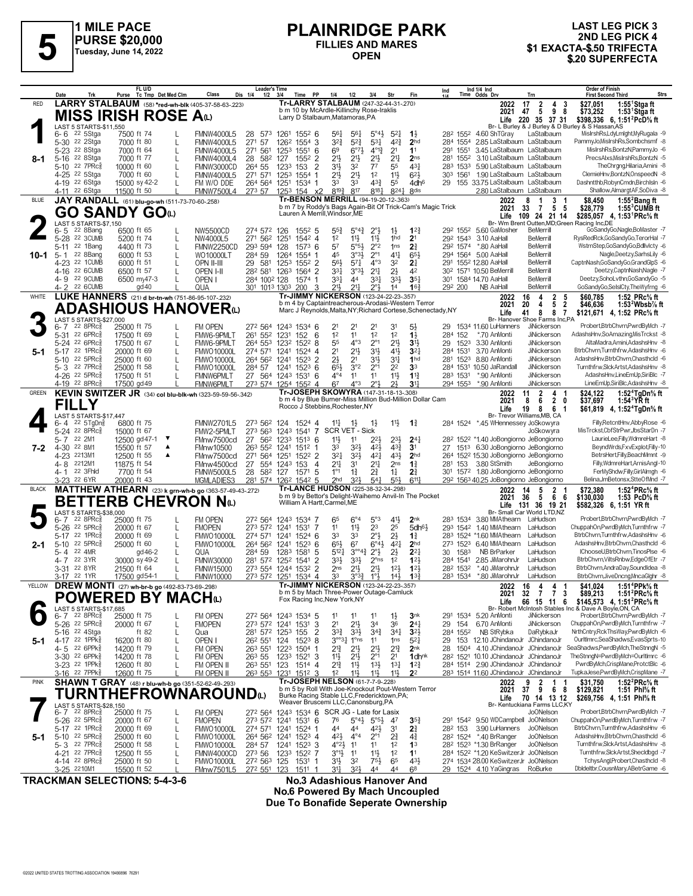

## **PLAINRIDGE PARK FILLIES AND MARES OPEN**

## **LAST LEG PICK 3 2ND LEG PICK 4 1 LATIVITU OL 1 ATTS AND MARES**<br>
Tuesday, June 14, 2022<br>
Tuesday, June 14, 2022<br> **S1 EXACTA-\$.50 TRIFECTA**<br>
S20 SUPERFECTA<br>
S20 SUPERFECTA

|              | Date<br>Trk                                          | FL U/D<br>Tc Tmp Det Med Clm<br>Purse                                              | Class<br>Dis 1/4                                            | <b>Leader's Time</b><br>PP<br>$1/2$ $3/4$<br>Time                                  | 1/4<br>Fin<br>1/2<br>3/4<br>Str                                                                                                                                   | Ind 1/4 Ind<br>Time Odds Drv<br>Ind<br>Trn                                                                                                      | <b>Order of Finish</b><br>Strs<br><b>First Second Third</b>                                                                   |
|--------------|------------------------------------------------------|------------------------------------------------------------------------------------|-------------------------------------------------------------|------------------------------------------------------------------------------------|-------------------------------------------------------------------------------------------------------------------------------------------------------------------|-------------------------------------------------------------------------------------------------------------------------------------------------|-------------------------------------------------------------------------------------------------------------------------------|
| <b>RED</b>   |                                                      | LARRY STALBAUM (58) *red-wh-blk (405-37-58-63-.223)                                |                                                             |                                                                                    | Tr-LARRY STALBAUM (247-32-44-31-270)<br>b m 10 by McArdle-Killinchy Rose-Iraklis                                                                                  | 2022<br>17<br>$\frac{2}{5}$<br>2021<br>47                                                                                                       | $1:55$ <sup>1</sup> Stgaft<br>$\begin{array}{cc} 4 & 3 \\ 9 & 8 \end{array}$<br>\$27,051<br>1:53 $1$ Stgaft<br>\$73,252       |
|              | LAST 5 STARTS-\$11,550                               | <b>MISS IRISH ROSE A</b> W                                                         |                                                             |                                                                                    | Larry D Stalbaum, Matamoras, PA                                                                                                                                   | Life 220 35 37 31                                                                                                                               | \$398.336 6. 1:51 <sup>2</sup> PcD <sup>5</sup> / <sub>8</sub> ft                                                             |
|              | 22 5Stga<br>$6 - 6$                                  | 7500 ft 74<br>L.                                                                   | <b>FMNW4000L5</b><br>28                                     | 573 1261 1552 6                                                                    | 561<br>$5^{\circ}4\frac{1}{2}$<br>$5^{21}$<br>$1\frac{1}{2}$<br>$56\frac{1}{4}$                                                                                   | 28 <sup>2</sup> 155 <sup>2</sup> 4.60 ShTGray<br>LaStalbaum                                                                                     | Br- L Burley & J Burley & D Burley & S Hassan, AS<br>MislrshRs,LdyLmlght,MyRugala -9                                          |
|              | 5-30 <sup>22</sup> 2Stga<br>5-23 <sup>22</sup> 8Stga | 7000 ft 80<br>L<br>7000 ft 64<br>L                                                 | 271 57<br><b>FMNW4000L5</b><br>271 561<br><b>FMNW4000L5</b> | 126 <sup>2</sup> 1554 3<br>1253 1551<br>-6                                         | $3^{2}\frac{3}{4}$<br>$5^{2}$<br>$4^{2}3$<br>531<br>69<br>$6^{07}$<br>$4^{013}$<br>2 <sup>1</sup>                                                                 | 2 <sub>hd</sub><br>284 1554 2.85 LaStalbaum LaStalbaum<br>11<br>3.45 LaStalbaum LaStalbaum<br>291 1551                                          | PammyJo, MisIrshRs, Sombchsmf -8<br>MisIrshRs,BontzN,PammyJo -6                                                               |
| 8-1          | 5-16 22 8Stga                                        | 7000 ft 77<br>L                                                                    | <b>FMNW4000L4</b>                                           | 28 582 127<br>$155^2$ 2                                                            | 21}<br>$21\frac{1}{2}$<br>21}<br>2 <sup>11</sup>                                                                                                                  | 3.10 LaStalbaum LaStalbaum<br>2 <sub>ns</sub><br>281 1552                                                                                       | PrecsAlxs, MisIrshRs, BontzN -5<br>TheChrgng,Hilaria,Amini -8                                                                 |
|              | 22 7PRc3<br>$5 - 10$<br>4-25 <sup>22</sup> 5Stga     | 10000 ft 60<br>7000 ft 60<br>L                                                     | 264 55<br>FMNW3000CD<br>271 571<br><b>FMNW4000L5</b>        | $\overline{2}$<br>1233 153<br>1253 1554<br>-1                                      | 31}<br>32<br>55<br>77<br>$21\frac{1}{2}$<br>$21\frac{1}{2}$<br>1 <sup>2</sup><br>11}                                                                              | 431<br>283 1533<br>5.90 LaStalbaum LaStalbaum<br>$6^{2}$<br>303 1561<br>1.90 LaStalbaum LaStalbaum                                              | ClemieHnv,BontzN,OnspeedN -8                                                                                                  |
|              | 4-19 22 6Stga<br>4-11 <sup>22</sup> 6Stga            | 15000 sy 42-2<br>11500 ft 50                                                       | FM W/O DDE<br><b>FMNW7500L4</b>                             | 264 564 1251 1534 1<br>273 57 1253 154 x2                                          | 33<br>33<br>43}<br>55<br>$8^{19\frac{3}{4}}$<br>817<br>$8^{18}$<br>8241                                                                                           | 29 155 33.75 LaStalbaum LaStalbaum<br>4dh <sup>6</sup><br>8 <sub>dis</sub><br>2.80 LaStalbaum LaStalbaum                                        | Dashntthb,RobynCmdn,BirchIsIn -6<br>Shallow, Almargt AF, SoDiva -8                                                            |
| <b>BLUE</b>  |                                                      | JAY RANDALL (61) blu-go-wh (511-73-70-60-.258)                                     |                                                             |                                                                                    | Tr-BENSON MERRILL (94-19-20-12-.363)                                                                                                                              | 2022<br>8<br>$\overline{\mathbf{1}}$<br>3                                                                                                       | 1:55 $2$ Bang ft<br>\$8,450<br>-1                                                                                             |
|              |                                                      | GO SANDY GOധ                                                                       |                                                             | Lauren A Merrill Windsor ME                                                        | b m 7 by Roddy's Bags Again-Bit Of Trick-Cam's Magic Trick                                                                                                        | 2021 33<br>5<br>-7<br>Life 109 24 21 14                                                                                                         | $1:55^3$ CUMB ft<br>- 5<br>\$28,779<br>\$285,057 4, 1:53 <sup>1</sup> PRc <sup>5</sup> / <sub>8</sub> ft                      |
|              | LAST 5 STARTS-\$7,150<br>22 8Bang<br>6-5             | 6500 ft 65                                                                         | NW5500CD                                                    | $155^2$ 5<br>274 572 126                                                           | $5^{\circ}4^{\frac{3}{4}}$<br>$2^{\circ}3$<br>55}<br>$1\frac{1}{2}$                                                                                               | Br- Wm Brent Outten, MD; Green Racing Inc, DE<br>$1^{22}$<br>29 <sup>2</sup> 155 <sup>2</sup> 5.60 GaMosher<br>BeMerrill                        | GoSandyGo,Nagle,BoMaster -7                                                                                                   |
|              | 5-28 22 3CUMB<br>5-11 22 1Bang                       | 5200 ft 74<br>L                                                                    | NW4000L5                                                    | 271 562 1251<br>1542 4                                                             | $11\frac{1}{2}$<br>1 <sup>2</sup><br>$11\frac{1}{2}$<br>1hd<br>2 <sup>1</sup>                                                                                     | 29 <sup>2</sup> 154 <sup>3</sup> 3.10 AaHall<br><b>BeMerrill</b><br>292 1574 *.80 AaHall<br><b>BeMerrill</b>                                    | RysRedRck, GoSandy Go, Teror Hal -7<br>WstrnStep,GoSandyGo,Bdllvlcty -6                                                       |
| 10-1         | 22 8Bang<br>5-1                                      | 4400 ft 73<br>L<br>6000 ft 53<br>I.                                                | FMNW2250CD<br>284 59<br>WO10000LT                           | 293 594 128<br>$1573$ 6<br>1264 1554 1                                             | 57<br>$5^{\circ}5^{\circ}$<br>$2^{\circ}2$<br>1 <sub>ns</sub><br>2 <sup>3</sup><br>3°3 <sup>1</sup><br>45<br>$2^{\circ}1$<br>41                                   | <b>BeMerrill</b><br>294 1564 5.00 AaHall<br>$65\frac{1}{2}$                                                                                     | Nagle,Deetzy,SarhsLily -6                                                                                                     |
|              | 4-23 22 1CUMB<br>4-16 22 6CUMB                       | 6000 ft 51<br>L<br>6500 ft 57<br>L                                                 | 581<br>OPN II-III<br>29<br>OPEN I-II                        | 1253 1552 2<br>28 <sup>2</sup> 58 <sup>1</sup> 126 <sup>3</sup> 156 <sup>4</sup> 2 | $5^{71}$<br>$4^{\circ}3$<br>2 <sup>1</sup><br>561<br>3 <sup>2</sup><br>3°3 <sup>1</sup><br>$2^{11}$<br>$2\frac{1}{2}$<br>331                                      | 291 1552 12.80 AaHall<br><b>BeMerrill</b><br>42<br>30 <sup>2</sup> 1571 10.50 BeMerrill<br><b>BeMerrill</b>                                     | CaptnNash, GoSandy Go, Grand GlpS -6<br>Deetzy,CaptnNash,Nagle -7                                                             |
|              | 4-9 22 9CUMB                                         | 6500 my47-3                                                                        | OPEN I                                                      | 284 1002 128<br>1574 1                                                             | 331<br>44<br>331<br>$3^{3}\frac{1}{2}$                                                                                                                            | $35\frac{1}{4}$<br>301 1584 14.70 AaHall<br><b>BeMerrill</b>                                                                                    | Deetzy,SohoLvthn,GoSandyGo -5                                                                                                 |
| WHITE        | 4-2 22 6CUMB                                         | gd40<br>LUKE HANNERS (21) d br-tn-wh (751-86-95-107-232)                           | QUA                                                         | 301 1013 1303 200<br>3                                                             | 211,<br>$21\frac{1}{4}$<br>2°}<br>14<br>Tr-JIMMY NICKERSON (123-24-22-23-.357)                                                                                    | 16 <sub>3</sub><br>292 200<br><b>BeMerrill</b><br>NB AaHall<br>16<br>4<br>2022                                                                  | GoSandyGo,SelslCty,TheWyfrng -6<br>1:52 PRc% ft<br>\$60.785                                                                   |
|              |                                                      | <b>ADASHIOUS HANOVER</b> (L)                                                       |                                                             |                                                                                    | b m 4 by Captaintreacherous-Arodasi-Western Terror<br>Marc J Reynolds, Malta, NY; Richard Cortese, Schenectady, NY                                                | $\frac{2}{5}$<br>2021<br>4<br>20<br>8<br>8<br>Life<br>41                                                                                        | $\frac{5}{2}$<br>\$46,636<br>1:53 $^2$ Wbsb $\%$ ft<br>$\overline{7}$<br>\$121,671 4, 1:52 PRc <sup>5</sup> / <sub>8</sub> ft |
|              | LAST 5 STARTS-\$27,000<br>$22$ $8$ PR $c_{8}$<br>6-7 | 25000 ft 75<br>L                                                                   | FM OPEN                                                     | 272 564 1243 1534 6                                                                | 21<br>21<br>21<br>31<br>5}                                                                                                                                        | Br- Hanover Shoe Farms Inc,PA<br>1534 11.60 LuHanners<br>JiNickerson<br>29                                                                      | Probert,BtrbChvrn,PwrdByMch -7                                                                                                |
|              | 5-31 22 6PRc                                         | 17500 ft 69<br>L                                                                   | FMW6-9PMLT                                                  | 261 552 1231<br>152<br>- 6                                                         | 1 <sup>2</sup><br>11<br>12<br>1 <sup>2</sup><br>$1\frac{1}{2}$                                                                                                    | 284 152<br>*.70 AnMonti<br>JiNickerson                                                                                                          | AdashsHnv.SoAmazing.MisTrckst -8                                                                                              |
| 5-1          | 5-24 22 6PRc<br>5-17 22 1PRc                         | 17500 ft 67<br>L<br>20000 ft 69<br>L                                               | FMW6-9PMLT<br><b>FMWO10000L</b>                             | 264 553 1232 1522 8<br>274 571 1241<br>1524 4                                      | $4^{\circ}3$<br>55<br>$2^{\circ}1$<br>2 <sup>11</sup><br>2 <sup>1</sup><br>$21\frac{1}{2}$<br>3 <sup>1</sup><br>$4^{11}$                                          | 3 <sup>1</sup><br>29 1523<br>3.30 AnMonti<br><b>JiNickerson</b><br>3 <sup>2</sup><br>3.70 AnMonti<br>284 1531<br><b>JiNickerson</b>             | AltaMadra,Amini,AdashsHnv -8<br>BtrbChvrn,Turnthfrw,AdashsHnv -6                                                              |
|              | 5-10 22 5PRc<br>5-3 22 7PRc                          | 25000 ft 60<br>L<br>25000 ft 58<br>$\mathbf{I}$                                    | <b>FMWO10000L</b><br><b>FMWO10000L</b>                      | 264 562 1241<br>$152^3$ 2<br>284 57 1241<br>$152^3$ 6                              | $2\frac{1}{2}$<br>2 <sup>1</sup><br>$3^{11}$<br>3½<br>3°2<br>2 <sup>2</sup><br>3 <sup>3</sup><br>65}<br>$2^{\circ}1$                                              | 1 <sub>hd</sub><br>8.80 AnMonti<br>281 1523<br>JiNickerson<br>284 1531 10.50 JaRandall<br>JiNickerson                                           | AdashsHnv.BtrbChvrn.Chasthcld -6<br>Turnthfrw.SlckArtst.AdashsHnv -8                                                          |
|              | 4-26 22 5PRc                                         | 17500 ft 51                                                                        | <b>FMNW6PMLT</b>                                            | 27 564 1243 1531 6                                                                 | 11<br>$11\frac{1}{2}$<br>$4^{\circ}4$<br>11                                                                                                                       | $1\frac{13}{4}$<br>283 1531<br>*.90 AnMonti<br>JiNickerson                                                                                      | AdashsHnvLineEmUp.SiriBlc -7                                                                                                  |
| GREEN        | 4-19 22 8PRc                                         | 17500 gd 49<br>KEVIN SWITZER JR (34) col blu-blk-wh (323-59-59-56-342)             | <b>FMNW6PMLT</b>                                            | 273 574 1254 1552 4                                                                | 67<br>$4^{\circ}3$<br>$2^{\circ}1$<br>21<br>Tr-JOSEPH SKOWYRA (147-31-18-13-308)                                                                                  | 3 <sup>11</sup><br>294 1553 *.90 AnMonti<br><b>JiNickerson</b><br>11<br>$\overline{2}$<br>2022                                                  | LineEmUp.SiriBlc.AdashsHnv -8<br>1:52 <sup>4</sup> TaDn% ft<br>\$24.122<br>4<br>-1                                            |
|              | <b>FILLY</b>                                         |                                                                                    |                                                             |                                                                                    | b m 4 by Blue Burner-Miss Million Bud-Million Dollar Cam<br>Rocco J Stebbins, Rochester, NY                                                                       | 2021<br>8<br>6<br>8<br>Life<br>19                                                                                                               | $\mathbf{2}$<br>0<br>\$37,697<br>1:54 $3$ YR ft<br>6 1                                                                        |
|              | LAST 5 STARTS-\$17,447                               |                                                                                    |                                                             |                                                                                    |                                                                                                                                                                   | Br- Trevor Williams, MB, CA                                                                                                                     | \$61,819 4, 1:52 <sup>4</sup> TgDn <sup>5</sup> / <sub>8</sub> ft<br>Filly,RetcntHnv,AbbyRose -6                              |
|              | 6-4 22 5TgDng<br>5-24 22 8PRc <sup>3</sup>           | 6800 ft 75<br>15000 ft 67                                                          | <b>FMNW2701L5</b><br>FMW2-5PMLT<br>273 563                  | 1524 4<br>273 562 124<br>1243 1541 7                                               | 11号<br>$1\frac{3}{4}$<br>$11\frac{1}{4}$<br>13<br>$1\frac{1}{2}$<br>SCR VET - Sick                                                                                | 284 1524 *.45 WHennessey JoSkowyra<br>JoSkowyra                                                                                                 | MisTrckst, CbfStrPwr, JbsStarDn -7                                                                                            |
| 7-2          | 22 2M1<br>$5 - 7$<br>4-30 22 8M1                     | ▼<br>12500 gd 47-1<br>▲<br>15500 ft 57                                             | FMnw7500cd<br>27<br>562<br>FMnw10500                        | 1233 1513 6<br>263 552 1241 1512                                                   | $2^{3}\frac{1}{2}$<br>$11\frac{1}{2}$<br>11<br>221<br>$4^{3}\frac{3}{4}$<br>33<br>32}<br>421<br>3 <sup>1</sup>                                                    | $24\frac{1}{4}$<br>28 <sup>2</sup> 152 <sup>2</sup> *1.40 JoBongiorno JeBongiorno<br>27 1513 6.30 JoBongiorno JeBongiorno                       | LaurieLee,Filly,WdmreHart -8<br>BeyndWrds,FxvExplot,Filly-10                                                                  |
|              | 4-23 2213M1                                          | 12500 ft 55<br>▲                                                                   | FMnw7500cd                                                  | 271 564 1251<br>1522 2                                                             | 323<br>431<br>321<br>421                                                                                                                                          | 2 <sub>hd</sub><br>264 1522 15.30 JoBongiorno JeBongiorno                                                                                       | BetrsHert,Filly,BeachMmnt -9                                                                                                  |
|              | 4-8 2212M1<br>22 3Fhld<br>4- 1                       | 11875 ft 54<br>7700 ft 54                                                          | 27<br>FMnw4500cd<br>28<br><b>FMNW5000L5</b>                 | 554 1243 153<br>$\overline{4}$<br>582 127<br>1571 5                                | 211<br>3 <sup>1</sup><br>21<br>2 <sub>ns</sub><br>$1\frac{3}{4}$<br>$1^{\circ}1$<br>$1\frac{3}{4}$<br>21<br>$1\frac{1}{4}$<br>$2\frac{3}{4}$                      | 3.80 StSmith<br>281 153<br>JeBongiorno<br>301 1572 1.80 JoBongiorno JeBongiorno                                                                 | Filly, WdmreHart, Arnis Angl-10<br>FerMyShdw,Filly,GirlAlmgh -6                                                               |
| <b>BLACK</b> | 3-23 22 6YR                                          | 20000 ft 43<br>MATTHEW ATHEARN (23) k grn-wh-b go (363-57-49-43-.272)              | MGMLADIES3                                                  | 281 574 1262 1542 5                                                                | $3^{2}\frac{1}{2}$<br>2 <sub>hd</sub><br>$5^{4}$<br>$55\frac{1}{2}$<br>Tr-LANCE HUDSON (225-38-32-34-298)                                                         | 6117<br>29 <sup>2</sup> 156 <sup>3</sup> 40.25 JoBongiorno JeBongiorno<br>$\overline{2}$<br>14<br>5<br>2022                                     | Belina, JmBetonsx, StteOfMnd -7<br>1:52 <sup>4</sup> PRc <sup>5</sup> / <sub>8</sub> ft<br>\$72,380                           |
|              |                                                      | <b>BETTERB CHEVRON Nω</b>                                                          |                                                             | William A Hartt, Carmel, ME                                                        | b m 9 by Bettor's Delight-Waihemo Anvil-In The Pocket                                                                                                             | 36<br>5<br>2021                                                                                                                                 | 66<br>\$130,030<br>1:53 $PCD\%$ ft                                                                                            |
|              | LAST 5 STARTS-\$38,000                               |                                                                                    |                                                             |                                                                                    |                                                                                                                                                                   | Life<br>131 36 19 21<br>Br- Small Car World LTD,NZ                                                                                              | \$582,326 6, 1:51 YR ft                                                                                                       |
|              | 22 8PRc3<br>$6 - 7$<br>5-26 22 5PRc                  | 25000 ft 75<br>L<br>20000 ft 67<br>L                                               | FM OPEN<br><b>FMOPEN</b>                                    | 272 564 1243 1534 7<br>273 572 1241 1531 7                                         | 5°3<br>$41\frac{1}{2}$<br>65<br>$6^{\circ}4$<br>$11\frac{1}{2}$<br>2 <sup>3</sup><br>2 <sup>5</sup><br>11                                                         | 2 <sub>nk</sub><br>283 1534 3.80 MMAthearn LaHudson<br>$5$ dh $6\frac{1}{2}$<br>293 1542 1.40 MMAthearn<br>LaHudson                             | Probert, BtrbChvrn, PwrdByMch -7<br>ChuppahOn,PwrdByMch,Turnthfrw -7                                                          |
| 2-1          | 22 1PRc<br>$5-17$<br>5-10 22 5PRc                    | 20000 ft 69<br>L<br>25000 ft 60<br>L                                               | <b>FMWO10000L</b><br><b>FMWO10000L</b>                      | 274 571 1241 1524 6<br>264 562 1241 1523 6                                         | $2^{\circ}3$<br>$2\frac{1}{2}$<br>33<br>33<br>67<br>65}<br>$6^{\circ 4}$<br>$4^{2}$                                                                               | 283 1524 *1.60 MMAthearn<br>LaHudson<br>$1\frac{3}{4}$<br>2 <sub>hd</sub><br>273 1523 6.40 MMAthearn<br>LaHudson                                | BtrbChvrn,Turnthfrw,AdashsHnv -6<br>AdashsHnv, BtrbChvrn, Chasthcld -6                                                        |
|              | 22 4MR<br>$5 - 4$                                    | gd 46-2<br>L                                                                       | 284 59<br>QUA                                               | 1283 1581 5                                                                        | $3^{\circ\circ}4^3$<br>$5^{12}$<br>$2^{\circ}$ <sub>2</sub><br>$2\frac{1}{2}$                                                                                     | 30 1583<br>NB BrParker<br>$2^{2}$<br>LaHudson                                                                                                   | IChooseU.BtrbChvrn.TinosPlse -6                                                                                               |
|              | 22 3YR<br>4- 7<br>3-31 22 8YR                        | 30000 sy 49-2<br>L<br>21500 ft 64                                                  | <b>FMNW30000</b><br><b>FMNW15000</b>                        | 281 572 1252 1541<br>-2<br>273 554 1244 1532 2                                     | 33}<br>$3^{3}\frac{1}{2}$<br>$2^{\circ}$ ns<br>1 <sup>2</sup><br>$21\frac{1}{2}$<br>$21\frac{1}{2}$<br>$12\frac{1}{2}$<br>2 <sub>ns</sub>                         | 123<br>284 1541 2.85 JiMarohnJr<br>LaHudson<br>123<br>*.40 JiMarohnJr<br>282 1532<br>LaHudson                                                   | BtrbChvrn, ViltsRnbw, EdgeOfEtr -7<br>BtrbChvrn,AndraDay,SoundIdea -8                                                         |
| YELLOW       | 3-17 22 1YR                                          | 17500 gd54-1<br><b>DREW MONTI</b> (27) wh-br-b go (492-83-73-69-298)               | <b>FMNW10000</b>                                            | 273 572 1251 1534 4                                                                | 33<br>$3^{03}\frac{3}{4}$<br>$1^{\circ}$<br>$14\frac{1}{2}$<br>Tr-JIMMY NICKERSON (123-24-22-23-.357)                                                             | $1^{3\frac{3}{7}}$<br>283 1534 *.80 JiMarohnJr<br>LaHudson<br>2022 16 4 4 1                                                                     | BtrbChvrn, JiveDncng, MncaGlghr -8<br>1:51 <sup>4</sup> PPk% ft<br>\$41.024                                                   |
|              |                                                      | <b>POWERED BY MACH</b> (L)                                                         |                                                             | Fox Racing Inc, New York, NY                                                       | b m 5 by Mach Three-Power Outage-Camluck                                                                                                                          | 2021 32 7 7 3                                                                                                                                   | \$89,213<br>1:51 ${}^{2}$ PRc ${}^{5}_{8}$ ft                                                                                 |
|              | AST 5 STARTS-\$17,685                                |                                                                                    |                                                             |                                                                                    |                                                                                                                                                                   | 66 15 11 6<br>Life                                                                                                                              | \$145,573 4, 1:51 <sup>2</sup> PRc <sup>5</sup> / <sub>8</sub> ft<br>Br- Robert McIntosh Stables Inc & Dave A Boyle, ON, CA   |
|              | $22$ 8PR $c_{8}^{5}$<br>6-7<br>5-26 22 5PRc          | 25000 ft 75<br>L<br>20000 ft 67<br>L                                               | FM OPEN<br><b>FMOPEN</b>                                    | 272 564 1243 1534 5<br>273 572 1241 1531 3                                         | 11<br>$1\frac{1}{2}$<br>11<br>$21\frac{1}{2}$<br>34<br>36<br>21                                                                                                   | 3 <sub>nk</sub><br>291 1534 5.20 AnMonti<br>JiNickerson<br>$24\frac{1}{4}$<br>29 154<br>6.70 AnMonti<br>JiNickerson                             | Probert,BtrbChvrn,PwrdByMch -7<br>ChuppahOn,PwrdByMch,Turnthfrw -7                                                            |
| 5-1          | 5-16 <sup>22</sup> 4Stga<br>4-17 22 1PPks            | ft $82$<br>L<br>16200 ft 80<br>L                                                   | Qua<br>OPEN I                                               | 281 572 1253 155<br>$\overline{2}$<br>26 <sup>2</sup> 55 <sup>1</sup> 124<br>15238 | $3^{3}\frac{3}{4}$<br>$3^{3}\frac{1}{2}$<br>$34\frac{1}{4}$<br>34}<br>$3^{003}$ <sup>1</sup><br>$1^{\circ}$ ns<br>11<br>1 <sub>ns</sub>                           | 3 <sup>2</sup><br>NB StRybka<br>DaRybkaJr<br>284 1552<br>$5^{2}$<br>29 153 12.10 JChindanoJr JChindanoJr                                        | NrthCntry,RckThsWay,PwrdByMch -6<br>OurltImrc,SeaShadws,EvasSprts-10                                                          |
|              | 4-5 22 6PPk <sup>5</sup>                             | 14200 ft 79                                                                        | FM OPEN                                                     | 263 551 1223 1504 1                                                                | 21<br>21}<br>$2^{13}$<br>2 <sup>11</sup>                                                                                                                          | 2 <sub>nk</sub><br>1504 4.10 JChindanoJr JChindanoJr<br>28                                                                                      | SeaShadws,PwrdByMch,TheStnngN -5                                                                                              |
|              | 3-30 22 6PPk<br>3-23 <sup>22</sup> 1PPk              | 14200 ft 78<br>12600 ft 80                                                         | 263 55<br>FM OPEN<br>FM OPEN II                             | 1233 1521 3<br>263 551 123<br>1514 4                                               | 2 <sup>1</sup><br>$2^{\circ}1$<br>$11\frac{1}{2}$<br>$21\frac{1}{2}$<br>$2^{13}$<br>11号<br>$13\frac{1}{2}$<br>$13\frac{1}{4}$                                     | 28 <sup>2</sup> 152 <sup>1</sup> 10.10 JChindanoJr JChindanoJr<br>1 <sub>dhnk</sub><br>284 1514 2.90 JChindanoJr JChindanoJr<br>$12\frac{3}{4}$ | TheStnngN=PwrdByMch=OurltImrc -6<br>PwrdByMch,CrispMane,ProtctBlc -6                                                          |
|              | 3-16 22 7PPk <sup>5</sup>                            | 12600 ft 75                                                                        | FM OPEN II                                                  | 263 553 1231 1512 3                                                                | $11\frac{1}{2}$<br>2 <sup>2</sup><br>1 <sup>2</sup><br>$11\frac{1}{2}$<br>11}                                                                                     | 283 1514 11.60 JChindanoJr JChindanoJr                                                                                                          | TupkaJese,PwrdByMch,CrispMane -7                                                                                              |
| PINK         |                                                      | SHAWN T GRAY (48) r blu-wh-b go (351-52-62-49-.293)<br><b>TURNTHEFROWNAROUND</b> ω |                                                             |                                                                                    | <b>Tr-JOSEPH NELSON (61-7-7-9-228)</b><br>b m 5 by Roll With Joe-Knockout Pout-Western Terror                                                                     | 2022<br>9<br>2<br>$\overline{1}$<br>2021 37<br>9                                                                                                | 1:52 $^{2}$ PRc $\%$ ft<br>\$31,750<br>-1<br>68<br>\$129,821<br>1:51 Phl% ft                                                  |
|              | LAST 5 STARTS-\$28,150                               |                                                                                    |                                                             |                                                                                    | Burke Racing Stable LLC, Fredericktown, PA;<br>Weaver Bruscemi LLC, Canonsburg, PA                                                                                | 70 14 13 12<br>Life<br>Br- Kentuckiana Farms LLC,KY                                                                                             | \$269,756 4, 1:51 Phl <sup>5</sup> / <sub>8</sub> ft                                                                          |
|              | 6-7 22 8PRc <sup>5</sup><br>5-26 <sup>22</sup> 5PRc  | 25000 ft 75<br>L<br>20000 ft 67<br>L                                               | FM OPEN<br><b>FMOPEN</b>                                    | 273 572 1241 1531 6                                                                | 272 564 1243 1534 6 SCR JG - Late for Lasix<br>$5^{\circ}4\frac{1}{2}$<br>$5^{\circ 5\frac{1}{2}}$<br>76<br>47                                                    | Jo0Nelson<br>291 1542 9.50 WDCampbell JoONelson<br>$35\frac{3}{4}$                                                                              | Probert,BtrbChvrn,PwrdByMch -7<br>ChuppahOn,PwrdByMch,Turnthfrw -7                                                            |
|              | 5-17 22 1PRc                                         | 20000 ft 69<br>L                                                                   | <b>FMWO10000L</b>                                           | 274 571 1241 1524 1                                                                | 44<br>44<br>421,<br>3 <sup>1</sup><br>$2\frac{3}{4}$                                                                                                              | 3.90 LuHanners<br>JoONelson<br>282 153                                                                                                          | BtrbChvrn.Turnthfrw.AdashsHnv -6                                                                                              |
| 5-1          | 5-10 22 5PRc<br>5-3 22 7PRc                          | 25000 ft 60<br>L<br>25000 ft 58<br>L                                               | <b>FMWO10000L</b><br><b>FMWO10000L</b>                      | 264 562 1241 1523 4<br>284 57 1241 1523 3                                          | $4^{2}\frac{1}{2}$<br>$4^{\circ}4$<br>$2^{\circ}1$<br>$2\frac{3}{4}$<br>$4\frac{3}{4}$<br>1 <sup>2</sup><br>$4^{\circ}2\frac{1}{2}$<br>11<br>11<br>1 <sup>3</sup> | 282 1524 *.40 BrRanger<br><b>JoONelson</b><br>282 1523 *1.30 BrRanger<br><b>JoONelson</b>                                                       | AdashsHnv,BtrbChvrn,Chasthcld -6<br>Turnthfrw,SlckArtst,AdashsHnv -8                                                          |
|              | 4-21 22 7PRc<br>4-14 22 8PRc <sup>3</sup>            | 12500 ft 55<br>L<br>25000 ft 50                                                    | FMNW4000CD<br><b>FMWO10000L</b>                             | 273 56 1233 1522 7<br>272 563 125<br>1531 1                                        | $3^{01}$<br>11<br>$11\frac{1}{2}$<br>1 <sup>2</sup><br>1 <sup>1</sup><br>31}<br>3 <sup>2</sup><br>$75\frac{1}{2}$<br>65                                           | 284 1522 *1.20 KeSwitzerJr JoONelson<br>431<br>274 1534 28.00 KeSwitzerJr JoONelson                                                             | Turnthfrw,SlckArtst,Shecldbgd -7<br>TchysAngl,Probert,Chasthcld -8                                                            |
|              | 3-25 2210M1                                          | 15500 ft 52                                                                        | FMnw7501L5                                                  | 272 551 123<br>1511                                                                | 31}<br>$3^{2}\frac{1}{2}$<br>44<br>44<br>68                                                                                                                       | 29 1524 4.10 YaGingras<br>RoBurke                                                                                                               | Dbldeltbr,CousnMary,ABetrGame -6                                                                                              |

**TRACKMAN SELECTIONS: 5-4-3-6 No.3 Adashious Hanover And No.6 Powered By Mach Uncoupled Due To Bonafide Seperate Ownership**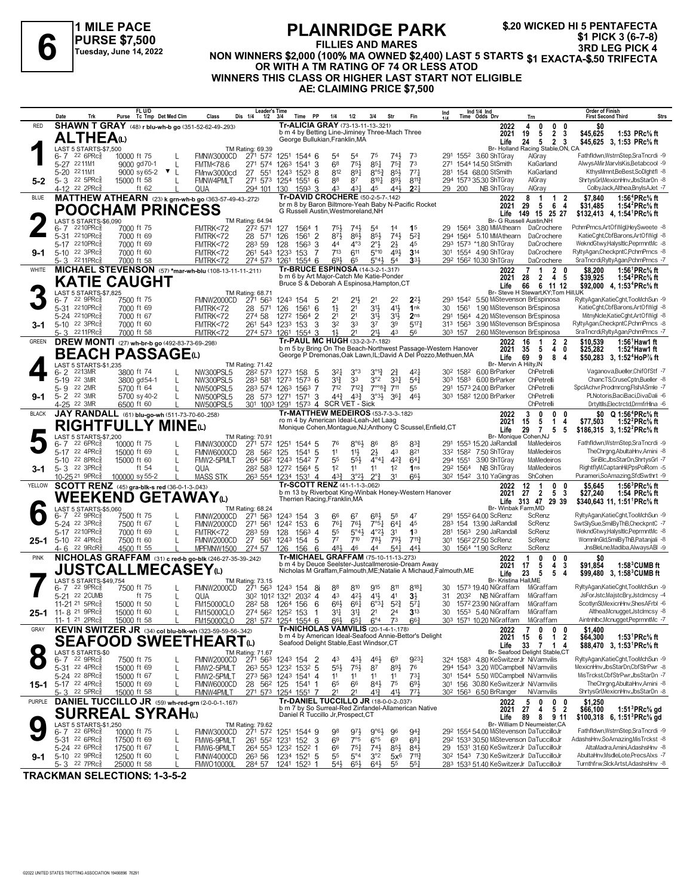

**1 MILE PACE PURSE \$7,500 Tuesday, June 14, 2022**

#### **PLAINRIDGE PARK FILLIES AND MARES** FLAINNIDUL FARM<br>FILLIES AND MARES 3RD LEG PICK 3 (6-7-8)<br>NON WINNERS \$2,000 (100% MA OWNED \$2,400) LAST 5 STARTS \$1 EXACTA-\$.50 TRIFECTA **OR WITH A TM RATING OF 74 OR LESS ATOD WINNERS THIS CLASS OR HIGHER LAST START NOT ELIGIBLE AE: CLAIMING PRICE \$7,500 \$.20 WICKED HI 5 PENTAFECTA \$1 PICK 3 (6-7-8)**

|              | Trk<br>Date                                                    | FL U/D<br>Tc Tmp Det Med Clm<br>Purse                      | Dis 1/4<br>Class                             | <b>Leader's Time</b><br>$1/2$ $3/4$ | Time PP                                                                                                                                                                                 |                | 1/4<br>1/2                                                           | 3/4                                          | Str                                 | Fin                                                         | <b>Order of Finish</b><br>Ind 1/4 Ind<br>Time Odds Drv<br>Ind<br>Strs<br><b>First Second Third</b><br>Trn                                                                                             |
|--------------|----------------------------------------------------------------|------------------------------------------------------------|----------------------------------------------|-------------------------------------|-----------------------------------------------------------------------------------------------------------------------------------------------------------------------------------------|----------------|----------------------------------------------------------------------|----------------------------------------------|-------------------------------------|-------------------------------------------------------------|-------------------------------------------------------------------------------------------------------------------------------------------------------------------------------------------------------|
| <b>RED</b>   |                                                                | <b>SHAWN T GRAY</b> (48) r blu-wh-b go (351-52-62-49-.293) |                                              |                                     | Tr-ALICIA GRAY (73-13-11-13-321)                                                                                                                                                        |                |                                                                      |                                              |                                     |                                                             | 2022<br>\$0<br>4<br>0<br>0<br>0                                                                                                                                                                       |
|              | ALTHEAധ                                                        |                                                            |                                              |                                     | b m 4 by Betting Line-Jiminey Three-Mach Three<br>George Bullukian, Franklin, MA                                                                                                        |                |                                                                      |                                              |                                     |                                                             | $\overline{2}$<br>\$45,625<br>2021<br>19<br>5<br>-3<br>1:53 PRc% ft<br>$\overline{2}$<br>24<br>5<br>-3<br>\$45,625 3, 1:53 PRc% ft<br>Life                                                            |
|              | LAST 5 STARTS-\$7,500                                          |                                                            | TM Rating: 69.39                             |                                     |                                                                                                                                                                                         |                |                                                                      |                                              |                                     |                                                             | Br- Holland Racing Stable, ON, CA                                                                                                                                                                     |
|              | $226$ PRc $\frac{5}{8}$<br>6-7<br>2211M1<br>$5 - 27$           | 10000 ft 75<br>9000 gd70-1<br>L                            | 271 572<br>FMNW3000CD<br><b>FMTM&lt;78.6</b> | 271 574                             | 1251 1544 6<br>1263 1541 3                                                                                                                                                              |                | 54<br>54<br>68<br>751                                                | 75<br>$85\frac{1}{4}$                        | 74}<br>$75\frac{3}{4}$              | 73<br>73                                                    | Fathfldwn, WstrnStep, SraTncrdi -9<br>291 1552 3.60 ShTGray<br>AlGray<br>KaGarland<br>AlwysAMir, MarvlsKis, Betabcool -9<br>271 1544 14.50 StSmith                                                    |
|              | 5-20 2211M1                                                    | 9000 sy 65-2 $\blacktriangledown$ L                        | FMnw3000cd<br>27 551                         |                                     | 1243 1523 8                                                                                                                                                                             |                | 812<br>891                                                           | $8^{\circ 5\frac{3}{4}}$                     | $85\frac{1}{2}$                     | 771                                                         | KaGarland<br>KthysMmnt,BeBest,SoDlghtfl -8<br>281 154 68.00 StSmith                                                                                                                                   |
| $5-2$        | $5 - 3$ 22 5PRc $\frac{5}{8}$                                  | 15000 ft 58                                                | FMNW4PMLT                                    | 271 573                             | 1254 1551 6                                                                                                                                                                             |                | 88<br>87                                                             | $8^{10}\frac{1}{4}$                          | 893                                 | $8^{11}\frac{3}{4}$                                         | 294 1573 35.30 ShTGray<br>ShrtysGrl, MexicnHnv, JbsStarDn -8<br>AlGray                                                                                                                                |
|              | 4-12 22 2PRc <sub>8</sub>                                      | ft 62                                                      | QUA<br>294 101                               |                                     | 130<br>$1593$ 3<br>Tr-DAVID CROCHERE (50-2-5-7-.142)                                                                                                                                    |                | 43<br>431                                                            | 45                                           | 441                                 | $2^{2}$                                                     | ColbyJack,Althea,BnyIsAJet -7<br>29 200<br>NB ShTGray<br>AlGray<br>8                                                                                                                                  |
| <b>BLUE</b>  |                                                                | MATTHEW ATHEARN (23) k grn-wh-b go (363-57-49-43-.272)     |                                              |                                     | br m 8 by Baron Biltmore-Yeah Baby N-Pacific Rocket                                                                                                                                     |                |                                                                      |                                              |                                     |                                                             | 1:56 <sup>4</sup> PRc <sup>5</sup> / <sub>8</sub> ft<br>$\overline{1}$<br>$\overline{1}$<br>\$7.840<br>2022<br>2<br>29<br>5<br>6<br>$\overline{4}$<br>\$31,485<br>2021<br>1:54 ${}^2$ PRc ${}^5\!$ ft |
|              |                                                                | <b>POOCHAM PRINCESS</b>                                    |                                              |                                     | G Russell Austin, Westmoreland, NH                                                                                                                                                      |                |                                                                      |                                              |                                     |                                                             | Life 149 15 25 27<br>\$132,413 4, 1:54 <sup>1</sup> PRc <sup>5</sup> / <sub>8</sub> ft                                                                                                                |
|              | LAST 5 STARTS-\$6,090<br>2210PRc<br>6- 7                       | 7000 ft 75                                                 | TM Rating: 64.94<br>FMTRK<72<br>272 571      |                                     | 127 1564 1                                                                                                                                                                              |                | 75}<br>$74\frac{1}{2}$                                               | 54                                           | 14                                  | 1 <sup>5</sup>                                              | Br- G Russell Austin, NH<br>PchmPrncs,ArtOfWigl,HeySweete -8<br>29<br>3.80 MMAthearn<br>DaCrochere<br>1564                                                                                            |
|              | 2210PRc<br>5-31                                                | 7000 ft 69                                                 | FMTRK<72                                     |                                     | 1561 2<br>28 571 126                                                                                                                                                                    |                | 86}<br>$8^{7}\frac{1}{2}$                                            | 85}                                          | $74\frac{1}{2}$                     | $5^{2}$                                                     | 294 1564 5.10 MMAthearn<br>KatieCght,CbfBarons,ArtOfWigl -8<br>DaCrochere                                                                                                                             |
|              | 5-17 2210PRc<br>5-10 22 3PRc <sup>5</sup>                      | 7000 ft 69<br>7000 ft 60                                   | FMTRK<72<br>283 59                           |                                     | 128<br>$1563$ 3<br>261 543 1233 153                                                                                                                                                     |                | $4^{\circ}3$<br>44<br>713                                            | $2^{\circ}$<br>$5^{\circ}10$                 | 2}<br>491                           | 45<br>314                                                   | WekndGtwy.Halvsltlc.PeprmntMc -8<br>293 1573 *1.80 ShTGrav<br>DaCrochere<br>RvitvAgan.CheckpntC.PchmPrncs -8                                                                                          |
| $9-1$        | 2211PRc៖<br>5-3                                                | 7000 ft 58                                                 | FMTRK<72<br>FMTRK<72                         | 274 573                             | 1261 1554 6                                                                                                                                                                             | 7              | 611<br>693<br>65                                                     | 5°4 <sup>3</sup>                             | 54                                  | 334                                                         | 301 1554 4.90 ShTGray<br>DaCrochere<br>292 1562 10.30 ShTGray<br>DaCrochere<br>SraTncrdi,RyltyAgan,PchmPrncs -7                                                                                       |
| WHITE        |                                                                | MICHAEL STEVENSON (57) *mar-wh-blu (108-13-11-11-211)      |                                              |                                     | Tr-BRUCE ESPINOSA (14-3-2-1-.317)                                                                                                                                                       |                |                                                                      |                                              |                                     |                                                             | $\overline{7}$<br>$\overline{1}$<br>$\overline{2}$<br>1:56 <sup>1</sup> PRc <sup>5</sup> / <sub>8</sub> ft<br>2022<br>0<br>\$8,200                                                                    |
|              |                                                                | <b>KATIE CAUGHT</b>                                        |                                              |                                     | b m 6 by Art Major-Catch Me Katie-Ponder<br>Bruce S & Deborah A Espinosa, Hampton, CT                                                                                                   |                |                                                                      |                                              |                                     |                                                             | 5<br>\$39,925<br>2021<br>28<br>- 2<br>$\overline{4}$<br>1:54 ${}^2$ PRc ${}^5\!$ ft                                                                                                                   |
|              | LAST 5 STARTS-\$7,825                                          |                                                            | TM Rating: 68.71                             |                                     |                                                                                                                                                                                         |                |                                                                      |                                              |                                     |                                                             | \$92,000 4, 1:53 <sup>4</sup> PRc% ft<br>Life<br>66<br>6<br>11 12<br>Br- Steve H Stewart, KY; Tom Hill, UK                                                                                            |
|              | $22$ 9PR $c_{8}$<br>$6 - 7$                                    | 7500 ft 75                                                 | FMNW2000CD<br>271 563                        |                                     | 1243 154 5                                                                                                                                                                              |                | 21                                                                   | 21                                           | 22                                  | $2^{2}$                                                     | 293 1542 5.50 MiStevenson BrEspinosa<br>RyltyAgan,KatieCght,TooMchSun -9                                                                                                                              |
|              | 2210PRc흏<br>5-31<br>5-24 2210PRcs                              | 7000 ft 69<br>7000 ft 67                                   | FMTRK<72<br>28 571<br>FMTRK<72<br>274 58     |                                     | 126 1561<br>1272 1564 2                                                                                                                                                                 | 6              | 2 <sup>1</sup><br>$1\frac{1}{2}$<br>2 <sup>1</sup><br>2 <sup>1</sup> | 3 <sup>1</sup><br>31}                        | 41}<br>3 <sup>1</sup>               | 1nk<br>2 <sub>ns</sub>                                      | KatieCght,CbfBarons,ArtOfWigl -8<br>1.90 MiStevenson BrEspinosa<br>30<br>1561<br>MitnyNcle,KatieCght,ArtOfWigl -8<br>4.20 MiStevenson BrEspinosa<br>291<br>1564                                       |
| 3-1          | 5-10 22 3PRcs                                                  | 7000 ft 60                                                 | FMTRK<72                                     |                                     | 261 543 1233 153                                                                                                                                                                        | 3              | 32<br>33                                                             | 37                                           | 39                                  | $5^{17}\frac{3}{4}$                                         | 3.90 MiStevenson BrEspinosa<br>RyltyAgan,CheckpntC,PchmPrncs -8<br>313 1563                                                                                                                           |
|              | 2211PRc៖<br>5-3                                                | 7000 ft 58                                                 | FMTRK<72                                     |                                     | 274 573 1261 1554 3                                                                                                                                                                     |                | $1\frac{1}{2}$<br>21                                                 | 211,                                         | 43                                  | 56                                                          | SraTncrdi,RyltyAgan,PchmPrncs -7<br>303 157<br>2.60 MiStevenson BrEspinosa                                                                                                                            |
| <b>GREEN</b> |                                                                | DREW MONTI (27) wh-br-b go (492-83-73-69-298)              |                                              |                                     | Tr-PAUL MC HUGH (33-2-3-7-182)                                                                                                                                                          |                |                                                                      |                                              |                                     |                                                             | 2<br>2022<br>16<br>2<br>\$10.539<br>$1:56$ <sup>1</sup> Haw 1 ft<br>b m 5 by Bring On The Beach-Northwest Passage-Western Hanover<br>2021<br>35<br>4<br>1:52 $4$ Haw1 ft<br>5<br>0<br>\$25,282        |
|              |                                                                | <b>BEACH PASSAGE</b> W                                     |                                              |                                     |                                                                                                                                                                                         |                |                                                                      |                                              |                                     |                                                             | George P Dremonas, Oak Lawn, IL; David A Del Pozzo, Methuen, MA<br>69<br>Life<br>9<br>8<br>4<br>\$50,283  3, 1:52 <sup>4</sup> HoP‰ ft                                                                |
|              | LAST 5 STARTS-\$1,235<br>2213MR<br>6-2                         | 3800 ft 74                                                 | TM Rating: 71.42<br><b>NW300PSL5</b>         | 282 573                             | 1273 158                                                                                                                                                                                | 5              | 321<br>$3^{\circ}3$                                                  |                                              |                                     | 421                                                         | Br- Mervin A Hilty, IN<br>30 <sup>2</sup> 158 <sup>2</sup> 6.00 BrParker<br>Vaganova.Bueller.ChifOfStf -7<br>ChPetrelli                                                                               |
|              | 5-19 22 3MR                                                    | 3800 gd54-1                                                | <b>NW300PSL5</b>                             |                                     | 283 581 1273 1573 6                                                                                                                                                                     |                | $3^{13}$<br>33                                                       | 3°2                                          | $33\frac{1}{4}$                     | $5^{4}$                                                     | ChancTS,CruseCptn,Bueller -8<br>303 1583 6.00 BrParker<br>ChPetrelli                                                                                                                                  |
|              | 22 2MR<br>5-9                                                  | L<br>5700 ft 64                                            | <b>NW500PSL5</b>                             |                                     | 283 574 1263 1563 7                                                                                                                                                                     |                | 712 <sup>3</sup><br>712                                              | $7^{\circ}83$                                | 711                                 | 55                                                          | SpcIAchvr,Prodmrcng,FlshASmle -7<br>291 1573 24.00 BrParker<br>ChPetrelli                                                                                                                             |
| $9-1$        | 5-2 <sup>22</sup> 3MR<br>4-25 22 3MR                           | 5700 sy 40-2<br>6500 ft 60                                 | NW500PSL5<br><b>NW500PSL5</b>                |                                     | 28 573 1271 1571 3<br>301 1003 1291 1573 4 SCR VET - Sick                                                                                                                               |                | $44\frac{3}{4}$<br>$4^{3}\frac{3}{4}$                                |                                              | $3^{\circ}3^{\circ}3$ $36^{\circ}4$ | 461                                                         | 303 1582 12.00 BrParker<br>ChPetrelli<br>PLNotoris, BaciBaci, DivaDali -6<br>ChPetrelli<br>Drtyltlls, Electrctd, DrmfrHlna -6                                                                         |
| <b>BLACK</b> |                                                                | JAY RANDALL (61) blu-go-wh (511-73-70-60-.258)             |                                              |                                     | <b>Tr-MATTHEW MEDEIROS (53-7-3-3-182)</b>                                                                                                                                               |                |                                                                      |                                              |                                     |                                                             | Q 1:56 <sup>4</sup> PRc <sup>5</sup> / <sub>8</sub> ft<br>2022<br>3<br>0<br>0<br>\$0                                                                                                                  |
|              |                                                                | <b>RIGHTFULLY MINE</b> (L)                                 |                                              |                                     | ro m 4 by American Ideal-Leah-Jet Laag                                                                                                                                                  |                |                                                                      |                                              |                                     | Monique Cohen, Montague, NJ; Anthony C Scussel, Enfield, CT | 2021<br>5<br>1:52 $^{2}$ PRc $\%$ ft<br>15<br>1<br>\$77,503<br>4                                                                                                                                      |
|              | LAST 5 STARTS-\$7,200                                          |                                                            | TM Rating: 70.91                             |                                     |                                                                                                                                                                                         |                |                                                                      |                                              |                                     |                                                             | 29<br>$\overline{7}$<br>5<br>5<br>Life<br>\$186,315 3, 1:52 <sup>2</sup> PRc <sup>5</sup> / <sub>8</sub> ft<br>Br- Monique Cohen, NJ                                                                  |
|              | $226$ PR $c_{8}$<br>6-7                                        | 10000 ft 75                                                | FMNW3000CD                                   |                                     | 271 572 1251 1544 5                                                                                                                                                                     |                | 76<br>$8°6\frac{1}{2}$                                               | -86                                          | 85                                  | 83                                                          | Fathfldwn, WstrnStep, SraTncrdi -9<br>291 1553 15.20 JaRandall<br>MaMedeiros                                                                                                                          |
|              | 5-17 22 4PRc <sup>5</sup><br>5-10 22 8PRc <sub>8</sub>         | 15000 ft 69<br>15000 ft 60<br>L                            | FMNW6000CD<br>FMW2-5PMLT                     |                                     | 28 562 125<br>1541 5<br>264 562 1243 1542 7                                                                                                                                             |                | 11<br>$11\frac{1}{2}$<br>$55\frac{1}{2}$<br>55                       | $2\frac{1}{2}$<br>$4^{\circ}4^{\frac{1}{4}}$ | 43<br>$4^{23}$                      | 821<br>$64\frac{1}{4}$                                      | 332 1582 7.50 ShTGray<br>MaMedeiros<br>TheChrgng,AbultaHnv,Amini -8<br>3.90 ShTGray<br>MaMedeiros<br>SiriBlc, JbsStarDn, ShrtysGrl -7<br>294 1551                                                     |
| 3-1          | 5-3 22 3PRc                                                    | ft 54<br>L                                                 | QUA                                          |                                     | 28 <sup>2</sup> 58 <sup>3</sup> 127 <sup>2</sup> 1564 5                                                                                                                                 |                | 1 <sup>2</sup><br>11                                                 | 11                                           | 1 <sup>2</sup>                      | 1 <sub>ns</sub>                                             | RightflyM,CaptanHil,PpsPolRom -5<br>292 1564<br>NB ShTGray<br>MaMedeiros                                                                                                                              |
|              | 10-25 <sup>21</sup> 9PRc <sup>5</sup>                          | 100000 sy 55-2                                             | <b>MASS STK</b>                              |                                     | 263 554 1234 1531 4                                                                                                                                                                     |                | $43\frac{3}{4}$<br>3°2 <sup>3</sup>                                  | $2^{\circ}$ $\frac{3}{4}$                    | 3 <sup>1</sup>                      | 663                                                         | 30 <sup>2</sup> 154 <sup>2</sup> 3.10 YaGingras<br>ShCohen<br>Purameri,SoAmazing,SfdSwthrt -9                                                                                                         |
| YELLOW       |                                                                | SCOTT RENZ (45) gra-blk-s red (36-0-1-3-.043)              |                                              |                                     | Tr-SCOTT RENZ (41-1-1-3-.062)                                                                                                                                                           |                |                                                                      |                                              |                                     | b m 13 by Riverboat King-Winbak Honey-Western Hanover       | \$5.645<br>1:56 ${}^{3}$ PRc ${}^{5}$ ft<br>2022<br>12<br>-1<br>0<br>0<br>27<br>$\overline{2}$<br>3<br>2021<br>5<br>\$27,240<br>1:54 PRc% ft                                                          |
|              |                                                                | <b>WEEKEND GETAWAYω</b>                                    |                                              |                                     | Therrien Racing, Franklin, MA                                                                                                                                                           |                |                                                                      |                                              |                                     |                                                             | 313 47 29 39<br>Life<br>\$340,643 11, 1:51 PRc% ft                                                                                                                                                    |
|              | LAST 5 STARTS-\$5.060<br>6-7 22 9PRc                           | 7500 ft 75                                                 | TM Rating: 68.24<br>271 563<br>FMNW2000CD    |                                     | 1243 154                                                                                                                                                                                | 3              | 66<br>67                                                             | 683                                          | 58                                  | 47                                                          | Br- Winbak Farm, MD<br>RyltyAgan,KatieCght,TooMchSun -9<br>1552 64.00 ScRenz<br>ScRenz<br>291                                                                                                         |
|              | 5-24 22 3PRc                                                   | 7500 ft 67<br>L                                            | 271 561<br>FMNW2000CD                        |                                     | 1242 153                                                                                                                                                                                | 6              | 761<br>76}                                                           | 7°51                                         | $64\frac{1}{4}$                     | 45                                                          | SwtSlySue,SmilByThB,CheckpntC -7<br>283 154 13.90 JaRandall<br>ScRenz                                                                                                                                 |
|              | 5-17 2210PRc3                                                  | 7000 ft 69<br>L                                            | 283 59<br>FMTRK<72                           |                                     | 128<br>15634                                                                                                                                                                            |                | 55<br>5°43                                                           | $4^{\circ}2\frac{1}{2}$                      | 31                                  | 1 <sup>3</sup>                                              | WekndGtwy,HalysItIc,PeprmntMc -8<br>281 1563 2.90 JaRandall<br>ScRenz                                                                                                                                 |
| 25-1         | 5-10 22 4PRcs<br>4-6 22 9RcR $\frac{5}{8}$                     | 7500 ft 60<br>4500 ft 55                                   | 27 561<br>FMNW2000CD<br>MPFMNW1500<br>274 57 |                                     | 1243 154<br>126<br>156                                                                                                                                                                  | -5<br>6        | $7^7$<br>710<br>481<br>46                                            | 78}<br>44                                    | 793<br>$54\frac{1}{4}$              | $7^{11}\frac{3}{4}$<br>441                                  | WomnInGld,SmilByThB,Patanjali -8<br>156 <sup>2</sup> 27.50 ScRenz<br>ScRenz<br>301<br>ScRenz<br>JnsBleLne, Madiba, Always ABI -9<br>30 1564 *1.90 ScRenz                                              |
| <b>PINK</b>  |                                                                | NICHOLAS GRAFFAM (31) c red-b go-blk (246-27-35-39-.242)   |                                              |                                     | Tr-MICHAEL GRAFFAM (75-10-11-13-273)                                                                                                                                                    |                |                                                                      |                                              |                                     |                                                             | 0<br>0<br>2022<br>1<br>\$0<br>0                                                                                                                                                                       |
|              |                                                                | <b>JUSTCALLMECASEY</b> W                                   |                                              |                                     |                                                                                                                                                                                         |                |                                                                      |                                              |                                     | b m 4 by Deuce Seelster-Justcallmerosie-Dream Away          | 5<br>$\overline{4}$<br>3<br>\$91,854<br>$1:583$ CUMB ft<br>2021<br>17<br>Nicholas M Graffam, Falmouth, ME; Natalie A Michaud, Falmouth, ME                                                            |
|              | LAST 5 STARTS-\$49,754                                         |                                                            | TM Rating: 73.15                             |                                     |                                                                                                                                                                                         |                |                                                                      |                                              |                                     |                                                             | 23<br>5<br>\$99,480 3.1:58 ${}^{3}$ CUMB ft<br>Life<br>5<br>4<br>Br- Kristina Hall.ME                                                                                                                 |
|              | $22$ 9PR $c_{8}$<br>6- 7                                       | 7500 ft 75                                                 | 271 563<br>FMNW2000CD                        |                                     | 1243 154                                                                                                                                                                                | 8i             | 810<br>88                                                            | 915                                          | 811                                 | $8^{18}$                                                    | RyltyAgan,KatieCght,TooMchSun -9<br>1573 19.40 NiGraffam<br>MiGraffam<br>30                                                                                                                           |
|              | 5-21 22 2CUMB<br>11-21 21 5PRc <sup>5</sup>                    | ft 75<br>15000 ft 50<br>L                                  | QUA<br><b>FM15000CLO</b><br>282 58           |                                     | 30 <sup>2</sup> 101 <sup>2</sup> 132 <sup>1</sup> 203 <sup>2</sup> 4<br>1264 156                                                                                                        | - 6            | 43<br>42}<br>$66\frac{1}{2}$<br>$66\frac{1}{4}$                      | $41\frac{1}{2}$<br>$6^{o_{31}}$              | 41<br>$5^{2}\frac{3}{4}$            | 3}<br>$5^{7}$                                               | MiGraffam<br>JsForJstc,MajstcBry,JstcImcsy -4<br>203 <sup>2</sup> NB NiGraffam<br>31<br>ScotlynSl, MexicnHnv, ShesAFrbl -6<br>1572 23.90 NiGraffam<br>MiGraffam<br>30                                 |
|              | 25-1 11-8 <sup>21</sup> 9PRc <sup>5</sup>                      | 15000 ft 60                                                | <b>FM15000CLO</b>                            |                                     | 274 562 1252 153                                                                                                                                                                        | $\overline{1}$ | 31<br>$3^{11}$                                                       | 21                                           | 24                                  | $3^{13}$                                                    | Althea, Mcnugget, Jstclmcsy -8<br>30<br>1553 5.40 NiGraffam<br>MiGraffam                                                                                                                              |
|              | 11-1 <sup>21</sup> 2PRc <sup>3</sup>                           | 15000 ft 58                                                | <b>FM15000CLO</b>                            |                                     | $28^1$ 57 <sup>2</sup> 125 <sup>4</sup> 155 <sup>4</sup> 6 6 <sup>6</sup> <sup>1</sup> <sub>2</sub> 6 <sup>5</sup> <sup>1</sup> <sub>4</sub> 6 <sup>°</sup> <sup>4</sup> 7 <sup>3</sup> |                |                                                                      |                                              |                                     | $66\frac{3}{4}$                                             | Aintnhlbc,Mcnugget,PeprmntMc -7<br>303 1571 10.20 NiGraffam<br>MiGraffam                                                                                                                              |
| GRAY         |                                                                | KEVIN SWITZER JR (34) col blu-blk-wh (323-59-59-56-.342)   |                                              |                                     | <b>Tr-NICHOLAS VAMVILIS (20-1-4-1-178)</b>                                                                                                                                              |                |                                                                      |                                              |                                     | b m 4 by American Ideal-Seafood Annie-Bettor's Delight      | 7<br>0<br>0<br>\$1,400<br>2022<br>0<br>$\overline{2}$<br>2021<br>6<br>$\mathbf 1$<br>\$64,300<br>1:53 PRc% ft<br>15                                                                                   |
|              |                                                                | <b>SEAFOOD SWEETHEART@</b>                                 |                                              |                                     | Seafood Delight Stable, East Windsor, CT                                                                                                                                                |                |                                                                      |                                              |                                     |                                                             | 33<br>\$88,470 3, 1:53 <sup>1</sup> PRc <sup>5</sup> / <sub>8</sub> ft<br>Life<br>14<br>7                                                                                                             |
|              | LAST 5 STARTS-\$0<br>6-7 <sup>22</sup> 9PRc <sup>5</sup>       | 7500 ft 75                                                 | TM Rating: 71.67<br>FMNW2000CD               |                                     | 271 563 1243 154 2                                                                                                                                                                      |                | 43<br>431,                                                           | $46\frac{1}{2}$                              | 6 <sup>9</sup>                      | $9^{23}$                                                    | Br- Seafood Delight Stable,CT<br>RyltyAgan,KatieCght,TooMchSun -9<br>324 1583 4.80 KeSwitzerJr NiVamvilis                                                                                             |
|              | 5-31 22 4PRc <sup>5</sup>                                      | 15000 ft 69<br>L                                           | FMW2-5PMLT                                   |                                     | 263 553 1232 1532 5                                                                                                                                                                     |                | 55}<br>$75\frac{1}{2}$                                               | 87                                           | $89\frac{1}{2}$                     | 76                                                          | 294 1543 3.20 WDCampbell NiVamvilis<br>MexicnHnv,JbsStarDn,CbfStrPwr -8                                                                                                                               |
|              | 5-24 22 8PRc <sub>8</sub>                                      | 15000 ft 67                                                | FMW2-5PMLT                                   |                                     | 273 563 1243 1541 4                                                                                                                                                                     |                | 1 <sup>1</sup><br>11                                                 | 11                                           | 11                                  | $73\frac{1}{4}$                                             | 301 1544 5.50 WDCampbell NiVamvilis<br>MisTrckst, CbfStrPwr, JbsStarDn -7<br>TheChrgng,AbultaHnv,Amini -8                                                                                             |
| 15-1         | 5-17 22 4PRc $\frac{5}{8}$<br>$22\,5$ PRc $\frac{5}{8}$<br>5-3 | 15000 ft 69<br>15000 ft 58                                 | FMNW6000CD<br>FMNW4PMLT                      |                                     | 28 562 125 1541 1<br>271 573 1254 1551 7                                                                                                                                                |                | 65<br>66<br>21<br>21                                                 | $84\frac{1}{2}$<br>$4^{13}$                  | 75<br>411                           | $69\frac{1}{2}$<br>771                                      | 301 156 30.80 KeSwitzerJr NiVamvilis<br>ShrtysGrl, MexicnHnv, JbsStarDn -8<br>30 <sup>2</sup> 156 <sup>3</sup> 6.50 BrRanger NiVamvilis                                                               |
| PURPLE       |                                                                | DANIEL TUCCILLO JR (59) wh-red-grn (2-0-0-1-.167)          |                                              |                                     | Tr-DANIEL TUCCILLO JR (18-0-0-2-.037)                                                                                                                                                   |                |                                                                      |                                              |                                     |                                                             | 2022<br>5<br>0<br>0<br>0<br>\$1,250                                                                                                                                                                   |
|              |                                                                | <b>SURREAL SYRAH</b> W                                     |                                              |                                     | Daniel R Tuccillo Jr, Prospect, CT                                                                                                                                                      |                |                                                                      |                                              |                                     | b m 7 by So Surreal-Red Zinfandel-Allamerican Native        | 27<br>5<br>$\overline{2}$<br>2021<br>4<br>\$66,100<br>1:51 $^{\circ}$ PRc $\%$ gd<br>89<br>Life<br>8<br>911<br>\$100,318 6, 1:51 <sup>3</sup> PRc <sup>5</sup> / <sub>8</sub> gd                      |
|              | LAST 5 STARTS-\$1,250                                          |                                                            | TM Rating: 79.62                             |                                     |                                                                                                                                                                                         |                |                                                                      |                                              |                                     |                                                             | Br- William D Neumeister.CA                                                                                                                                                                           |
|              | $6 - 7$ 22 6PRc $\frac{5}{8}$<br>5-31 22 6PRc <sup>5</sup>     | 10000 ft 75<br>17500 ft 69<br>L                            | FMNW3000CD<br>FMW6-9PMLT                     |                                     | 271 572 1251 1544 9<br>261 552 1231 152 3                                                                                                                                               |                | 98<br>$97\frac{1}{2}$<br>6 <sup>9</sup><br>7°5                       | $9°6\frac{1}{2}$<br>$6^{\circ 5}$            | 96<br>6 <sup>9</sup>                | $94\frac{3}{4}$<br>$6^{8}$ <sub>4</sub>                     | Fathfldwn,WstrnStep,SraTncrdi -9<br>292 1554 54.00 MiStevenson DaTuccilloJr<br>AdashsHnv,SoAmazing,MisTrckst -8<br>292 1533 30.50 MiStevenson DaTuccilloJr                                            |
|              | 5-24 22 6PRc <sup>5</sup>                                      | 17500 ft 67<br>L                                           | FMW6-9PMLT                                   |                                     | 264 553 1232 1522 1                                                                                                                                                                     |                | $75\frac{1}{4}$<br>66                                                | $74\frac{1}{2}$                              | $85\frac{1}{2}$                     | $84\frac{1}{2}$                                             | 29 1531 31.60 KeSwitzerJr DaTuccilloJr<br>AltaMadra.Amini.AdashsHnv -8                                                                                                                                |
| 9-1          | 5-10 22 9PRc <sup>5</sup>                                      | 12500 ft 60<br>L                                           | FMNW4000CD<br>26 <sup>3</sup> 56             |                                     | 1234 1521 5                                                                                                                                                                             |                | $5^{\circ}4$<br>55                                                   | 3°2                                          | $5x^6$                              | 711}                                                        | 30 <sup>2</sup> 154 <sup>3</sup> 7.30 KeSwitzerJr DaTuccilloJr<br>AbultaHnv,MsdleLote,PrecsAlxs -7                                                                                                    |
|              | 22 7PRc3<br>3                                                  | 25000 ft 58                                                | <b>FMWO10000L</b><br>284 57                  |                                     | 1241 1523                                                                                                                                                                               |                | 541<br>65}                                                           | $64\frac{1}{2}$                              | 55                                  | 551                                                         | 283 1533 51.40 KeSwitzerJr DaTuccilloJr<br>Turnthfrw,SlckArtst,AdashsHnv -8                                                                                                                           |

**TRACKMAN SELECTIONS: 1-3-5-2**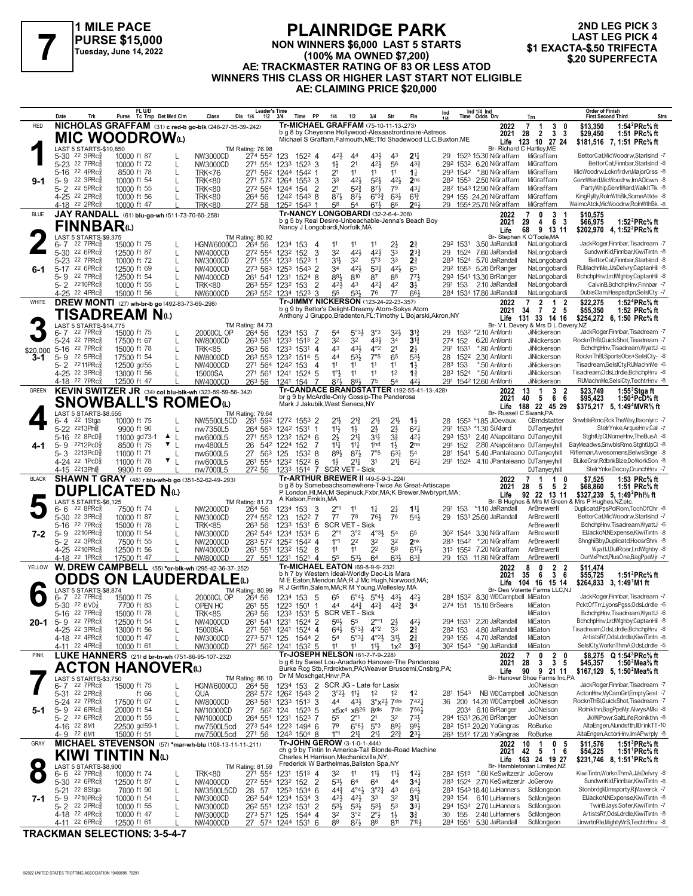

#### **PLAINRIDGE PARK NON WINNERS \$6,000 LAST 5 STARTS (100% MA OWNED \$7,200) AE: TRACKMASTER RATING OF 83 OR LESS ATOD WINNERS THIS CLASS OR HIGHER LAST START NOT ELIGIBLE AE: CLAIMING PRICE \$20,000 FLAINNIDUL FARK**<br>PURSE \$15,000 MON WINNERS \$6,000 LAST 5 STARTS [100% MA OWNED \$7,200]<br>EXACTA-\$.50 TRIFECTA (100% MA OWNED \$7,200) AFTRACKMASTER RATING OF \$2,0 BLESS ATOD \$20 SUPERFECTA

**2ND LEG PICK 3 LAST LEG PICK 4<br>\$1 EXACTA-\$.50 TRIFECTA** 

|              | Date                                                   | Trk                          | FL U/D<br>Purse Tc Tmp Det Med Clm                            |                                    | Class                                                                   | <b>Leader's Time</b><br>Dis 1/4<br>1/2 | Time PP<br>3/4                                                                                  |                | 1/4<br>1/2                                                          | 3/4                                                                                | Str                                       | Fin                                  | Ind                                                             | Ind 1/4 Ind<br>Time Odds Drv |                                                                             | Trn                                                         | <b>Order of Finish</b><br><b>First Second Third</b>                                                                                   | Strs |
|--------------|--------------------------------------------------------|------------------------------|---------------------------------------------------------------|------------------------------------|-------------------------------------------------------------------------|----------------------------------------|-------------------------------------------------------------------------------------------------|----------------|---------------------------------------------------------------------|------------------------------------------------------------------------------------|-------------------------------------------|--------------------------------------|-----------------------------------------------------------------|------------------------------|-----------------------------------------------------------------------------|-------------------------------------------------------------|---------------------------------------------------------------------------------------------------------------------------------------|------|
| <b>RED</b>   |                                                        |                              |                                                               |                                    | NICHOLAS GRAFFAM (31) c red-b go-blk (246-27-35-39-.242)                |                                        | Tr-MICHAEL GRAFFAM (75-10-11-13-273)<br>b g 8 by Cheyenne Hollywood-Alexaastrordinaire-Astreos  |                |                                                                     |                                                                                    |                                           |                                      |                                                                 |                              | 2022                                                                        | 7<br>1<br>3<br>3 <sub>3</sub><br>$\overline{2}$             | 1:54 ${}^{2}$ PRc ${}^{5}$ s ft<br>\$13,350<br>\$29,450<br>1:51 PRc% ft                                                               |      |
|              |                                                        |                              | <b>MIC WOODROW</b>                                            |                                    |                                                                         |                                        |                                                                                                 |                |                                                                     |                                                                                    |                                           |                                      | Michael S Graffam, Falmouth, ME; Tfd Shadewood LLC, Buxton, ME  |                              | 2021                                                                        | 28<br>Life 123 10 27 24                                     | \$181,516 7, 1:51 PRc% ft                                                                                                             |      |
|              | LAST 5 STARTS-\$10,850<br>$5 - 30$                     | $22 \text{ } 3 \text{PRc}^5$ | 10000 ft 87                                                   |                                    | NW3000CD                                                                | TM Rating: 76.98<br>274 552            | 123<br>$152^2$ 4                                                                                |                | $4^{21}$<br>44                                                      | $43\frac{1}{2}$                                                                    | 43                                        | $2^{11}$                             |                                                                 |                              | Br- Richard C Hartley, ME<br>29 1523 15.30 NiGraffam                        | MiGraffam                                                   | BettorCat,MicWoodrw,StarIsInd -7                                                                                                      |      |
|              | 5-23 22 7PRcs<br>$5 - 16$                              | 22 4PRc                      | 10000 ft 72<br>8500 ft 78                                     | L                                  | NW3000CD<br><b>TRK&lt;76</b>                                            | 271 554<br>271 562                     | 1233<br>$152^3$ 3<br>1244 1542 1                                                                |                | $1\frac{1}{2}$<br>21<br>2 <sup>1</sup><br>11                        | 421<br>11                                                                          | 56<br>11                                  | $4^{3}\frac{3}{4}$<br>$1\frac{1}{4}$ |                                                                 |                              | 292 1532 6.20 NiGraffam<br>293 1542 *.80 NiGraffam                          | MiGraffam<br>MiGraffam                                      | BettorCatFinnbar.StarIsInd -8<br>MicWoodrw.Loknfrdvn.MajorCrss -8                                                                     |      |
| $9-1$        | $5 - 9$                                                | $22 \t3PRc8$                 | 10000 ft 54                                                   | L                                  | <b>TRK&lt;80</b>                                                        | 271 572 1264                           | $155^3$ 3                                                                                       |                | 33<br>421                                                           | $5^{2}$                                                                            | 421                                       | 2 <sub>ns</sub>                      |                                                                 |                              | 28 <sup>2</sup> 155 <sup>3</sup> 2.50 NiGraffam                             | MiGraffam                                                   | GenrlWard, MicWoodrw, ImAClown -8                                                                                                     |      |
|              | $5 - 2$<br>22 5PRc<br>4-25 <sup>22</sup> 2PRc3         |                              | 10000 ft 55<br>10000 ft 56                                    |                                    | <b>TRK&lt;80</b><br><b>TRK&lt;80</b>                                    | 272 564<br>264 56                      | 1244<br>154<br>1242 1543 8                                                                      | -2             | 2 <sup>1</sup><br>$5^{2}$<br>$87\frac{1}{2}$<br>$8^{7}\frac{1}{2}$  | 873<br>$6^{o_{3}\frac{3}{4}}$                                                      | 79<br>$63\frac{1}{2}$                     | 43 <sup>1</sup><br>$6^{13}$          |                                                                 |                              | 28 <sup>2</sup> 1543 12.90 NiGraffam<br>294 155 24.20 NiGraffam             | MiGraffam<br>MiGraffam                                      | PartyWhip,GenrlWard,WalkItTlk -8<br>KingRylty,RolnWthBk,SomeAttde -8                                                                  |      |
|              | 4-18 <sup>22</sup> 2PRc                                |                              | 10000 ft 47                                                   |                                    | <b>TRK&lt;80</b>                                                        | 272 58                                 | 1252 1543 1                                                                                     |                | 5 <sup>8</sup><br>54                                                | $6^{7}\frac{1}{2}$                                                                 | 66                                        | 261                                  |                                                                 |                              | 29 1554 25.70 NiGraffam                                                     | MiGraffam                                                   | WaimcAtck, MicWoodrw, Roln Wth Bk -8                                                                                                  |      |
| <b>BLUE</b>  |                                                        |                              | JAY RANDALL (61) blu-go-wh (511-73-70-60-.258)                |                                    |                                                                         |                                        | Tr-NANCY LONGOBARDI (32-2-6-4-.208)<br>b q 5 by Real Desire-Unbeachable-Jenna's Beach Boy       |                |                                                                     |                                                                                    |                                           |                                      |                                                                 |                              | 2022<br>2021                                                                | 0<br>3<br>6 3<br>29<br>4                                    | \$10,575<br>\$66,975<br>1:52 $^{2}$ PRc $\%$ ft                                                                                       |      |
|              | FINNBAR(L)<br>LAST 5 STARTS-\$9,375                    |                              |                                                               |                                    |                                                                         | TM Rating: 80.92                       | Nancy J Longobardi, Norfolk, MA                                                                 |                |                                                                     |                                                                                    |                                           |                                      |                                                                 |                              | Life                                                                        | 9 13 11<br>68<br>Br- Stephen K O'Toole, MA                  | \$202.970 4.1:52 <sup>2</sup> PRc <sup>5</sup> / <sub>8</sub> ft                                                                      |      |
|              | 6-7                                                    | $22$ $7$ $PRc\frac{5}{8}$    | 15000 ft 75                                                   |                                    | HGNW6000CD                                                              | 264 56                                 | 1234 153 4                                                                                      |                | 11<br>11                                                            | 11                                                                                 | $2\frac{1}{2}$                            | $2\frac{3}{4}$                       | 292 1531                                                        |                              | 3.50 JaRandall                                                              | NaLongobardi                                                | JackRoger,Finnbar,Tisadream -7                                                                                                        |      |
|              | $5 - 30$<br>22 7PRc<br>$5 - 23$                        | 22 6PRc3                     | 12500 ft 87<br>10000 ft 72                                    | L<br>L                             | NW4000CD<br>NW3000CD                                                    | 272 554<br>271 554 1233                | 1232<br>152<br>1523                                                                             | 3              | 32<br>421<br>3 <sup>1</sup><br>32                                   | 421<br>5°3                                                                         | 33<br>3 <sup>3</sup>                      | $2^{3}\frac{3}{4}$<br>$2\frac{3}{4}$ | 29                                                              |                              | 1524 7.60 JaRandall<br>283 1524 5.70 JaRandall                              | NaLongobardi<br>NaLongobardi                                | SundwnKid.Finnbar.KiwiTintn -8<br>BettorCat,Finnbar,StarIsInd -8                                                                      |      |
| $6 - 1$      | $5-17$<br>5-9 22 7PRc                                  | $226$ PR $c_{8}^{5}$         | 12500 ft 69<br>12500 ft 54                                    | L                                  | NW4000CD<br>NW4000CD                                                    | 273 563<br>261 541                     | 1253<br>$1543$ 2<br>1231<br>$1524$ 8                                                            |                | 421<br>34<br>893<br>810                                             | 531<br>87                                                                          | 421<br>88                                 | 65<br>773                            |                                                                 |                              | 29 <sup>2</sup> 155 <sup>3</sup> 5.20 BrRanger<br>293 1541 13.30 BrRanger   | NaLongobardi<br>NaLongobardi                                | RUMachnMe,JJsDelvry,CaptanHil -8<br>BchchpHnv,LrdWlghby,CaptanHil -8                                                                  |      |
|              | $5 - 2$ 2210PRc $\frac{5}{8}$                          |                              | 10000 ft 55                                                   |                                    | <b>TRK&lt;80</b>                                                        | 263 552 1232                           | 153                                                                                             | 2              | 42}<br>4 <sup>3</sup>                                               | $4^{2}$                                                                            | 42                                        | $3\frac{1}{2}$                       |                                                                 |                              | 291 153 2.10 JaRandall                                                      | NaLongobardi                                                | CalvinB, BchchpHnv, Finnbar -7                                                                                                        |      |
| WHITE        | 4-25 22 4PRc                                           |                              | 15000 ft 56<br>DREW MONTI (27) wh-br-b go (492-83-73-69-.298) |                                    | NW6000CD                                                                |                                        | 263 552 1234 1523<br>Tr-JIMMY NICKERSON (123-24-22-23-.357)                                     | 3              | 55<br>53}                                                           | 76                                                                                 | 77                                        | 663                                  |                                                                 |                              | 284 1534 17.80 JaRandall<br>2022                                            | NaLongobardi<br>2<br>$\mathbf{1}$<br>-2                     | DubisClam, Hespsdtpn, SelsICty -7<br>1:52 <sup>4</sup> PRc <sup>5</sup> / <sub>8</sub> ft<br>\$22,275                                 |      |
|              |                                                        |                              | TISADREAM Nധ                                                  |                                    |                                                                         |                                        | b g 9 by Bettor's Delight-Dreamy Atom-Sokys Atom                                                |                |                                                                     |                                                                                    |                                           |                                      | Anthony J Gruppo, Bradenton, FL; Timothy L Bojarski, Akron, NY  |                              | 2021                                                                        | 7 2 5<br>34                                                 | \$55,350<br>1:52 PRc% ft                                                                                                              |      |
|              | LAST 5 STARTS-\$14,775                                 |                              |                                                               |                                    |                                                                         | TM Rating: 84.73                       |                                                                                                 |                |                                                                     |                                                                                    |                                           |                                      |                                                                 |                              |                                                                             | Life 131 33 14 16<br>Br- V L Devery & Mrs D L Devery, NZ    | \$254,272 6, 1:50 PRc <sup>5</sup> / <sub>8</sub> ft                                                                                  |      |
|              | 6-7<br>5-24 22 7PRc                                    | $22$ $7PRc\frac{5}{8}$       | 15000 ft 75<br>17500 ft 67                                    | L                                  | 20000CL OP<br>NW8000CD                                                  | 264 56<br>263 561                      | 1234 153<br>1233<br>1513                                                                        | $\overline{2}$ | 54<br>32<br>32                                                      | $5^{\circ}3\frac{1}{2}$<br>3°3<br>$43\frac{1}{2}$                                  | 32}<br>34                                 | $3^{12}$<br>3 <sup>13</sup>          | 29<br>274 152                                                   |                              | 153 <sup>2</sup> *2.10 AnMonti<br>6.20 AnMonti                              | JiNickerson<br>JiNickerson                                  | JackRogerFinnbar.Tisadream -7<br>RocknThBl.QuickShot.Tisadream -7                                                                     |      |
| \$20,000     | $5 - 16$                                               | 22 7PRc                      | 15000 ft 78                                                   | L                                  | <b>TRK&lt;85</b>                                                        | 263 56                                 | 1233<br>1531 4                                                                                  |                | 431<br>43                                                           | $4^{\circ}2$                                                                       | 2 <sup>1</sup>                            | $2\frac{1}{2}$                       | 291<br>1531                                                     |                              | *.80 AnMonti                                                                | <b>JiNickerson</b>                                          | BchchpHnv.Tisadream.WvattJ -6                                                                                                         |      |
| 3-1          | $5 - 9$<br>5-2 2211PRcs                                | $22\,5$ PR $c_{8}^{5}$       | 17500 ft 54<br>12500 gd55                                     | L                                  | NW8000CD<br>NW4000CD                                                    | 263 553<br>271 564                     | 1232<br>1514 5<br>1242 153                                                                      | -4             | 533<br>44<br>11<br>11                                               | 7°5<br>11                                                                          | 65<br>11                                  | 534<br>$1\frac{1}{2}$                | 28<br>283 153                                                   |                              | 152 <sup>2</sup> 2.30 AnMonti<br>*.50 AnMonti                               | JiNickerson<br>JiNickerson                                  | RocknThBl,SportsObs+SelsICty- -8<br>Tisadream,SelslCty,RUMachnMe -6                                                                   |      |
|              | 4-25 <sup>22</sup> 3PRc3<br>4-18 22 7PRc               |                              | 13000 ft 56<br>12500 ft 47                                    |                                    | 15000SA<br><b>NW4000CD</b>                                              | 271 561<br>263 56                      | 1241 1524 5<br>1241 154                                                                         | 7              | $1^{\circ}$<br>1 <sup>1</sup><br>86}<br>87}                         | 11<br>75                                                                           | 1 <sup>2</sup><br>54                      | $1\frac{3}{4}$<br>423                |                                                                 |                              | 283 1524 *.50 AnMonti<br>291 1542 12.60 AnMonti                             | JiNickerson<br>JiNickerson                                  | Tisadream.OdsLdrdle.BchchpHnv -8<br>RUMachnMe,SeIsICty,TechtrHnv -8                                                                   |      |
| <b>GREEN</b> |                                                        |                              |                                                               |                                    | KEVIN SWITZER JR (34) col blu-blk-wh (323-59-59-56-342)                 |                                        | <b>Tr-CANDACE BRANDSTATTER (192-55-41-13-.428)</b>                                              |                |                                                                     |                                                                                    |                                           |                                      |                                                                 |                              | 2022                                                                        | 3<br>13<br>-1<br>$\overline{\mathbf{2}}$                    | \$23,749<br>1:55 $3$ Stgaft                                                                                                           |      |
|              |                                                        |                              |                                                               |                                    | <b>SNOWBALL'S ROMEO</b> W                                               |                                        | br g 9 by McArdle-Only Gossip-The Panderosa<br>Mark J Jakubik, West Seneca, NY                  |                |                                                                     |                                                                                    |                                           |                                      |                                                                 |                              | 2021<br>Life                                                                | 66<br>40<br>- 5<br>188 22 45 29                             | \$95,423<br>1:50 <sup>2</sup> PcD <sup>5</sup> / <sub>8</sub> ft<br>\$375,217 5, 1:49 <sup>4</sup> MVR <sup>5</sup> / <sub>8</sub> ft |      |
|              | LAST 5 STARTS-\$8,555<br>6-4                           | 22 1Stga                     | 10000 ft 75                                                   |                                    | NW5500L5CD                                                              | TM Rating: 79.64<br>281 592            | 1272 1553 2                                                                                     |                | 21}<br>$21\frac{3}{4}$                                              | $21\frac{1}{2}$                                                                    | 2 <sup>1</sup>                            | $1\frac{1}{2}$                       | 28                                                              |                              | Br- Russell C Swank, PA<br>1553 *1.85 JiDevaux                              | CBrndstatter                                                | SnwblsRmo,RckThsWay,Itsonlyrc -7                                                                                                      |      |
|              | 2213Phls<br>$5 - 22$                                   |                              | 9900 ft 90                                                    |                                    | nw7350L5                                                                | 264 563                                | 1242 1531 1                                                                                     |                | 11}<br>$1\frac{1}{2}$                                               | 2}                                                                                 | $2\frac{1}{2}$                            | $6^{2}$                              | 291                                                             |                              | 1533 *1.30 SiAllard                                                         | DJTanyeyhill                                                | StelrYnke.ArgueHnv.Cal -7                                                                                                             |      |
|              | $5 - 16$<br>22 8PcD<br>$5 - 9$                         | 2212PcD3                     | 11000 gd73-1<br>8500 ft 75                                    | $\blacktriangle$  <br>$\mathbf{v}$ | nw6000L5<br>nw4800L5                                                    | 271 553<br>26                          | 1232<br>1524 6<br>542 1224<br>152                                                               | 7              | $2\frac{1}{2}$<br>21<br>$11\frac{1}{2}$<br>$11\frac{1}{4}$          | 34<br>1hd                                                                          | $3\frac{3}{4}$<br>$1\frac{1}{2}$          | 421<br>2 <sub>ns</sub>               | 293 1531<br>291 152                                             |                              | 2.40 ANapolitano DJTanyeyhil                                                | 2.80 ANapolitano DJTanyeyhill                               | StghtUpCl,NomeHnv,TheBusA -8<br>BayMeadws,SnwblsRmo,StghtUpCl -8                                                                      |      |
|              | 5-3 2213PcD <sup>5</sup><br>4-24 22 1PcD <sup>3</sup>  |                              | 11000 ft 71                                                   |                                    | nw6000L5                                                                | 27<br>563                              | 125<br>$153^2$ 8<br>261 554 1232 1522 6                                                         |                | 893<br>874<br>$21\frac{1}{4}$                                       | 7°5<br>3 <sup>1</sup>                                                              | $63\frac{1}{4}$<br>$2^{11}$               | 54<br>$6^{21}$                       | 281 1541                                                        |                              | 5.40 JPantaleano DJTanyeyhill<br>291 1524 4.10 JPantaleano DJTanyeyhill     |                                                             | Rifleman, Awesomens, BelwsBnge -8<br>BLikeCrsr,RdbnkBlze,DoWorkSon -8                                                                 |      |
|              | 4-15 2213Phlg                                          |                              | 11000 ft 78<br>9900 ft 69                                     |                                    | nw6000L5<br>nw7000L5                                                    | 272 56                                 | 1233 1514 7 SCR VET - Sick                                                                      |                | $1\frac{1}{2}$                                                      |                                                                                    |                                           |                                      |                                                                 |                              |                                                                             | DJTanyeyhill                                                | StelrYnke,Decoy,CrunchHnv -7                                                                                                          |      |
| <b>BLACK</b> |                                                        |                              |                                                               |                                    | SHAWN T GRAY (48) r blu-wh-b go (351-52-62-49-293)                      |                                        | Tr-ARTHUR BREWER II (49-5-9-3-.224)<br>b q 8 by Somebeachsomewhere-Twice As Great-Artiscape     |                |                                                                     |                                                                                    |                                           |                                      |                                                                 |                              | 2022<br>2021                                                                | 1<br>-1<br>0<br>28<br>52<br>- 5                             | \$7,525<br>1:53 PRc% ft<br>\$68,860<br>1:51 PRc% ft                                                                                   |      |
|              | LAST 5 STARTS-\$6,125                                  |                              | <b>DUPLICATED</b>                                             | $N_{\odot}$                        |                                                                         | TM Rating: 81.73                       | A Kelson, Frnkln, MA                                                                            |                |                                                                     |                                                                                    |                                           |                                      | P London, HI, MA; M Sepinuck, Fxbr, MA; K Brewer, Nwbryprt, MA; |                              | Life                                                                        | 92 22 13 11                                                 | \$327,239 5, 1:49 <sup>2</sup> Phl <sup>5</sup> / <sub>8</sub> ft<br>Br- B Hughes & Mrs M Green & Mrs P Hughes, NZ;etc.               |      |
|              | 6-6                                                    | $22$ $8$ PR $c_{8}$          | 7500 ft 74                                                    |                                    | NW2000CD                                                                | 264 56                                 | 153<br>1234                                                                                     | 3              | $2^{\circ}1$<br>11                                                  | $1\frac{1}{4}$                                                                     | 21                                        | $1^{11}$                             | 291                                                             |                              | 153 *1.10 JaRandall                                                         | ArBrewerll                                                  | Duplicatd,PpsPolRom,TochOfChr -8                                                                                                      |      |
|              | $5 - 30$<br>$5 - 16$                                   | 22 3PRc3<br>22 7PRc          | 10000 ft 87<br>15000 ft 78                                    | L<br>L                             | NW3000CD<br><b>TRK&lt;85</b>                                            | 274 552<br>26 <sup>3</sup> 56          | 123<br>1522<br>1233<br>$153^1$ 6                                                                | 7              | 7 <sup>7</sup><br>78<br>SCR VET - Sick                              | 761                                                                                | 76                                        | $54\frac{1}{2}$                      | 29                                                              |                              | 1531 25.60 JaRandall                                                        | ArBrewerll<br>ArBrewerll                                    | BettorCat,MicWoodrw,StarIsInd -7<br>BchchpHnv,Tisadream,WyattJ -6                                                                     |      |
| 7-2          | $5 - 9$<br>22 3PRc3<br>$5 - 2$                         | 2210PRc3                     | 10000 ft 54<br>7500 ft 55                                     | L                                  | NW3000CD<br>NW2000CD                                                    | 262 544 1234<br>283 572 1252           | 1534 6<br>1542 4                                                                                |                | $2^{\circ}1$<br>3°2<br>$1^{\circ}1$<br>2 <sup>2</sup>               | $4^{03}\frac{1}{2}$<br>32                                                          | 5 <sup>4</sup><br>3 <sup>2</sup>          | 65<br>2nk                            |                                                                 |                              | 30 <sup>2</sup> 1544 3.30 NiGraffam<br>283 1542 *.20 NiGraffam              | ArBrewerll<br>ArBrewerll                                    | ElJackoN, NExpense, KiwiTintn -8<br>ShnghiBby,Duplicatd,HoosrShrk -8                                                                  |      |
|              | 4-25 2210PRc3                                          |                              | 12500 ft 56                                                   |                                    | NW4000CD                                                                | 261 551                                | 1232 152 8                                                                                      |                | 11<br>11                                                            | 2 <sup>2</sup>                                                                     | 58                                        | $6^{17}$                             |                                                                 |                              | 313 1552 7.20 NiGraffam                                                     | ArBrewerll                                                  | WyattJ,DullRoar,LrdWlghby -8                                                                                                          |      |
| YELLOW       | 4-18 <sup>22</sup> 1PRc                                |                              | 17500 ft 47                                                   |                                    | <b>NW8000CD</b><br>W. DREW CAMPBELL (55) *or-blk-wh (295-42-36-37-.252) | 27 551                                 | 1231<br>1521 4<br>Tr-MICHAEL EATON (69-8-9-9-232)                                               |                | 55<br>53}                                                           | 64                                                                                 | 631                                       | $63\frac{3}{4}$                      |                                                                 |                              | 29 153 11.80 NiGraffam<br>2022                                              | ArBrewerl<br>8<br>0<br>$\mathbf{2}$<br>-2                   | OurMxPhct,PlusOne,BagPpeMir -7<br>\$11,474                                                                                            |      |
|              |                                                        |                              |                                                               |                                    | ODDS ON LAUDERDALEω                                                     |                                        | b h 7 by Western Ideal-Worldly Deo-Lis Mara<br>M E Eaton, Mendon, MA; R J Mc Hugh, Norwood, MA; |                |                                                                     |                                                                                    |                                           |                                      |                                                                 |                              | 2021                                                                        | 36<br>35<br>- 6                                             | 1:51 ${}^{2}$ PRc ${}^{5}_{8}$ ft<br>\$55,725                                                                                         |      |
|              | LAST 5 STARTS-\$8,874                                  |                              |                                                               |                                    |                                                                         | TM Rating: 80.99                       | R J Griffin, Salem, MA; R M Young, Wellesley, MA                                                |                |                                                                     |                                                                                    |                                           |                                      |                                                                 |                              | Life                                                                        | 104 16 15 14<br>Br- Deo Volente Farms LLC,NJ                | $$264,833$ 3, 1:49 M1 ft                                                                                                              |      |
|              | 6-7<br>5-30 $22$ 6VD <sup>7</sup> <sub>8</sub>         | $22$ $7$ $PRc\frac{5}{8}$    | 15000 ft 75<br>7700 ft 83                                     |                                    | 20000CL OP<br>OPEN HC                                                   | 264 56<br>261 55                       | 1234 153 5<br>1223 1501 1                                                                       |                | 65<br>44                                                            | $6^{\circ}4\frac{1}{2}$ $5^{\circ}4\frac{1}{2}$<br>$4^{4^{3}_{2}}$ $4^{2^{3}_{2}}$ | 43}<br>$4^{2}\frac{3}{4}$                 | $42\frac{1}{2}$<br>3 <sup>4</sup>    |                                                                 |                              | 284 1532 8.30 WDCampbell MiEaton<br>274 151 15.10 BrSears                   | MiEaton                                                     | JackRoger,Finnbar,Tisadream -7<br>PcktOfTrr,LyonsPgss,OdsLdrdle -6                                                                    |      |
|              | 5-16<br>5-9 22 7PRc $_{8}^{5}$                         | 22 7PRc3                     | 15000 ft 78<br>12500 ft 54                                    | $\mathbf{I}$                       | TRK<85<br>NW4000CD                                                      | 263 56<br>261 541 1231                 | 1233<br>$153^1$ 5<br>1524 2                                                                     |                | SCR V<br>$56\frac{1}{2}$<br>55                                      | 'ET - Sick<br>$2^{\circ\circ}1$                                                    |                                           | 421                                  |                                                                 |                              | 294 1531 2.20 JaRandall                                                     | MiEaton<br>MiEaton                                          | BchchpHnv, Tisadream, WyattJ -6<br>BchchpHnv,LrdWlghby,CaptanHil -8                                                                   |      |
| $20 - 1$     | 4-25 22 3PRc <sup>5</sup>                              |                              | 13000 ft 56                                                   | $\mathbf{L}$                       | 15000SA                                                                 | 271 561                                | 1241<br>1524 4                                                                                  |                | $64\frac{1}{2}$                                                     | $5°3\frac{1}{2}$<br>$4^{\circ}2$                                                   | $2\frac{1}{2}$<br>3 <sup>3</sup>          | $2\frac{3}{4}$                       | 282 153                                                         |                              | 4.80 JaRandall                                                              | MiEaton                                                     | Tisadream, OdsLdrdle, BchchpHnv -8                                                                                                    |      |
|              | 4-18 22 4PRc <sup>3</sup><br>4-11 22 4PRc              |                              | 10000 ft 47<br>10000 ft 61                                    |                                    | NW3000CD<br>NW3000CD                                                    | 273 571                                | 125<br>1544 2<br>271 562 1241 1532 5                                                            |                | $5^{\circ}3\frac{1}{4}$<br>54<br>11<br>11                           | $4^{\circ}2\frac{1}{2}$<br>11}                                                     | $3\frac{11}{2}$<br>$1x^2$                 | 2 <sup>3</sup><br>35 <sub>7</sub>    | 293 155<br>30 <sup>2</sup> 1543                                 |                              | 4.70 JaRandall<br>*.90 JaRandall                                            | MiEaton<br>MiEaton                                          | ArtistsRf.OdsLdrdle.KiwiTintn -8<br>SelslCtv.WorknThmA.OdsLdrdle -5                                                                   |      |
| <b>PINK</b>  |                                                        |                              |                                                               |                                    | LUKE HANNERS (21) d br-tn-wh (751-86-95-107-232)                        |                                        | Tr-JOSEPH NELSON (61-7-7-9-.228)<br>b g 6 by Sweet Lou-Anadarko Hanover-The Panderosa           |                |                                                                     |                                                                                    |                                           |                                      |                                                                 |                              | 2022                                                                        | 0<br>$\begin{array}{cc} 2 & 0 \\ 3 & 5 \end{array}$<br>7    | \$8,275 Q 1:54 <sup>3</sup> PRc% ft                                                                                                   |      |
|              |                                                        |                              | <b>ACTON HANOVER</b> W                                        |                                    |                                                                         |                                        | Burke Rcg Stb, Frdrcktwn, PA; Weaver Bruscemi, Cnsbrg, PA;                                      |                |                                                                     |                                                                                    |                                           |                                      |                                                                 |                              | 2021<br>Life                                                                | 28<br>3<br>9 21 11<br>90                                    | \$45,357<br>1:50 $^2$ Mea $\%$ ft<br>\$167,129 5, 1:50 <sup>2</sup> Mea <sup>5</sup> / <sub>8</sub> ft                                |      |
|              | LAST 5 STARTS-\$3,750<br>$6 - 7$ 22 7PRc $\frac{5}{8}$ |                              | 15000 ft 75                                                   |                                    | HGNW6000CD                                                              | TM Rating: 86.10<br>264 56             | Dr M Moschgat, Hnvr, PA<br>1234 153 2 SCR JG - Late for Lasix                                   |                |                                                                     |                                                                                    |                                           |                                      |                                                                 |                              |                                                                             | Br- Hanover Shoe Farms Inc,PA<br>JoONelson                  | JackRoger,Finnbar,Tisadream -7                                                                                                        |      |
|              | 5-31 22 2PRcs                                          |                              | ft 66                                                         | L                                  | QUA                                                                     |                                        | 28 <sup>2</sup> 57 <sup>2</sup> 126 <sup>2</sup> 154 <sup>3</sup> 2                             |                | $3^{\circ}2\frac{1}{2}$ 1 <sup>1</sup> / <sub>2</sub>               | 1 <sup>2</sup>                                                                     | $1^2$                                     | 1 <sup>2</sup><br>7421               |                                                                 |                              | 281 1543 NB WDCampbell JoONelson                                            |                                                             | ActonHnv,MyCamGirl,EmptyGest -7<br>RocknThBl,QuickShot,Tisadream -7                                                                   |      |
| 5-1          | 5-24 <sup>22</sup> 7PRc<br>5-9 22 6PRc <sup>5</sup>    |                              | 17500 ft 67<br>20000 ft 54                                    | L<br>L                             | NW8000CD<br>NW10000CD                                                   | 27 562 124                             | 263 561 1233 1513 3<br>$152^3$ 5                                                                |                | 44<br>$43\frac{1}{2}$<br>x5x <sup>4</sup>                           | 8 <sup>dis</sup><br>x8 <sup>26</sup>                                               | $3^{\circ}x^{2}\frac{1}{2}$ 7 dis<br>7dis | 7561                                 | 36                                                              |                              | 200 14.20 WDCampbell JoONelson<br>2034 6.10 BrRanger                        | Jo0Nelson                                                   | Rolnlkthn,BagPpeMjr,AlwysAMki -8                                                                                                      |      |
|              | 5-2 22 6PRc <sup>3</sup><br>4-16 22 8M1                |                              | 20000 ft 55<br>22500 gd59-1                                   | L                                  | NW10000CD<br>nw7500L5cd                                                 | 264 551 1231                           | 1523 7<br>273 544 1223 1494 6                                                                   |                | 55<br>$2^{\circ}1$<br>79                                            | 2 <sup>1</sup><br>$6^{\circ}6^{\frac{1}{4}}$<br>$5^{\circ}3$                       | 32<br>$89\frac{1}{4}$                     | $73\frac{1}{2}$<br>993               |                                                                 |                              | 294 1531 26.20 BrRanger<br>28 <sup>2</sup> 151 <sup>3</sup> 20.20 YaGingras | Jo0Nelson<br>RoBurke                                        | JkWilPowr,SaltLife,Rolnlkthn -8<br>AltaEngen, Alundsfth, IIDrinkTT-10                                                                 |      |
|              | 4-9 22 6M1                                             |                              | 15000 ft 51                                                   |                                    | nw7500L5cd                                                              | 271 56                                 | 1243 1504 8                                                                                     |                | $1^{\circ}1$<br>217                                                 | $21\frac{1}{4}$                                                                    | 22}                                       | $2^{3}$                              |                                                                 |                              | 263 1512 17.20 YaGingras                                                    | RoBurke                                                     | AltaEngen,ActonHnv,ImAPwrply -8                                                                                                       |      |
| GRAY         |                                                        |                              |                                                               |                                    | MICHAEL STEVENSON (57) *mar-wh-blu (108-13-11-11-211)                   |                                        | Tr-JOHN GEROW (3-1-0-1-.444)<br>ch g 9 by Tintin In America-Tall Blonde-Road Machine            |                |                                                                     |                                                                                    |                                           |                                      |                                                                 |                              | 2022<br>2021 42                                                             | $\mathbf{1}$<br>10<br>$\mathbf 0$<br>5<br>$5^{\circ}$<br>16 | 1:51 ${}^{3}$ PRc ${}^{5}$ s ft<br>\$11,576<br>1:51 <sup>1</sup> PRc <sup>5</sup> / <sub>8</sub> ft<br>\$54,225                       |      |
|              |                                                        |                              | <b>KIWI TINTIN N</b> <sub>ω</sub>                             |                                    |                                                                         |                                        | Charles H Harrison, Mechanicville, NY;<br>Frederick W Barthelmas, Ballston Spa, NY              |                |                                                                     |                                                                                    |                                           |                                      |                                                                 |                              |                                                                             | Life 163 24 19 27<br>Br- Hambletonian Limited,NZ            | \$231,746 8, 1:51 PRc % ft                                                                                                            |      |
|              | LAST 5 STARTS-\$8,900<br>6-6                           | $22$ $7$ $PRc\frac{5}{8}$    | 10000 ft 74                                                   | L                                  | <b>TRK&lt;80</b>                                                        | TM Rating: 81.59<br>271 554 1231       | $151^3$ 4                                                                                       |                | 32<br>11                                                            | $11\frac{1}{2}$                                                                    | $1\frac{11}{2}$                           | $12\frac{1}{2}$                      |                                                                 |                              | 28 <sup>2</sup> 151 <sup>3</sup> *.60 KeSwitzerJr JoGerow                   |                                                             | KiwiTintn, WorknThmA, JJsDelvry -8                                                                                                    |      |
|              | 5-30 22 6PRc <sup>5</sup><br>5-21 <sup>22</sup> 8Stga  |                              | 12500 ft 87<br>7000 ft 90                                     | L<br>L                             | NW4000CD<br>NW3500L5CD                                                  | 28<br>57                               | 272 554 1232 152 2<br>1253 1534 6                                                               |                | $5^{3}\frac{1}{2}$<br>64<br>$4^{\circ}4^{\circ}$<br>$44\frac{3}{4}$ | 6 <sup>4</sup><br>$3^{°2}$                                                         | 44<br>4 <sup>3</sup>                      | $34\frac{1}{4}$<br>$64\frac{1}{2}$   |                                                                 |                              | 283 1524 2.70 KeSwitzerJr JoGerow<br>283 1543 18.40 LuHanners ScMongeon     |                                                             | SundwnKid,Finnbar,KiwiTintn -8<br>StonbrdgM,Imsporty,RjMaverck -7                                                                     |      |
| 7-1          | $5 - 9$                                                | 2210PRc윻                     | 10000 ft 54                                                   | L                                  | NW3000CD                                                                |                                        | 26 <sup>2</sup> 544 1234 1534 3                                                                 |                | 421<br>421                                                          | 33                                                                                 | 3 <sup>2</sup>                            | 3 <sup>11</sup>                      | 293 154                                                         |                              | 6.10 LuHanners                                                              | ScMongeon                                                   | ElJackoN, NExpense, KiwiTintn -8<br>TwinBJays,Sofer,KiwiTintn -7                                                                      |      |
|              | 5-2 22 2PRc <sup>5</sup><br>4-18 22 4PRc <sup>5</sup>  |                              | 10000 ft 55<br>10000 ft 47                                    | L<br>L                             | NW3000CD<br>NW3000CD                                                    | 273 571 125                            | 26 <sup>2</sup> 55 <sup>1</sup> 123 <sup>2</sup> 153 <sup>1</sup> 2<br>1544 4                   |                | $5^{3}\frac{1}{2}$<br>$5^{3}\frac{1}{2}$<br>32<br>3°2               | $5^{31}$<br>$2^{\circ}$                                                            | 53<br>$1\frac{1}{2}$                      | $33\frac{1}{4}$<br>3 <sup>3</sup>    | 30 155                                                          |                              | 294 1534 2.70 LuHanners<br>2.40 LuHanners                                   | ScMongeon<br>ScMongeon                                      | ArtistsRf, OdsLdrdle, KiwiTintn -8                                                                                                    |      |
|              | 4-11 22 6PRc                                           |                              | 12500 ft 61                                                   |                                    | NW4000CD                                                                |                                        | 27 574 1244 1531 6                                                                              |                | 88<br>873                                                           | 88                                                                                 | 811                                       | 7104                                 |                                                                 |                              | 284 1551 5.30 JaRandall                                                     | ScMongeon                                                   | UnwrtnRle, Mighty MrS, TechtrHnv -8                                                                                                   |      |

**TRACKMAN SELECTIONS: 3-5-4-7**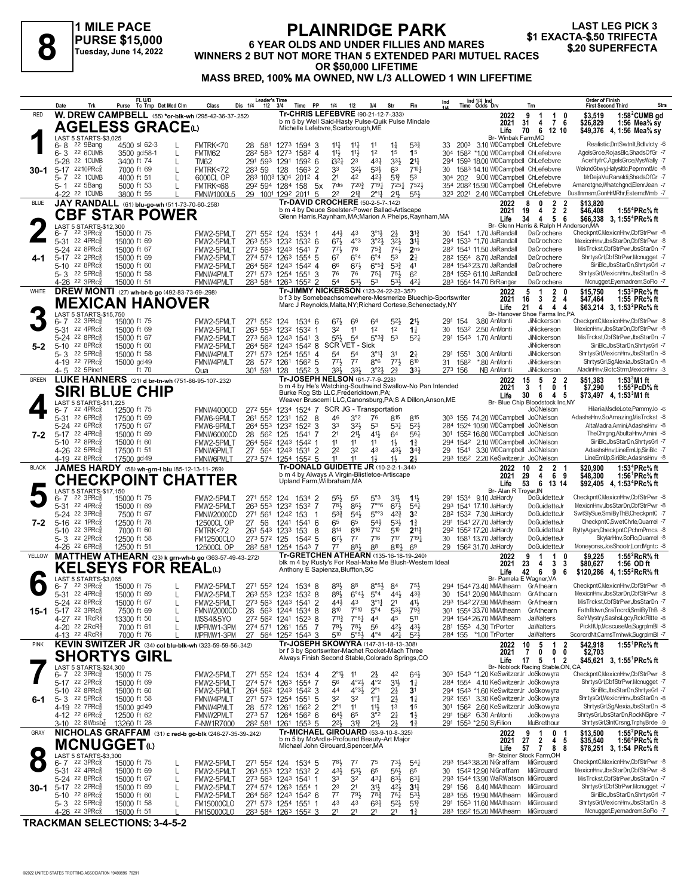**1 MILE PACE PURSE \$15,000 Tuesday, June 14, 2022**

#### **PLAINRIDGE PARK 6 YEAR OLDS AND UNDER FILLIES AND MARES PURSE \$15,000**<br>
Tuesday, June 14, 2022 WINNERS 2 BUT NOT MORE THAN 5 EXTENDED PARI MUTUEL RACES \$20 SUPERFECTA **OR \$50,000 LIFETIME MASS BRED, 100% MA OWNED, NW L/3 ALLOWED 1 WIN LIFEFTIME LAST LEG PICK 3<br>\$1 EXACTA-\$.50 TRIFECTA**

|              | Date       | Trk                                                                | Purse                      | FL U/D<br>Tc Tmp Det Med Clm                   | Class                                                                 | <b>Leader's Time</b><br>Dis 1/4<br>$1/2$ $3/4$ |          | PP<br>Time                 | 1/4                                                                                     | 1/2                                            | 3/4                                 | Str                                  | Fin                                                          | Ind |          | Ind 1/4 Ind<br>Time Odds Drv                                                | Trn                                                     | <b>Order of Finish</b><br><b>Strs</b><br><b>First Second Third</b>                                                                   |
|--------------|------------|--------------------------------------------------------------------|----------------------------|------------------------------------------------|-----------------------------------------------------------------------|------------------------------------------------|----------|----------------------------|-----------------------------------------------------------------------------------------|------------------------------------------------|-------------------------------------|--------------------------------------|--------------------------------------------------------------|-----|----------|-----------------------------------------------------------------------------|---------------------------------------------------------|--------------------------------------------------------------------------------------------------------------------------------------|
| <b>RED</b>   |            |                                                                    |                            |                                                | W. DREW CAMPBELL (55) *or-blk-wh (295-42-36-37-252)                   |                                                |          |                            | Tr-CHRIS LEFEBVRE (90-21-12-7-.333)                                                     |                                                |                                     |                                      |                                                              |     |          | 2022                                                                        | 9<br>$\overline{1}$<br>1<br>0                           | \$3,519<br>$1:582$ CUMB gd                                                                                                           |
|              |            |                                                                    |                            | <b>AGELESS GRACE</b> W                         |                                                                       |                                                |          |                            | b m 5 by Well Said-Hasty Pulse-Quik Pulse Mindale<br>Michelle Lefebvre, Scarborough, ME |                                                |                                     |                                      |                                                              |     |          | 2021<br>Life                                                                | 31<br>4<br>76<br>6<br>70<br>12 10                       | \$26,829<br>1:56 Mea% sy<br>\$49,376 4, 1:56 Mea% sy                                                                                 |
|              |            | LAST 5 STARTS-\$3,025                                              |                            |                                                |                                                                       |                                                |          |                            |                                                                                         |                                                |                                     |                                      |                                                              |     |          | Br- Winbak Farm, MD                                                         |                                                         |                                                                                                                                      |
|              | 6-8<br>6-3 | 22 9Bang<br>22 6CUMB                                               |                            | 4500 sl 62-3<br>3500 gd58-1<br>L               | FMTRK<70<br>FMTM62                                                    | 28 581<br>282 583                              |          | 1273 1594 3<br>1273 1582 4 | $11\frac{1}{4}$<br>11}                                                                  | $11\frac{1}{4}$<br>$11\frac{1}{2}$             | 11<br>1 <sup>2</sup>                | $1\frac{1}{4}$<br>1 <sup>5</sup>     | $5^{3}_{4}$<br>1 <sup>5</sup>                                |     |          | 33 2003 3.10 WDCampbell ChLefebvre<br>304 1582 *1.00 WDCampbell ChLefebvre  |                                                         | Realistic, Dnt Swtnlt, Bdllvlcty -6<br>AgelsGrce.RojasBlc.ShadsOfGr -7                                                               |
|              |            | 5-28 22 1CUMB                                                      | 3400 ft 74                 | L                                              | TM62                                                                  | 291 593 1291                                   |          | $159^2$ 6                  | i3 <sup>21</sup>                                                                        | 2 <sup>3</sup>                                 | 431                                 | $3^{3}\frac{1}{2}$                   | $2^{11}$                                                     |     |          | 294 1593 18.00 WDCampbell ChLefebvre                                        |                                                         | AceftyfrC,AgelsGrce,MysWally -7                                                                                                      |
| 30-1         |            | 5-17 2210PRc                                                       | 7000 ft 69                 |                                                | FMTRK<72                                                              | 283 59                                         | 128      | $1563$ 2                   | 33                                                                                      | 32 <sub>3</sub>                                | 53}                                 | 63                                   | 7104                                                         | 30  |          | 1583 14.10 WDCampbell ChLefebvre                                            |                                                         | WekndGtwy,HalysItIc,PeprmntMc -8                                                                                                     |
|              | 5-7<br>5-1 | 22 1CUMB<br>22 5Bang                                               | 4000 ft 51<br>5000 ft 53   | L                                              | 6000CL OP<br>FMTRK<68                                                 | 283 1003 1304<br>292 594 1284 158              |          | $201^2$ 4                  | 21<br>7dis<br>5x                                                                        | 42<br>720}                                     | 421<br>$7^{19\frac{1}{4}}$          | $5^{13}$<br>$7^{25}$ <sup>1</sup>    | 53<br>752}                                                   |     |          | 304 202 9.00 WDCampbell ChLefebvre<br>354 2082 15.90 WDCampbell ChLefebvre  |                                                         | MrDejaVuRanaldi,ShadsOfGr -7<br>Amaretgne, Whatchgnd, ElenrJean -7                                                                   |
|              |            | 4-22 <sup>22</sup> 1 CUMB                                          |                            | 3800 ft 55                                     | <b>FMNW1000L5</b>                                                     | 29 1001 1292 2011                              |          | -5                         | 22                                                                                      | 213                                            | $2^{\circ}11$                       | $21\frac{1}{2}$                      | 55 <sup>1</sup>                                              |     |          | 323 2021 2.40 WDCampbell ChLefebvre                                         |                                                         | DustInmsm,GonHrMRhr,EstemdMmb -7                                                                                                     |
| <b>BLUE</b>  |            |                                                                    |                            | JAY RANDALL (61) blu-go-wh (511-73-70-60-.258) |                                                                       |                                                |          |                            | Tr-DAVID CROCHERE (50-2-5-7-.142)<br>b m 4 by Deuce Seelster-Power Ballad-Artiscape     |                                                |                                     |                                      |                                                              |     |          | 2022                                                                        | $\mathbf{2}$<br>$\overline{2}$<br>8<br>0                | \$13,820                                                                                                                             |
|              |            |                                                                    |                            | <b>CBF STAR POWER</b>                          |                                                                       |                                                |          |                            |                                                                                         |                                                |                                     |                                      | Glenn Harris, Raynham, MA; Marion A Phelps, Raynham, MA      |     |          | 2021<br>Life                                                                | 2<br>2<br>19<br>5<br>6<br>34<br>4                       | 1:55 <sup>4</sup> PRc <sup>5</sup> / <sub>8</sub> ft<br>\$46,408<br>\$66,338 3, 1:55 <sup>4</sup> PRc <sup>5</sup> / <sub>8</sub> ft |
|              |            | LAST 5 STARTS-\$12,300<br>$6 - 7$ 22 3PRc $\frac{5}{8}$            |                            |                                                |                                                                       |                                                |          |                            |                                                                                         |                                                |                                     |                                      |                                                              |     |          | 1541 1.70 JaRandall                                                         | Br- Glenn Harris & Ralph H Andersen, MA                 | CheckpntC.MexicnHnv.CbfStrPwr -8                                                                                                     |
|              |            | $5-31$ 22 4PRc $\frac{5}{8}$                                       | 15000 ft 75<br>15000 ft 69 |                                                | FMW2-5PMLT<br>FMW2-5PMLT                                              | 271 552 124<br>263 553 1232 1532 6             |          | 1534 1                     | 443<br>$6^{71}$                                                                         | 43<br>$4^{\circ}3$                             | $3^{°2}\frac{1}{2}$                 | $2\frac{1}{2}$<br>$3^{2}\frac{1}{2}$ | 31<br>3 <sup>11</sup>                                        | 30  |          | 294 1533 *1.70 JaRandall                                                    | DaCrochere<br>DaCrochere                                | MexicnHnv.JbsStarDn.CbfStrPwr -8                                                                                                     |
|              |            | 5-24 22 8PRc                                                       | 15000 ft 67                |                                                | FMW2-5PMLT                                                            | 273 563 1243 1541 7                            |          |                            | $77\frac{1}{2}$                                                                         | 76                                             | $75\frac{3}{4}$                     | $74\frac{1}{2}$                      | 2 <sub>ns</sub>                                              |     |          | 28 <sup>2</sup> 1541 11.50 JaRandall                                        | DaCrochere                                              | MisTrckst,CbfStrPwr,JbsStarDn -7                                                                                                     |
| 4-1          |            | 5-17 22 2PRcs<br>5-10 22 8PRc $\frac{5}{8}$                        | 15000 ft 69<br>15000 ft 60 |                                                | FMW2-5PMLT<br>FMW2-5PMLT                                              | 274 574 1263 1554 5<br>264 562 1243 1542 4     |          |                            | 67<br>66                                                                                | $6^{\circ}4$<br>$67\frac{1}{2}$                | $6^{\circ}4$<br>$6^{o5}\frac{3}{4}$ | 53<br>$5^{3}{}_{2}^{3}$              | 2 <sup>1</sup><br>41                                         |     |          | 28 <sup>2</sup> 1554 8.70 JaRandall<br>284 1543 23.70 JaRandall             | DaCrochere<br>DaCrochere                                | ShrtysGrl,CbfStrPwr,Mcnugget -7<br>SiriBlc, JbsStarDn, ShrtysGrl -7                                                                  |
|              |            | $5 - 3$ 22 5PRc $\frac{5}{8}$                                      | 15000 ft 58                |                                                | FMNW4PMLT                                                             | 271 573 1254 1551 3                            |          |                            | 76                                                                                      | 76                                             | $75\frac{1}{4}$                     | $75\frac{1}{2}$                      | 6 <sup>2</sup>                                               |     |          | 284 1553 61.10 JaRandall                                                    | DaCrochere                                              | ShrtysGrl, MexicnHnv, JbsStarDn -8                                                                                                   |
|              |            | 4-26 <sup>22</sup> 3PRc                                            | 15000 ft 51                |                                                | FMNW4PMLT                                                             | 283 584 1263 1552 2                            |          |                            | 54                                                                                      | 531                                            | 53                                  | $5^{3}$                              | $4^{2}$                                                      |     |          | 283 1554 14.70 BrRanger                                                     | DaCrochere                                              | Mcnugget, Eyemadrem, SoFlo -7                                                                                                        |
| WHITE        |            |                                                                    |                            | DREW MONTI (27) wh-br-b go (492-83-73-69-298)  |                                                                       |                                                |          |                            | Tr-JIMMY NICKERSON (123-24-22-23-.357)                                                  |                                                |                                     |                                      | b f 3 by Somebeachsomewhere-Mesmerize Bluechip-Sportswriter  |     |          | 2022<br>2021                                                                | $\mathbf{2}$<br>5<br>-1<br>0<br>2<br>16<br>3<br>4       | 1:53 $^{2}$ PRc $\%$ ft<br>\$15,750<br>\$47,464<br>1:55 $PRc\%$ ft                                                                   |
|              |            |                                                                    |                            | <b>MEXICAN HANOVER</b>                         |                                                                       |                                                |          |                            |                                                                                         |                                                |                                     |                                      | Marc J Reynolds, Malta, NY; Richard Cortese, Schenectady, NY |     |          | Life                                                                        | 21<br>4<br>4<br>4                                       | \$63,214 3, 1:53 <sup>2</sup> PRc <sup>5</sup> / <sub>8</sub> ft                                                                     |
|              | 6- 7       | LAST 5 STARTS-\$15,750<br>$22 \text{ } 3 \text{PRc}^5$             | 15000 ft 75                |                                                | FMW2-5PMLT                                                            | 271 552 124                                    |          | 1534 6                     | 673                                                                                     | 66                                             | 64                                  | $5^{2}$                              | 2 <sup>11</sup>                                              |     | 291 154  | 3.80 AnMonti                                                                | Br- Hanover Shoe Farms Inc,PA<br><b>JiNickerson</b>     | CheckpntC,MexicnHnv,CbfStrPwr -8                                                                                                     |
|              |            | 5-31 22 4PRc <sup>5</sup>                                          | 15000 ft 69                |                                                | FMW2-5PMLT                                                            | 263 553 1232 1532 1                            |          |                            | 32                                                                                      | 11                                             | 1 <sup>2</sup>                      | 1 <sup>2</sup>                       | $1\frac{1}{4}$                                               | 30  | 1532     | 2.50 AnMonti                                                                | <b>JiNickerson</b>                                      | MexicnHnv,JbsStarDn,CbfStrPwr -8                                                                                                     |
|              |            | 5-24 22 8PRc<br>5-10 22 8PRc $\frac{5}{8}$                         | 15000 ft 67                |                                                | FMW2-5PMLT                                                            | 273 563 1243 1541 3                            |          |                            | 55}<br><b>SCR VET - Sick</b>                                                            | 54                                             | $5^{\circ}3_{4}^{3}$                | 53                                   | 52 <sup>1</sup>                                              | 291 | 1543     | 1.70 AnMonti                                                                | JiNickerson<br>JiNickerson                              | MisTrckst,CbfStrPwr,JbsStarDn -7<br>SiriBlc, JbsStarDn, ShrtysGrl -7                                                                 |
| $5-2$        |            | 5- 3 $22$ 5PRc $\frac{5}{8}$                                       | 15000 ft 60<br>15000 ft 58 |                                                | FMW2-5PMLT<br>FMNW4PMLT                                               | 264 562 1243 1542 8<br>271 573 1254 1551       |          | -4                         | 54                                                                                      | 54                                             | $3^{011}$                           | 31                                   | 2 <sup>1</sup>                                               |     | 291 1551 | 3.00 AnMonti                                                                | JiNickerson                                             | ShrtysGrlMexicnHnv,JbsStarDn -8                                                                                                      |
|              |            | 4-19 22 7PRc                                                       | 15000 gd 49                |                                                | FMNW4PMLT                                                             | 28 572 1261 1562 5                             |          |                            | $77\frac{1}{2}$                                                                         | $7^7$                                          | $8^{\circ}6$                        | 773                                  | 610                                                          | 31  | 1582     | *.80 AnMonti                                                                | JiNickerson                                             | ShrtysGrl,SgAlexia,JbsStarDn -8                                                                                                      |
| <b>GREEN</b> | 4-5        | 22 5Pine1                                                          |                            | ft 70                                          | Qua<br>LUKE HANNERS (21) d br-tn-wh (751-86-95-107-.232)              | 301 591 128                                    |          | $155^2$ 3                  | 33,<br>Tr-JOSEPH NELSON (61-7-7-9-.228)                                                 | $3^{3}\frac{1}{2}$                             | $3^{\circ}2\frac{1}{2}$             | $2^{3}$                              | 3 <sup>3</sup>                                               |     | 273 156  | NB AnMonti<br>2022                                                          | JiNickerson<br>5<br>$\mathbf{2}$<br>15<br>2             | AladinHnv, GlctcStrm, MexicnHnv -3<br>1:53 $3$ M1 ft                                                                                 |
|              |            |                                                                    |                            | <b>SIRI BLUE CHIP</b>                          |                                                                       |                                                |          |                            |                                                                                         |                                                |                                     |                                      | b m 4 by He's Watching-Southwind Swallow-No Pan Intended     |     |          | 2021                                                                        | 3<br>0<br>1<br>-1                                       | \$51,383<br>1:55 ${}^{2}$ PcD ${}^{5}$ sft<br>\$7,290                                                                                |
|              |            | LAST 5 STARTS-\$11,225                                             |                            |                                                |                                                                       |                                                |          |                            | Burke Rcg Stb LLC, Fredericktown, PA;                                                   |                                                |                                     |                                      | Weaver Bruscemi LLC, Canonsburg, PA; S A Dillon, Anson, ME   |     |          | Life                                                                        | 30<br>6<br>4<br>5<br>Br- Blue Chip Bloodstock Inc,NY    | \$73,497 4, 1:53 $3$ M1 ft                                                                                                           |
|              |            | $6 - 7$ 22 4PRc $\frac{5}{8}$                                      | 12500 ft 75                |                                                | FMNW4000CD                                                            | 272 554                                        |          |                            | 1234 1524 7 SCR JG - Transportation                                                     |                                                |                                     |                                      |                                                              |     |          |                                                                             | Jo0Nelson                                               | Hilaria, MsdleLote, PammyJo -6                                                                                                       |
|              |            | 5-31 22 6PRc <sup>5</sup><br>5-24 22 6PRc                          | 17500 ft 69                |                                                | FMW6-9PMLT                                                            | 261 552                                        | 1231     | 152<br>8                   | 46                                                                                      | $3^{\circ}2$<br>3 <sup>2</sup>                 | 76                                  | 815                                  | 815                                                          |     |          | 303 155 74.20 WDCampbell JoONelson                                          |                                                         | AdashsHnv.SoAmazing.MisTrckst -8<br>AltaMadra,Amini,AdashsHnv -8                                                                     |
| 7-2          |            | 5-17 22 4PRc                                                       | 17500 ft 67<br>15000 ft 69 |                                                | FMW6-9PMLT<br>FMNW6000CD                                              | 264 553 1232 1522 3<br>28 56 <sup>2</sup> 125  |          | 1541 7                     | 33<br>21                                                                                | $21\frac{1}{2}$                                | 53<br>$41\frac{1}{2}$               | $53\frac{1}{4}$<br>64                | $5^{2}$<br>56 <sup>1</sup>                                   |     |          | 284 1524 10.90 WDCampbell JoONelson<br>301 1552 16.80 WDCampbell JoONelson  |                                                         | TheChrgng,AbultaHnv,Amini -8                                                                                                         |
|              |            | 5-10 22 8PRc $\frac{5}{8}$                                         | 15000 ft 60                |                                                | FMW2-5PMLT                                                            | 264 562 1243 1542 1                            |          |                            | 11                                                                                      | 11                                             | 11                                  | $1\frac{1}{2}$                       | $1\frac{3}{4}$                                               |     |          | 294 1542 2.10 WDCampbell JoONelson                                          |                                                         | SiriBlc, JbsStarDn, ShrtysGrl -7                                                                                                     |
|              |            | 4-26 <sup>22</sup> 5PRc3<br>4-19 22 8PRc <sup>5</sup>              | 17500 ft 51<br>17500 gd 49 |                                                | FMNW6PMLT<br>FMNW6PMLT                                                | 27 564 1243 1531 2<br>273 574 1254 1552 5      |          |                            | 22<br>11                                                                                | 32<br>11                                       | 43<br>$1\frac{1}{2}$                | 431<br>$1\frac{1}{2}$                | $34\frac{3}{4}$<br>23                                        |     | 29 1541  | 3.30 WDCampbell JoONelson<br>293 1552 2.20 KeSwitzerJr JoONelson            |                                                         | AdashsHnv,LineEmUp,SiriBlc -7<br>LineEmUp,SiriBlc,AdashsHnv -8                                                                       |
| <b>BLACK</b> |            |                                                                    |                            |                                                | JAMES HARDY (58) wh-grn-I blu (85-12-13-11-269)                       |                                                |          |                            | <b>Tr-DONALD GUIDETTE JR (10-2-2-1-.344)</b>                                            |                                                |                                     |                                      |                                                              |     |          | 2022                                                                        | $\overline{2}$<br>10<br>2                               | 1:53 <sup>4</sup> PRc <sup>5</sup> / <sub>8</sub> ft<br>\$20.900                                                                     |
|              |            |                                                                    |                            |                                                | <b>CHECKPOINT CHATTER</b>                                             |                                                |          |                            | b m 4 by Always A Virgin-Blistletoe-Artiscape<br>Upland Farm, Wilbraham, MA             |                                                |                                     |                                      |                                                              |     |          | 2021                                                                        | 6<br>29<br>4<br>9<br>6                                  | \$48,300<br>1:56 ${}^1$ PRc% ft                                                                                                      |
|              |            | LAST 5 STARTS-\$17,150                                             |                            |                                                |                                                                       |                                                |          |                            |                                                                                         |                                                |                                     |                                      |                                                              |     |          | Life<br>Br- Alan R Troyer, IN                                               | 53<br>13 14                                             | \$92,405 4, 1:53 <sup>4</sup> PRc <sup>5</sup> / <sub>8</sub> ft                                                                     |
|              | 6-7        | $22 \text{ } 3 \text{PRc}^5$<br>5-31 22 4PRc <sup>5</sup>          | 15000 ft 75<br>15000 ft 69 |                                                | FMW2-5PMLT<br>FMW2-5PMLT                                              | 271 552 124<br>263 553 1232 1532 7             |          | 1534 2                     | 55)<br>781,                                                                             | 55<br>$86\frac{1}{2}$                          | 5°3<br>$7^{\circ}$ <sup>6</sup>     | 3 <sup>1</sup><br>$67\frac{1}{2}$    | 11<br>$5^{41}$                                               |     |          | 291 1534 9.10 JaHardy<br>293 1541 17.10 JaHardy                             | DoGuidetteJr<br>DoGuidetteJr                            | CheckpntC,MexicnHnv,CbfStrPwr -8<br>MexicnHnv,JbsStarDn,CbfStrPwr -8                                                                 |
|              |            | 5-24 22 3PRc                                                       | 7500 ft 67                 |                                                | FMNW2000CD                                                            | 271 561                                        | 1242 153 | - 1                        | $5^{3}$                                                                                 | $54\frac{1}{2}$                                | $5^{\circ\circ}3$                   | $4^{2}3$                             | 32                                                           |     |          | 28 <sup>2</sup> 153 <sup>2</sup> 7.30 JaHardy                               | DoGuidetteJr                                            | SwtSlySue,SmilByThB,CheckpntC -7                                                                                                     |
| 7-2          | $5 - 16$   | 22 1PRc                                                            | 12500 ft 78                |                                                | 12500CL OP                                                            | 27 56                                          | 1241     | 1541 6                     | 65                                                                                      | 65                                             | $5^{4}$                             | 53}                                  | $1\frac{3}{4}$                                               |     |          | 291 1541 27.70 JaHardy                                                      | DoGuidetteJr                                            | CheckpntC,SwetChrle,Quarrel -7                                                                                                       |
|              | 5-10       | 22 3PRc<br>5-3 22 2PRc                                             | 7000 ft 60<br>12500 ft 58  |                                                | FMTRK<72<br><b>FM12500CLO</b>                                         | 261 543 1233<br>273 572 125                    |          | 153<br>8<br>1542 5         | 814<br>$67\frac{1}{2}$                                                                  | 816<br>$7^7$                                   | 712<br>716                          | 510<br>717                           | $2^{11}$<br>$7^{19}$ <sup>1</sup>                            | 30  |          | 292 1552 17.20 JaHardy<br>1581 13.70 JaHardy                                | DoGuidetteJr<br>DoGuidetteJr                            | RyltyAgan,CheckpntC,PchmPrncs -8<br>SkylarHnv,SoFlo,Quarrel -8                                                                       |
|              |            | $4-26$ 22 6PRc $\frac{5}{8}$                                       | 12500 ft 51                |                                                | 12500CL OP                                                            | 282 581                                        |          | 1254 1543 7                | $7^7$                                                                                   | 884                                            | 88                                  | 8103                                 | 69                                                           | 29  |          | 156 <sup>2</sup> 31.70 JaHardy                                              | DoGuidetteJr                                            | Moneyorss, JosShootr, LordMgntc -8                                                                                                   |
| YELLOW       |            |                                                                    |                            |                                                | MATTHEW ATHEARN (23) k grn-wh-b go (363-57-49-43-.272)                |                                                |          |                            | Tr-GRETCHEN ATHEARN (135-16-18-19-240)                                                  |                                                |                                     |                                      | blk m 4 by Rusty's For Real-Make Me Blush-Western Ideal      |     |          | 2022<br>2021                                                                | ۹<br>-1<br>1<br>23<br>3<br>3<br>4                       | \$9.225<br>1:55 ${}^{2}$ RcR ${}^{5}$ ft<br>\$80,627<br>1:56 OD ft                                                                   |
|              |            |                                                                    |                            | <b>KELSEYS FOR REAL</b> ω                      |                                                                       |                                                |          |                            | Anthony E Sapienza, Bluffton, SC                                                        |                                                |                                     |                                      |                                                              |     |          | Life                                                                        | 42<br>6<br>9<br>6                                       | \$120,286 4, 1:55 <sup>2</sup> RcR <sup>5</sup> / <sub>8</sub> ft                                                                    |
|              |            | LAST 5 STARTS-\$3,065<br>$6 - 7$ 22 3PRc $\frac{5}{8}$             | 15000 ft 75                |                                                | FMW2-5PMLT                                                            | 271 552 124 1534 8                             |          |                            | 893                                                                                     | 88                                             | $8°5\frac{1}{2}$                    | 84                                   | 75}                                                          |     |          | 294 154473.40 MMAthearn GrAthearn                                           | Br- Pamela E Wagner, VA                                 | CheckpntC, MexicnHnv, CbfStrPwr -8                                                                                                   |
|              |            | 5-31 22 4PRc <sup>5</sup>                                          | 15000 ft 69                |                                                | FMW2-5PMLT                                                            | 263 553 1232 1532 8                            |          |                            | 89}                                                                                     | $6^{\circ}4\frac{1}{2}$                        | $5^{\circ}4$                        | 443                                  | $43\frac{3}{4}$                                              | 30  |          | 1541 20.90 MMAthearn GrAthearn                                              |                                                         | MexicnHnv.JbsStarDn.CbfStrPwr -8                                                                                                     |
|              |            | 5-24 22 8PRc                                                       | 15000 ft 67                | L                                              | FMW2-5PMLT                                                            | 273 563 1243 1541 2                            |          |                            | 810                                                                                     | $7^{\circ}10$                                  |                                     |                                      | 42                                                           |     |          | 293 1542 27.90 MMAthearn                                                    | GrAthearn                                               | MisTrckst,CbfStrPwr,JbsStarDn -7<br>Fathfldwn,SraTncrdi,SmilByThB -8                                                                 |
|              |            | 15-1 5-17 22 3PRc $_{8}^{5}$<br>4-27 22 1RcR <sup>5</sup>          | 7500 ft 69<br>13300 ft 50  | L<br>L                                         | FMNW2000CD<br>MSS4&5YO                                                | 28 563 1244 1534 8<br>272 562 1241 1523 8      |          |                            | $7^{11}\frac{3}{4}$                                                                     | 7°8 <sub>1</sub>                               | $5^{\circ}4$<br>44                  | $5^{31}$<br>45                       | $79\frac{3}{4}$<br>511                                       |     |          | 301 1554 33.70 MMAthearn GrAthearn<br>294 1544 26.70 MMAthearn              | JaWalters                                               | SeYMystry,SashsLgcy,RcktRltte -8                                                                                                     |
|              |            | 4-20 <sup>22</sup> 2RcR <sup>3</sup>                               | 7000 ft 61                 |                                                | MPFMW1-3PM                                                            | 274 571 1261 155                               |          | -7                         | $79\frac{1}{2}$                                                                         | $78\frac{1}{2}$                                | 56                                  | $4^{21}$                             | $4^{3}\frac{1}{2}$                                           |     |          | 281 1553 4.30 TrPorter                                                      | <b>JaWalters</b>                                        | PickItUp,McscuseMe,SugrpImBI -8                                                                                                      |
| <b>PINK</b>  |            | 4-13 22 4RcR <sup>3</sup>                                          | 7000 ft 76                 |                                                | MPFMW1-3PM<br>KEVIN SWITZER JR (34) col blu-blk-wh (323-59-59-56-342) | 27 564 1252 1543 3                             |          |                            | 510<br>Tr-JOSEPH SKOWYRA (147-31-18-13-308)                                             | $5°5\frac{1}{2}$                               | $4^{\circ}4$                        | $4^{2}$                              | $5^{2}$                                                      |     |          | 284 155 *1.00 TrPorter<br>2022                                              | JaWalters<br>5<br>10<br>2                               | ScorcrdNt,CamsTmhwk,SugrplmBl -7<br>1:55 ${}^1$ PRc% ft                                                                              |
|              |            |                                                                    |                            | <b>SHORTYS GIRL</b>                            |                                                                       |                                                |          |                            | br f 3 by Sportswriter-Machet Rocket-Mach Three                                         |                                                |                                     |                                      |                                                              |     |          | 2021                                                                        | $\mathbf{1}$<br>0<br>0<br>7<br>0                        | \$42,918<br>\$2,703                                                                                                                  |
|              |            | LAST 5 STARTS-\$24,300                                             |                            |                                                |                                                                       |                                                |          |                            | Always Finish Second Stable, Colorado Springs, CO                                       |                                                |                                     |                                      |                                                              |     |          | Life                                                                        | 17<br>5<br>2<br>-1<br>Br- Noblock Racing Stable, ON, CA | \$45,621 3, 1:55 PRc <sup>5</sup> / <sub>8</sub> ft                                                                                  |
|              |            | $6 - 7$ 22 3PRc $\frac{5}{8}$                                      | 15000 ft 75                |                                                | FMW2-5PMLT                                                            | 271 552 124 1534 4                             |          |                            | 2°1}                                                                                    | 11                                             | $2\frac{1}{2}$                      | 42                                   | $64\frac{1}{2}$                                              |     |          | 303 1543 *1.20 KeSwitzerJr JoSkowyra                                        |                                                         | CheckpntC,MexicnHnv,CbfStrPwr -8                                                                                                     |
|              |            | 5-17 22 2PRc <sup>5</sup><br>5-10 22 8PRc                          | 15000 ft 69<br>15000 ft 60 |                                                | FMW2-5PMLT<br>FMW2-5PMLT                                              | 274 574 1263 1554 7                            |          |                            | 56<br>44                                                                                | $4^{o}2\frac{1}{2}$<br>$4^{\circ}3\frac{1}{2}$ | $4^{\circ}2$<br>$2^{\circ}1$        | 3 <sup>1</sup><br>$2\frac{1}{2}$     | $1\frac{1}{4}$                                               |     |          | 284 1554 4.10 KeSwitzerJr JoSkowyra<br>294 1543 *1.60 KeSwitzerJr JoSkowyra |                                                         | ShrtysGrl,CbfStrPwr,Mcnugget -7<br>SiriBlc, JbsStarDn, ShrtysGrl -7                                                                  |
| 6-1          |            | $5 - 3$ 22 5PRc $\frac{5}{8}$                                      | 15000 ft 58                |                                                | FMNW4PMLT                                                             | 264 562 1243 1542 3<br>271 573 1254 1551 5     |          |                            | 32                                                                                      | 32                                             | $1^{\circ}$ $\frac{1}{4}$           | $2\frac{1}{2}$                       | 3 <sup>1</sup><br>$1\frac{1}{4}$                             |     |          | 292 1551 3.30 KeSwitzerJr JoSkowyra                                         |                                                         | ShrtysGrl, MexicnHnv, JbsStarDn -8                                                                                                   |
|              |            | 4-19 22 7PRc <sup>3</sup>                                          | 15000 gd 49                |                                                | FMNW4PMLT                                                             | 28 572 1261 1562 2                             |          |                            | $2^{\circ}1$                                                                            | 11                                             | 11号                                 | 1 <sup>3</sup>                       | 1 <sup>5</sup>                                               |     |          | 301 1562 2.60 KeSwitzerJr JoSkowyra                                         |                                                         | ShrtysGrl,SgAlexia,JbsStarDn -8                                                                                                      |
|              |            | 4-12 22 6PRc <sup>3</sup><br>3-10 <sup>22</sup> 8Wbsb <del>{</del> | 12500 ft 62<br>13260 ft 28 |                                                | FMNW2PMLT<br>F-NW1R7000                                               | 273 57<br>282 581                              |          | 1264 1562 6<br>1261 1553 5 | $64\frac{1}{2}$<br>221,                                                                 | 65<br>31}                                      | 3°2<br>21}                          | $2\frac{1}{4}$<br>21                 | $1\frac{1}{2}$<br>11                                         |     |          | 291 1562 6.30 AnMonti<br>291 1553 *2.50 SyFilion                            | JoSkowyra<br>MuBrethour                                 | ShrtysGrl,JbsStarDn,RockNSpre -7<br>ShrtysGrl,SIntCrsng,TrphyBrde -9                                                                 |
| GRAY         |            |                                                                    |                            |                                                | NICHOLAS GRAFFAM (31) c red-b go-blk (246-27-35-39-.242)              |                                                |          |                            | Tr-MICHAEL GIROUARD (53-9-10-8-.325)                                                    |                                                |                                     |                                      |                                                              |     |          | 2022                                                                        | 9<br>0<br>- 1                                           | 1:55 $^{2}$ PRc $\%$ ft<br>\$13,500                                                                                                  |
|              |            | <b>MCNUGGET</b> <sup><i>t</i></sup>                                |                            |                                                |                                                                       |                                                |          |                            | b m 5 by McArdle-Profound Beauty-Art Major<br>Michael John Girouard, Spencer, MA        |                                                |                                     |                                      |                                                              |     |          | 2021                                                                        | 27<br>2<br>4<br>-5                                      | 1:56 <sup>4</sup> PRc% ft<br>\$35,540                                                                                                |
|              |            | LAST 5 STARTS-\$3,300                                              |                            |                                                |                                                                       |                                                |          |                            |                                                                                         |                                                |                                     |                                      |                                                              |     |          | Life                                                                        | 57<br>7<br>88<br>Br- Steiner Stock Farm, OH             | \$78,251 3, 1:54 PRc% ft                                                                                                             |
|              |            | $6 - 7$ 22 3PRc $\frac{5}{8}$<br>5-31 22 4PRc <sup>5</sup>         | 15000 ft 75                | L                                              | FMW2-5PMLT                                                            | 271 552 124 1534 5                             |          |                            | $78\frac{1}{2}$                                                                         | $7^7$                                          | 75                                  | 731,                                 | $5^{4}$                                                      |     |          | 293 1543 38.20 NiGraffam<br>1542 12.90 NiGraffam                            | MiGirouard                                              | CheckpntC,MexicnHnv,CbfStrPwr -8<br>MexicnHnv,JbsStarDn,CbfStrPwr -8                                                                 |
|              |            | 5-24 22 8PRc <sup>5</sup>                                          | 15000 ft 69<br>15000 ft 67 | L<br>L                                         | FMW2-5PMLT<br>FMW2-5PMLT                                              | 263 553 1232 1532 2<br>273 563 1243 1541 1     |          |                            | $43\frac{1}{2}$<br>33                                                                   | $5^{31}$<br>32                                 | 65<br>$43\frac{1}{4}$               | $56\frac{1}{2}$<br>$63\frac{1}{2}$   | 65<br>$63\frac{1}{4}$                                        | 30  |          | 293 1544 13.90 WaRWatson MiGirouard                                         | MiGirouard                                              | MisTrckst,CbfStrPwr,JbsStarDn -7                                                                                                     |
|              |            | 30-1 5-17 22 2PRc $_{8}^{5}$                                       | 15000 ft 69                | L                                              | FMW2-5PMLT                                                            | 274 574 1263 1554 1                            |          |                            | 23                                                                                      | 2 <sup>1</sup>                                 | 3½                                  | 42}                                  | 3 <sup>1</sup>                                               |     |          | 291 156 8.40 MMAthearn                                                      | MiGirouard                                              | ShrtysGrl,CbfStrPwr,Mcnugget -7                                                                                                      |
|              |            | 5-10 22 8PRc <sup>5</sup><br>5-3 22 5PRc <sup>3</sup>              | 15000 ft 60<br>15000 ft 58 | $\mathbf{I}$                                   | FMW2-5PMLT<br><b>FM15000CLO</b>                                       | 264 562 1243 1542 6<br>271 573 1254 1551 1     |          |                            | 7 <sup>7</sup><br>43                                                                    | 79}<br>43                                      | $78\frac{3}{4}$<br>$63\frac{1}{4}$  | 761<br>$5^{21}$                      | $5^{3}\frac{1}{2}$<br>$5^{12}$                               |     |          | 283 155 19.90 MMAthearn<br>291 1553 11.60 MMAthearn                         | MiGirouard<br>MiGirouard                                | SiriBlc, JbsStarDn, ShrtysGrl -7<br>ShrtysGrl, MexicnHnv, JbsStarDn -8                                                               |
|              |            | 4-26 <sup>22</sup> 3PRc <sup>3</sup>                               | 15000 ft 51                |                                                | <b>FM15000CLO</b>                                                     | 283 584 1263 1552 3                            |          |                            | 2 <sup>1</sup>                                                                          | 2 <sup>1</sup>                                 | 21                                  | 2 <sup>1</sup>                       | $1\frac{3}{4}$                                               |     |          | 283 1552 15.20 MMAthearn                                                    | MiGirouard                                              | Mcnugget, Eyemadrem, SoFlo -7                                                                                                        |

**TRACKMAN SELECTIONS: 3-4-5-2**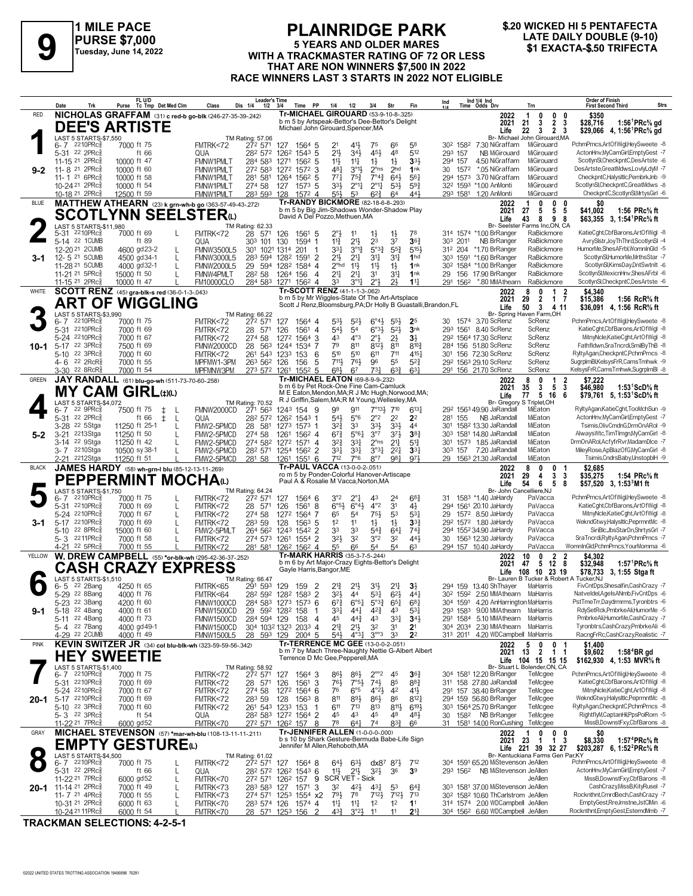

### **PLAINRIDGE PARK 5 YEARS AND OLDER MARES PURSE \$7,000**<br>
Tuesday, June 14, 2022 **19 A TRACKMASTER RATING OF 72 OR LESS 19 EXACTA-\$.50 TRIFECTA**<br>
THAT ARE NON WINNERS \$7,500 IN 2022 **THAT ARE NON WINNERS \$7,500 IN 2022 RACE WINNERS LAST 3 STARTS IN 2022 NOT ELIGIBLE**

# **\$.20 WICKED HI 5 PENTAFECTA**

|              | Date<br>Trk                                                         | FL U/D<br>Purse Tc Tmp Det Med Clm                                  | Class<br>Dis 1/4<br>1/2                                      | Leader's Time<br>3/4<br>Time<br>PP                                                            | 1/4<br>1/2<br>3/4<br>Str                                                                                                                             | Ind 1/4 Ind<br>Time Odds Drv<br>Ind<br>Fin<br>Trn                                                                                    | <b>Order of Finish</b><br>Strs<br><b>First Second Third</b>                                                                                                                        |
|--------------|---------------------------------------------------------------------|---------------------------------------------------------------------|--------------------------------------------------------------|-----------------------------------------------------------------------------------------------|------------------------------------------------------------------------------------------------------------------------------------------------------|--------------------------------------------------------------------------------------------------------------------------------------|------------------------------------------------------------------------------------------------------------------------------------------------------------------------------------|
| <b>RED</b>   |                                                                     | NICHOLAS GRAFFAM (31) c red-b go-blk (246-27-35-39-.242)            |                                                              |                                                                                               | Tr-MICHAEL GIROUARD (53-9-10-8-.325)<br>b m 5 by Artspeak-Bettor's Dee-Bettor's Delight                                                              | 2022<br>0<br>1                                                                                                                       | $\mathbf{0}$<br>\$350<br>- 0                                                                                                                                                       |
|              |                                                                     | <b>DEE'S ARTISTE</b>                                                |                                                              | Michael John Girouard, Spencer, MA                                                            |                                                                                                                                                      | 2021<br>21<br>3<br>Life<br>22<br>3                                                                                                   | 1:56 <sup>1</sup> PRc <sup>5</sup> / <sub>8</sub> gd<br>$\overline{2}$<br>\$28,716<br>3<br>$\overline{2}$<br>\$29,066 4, 1:56 <sup>1</sup> PRc <sup>5</sup> / <sub>8</sub> gd<br>3 |
|              | LAST 5 STARTS-\$7,550<br>6-7 2210PRcs                               | 7000 ft 75                                                          | TM Rating: 57.06<br>FMTRK<72<br>272 571                      | 1564 5<br>127                                                                                 | 5 <sup>8</sup><br>21<br>411,<br>75<br>66                                                                                                             | Br- Michael John Girouard, MA<br>30 <sup>2</sup> 158 <sup>2</sup><br>7.30 NiGraffam<br>MiGirouard                                    | PchmPrncs,ArtOfWigl,HeySweete -8                                                                                                                                                   |
|              | 5-31 22 2PRc<br>11-15 21 2PRc                                       | ft 66<br>10000 ft 47                                                | QUA<br>282 572<br>284 583                                    | $154^3$ 5<br>1262                                                                             | 21}<br>34}<br>45}<br>48<br>$11\frac{1}{2}$<br>$11\frac{1}{4}$<br>$1\frac{1}{2}$<br>$1\frac{1}{2}$                                                    | 512<br>293 157<br>NB MiGirouard<br>MiGirouard<br>33}<br>294 157<br>4.50 NiGraffam<br>MiGirouard                                      | ActonHnv,MyCamGirl,EmptyGest -7<br>ScotlynSI,CheckpntC,DesArtste -6                                                                                                                |
| $9 - 2$      | 11-8 <sup>21</sup> 2PRc                                             | 10000 ft 60                                                         | <b>FMNW1PMLT</b><br><b>FMNW1PMLT</b><br>272 583              | 1271<br>$156^2$ 5<br>1272<br>1572<br>3                                                        | 481<br>$3^{01}$<br>$2^{\circ}$ ns<br>2 <sub>hd</sub>                                                                                                 | MiGirouard<br>1nk<br>30 1572<br>*.05 NiGraffam                                                                                       | DesArtste.GreatMdws.LovlvLdvM -7                                                                                                                                                   |
|              | 11- 1 21 6PRc<br>10-24 <sup>21</sup> 2PRc                           | 10000 ft 58<br>10000 ft 54                                          | 281<br>581<br><b>FMNW1PMLT</b><br>274 58<br><b>FMNW1PMLT</b> | 1264<br>1562 5<br>127<br>$1573$ 5                                                             | 771<br>$75\frac{3}{4}$<br>$7^{\circ}4_{4}^{3}$<br>$64\frac{1}{2}$<br>$2^{\circ}1\frac{1}{4}$<br>$2^{\circ}1\frac{1}{4}$<br>33}<br>$5^{3}\frac{1}{2}$ | 561<br>294 1573<br>3.70 NiGraffam<br>MiGirouard<br>$59\frac{3}{4}$<br>322 1593 *1.00 AnMonti<br>MiGirouard                           | CheckpntC,HalysItIc,PembrkJnb -9<br>ScotlynSI,CheckpntC,GreatMdws -8                                                                                                               |
|              | 10-18 <sup>21</sup> 2PRc                                            | 12500 ft 59                                                         | FMNW1PMLT<br>283 593                                         | 1572 4<br>128                                                                                 | 55}<br>53<br>$6^{2}\frac{3}{4}$<br>64                                                                                                                | 441<br>293 1581 1.20 AnMonti<br>MiGirouard                                                                                           | CheckpntC,ScotlynSI,MrtysGirl -6                                                                                                                                                   |
| <b>BLUE</b>  |                                                                     | MATTHEW ATHEARN (23) k grn-wh-b go (363-57-49-43-.272)              |                                                              |                                                                                               | Tr-RANDY BICKMORE (82-18-6-8-293)<br>b m 5 by Big Jim-Shadows Wonder-Shadow Play                                                                     | 2022<br>0<br>2021<br>27<br>5                                                                                                         | 0<br>-0<br>\$41.002<br>5<br>-5<br>1:56 $PRc\%$ ft                                                                                                                                  |
|              | LAST 5 STARTS-\$11,980                                              | SCOTLYNN SEELSTERധ                                                  | TM Rating: 62.33                                             | David A Del Pozzo, Methuen, MA                                                                |                                                                                                                                                      | 43<br>8<br>Life<br>Br- Seelster Farms Inc,ON, CA                                                                                     | 9<br>\$63,355 3, 1:54 <sup>1</sup> PRc <sup>5</sup> / <sub>8</sub> ft<br>8                                                                                                         |
|              | 5-31 2210PRcs                                                       | 7000 ft 69                                                          | FMTRK<72<br>28<br>571                                        | 126<br>1561 5                                                                                 | 78<br>2°3<br>$1\frac{1}{2}$<br>$1\frac{1}{2}$<br>11                                                                                                  | 314 1574 *1.00 BrRanger<br>RaBickmore                                                                                                | KatieCght,CbfBarons,ArtOfWigl -8                                                                                                                                                   |
|              | 5-14 22 1CUMB<br>12-20 <sup>21</sup> 2CUMB                          | ft 89<br>4600 gd23-2                                                | 303<br>QUA<br>101<br><b>FMNW3500L5</b><br>301                | 130<br>1594<br>-1<br>1021 1314<br>201                                                         | $11\frac{3}{4}$<br>$21\frac{1}{2}$<br>23<br>37<br>$5^{\circ}3^{\frac{3}{4}}$<br>331<br>$3^{012}$<br>$55\frac{3}{4}$                                  | 36 <sub>4</sub><br>303 2011<br>NB BrRanger<br>RaBickmore<br>5153<br>312 204 *1.70 BrRanger<br>RaBickmore                             | AvrySistr,JoyThThrd,ScotlynSI -4<br>HumorMe,ShesAFrbl,WomnInGld -5                                                                                                                 |
| 3-1          | 12-5 21 5 CUMB                                                      | 4500 gd34-1<br>$\mathsf{L}$                                         | <b>FMNW3000L5</b><br>283 594                                 | 1282<br>1591<br>$\overline{2}$<br>$\overline{4}$                                              | 21}<br>$21\frac{1}{4}$<br>3 <sup>11</sup><br>$3^{11}$<br>$2^{\circ}$ hd<br>$11\frac{1}{2}$                                                           | 1 <sub>hd</sub><br>303 1591 *1.60 BrRanger<br>RaBickmore<br>1nk<br>30 <sup>2</sup> 1584 *1.00 BrRanger<br>RaBickmore                 | ScotlynSl.HumorMe.MrthsStar -7<br>ScotlynSl,KimsDay,DntSwtnIt -6                                                                                                                   |
|              | 11-28 <sup>21</sup> 5 CUMB<br>11-21 <sup>21</sup> 5PRc <sup>5</sup> | 4000 gd32-1<br>15000 ft 50                                          | <b>FMNW2000L5</b><br><b>FMNW4PMLT</b><br>28 <sup>2</sup> 58  | 29 594 1282<br>1584<br>1264 156<br>$\overline{4}$                                             | $11\frac{1}{2}$<br>$1\frac{1}{2}$<br>2 <sup>11</sup><br>$2^{11}$<br>31<br>311                                                                        | 1nk<br>29<br>156 17.90 BrRanger<br>RaBickmore                                                                                        | ScotlynSI, MexicnHnv, ShesAFrbl -6                                                                                                                                                 |
| WHITE        | 11-15 <sup>21</sup> 2PRc3                                           | 10000 ft 47<br><b>SCOTT RENZ</b> (45) gra-blk-s red (36-0-1-3-.043) | <b>FM10000CLO</b><br>284 583                                 | 1271<br>1562 4<br>Tr-SCOTT RENZ (41-1-1-3-.062)                                               | 33<br>$3^{01}$<br>$2^{\circ}3$<br>21                                                                                                                 | $11\frac{1}{4}$<br>291 1562 *.80 MMAthearn<br>RaBickmore<br>2022<br>0                                                                | ScotlynSl,CheckpntC,DesArtste -6<br>1<br>\$4.340                                                                                                                                   |
|              |                                                                     | <b>ART OF WIGGLING</b>                                              |                                                              |                                                                                               | b m 5 by Mr Wiggles-State Of The Art-Artsplace<br>Scott J Renz, Bloomsburg, PA; Dr Holly B Guastalli, Brandon, FL                                    | $\overline{2}$<br>2021<br>29                                                                                                         | 1 <sub>7</sub><br>\$15,386<br>1:56 $ReR\%$ ft                                                                                                                                      |
|              | LAST 5 STARTS-\$3,990                                               |                                                                     | TM Rating: 66.22                                             |                                                                                               |                                                                                                                                                      | Life<br>50<br>3<br>Br- Spring Haven Farm, OH                                                                                         | 4 11<br>\$36,091 4, 1:56 RcR <sup>5</sup> / <sub>8</sub> ft                                                                                                                        |
|              | 2210PRc<br>$6 - 7$<br>2210PRc<br>5-31                               | 7000 ft 75<br>7000 ft 69                                            | FMTRK<72<br>272 571<br>571<br>FMTRK<72<br>28                 | 127<br>1564 4<br>126<br>1561<br>$\overline{4}$                                                | $6^{\circ}4\frac{1}{2}$<br>53}<br>$5^{2}$<br>$55\frac{1}{2}$<br>2 <sup>5</sup><br>54}<br>$6°3\frac{1}{2}$<br>$5^{2}$<br>54                           | 30 1574 3.70 ScRenz<br>ScRenz<br>3nk<br>293 1561<br>8.40 ScRenz<br>ScRenz                                                            | PchmPrncs,ArtOfWigl,HeySweete -8<br>KatieCght,CbfBarons,ArtOfWigl -8                                                                                                               |
|              | 5-24 2210PRc                                                        | 7000 ft 67                                                          | 274 58<br>FMTRK<72                                           | 1272<br>1564<br>3                                                                             | $4^{\circ}3$<br>43<br>$2^{\circ}$<br>$2\frac{1}{2}$<br>3 <sup>1</sup>                                                                                | 292 1564 17.30 ScRenz<br>ScRenz                                                                                                      | MitnyNcle,KatieCght,ArtOfWigl -8                                                                                                                                                   |
|              | 10-1 5-17 22 3PRcs<br>22 3PRc3<br>$5 - 10$                          | 7500 ft 69<br>7000 ft 60                                            | FMNW2000CD<br>28<br>FMTRK<72                                 | 563 1244<br>1534<br>-7<br>261 543 1233<br>153<br>6                                            | 79<br>811<br>8123<br>811<br>510<br>510<br>611<br>711                                                                                                 | ScRenz<br>$8^{10}\frac{3}{4}$<br>284 156 51.80 ScRenz<br>ScRenz<br>4151<br>301 156 72.30 ScRenz                                      | Fathfldwn,SraTncrdi,SmilByThB -8<br>RyltyAgan.CheckpntC.PchmPrncs -8                                                                                                               |
|              | $4 - 6$ 22 2RcR <sup>3</sup><br>22 8RcR <sup>5</sup><br>3-30        | 7000 ft 55<br>7000 ft 54                                            | MPFMW1-3PM<br>263 562 126<br>MPFMNW3PM<br>273 572            | 156<br>5<br>$155^2$ 5<br>1261                                                                 | 711,<br>76}<br>96<br>55<br>683<br>67<br>$73\frac{1}{4}$<br>$63\frac{3}{4}$                                                                           | $5^{2}$<br>ScRenz<br>292 1563 29.10 ScRenz<br>63 <sup>1</sup><br>291 156 21.70 ScRenz<br>ScRenz                                      | SugrpImBI,KelsysFrR,CamsTmhwk -9<br>KelsysFrR,CamsTmhwk,SugrplmBl -8                                                                                                               |
| <b>GREEN</b> |                                                                     | JAY RANDALL (61) blu-go-wh (511-73-70-60-.258)                      |                                                              |                                                                                               | Tr-MICHAEL EATON (69-8-9-9-232)                                                                                                                      | 0<br>2022<br>8                                                                                                                       | 1<br>2<br>\$7.222                                                                                                                                                                  |
|              |                                                                     | MY CAM GIRL⇔©                                                       |                                                              |                                                                                               | b m 6 by Pet Rock-One Fine Cam-Camluck<br>M E Eaton, Mendon, MA; R J Mc Hugh, Norwood, MA;                                                           | 2021<br>3<br>35<br>77<br>5<br>Life<br>-16                                                                                            | 5<br>3<br>1:53 $1$ ScD $\%$ ft<br>\$46.980<br>6<br>\$79.761 5. 1:53 <sup>1</sup> ScD% ft                                                                                           |
|              | LAST 5 STARTS-\$4,072<br>22 9PRc3<br>6-7                            | 7500 ft 75<br>ŧ<br>-L                                               | TM Rating: 70.52<br>FMNW2000CD<br>271 563                    | 1243 154<br>9                                                                                 | R J Griffin, Salem, MA; R M Young, Wellesley, MA<br>$7^{\circ}13\frac{1}{2}$<br>710<br>99<br>911                                                     | Br- Gregory S Triplet, OH<br>6137<br>29 <sup>2</sup> 156 <sup>3</sup> 49.90 JaRandall<br>MiEaton                                     | RyltyAgan,KatieCght,TooMchSun -9                                                                                                                                                   |
|              | 22 2PRc3<br>5-31                                                    | ft 66<br>$\pm$<br>-L                                                | 282 572<br>QUA                                               | 1262 1543 1                                                                                   | $2^{\circ}2$<br>$54\frac{1}{2}$<br>$5^{\circ}6$<br>2 <sup>2</sup><br>2 <sup>2</sup>                                                                  | 281 155<br>NB JaRandall<br>MiEaton                                                                                                   | ActonHnv,MyCamGirl,EmptyGest -7                                                                                                                                                    |
| $5 - 2$      | 3-28 <sup>22</sup> 5Stga<br>$3 - 21$<br>2213Stga                    | 11250 ft 25-1<br>$\mathbf{I}$<br>11250 ft 50                        | 28 581<br>FMW2-5PMCD<br>FMW2-5PMCD<br>274 58                 | 1273 1573 1<br>1261<br>$156^2$ 4                                                              | 33}<br>333<br>$3^{2}\frac{3}{4}$<br>33<br>44<br>$67\frac{3}{4}$<br>5°61<br>$3^{\circ}7$<br>$3^{7}$                                                   | 1582 13.30 JaRandall<br>MiEaton<br>30 <sup>1</sup><br>MiEaton<br>38 <sub>1</sub><br>30 <sup>3</sup> 158 <sup>1</sup> 14.80 JaRandall | Tsimis, Oliv CmdnG, DrmOnARol -9<br>AlwaysWtc,TimTImgn,MyCamGirl -8                                                                                                                |
|              | 3-14 22 9Stga                                                       | 11250 ft 42                                                         | FMW2-5PMCD<br>274 582                                        | 1272 1571 4                                                                                   | $2^{\circ}$ ns<br>32}<br>3 <sup>31</sup><br>2 <sup>11</sup>                                                                                          | MiEaton<br>$5^{13}$<br>301 1573 1.85 JaRandall                                                                                       | DrmOnARol,AcfyfrRvr,MadamDlce -7<br>MileyRose,ApBlazOfG,MyCamGirl -8                                                                                                               |
|              | 3-7 2210Stga<br>2-21 <sup>2212</sup> Stga                           | 10500 sy 38-1<br>11250 ft 51                                        | FMW2-5PMCD<br>FMW2-5PMCD<br>281 58                           | 28 <sup>2</sup> 571 1254 156 <sup>2</sup> 2<br>$155^{1}$ 6<br>1261                            | 3°3 <sup>1</sup><br>331<br>3 <sup>31</sup><br>$2^{21}$<br>712<br>7°6<br>$8^{\circ}7$<br>981                                                          | 303 157 7.20 JaRandall<br>MiEaton<br>3 <sup>31</sup><br>971<br>29 1563 21.30 JaRandall<br>MiEaton                                    | Tsimis,CndrsBaby,UnstopblH -9                                                                                                                                                      |
| <b>BLACK</b> |                                                                     | JAMES HARDY (58) wh-grn-I blu (85-12-13-11-269)                     |                                                              | Tr-PAUL VACCA (13-0-0-2-.051)                                                                 | ro m 5 by Ponder-Colorful Hanover-Artiscape                                                                                                          | 2022<br>8<br>0<br>2021<br>29<br>4                                                                                                    | 0<br>\$2.685<br>3<br>3<br>\$35,275<br>1:54 PRc% ft                                                                                                                                 |
|              | LAST 5 STARTS-\$1,750                                               | PEPPERMINT MOCHAω                                                   |                                                              |                                                                                               | Paul A & Rosalie M Vacca, Norton, MA                                                                                                                 | Life<br>54<br>6<br>Br- John Cancelliere, NJ                                                                                          | 5<br>8<br>\$57,520 3, 1:53 <sup>3</sup> M1 ft                                                                                                                                      |
|              | 2210PRc<br>6-7                                                      | 7000 ft 75                                                          | TM Rating: 64.24<br>272 571<br>FMTRK<72                      | 1564 6<br>127                                                                                 | 3°2<br>$2^{\circ}1$<br>43<br>2 <sup>4</sup>                                                                                                          | 68 <sup>3</sup><br>31 158 <sup>3</sup> *1.40 JaHardy<br>PaVacca                                                                      | PchmPrncs,ArtOfWigl,HeySweete -8                                                                                                                                                   |
|              | 2210PRc<br>5-31<br>5-24 2210PRcs                                    | 7000 ft 69<br>7000 ft 67<br>L                                       | 28 571<br>FMTRK<72<br>274 58<br>FMTRK<72                     | 1561<br>8<br>126<br>1272<br>1564<br>-7                                                        | $6^{\circ}5\frac{1}{2}$<br>$4^{\circ}2$<br>3 <sup>1</sup><br>$6^{\circ}4\frac{1}{2}$<br>$4\frac{1}{2}$<br>75}<br>65<br>53<br>5 <sup>4</sup>          | PaVacca<br>294 1561 20.10 JaHardy<br>$5^{3}$<br>PaVacca<br>29<br>1572 8.50 JaHardy                                                   | KatieCght,CbfBarons,ArtOfWigl -8<br>MitnyNcle,KatieCght,ArtOfWigl -8                                                                                                               |
| 3-1          | 5-17 2210PRcs<br>22 8PRc3                                           | 7000 ft 69                                                          | 283 59<br>FMTRK<72                                           | 128<br>$156^3$ 5                                                                              | 1 <sup>2</sup><br>$1\frac{1}{2}$<br>$1\frac{1}{2}$<br>11                                                                                             | 292 1572 1.80 JaHardy<br>3 <sup>3</sup><br>PaVacca<br>PaVacca                                                                        | WekndGtwy,HalysItIc,PeprmntMc -8<br>SiriBlc.JbsStarDn.ShrtysGrl -7                                                                                                                 |
|              | 5-10<br>5-3 2211PRcs                                                | 15000 ft 60<br>7000 ft 58                                           | FMW2-5PMLT<br>FMTRK<72                                       | 264 562 1243<br>1542 2<br>1554 2<br>274 573 1261                                              | 33<br>33<br>$5^{4}$<br>$64\frac{1}{4}$<br>3°2<br>$3^{2}\frac{1}{2}$<br>32<br>32                                                                      | $74\frac{3}{4}$<br>294 1552 34.90 JaHardy<br>44}<br>PaVacca<br>30<br>1563 12.30 JaHardy                                              | SraTncrdi,RyltyAgan,PchmPrncs -7                                                                                                                                                   |
| YELLOW       | 22 5PRc<br>4-21                                                     | 7000 ft 55<br>W. DREW CAMPBELL (55) *or-blk-wh (295-42-36-37-.252)  | FMTRK<72<br>281 581                                          | 126 <sup>2</sup> 156 <sup>2</sup> 4<br>Tr-MARK HARRIS (35-3-7-5-244)                          | 54<br>55<br>66<br>54<br>6 <sup>3</sup>                                                                                                               | 294 157 10.40 JaHardy<br>PaVacca<br>2022<br>10<br>0                                                                                  | WomnInGId.PchmPrncs.YourMomma -6<br>2<br>\$4,302                                                                                                                                   |
|              |                                                                     | <b>CASH CRAZY EXPRESS</b>                                           |                                                              | Gayle Harris, Bangor, ME                                                                      | b m 6 by Art Major-Crazy Eights-Bettor's Delight                                                                                                     | 12<br>2021<br>47<br>5                                                                                                                | \$32,948<br>1:57 <sup>1</sup> PRc <sup>5</sup> / <sub>8</sub> ft<br>8                                                                                                              |
|              | LAST 5 STARTS-\$1,510                                               |                                                                     | TM Rating: 66.47                                             |                                                                                               |                                                                                                                                                      | 108<br>10 23 19<br>Life<br>Br- Lauren B Tucker & Robert A Tucker, NJ                                                                 | \$78,733 3, 1:55 Stga ft                                                                                                                                                           |
|              | 22 2Bang<br>6-5<br>5-29 22 8Bang                                    | 4250 ft 65<br>4000 ft 76                                            | FMTRK<65<br>291 593<br>FMTRK<64                              | 129<br>$\overline{2}$<br>159<br>282 592 1282 1583 2                                           | $2^{13}$<br>$21\frac{1}{2}$<br>31}<br>2 <sup>11</sup><br>3 <sup>1</sup><br>$53\frac{1}{4}$<br>3 <sup>2</sup><br>$6^{2}$<br>44                        | 294 159 13.40 ShThayer<br>MaHarris<br>30 <sup>2</sup> 159 <sup>2</sup> 2.50 MMAthearn<br>44 <sup>1</sup><br>MaHarris                 | FivCntDps,Shesalfin,CashCrazy -7<br>Natveldel,AgeIsANmb,FivCntDps -6                                                                                                               |
|              | 5-23 <sup>22</sup> 3Bang                                            | 4200 ft 60                                                          | FMNW1000CD                                                   | $284 583 12/3 15/3 6$                                                                         | 6'3<br>$6^{3}$<br>$5^{34}$<br>6.54                                                                                                                   | $6^{o}4$<br>304 1591 4.20 AnHarrington MaHarris<br>293 1583 9.00 MMAthearn MaHarris                                                  | PstTmeTrr,Daydrmrms,Tyronbtrs -6<br>RdySetRck,PmbrkeAli,HumorMe -5                                                                                                                 |
| 9-1          | 5-18 22 4Bang<br>5-11 22 4Bang                                      | 4000 ft 61<br>4000 ft 73                                            | FMNW1500CD<br>29<br>284 594 129<br>FMNW1500CD                | 592 1282 158<br>158<br>$\overline{4}$                                                         | 331<br>$4^{2}\frac{3}{4}$<br>43<br>441<br>45<br>$44\frac{3}{4}$<br>43<br>$3^{31}$                                                                    | $5^{3}$<br>291 1584 5.10 MMAthearn MaHarris<br>$34\frac{1}{2}$                                                                       | PmbrkeAli,HumorMe,CashCrazy -7                                                                                                                                                     |
|              | 5-4 <sup>22</sup> 7Bang<br>4-29 22 2CUMB                            | 4000 gd 49-1<br>4000 ft 49                                          | FMNW1500CD<br><b>FMNW1500L5</b><br>28 593 129                | 304 1032 1323 2033 4<br>200 <sup>4</sup> 5                                                    | $2^{13}$<br>$21\frac{1}{2}$<br>32<br>31<br>2 <sup>1</sup><br>$3^{\circ\circ}3$<br>$5^{4}$<br>$4^{\circ}3\frac{1}{4}$<br>33<br>2 <sup>2</sup>         | 304 2034 2.30 MMAthearn<br>MaHarris<br>313 2011 4.20 WDCampbell MaHarris                                                             | Tyronbtrs,CashCrazy,PmbrkeAli -6<br>RacngFrRc,CashCrazy,Realistic -7                                                                                                               |
| <b>PINK</b>  |                                                                     | KEVIN SWITZER JR (34) col blu-blk-wh (323-59-59-56-342)             |                                                              |                                                                                               | Tr-TERRENCE MC GEE (13-0-0-2-.051)                                                                                                                   | 2022<br>5<br>0                                                                                                                       | 0 <sub>1</sub><br>\$1,400                                                                                                                                                          |
|              |                                                                     | <b>HEY SWEETIE</b>                                                  |                                                              | Terrence D Mc Gee, Pepperell, MA                                                              | b m 7 by Mach Three-Naughty Nettie G-Albert Albert                                                                                                   | $\overline{2}$<br>2021<br>13<br>104 15 15 15<br>Life                                                                                 | \$9,602<br>1 1<br>$1:584BR$ gd<br>\$162,930 4, 1:53 MVR% ft                                                                                                                        |
|              | LAST 5 STARTS-\$1,400<br>6-7 2210PRc                                | 7000 ft 75                                                          | TM Rating: 58.92<br>FMTRK<72<br>272 571                      | 127<br>1564 3                                                                                 | $2^{\circ \circ 2}$<br>45<br>$86\frac{1}{2}$<br>$86\frac{1}{2}$                                                                                      | Br- Stuart L Bolender, ON, CA<br>$36\frac{3}{4}$<br>304 1581 12.20 BrRanger<br>TeMcgee                                               | PchmPrncs,ArtOfWigl,HeySweete -8                                                                                                                                                   |
|              | 5-31 2210PRc<br>5-24 2210PRcs                                       | 7000 ft 69                                                          | FMTRK<72<br>28 571                                           | 3<br>126<br>1561                                                                              | $74\frac{1}{2}$<br>76}<br>$7°5\frac{1}{2}$<br>85<br>76<br>4 <sup>2</sup>                                                                             | $8^{8}$ <sub>4</sub><br>311 158 27.80 JaRandall<br>TeMcgee                                                                           | KatieCght,CbfBarons,ArtOfWigl -8<br>MitnyNcle,KatieCght,ArtOfWigl -8                                                                                                               |
|              | 20-1 5-17 2210PRc                                                   | 7000 ft 67<br>7000 ft 69                                            | 274 58<br>FMTRK<72<br>283 59<br>FMTRK<72                     | 1272 1564 6<br>128<br>$156^3$ 8                                                               | 6°5<br>$4^{\circ}2\frac{1}{2}$<br>811<br>$89\frac{1}{2}$<br>$86\frac{1}{2}$<br>86                                                                    | 291 157 38.40 BrRanger<br>TeMcgee<br>$4^{11}$<br>294 159 56.80 BrRanger<br>TeMcgee<br>$8^{12}$                                       | WekndGtwy,HalysItIc,PeprmntMc -8                                                                                                                                                   |
|              | 5-10 22 3PRc<br>5-3 <sup>22</sup> 3PRc <sup>3</sup>                 | 7000 ft 60<br>ft $54$                                               | FMTRK<72<br>QUA                                              | 261 543 1233 153<br>-1<br>28 <sup>2</sup> 58 <sup>3</sup> 127 <sup>2</sup> 156 <sup>4</sup> 2 | 611<br>$7^{13}$<br>813<br>$8^{11}\frac{1}{2}$<br>45<br>43<br>45<br>48                                                                                | 303 1564 25.70 BrRanger<br>$6^{19}$<br>TeMcgee<br>$48\frac{1}{2}$<br>30 158 <sup>2</sup> NB BrRanger<br>TeMcgee                      | RyltyAgan,CheckpntC,PchmPrncs -8<br>RightflyM,CaptanHil,PpsPolRom -5                                                                                                               |
|              | 11-22 <sup>21</sup> 7PRc                                            | 6000 gd52                                                           | FMTRK<70<br>272 571                                          | 126 <sup>2</sup> 157 8                                                                        | 78<br>$64\frac{1}{4}$<br>$8^{3}\frac{3}{4}$<br>66<br>74                                                                                              | 1581 14.00 RonCushing<br>TeMcgee<br>31                                                                                               | MissB,DownstFxy,CbfBarons -8                                                                                                                                                       |
| GRAY         |                                                                     | MICHAEL STEVENSON (57) *mar-wh-blu (108-13-11-11-211)               |                                                              |                                                                                               | <b>Tr-JENNIFER ALLEN (1-0-0-0-.000)</b><br>b s 10 by Shark Gesture-Bermuda Babe-Life Sign                                                            | 2022<br>0<br>-23<br>2021<br>$\overline{1}$                                                                                           | $0\quad 0$<br>\$8,330<br>1:57 <sup>4</sup> PRc% ft<br>$\mathbf{1}$<br>3                                                                                                            |
|              | LAST 5 STARTS-\$4,500                                               | EMPTY GESTUREധ                                                      | TM Rating: 61.02                                             | Jennifer M Allen, Rehoboth, MA                                                                |                                                                                                                                                      | Life 221 39 32 27<br>Br- Kentuckiana Farms Gen Par,KY                                                                                | \$203,287 6, 1:52 <sup>2</sup> PRc <sup>5</sup> / <sub>8</sub> ft                                                                                                                  |
|              | 6-7 2210PRc                                                         | 7000 ft 75<br>L                                                     | FMTRK<72                                                     | 27 <sup>2</sup> 57 <sup>1</sup> 127 156 <sup>4</sup> 8                                        | $64\frac{1}{2}$<br>$dx8^7$ $8^7\frac{1}{2}$<br>$63\frac{1}{2}$                                                                                       | 712<br>304 1591 65.20 MiStevenson JeAllen                                                                                            | PchmPrncs,ArtOfWigl,HeySweete -8                                                                                                                                                   |
|              | 5-31 22 2PRc3<br>11-22 <sup>21</sup> 7PRc                           | ft $66$<br>L<br>6000 gd52<br>L                                      | QUA<br>FMTRK<70                                              | 28 <sup>2</sup> 57 <sup>2</sup> 126 <sup>2</sup> 154 <sup>3</sup> 6<br>272 571 1262 157 9     | $21\frac{1}{2}$<br>11号<br>$3^{21}$<br>36<br>3 <sup>9</sup><br>SCR VET - Sick                                                                         | 293 1562 NB MiStevenson JeAllen<br>JeAllen                                                                                           | ActonHnv,MyCamGirl,EmptyGest -7<br>MissB,DownstFxy,CbfBarons -8                                                                                                                    |
|              | 20-1 11-14 21 2PRc<br>11-7 21 4PRc3                                 | 7000 ft 49<br>7000 ft 55                                            | FMTRK<73<br>28 <sup>3</sup> 58 <sup>3</sup> 127<br>FMTRK<73  | 1571 3<br>274 571 1253 1554 x2                                                                | 32<br>42}<br>431<br>53<br>$79\frac{1}{2}$<br>$712\frac{1}{2}$<br>78<br>$7^{12}$                                                                      | 303 1581 37.00 MiStevenson JeAllen<br>$64\frac{3}{4}$<br>30 <sup>2</sup> 158 <sup>2</sup> 10.60 ThCarlstrom JeAllen<br>713           | CashCrazy, MissB, KityRusel -7<br>Rocknthnt,CrnrdBech,CashCrazy -7                                                                                                                 |
|              | 10-31 <sup>21</sup> 2PRc <sup>3</sup>                               | 6000 ft 63<br>$\mathbf{L}$                                          | FMTRK<70<br>283 574 126                                      | 1574 4                                                                                        | 11<br>1 <sup>2</sup><br>$11\frac{1}{4}$<br>1 <sup>2</sup><br>1 <sup>1</sup>                                                                          | 314 1574 2.00 WDCampbell JeAllen                                                                                                     | EmptyGest,RreJmstne,JstClMin -6                                                                                                                                                    |
|              | 10-24 21 11 PR ca                                                   | 6000 ft 54                                                          | FMTRK<70                                                     | 28 571 1253 156<br>2                                                                          | $4^{3}\frac{3}{4}$<br>3°23<br>11<br>11                                                                                                               | $2^{13}$<br>304 1562 6.60 WDCampbell JeAllen                                                                                         | Rocknthnt,EmptyGest,EstemdMmb -7                                                                                                                                                   |

**TRACKMAN SELECTIONS: 4-2-5-1**